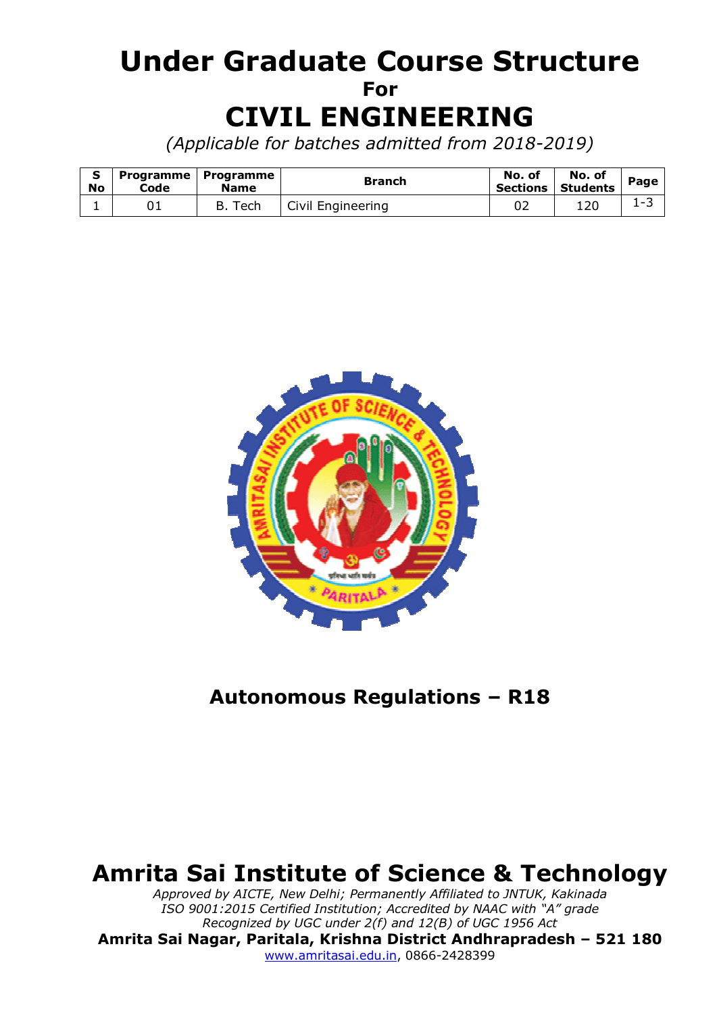# **Under Graduate Course Structure For CIVIL ENGINEERING**

*(Applicable for batches admitted from 2018-2019)* 

| <b>No</b> | Code | Programme   Programme<br><b>Name</b> | <b>Branch</b>     | No. of   | No. of<br>Sections   Students | Page                     |
|-----------|------|--------------------------------------|-------------------|----------|-------------------------------|--------------------------|
| <b>.</b>  |      | Tech<br>В.                           | Civil Engineering | ∩−<br>∪∠ | 120                           | $\overline{\phantom{0}}$ |



# **Autonomous Regulations – R18**

# **Amrita Sai Institute of Science & Technology**

*Approved by AICTE, New Delhi; Permanently Affiliated to JNTUK, Kakinada ISO 9001:2015 Certified Institution; Accredited by NAAC with "A" grade Recognized by UGC under 2(f) and 12(B) of UGC 1956 Act*  **Amrita Sai Nagar, Paritala, Krishna District Andhrapradesh – 521 180**  www.amritasai.edu.in, 0866-2428399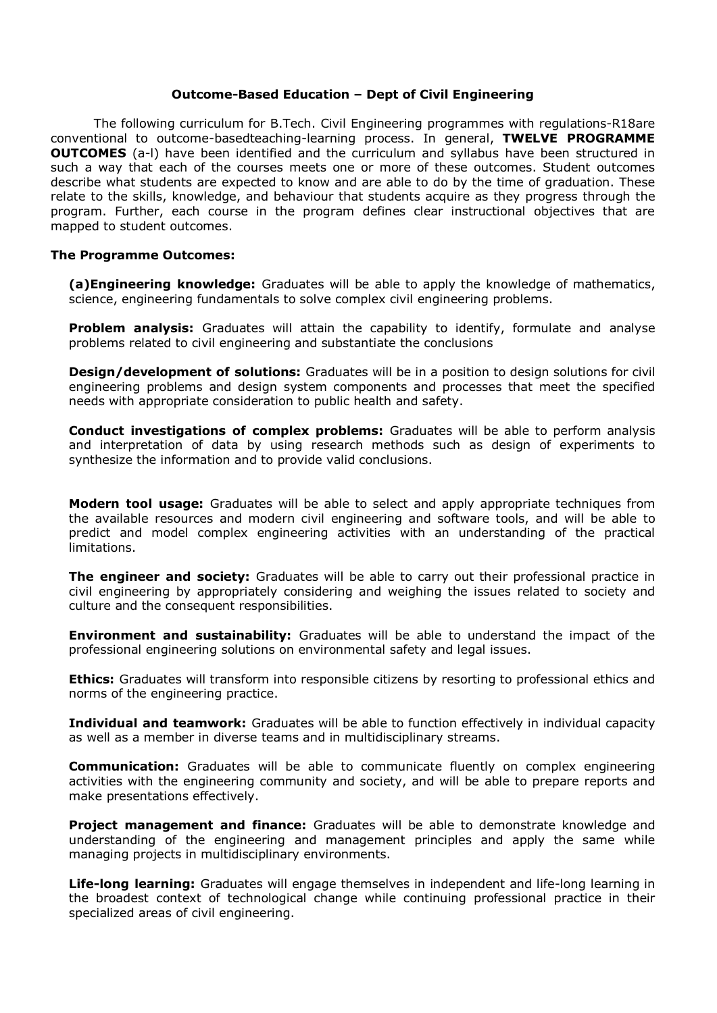#### **Outcome-Based Education – Dept of Civil Engineering**

The following curriculum for B.Tech. Civil Engineering programmes with regulations-R18are conventional to outcome-basedteaching-learning process. In general, **TWELVE PROGRAMME OUTCOMES** (a-I) have been identified and the curriculum and syllabus have been structured in such a way that each of the courses meets one or more of these outcomes. Student outcomes describe what students are expected to know and are able to do by the time of graduation. These relate to the skills, knowledge, and behaviour that students acquire as they progress through the program. Further, each course in the program defines clear instructional objectives that are mapped to student outcomes.

#### **The Programme Outcomes:**

**(a)Engineering knowledge:** Graduates will be able to apply the knowledge of mathematics, science, engineering fundamentals to solve complex civil engineering problems.

**Problem analysis:** Graduates will attain the capability to identify, formulate and analyse problems related to civil engineering and substantiate the conclusions

**Design/development of solutions:** Graduates will be in a position to design solutions for civil engineering problems and design system components and processes that meet the specified needs with appropriate consideration to public health and safety.

**Conduct investigations of complex problems:** Graduates will be able to perform analysis and interpretation of data by using research methods such as design of experiments to synthesize the information and to provide valid conclusions.

**Modern tool usage:** Graduates will be able to select and apply appropriate techniques from the available resources and modern civil engineering and software tools, and will be able to predict and model complex engineering activities with an understanding of the practical limitations.

**The engineer and society:** Graduates will be able to carry out their professional practice in civil engineering by appropriately considering and weighing the issues related to society and culture and the consequent responsibilities.

**Environment and sustainability:** Graduates will be able to understand the impact of the professional engineering solutions on environmental safety and legal issues.

**Ethics:** Graduates will transform into responsible citizens by resorting to professional ethics and norms of the engineering practice.

**Individual and teamwork:** Graduates will be able to function effectively in individual capacity as well as a member in diverse teams and in multidisciplinary streams.

**Communication:** Graduates will be able to communicate fluently on complex engineering activities with the engineering community and society, and will be able to prepare reports and make presentations effectively.

**Project management and finance:** Graduates will be able to demonstrate knowledge and understanding of the engineering and management principles and apply the same while managing projects in multidisciplinary environments.

**Life-long learning:** Graduates will engage themselves in independent and life-long learning in the broadest context of technological change while continuing professional practice in their specialized areas of civil engineering.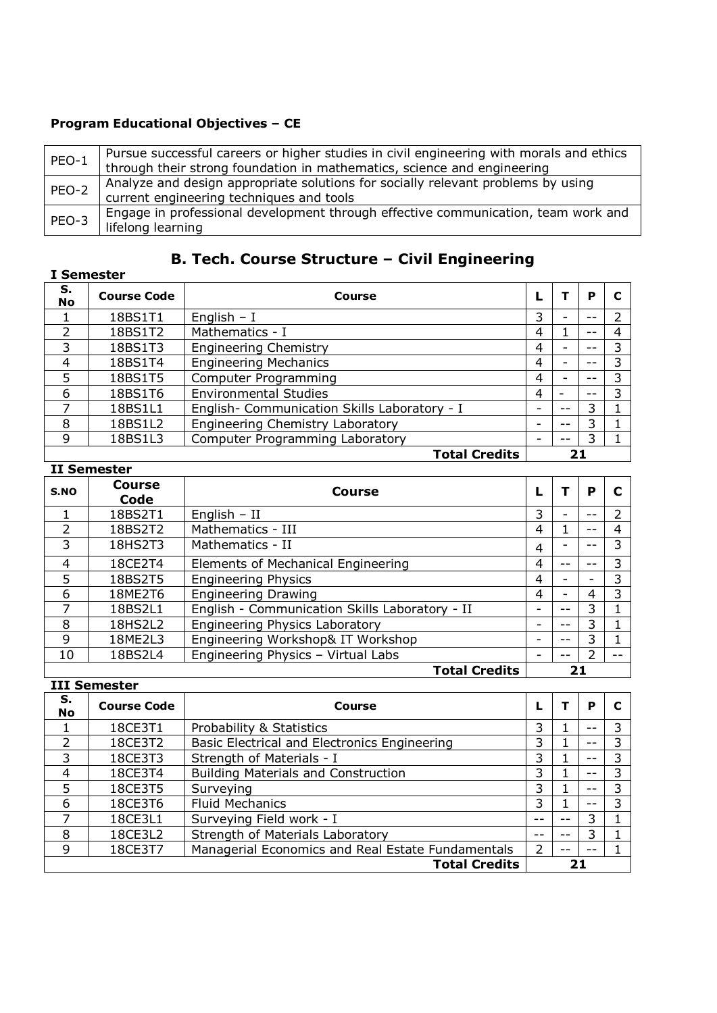### **Program Educational Objectives – CE**

| PEO-1 | Pursue successful careers or higher studies in civil engineering with morals and ethics<br>through their strong foundation in mathematics, science and engineering |
|-------|--------------------------------------------------------------------------------------------------------------------------------------------------------------------|
| PEO-2 | Analyze and design appropriate solutions for socially relevant problems by using<br>current engineering techniques and tools                                       |
| PEO-3 | Engage in professional development through effective communication, team work and<br>lifelong learning                                                             |

## **B. Tech. Course Structure – Civil Engineering**

|               | I Semester         |                                              |   |                          |    |   |
|---------------|--------------------|----------------------------------------------|---|--------------------------|----|---|
| S.<br>No      | <b>Course Code</b> | Course                                       |   |                          | P  |   |
|               | 18BS1T1            | English $- I$                                | 3 | $\overline{\phantom{0}}$ |    |   |
| $\mathcal{L}$ | 18BS1T2            | Mathematics - I                              | 4 |                          | -- | 4 |
| 3             | 18BS1T3            | <b>Engineering Chemistry</b>                 | 4 | -                        |    | 3 |
| 4             | 18BS1T4            | <b>Engineering Mechanics</b>                 | 4 |                          |    | 3 |
| 5             | 18BS1T5            | Computer Programming                         | 4 | -                        |    | 3 |
| 6             | 18BS1T6            | <b>Environmental Studies</b>                 | 4 |                          |    | 3 |
|               | 18BS1L1            | English- Communication Skills Laboratory - I |   | --                       | 3  |   |
| 8             | 18BS1L2            | <b>Engineering Chemistry Laboratory</b>      |   | --                       | 3  |   |
| 9             | 18BS1L3            | <b>Computer Programming Laboratory</b>       |   | --                       | 3  |   |
|               |                    | <b>Total Credits</b>                         |   | 21                       |    |   |

#### **II Semester**

| S.NO | Course<br>Code | <b>Course</b>                                  |   |                          | P |       |
|------|----------------|------------------------------------------------|---|--------------------------|---|-------|
|      | 18BS2T1        | English $-$ II<br>3                            |   | $\overline{\phantom{0}}$ |   |       |
|      | 18BS2T2        | Mathematics - III                              | 4 | 1                        |   | 4     |
| 3    | 18HS2T3        | Mathematics - II                               | 4 |                          |   | 3     |
| 4    | 18CE2T4        | Elements of Mechanical Engineering             | 4 | --                       |   | 3     |
| 5    | 18BS2T5        | <b>Engineering Physics</b>                     | 4 |                          |   | 3     |
| 6    | 18ME2T6        | <b>Engineering Drawing</b>                     | 4 | $\overline{\phantom{a}}$ | 4 | 3     |
| 7    | 18BS2L1        | English - Communication Skills Laboratory - II |   | --                       | 3 |       |
| 8    | 18HS2L2        | <b>Engineering Physics Laboratory</b>          |   | $- -$                    | 3 |       |
| 9    | 18ME2L3        | Engineering Workshop& IT Workshop              |   | --                       | 3 |       |
| 10   | 18BS2L4        | Engineering Physics - Virtual Labs             |   | --                       | ົ | $- -$ |
|      |                | <b>Total Credits</b>                           |   | 21                       |   |       |

|               | Total Credits<br>21 |                                                   |                |    |    |   |  |  |  |  |
|---------------|---------------------|---------------------------------------------------|----------------|----|----|---|--|--|--|--|
|               | <b>III Semester</b> |                                                   |                |    |    |   |  |  |  |  |
| S.<br>No      | <b>Course Code</b>  | Course                                            |                |    | P  |   |  |  |  |  |
|               | 18CE3T1             | Probability & Statistics                          | 3              |    |    | 3 |  |  |  |  |
| $\mathcal{P}$ | 18CE3T2             | Basic Electrical and Electronics Engineering      | 3              |    |    | 3 |  |  |  |  |
| 3             | 18CE3T3             | Strength of Materials - I                         | 3              |    |    | 3 |  |  |  |  |
| 4             | 18CE3T4             | <b>Building Materials and Construction</b>        | 3              |    | -- | 3 |  |  |  |  |
| 5             | 18CE3T5             | Surveying                                         | 3              |    | -- | 3 |  |  |  |  |
| 6             | 18CE3T6             | Fluid Mechanics                                   | 3              |    |    | 3 |  |  |  |  |
| ᄀ             | 18CE3L1             | Surveying Field work - I                          | --             | -- | 3  |   |  |  |  |  |
| 8             | 18CE3L2             | Strength of Materials Laboratory                  |                |    | 3  |   |  |  |  |  |
| 9             | 18CE3T7             | Managerial Economics and Real Estate Fundamentals | $\overline{2}$ |    |    |   |  |  |  |  |
|               |                     | <b>Total Credits</b>                              |                | 21 |    |   |  |  |  |  |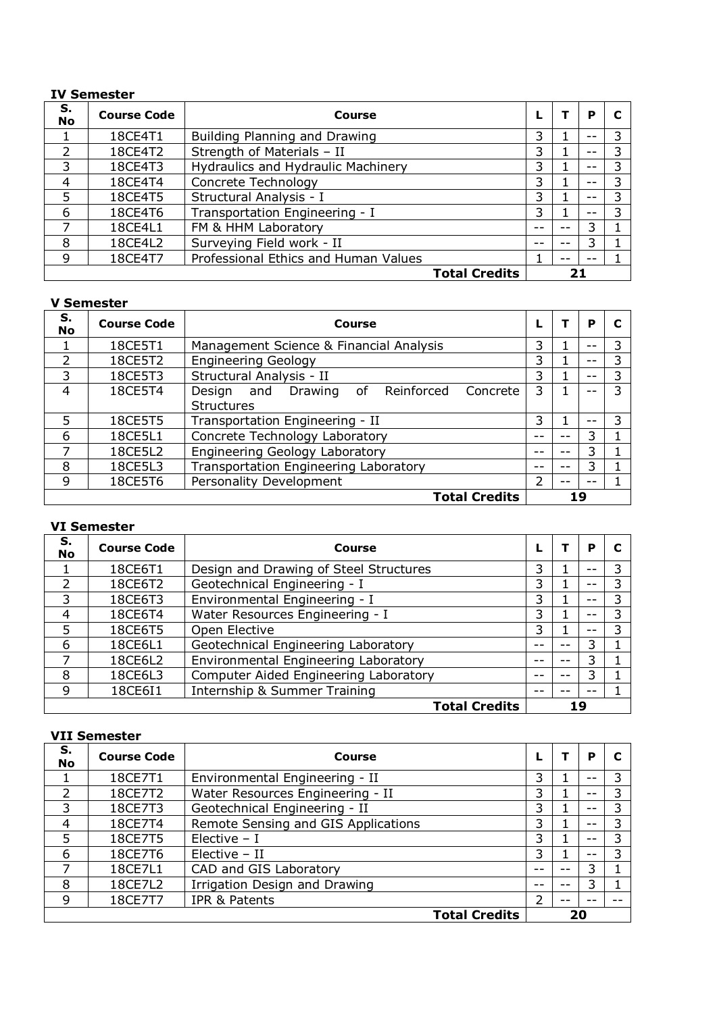#### **IV Semester**

| S.<br><b>No</b> | <b>Course Code</b> | Course                               |                      |    |    | Р  |   |
|-----------------|--------------------|--------------------------------------|----------------------|----|----|----|---|
|                 | 18CE4T1            | Building Planning and Drawing        |                      | 3  | T  |    |   |
| $\mathcal{P}$   | 18CE4T2            | Strength of Materials - II           |                      | 3  |    |    | 3 |
| 3               | 18CE4T3            | Hydraulics and Hydraulic Machinery   |                      | 3  |    | -- | 3 |
| $\overline{4}$  | 18CE4T4            | Concrete Technology                  |                      | 3  |    | -- | っ |
| 5               | 18CE4T5            | Structural Analysis - I              |                      | 3  |    | -- |   |
| 6               | 18CE4T6            | Transportation Engineering - I       |                      | 3  |    | -- | 3 |
|                 | 18CE4L1            | FM & HHM Laboratory                  |                      | -- | -- | 3  |   |
| 8               | 18CE4L2            | Surveying Field work - II            |                      | -- |    | 3  |   |
| 9               | 18CE4T7            | Professional Ethics and Human Values |                      |    |    |    |   |
|                 |                    |                                      | <b>Total Credits</b> |    |    |    |   |

#### **V Semester**

| S.<br><b>No</b> | <b>Course Code</b> | Course                                             |   |    | P  |   |
|-----------------|--------------------|----------------------------------------------------|---|----|----|---|
|                 | 18CE5T1            | Management Science & Financial Analysis            | 3 |    |    | 3 |
| $\mathcal{P}$   | 18CE5T2            | <b>Engineering Geology</b>                         | 3 |    |    | 3 |
| 3               | 18CE5T3            | Structural Analysis - II                           | 3 |    | -- | 3 |
| $\overline{4}$  | 18CE5T4            | Reinforced<br>Design and Drawing<br>of<br>Concrete | 3 |    |    | 3 |
|                 |                    | <b>Structures</b>                                  |   |    |    |   |
| 5               | 18CE5T5            | Transportation Engineering - II                    | 3 |    |    | 3 |
| 6               | 18CE5L1            | Concrete Technology Laboratory                     |   |    | 3  |   |
|                 | 18CE5L2            | <b>Engineering Geology Laboratory</b>              |   | -- | 3  |   |
| 8               | 18CE5L3            | <b>Transportation Engineering Laboratory</b>       |   | -- | 3  |   |
| 9               | 18CE5T6            | Personality Development                            |   | -- |    |   |
|                 |                    | <b>Total Credits</b>                               |   |    | 19 |   |

#### **VI Semester**

| S.<br><b>No</b> | <b>Course Code</b> | Course                                 |    |    | Р  |   |
|-----------------|--------------------|----------------------------------------|----|----|----|---|
|                 | 18CE6T1            | Design and Drawing of Steel Structures | 3  |    |    | 3 |
| $\mathcal{P}$   | 18CE6T2            | Geotechnical Engineering - I           | 3  |    |    |   |
| 3               | 18CE6T3            | Environmental Engineering - I          | 3  |    |    | 3 |
| $\overline{4}$  | 18CE6T4            | Water Resources Engineering - I        | 3. |    |    | 3 |
| 5               | 18CE6T5            | Open Elective                          | 3  |    |    | 3 |
| 6               | 18CE6L1            | Geotechnical Engineering Laboratory    |    | -- | 3  |   |
|                 | 18CE6L2            | Environmental Engineering Laboratory   |    |    | 3  |   |
| 8               | 18CE6L3            | Computer Aided Engineering Laboratory  | -- |    | 3  |   |
| 9               | 18CE6I1            | Internship & Summer Training           |    |    |    |   |
|                 |                    | <b>Total Credits</b>                   |    |    | 19 |   |

#### **VII Semester**

| S.<br><b>No</b> | <b>Course Code</b> | Course                              |    |    | Р  |   |
|-----------------|--------------------|-------------------------------------|----|----|----|---|
|                 | 18CE7T1            | Environmental Engineering - II      | 3. |    |    | 3 |
| $\mathcal{P}$   | 18CE7T2            | Water Resources Engineering - II    | 3. |    | -- | 3 |
| 3               | 18CE7T3            | Geotechnical Engineering - II       | 3  |    |    | 3 |
| $\overline{4}$  | 18CE7T4            | Remote Sensing and GIS Applications | 3. |    |    | 3 |
| 5               | 18CE7T5            | Elective $- I$                      | 3  |    | -- | 3 |
| 6               | 18CE7T6            | $Electric - II$                     | 3. |    |    |   |
|                 | 18CE7L1            | CAD and GIS Laboratory              |    |    | 3  |   |
| 8               | 18CE7L2            | Irrigation Design and Drawing       | -- | -- | 3  |   |
| 9               | 18CE7T7            | IPR & Patents                       |    |    |    |   |
|                 |                    | <b>Total Credits</b>                |    |    | 20 |   |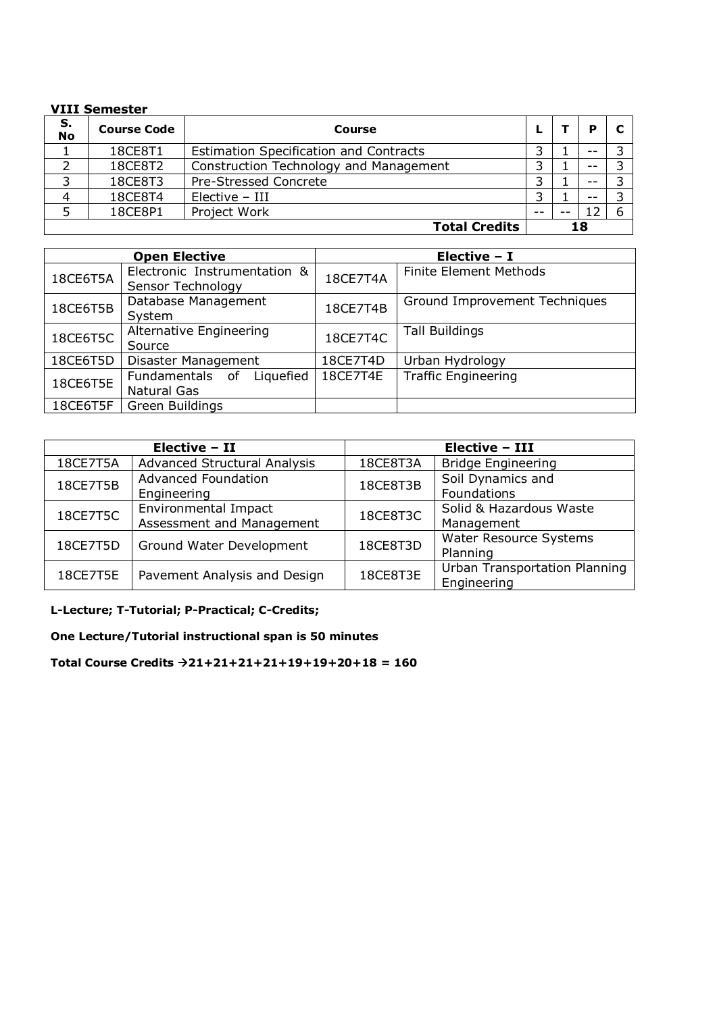#### **VIII Semester**

| S.<br>No | <b>Course Code</b> | Course                                        |    |       |  |
|----------|--------------------|-----------------------------------------------|----|-------|--|
|          | 18CE8T1            | <b>Estimation Specification and Contracts</b> | ว  | $- -$ |  |
|          | 18CE8T2            | Construction Technology and Management        | っ  | $ -$  |  |
| っ        | 18CE8T3            | Pre-Stressed Concrete                         |    |       |  |
| 4        | 18CE8T4            | $Electric - III$                              | ว  | $- -$ |  |
|          | 18CE8P1            | Project Work                                  | -- |       |  |
|          |                    | <b>Total Credits</b>                          |    | 18    |  |

|          | <b>Open Elective</b>                               | Elective - I |                               |  |
|----------|----------------------------------------------------|--------------|-------------------------------|--|
| 18CE6T5A | Electronic Instrumentation &<br>Sensor Technology  | 18CE7T4A     | <b>Finite Element Methods</b> |  |
| 18CE6T5B | Database Management<br>System                      | 18CE7T4B     | Ground Improvement Techniques |  |
| 18CE6T5C | Alternative Engineering<br>Source                  | 18CE7T4C     | <b>Tall Buildings</b>         |  |
| 18CE6T5D | Disaster Management                                | 18CE7T4D     | Urban Hydrology               |  |
| 18CE6T5E | Fundamentals of<br>Liquefied<br><b>Natural Gas</b> | 18CE7T4E     | <b>Traffic Engineering</b>    |  |
| 18CE6T5F | Green Buildings                                    |              |                               |  |

|          | Elective - II                |          | <b>Elective - III</b>         |
|----------|------------------------------|----------|-------------------------------|
| 18CE7T5A | Advanced Structural Analysis | 18CE8T3A | <b>Bridge Engineering</b>     |
| 18CE7T5B | <b>Advanced Foundation</b>   | 18CE8T3B | Soil Dynamics and             |
|          | Engineering                  |          | Foundations                   |
| 18CE7T5C | Environmental Impact         | 18CE8T3C | Solid & Hazardous Waste       |
|          | Assessment and Management    |          | Management                    |
| 18CE7T5D | Ground Water Development     | 18CE8T3D | Water Resource Systems        |
|          |                              |          | Planning                      |
| 18CE7T5E | Pavement Analysis and Design | 18CE8T3E | Urban Transportation Planning |
|          |                              |          | Engineering                   |

**L-Lecture; T-Tutorial; P-Practical; C-Credits;** 

**One Lecture/Tutorial instructional span is 50 minutes** 

**Total Course Credits 21+21+21+21+19+19+20+18 = 160**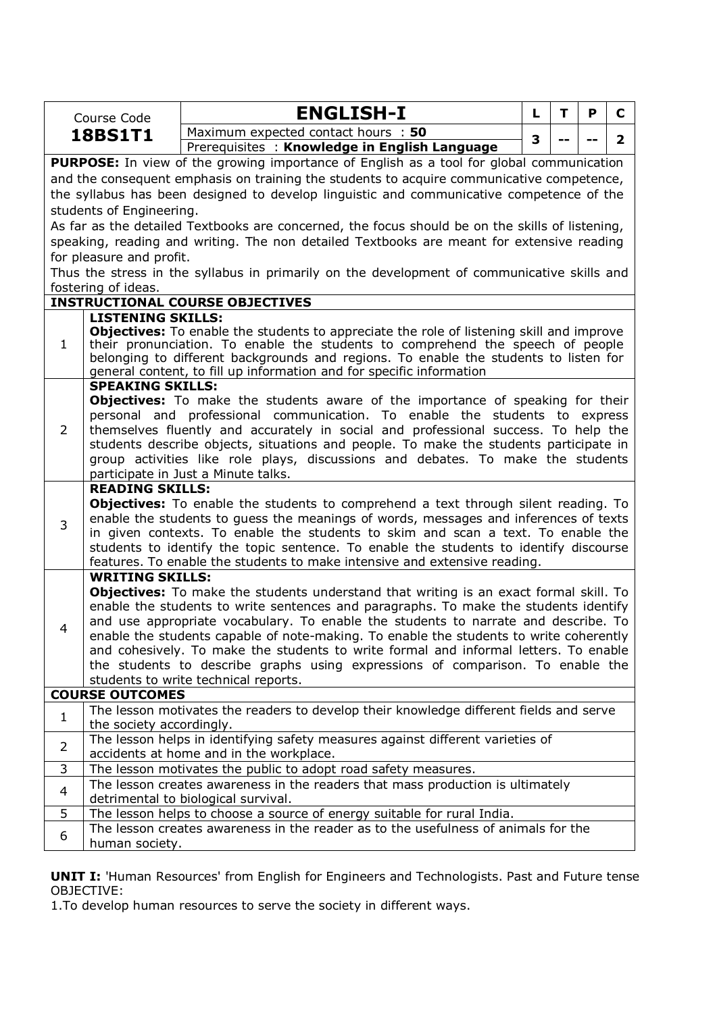|                                                                                             | Course Code                                                                                                                                                  | <b>ENGLISH-I</b>                                                                                                                                                          | L. | T | P | C            |  |  |  |  |  |
|---------------------------------------------------------------------------------------------|--------------------------------------------------------------------------------------------------------------------------------------------------------------|---------------------------------------------------------------------------------------------------------------------------------------------------------------------------|----|---|---|--------------|--|--|--|--|--|
|                                                                                             | <b>18BS1T1</b>                                                                                                                                               | Maximum expected contact hours : 50                                                                                                                                       | 3  |   |   | $\mathbf{2}$ |  |  |  |  |  |
|                                                                                             |                                                                                                                                                              | Prerequisites: Knowledge in English Language                                                                                                                              |    |   |   |              |  |  |  |  |  |
|                                                                                             |                                                                                                                                                              | <b>PURPOSE:</b> In view of the growing importance of English as a tool for global communication                                                                           |    |   |   |              |  |  |  |  |  |
|                                                                                             |                                                                                                                                                              | and the consequent emphasis on training the students to acquire communicative competence,                                                                                 |    |   |   |              |  |  |  |  |  |
|                                                                                             |                                                                                                                                                              | the syllabus has been designed to develop linguistic and communicative competence of the                                                                                  |    |   |   |              |  |  |  |  |  |
|                                                                                             | students of Engineering.                                                                                                                                     |                                                                                                                                                                           |    |   |   |              |  |  |  |  |  |
|                                                                                             |                                                                                                                                                              | As far as the detailed Textbooks are concerned, the focus should be on the skills of listening,                                                                           |    |   |   |              |  |  |  |  |  |
|                                                                                             |                                                                                                                                                              | speaking, reading and writing. The non detailed Textbooks are meant for extensive reading                                                                                 |    |   |   |              |  |  |  |  |  |
|                                                                                             | for pleasure and profit.                                                                                                                                     |                                                                                                                                                                           |    |   |   |              |  |  |  |  |  |
| Thus the stress in the syllabus in primarily on the development of communicative skills and |                                                                                                                                                              |                                                                                                                                                                           |    |   |   |              |  |  |  |  |  |
|                                                                                             | fostering of ideas.                                                                                                                                          |                                                                                                                                                                           |    |   |   |              |  |  |  |  |  |
|                                                                                             |                                                                                                                                                              | <b>INSTRUCTIONAL COURSE OBJECTIVES</b>                                                                                                                                    |    |   |   |              |  |  |  |  |  |
|                                                                                             | <b>LISTENING SKILLS:</b>                                                                                                                                     |                                                                                                                                                                           |    |   |   |              |  |  |  |  |  |
|                                                                                             |                                                                                                                                                              | <b>Objectives:</b> To enable the students to appreciate the role of listening skill and improve                                                                           |    |   |   |              |  |  |  |  |  |
| 1                                                                                           | their pronunciation. To enable the students to comprehend the speech of people                                                                               |                                                                                                                                                                           |    |   |   |              |  |  |  |  |  |
|                                                                                             | belonging to different backgrounds and regions. To enable the students to listen for<br>general content, to fill up information and for specific information |                                                                                                                                                                           |    |   |   |              |  |  |  |  |  |
|                                                                                             | <b>SPEAKING SKILLS:</b>                                                                                                                                      |                                                                                                                                                                           |    |   |   |              |  |  |  |  |  |
|                                                                                             |                                                                                                                                                              | <b>Objectives:</b> To make the students aware of the importance of speaking for their                                                                                     |    |   |   |              |  |  |  |  |  |
| 2                                                                                           | personal and professional communication. To enable the students to express                                                                                   |                                                                                                                                                                           |    |   |   |              |  |  |  |  |  |
|                                                                                             |                                                                                                                                                              | themselves fluently and accurately in social and professional success. To help the                                                                                        |    |   |   |              |  |  |  |  |  |
|                                                                                             |                                                                                                                                                              | students describe objects, situations and people. To make the students participate in                                                                                     |    |   |   |              |  |  |  |  |  |
|                                                                                             |                                                                                                                                                              | group activities like role plays, discussions and debates. To make the students                                                                                           |    |   |   |              |  |  |  |  |  |
|                                                                                             |                                                                                                                                                              | participate in Just a Minute talks.                                                                                                                                       |    |   |   |              |  |  |  |  |  |
|                                                                                             | <b>READING SKILLS:</b>                                                                                                                                       |                                                                                                                                                                           |    |   |   |              |  |  |  |  |  |
|                                                                                             |                                                                                                                                                              | <b>Objectives:</b> To enable the students to comprehend a text through silent reading. To                                                                                 |    |   |   |              |  |  |  |  |  |
| 3                                                                                           |                                                                                                                                                              | enable the students to guess the meanings of words, messages and inferences of texts                                                                                      |    |   |   |              |  |  |  |  |  |
|                                                                                             |                                                                                                                                                              | in given contexts. To enable the students to skim and scan a text. To enable the<br>students to identify the topic sentence. To enable the students to identify discourse |    |   |   |              |  |  |  |  |  |
|                                                                                             |                                                                                                                                                              | features. To enable the students to make intensive and extensive reading.                                                                                                 |    |   |   |              |  |  |  |  |  |
|                                                                                             | <b>WRITING SKILLS:</b>                                                                                                                                       |                                                                                                                                                                           |    |   |   |              |  |  |  |  |  |
|                                                                                             |                                                                                                                                                              | <b>Objectives:</b> To make the students understand that writing is an exact formal skill. To                                                                              |    |   |   |              |  |  |  |  |  |
|                                                                                             |                                                                                                                                                              | enable the students to write sentences and paragraphs. To make the students identify                                                                                      |    |   |   |              |  |  |  |  |  |
|                                                                                             |                                                                                                                                                              | and use appropriate vocabulary. To enable the students to narrate and describe. To                                                                                        |    |   |   |              |  |  |  |  |  |
| 4                                                                                           |                                                                                                                                                              | enable the students capable of note-making. To enable the students to write coherently                                                                                    |    |   |   |              |  |  |  |  |  |
|                                                                                             |                                                                                                                                                              | and cohesively. To make the students to write formal and informal letters. To enable                                                                                      |    |   |   |              |  |  |  |  |  |
|                                                                                             |                                                                                                                                                              | the students to describe graphs using expressions of comparison. To enable the                                                                                            |    |   |   |              |  |  |  |  |  |
|                                                                                             |                                                                                                                                                              | students to write technical reports.                                                                                                                                      |    |   |   |              |  |  |  |  |  |
|                                                                                             | <b>COURSE OUTCOMES</b>                                                                                                                                       |                                                                                                                                                                           |    |   |   |              |  |  |  |  |  |
| $\mathbf{1}$                                                                                | the society accordingly.                                                                                                                                     | The lesson motivates the readers to develop their knowledge different fields and serve                                                                                    |    |   |   |              |  |  |  |  |  |
|                                                                                             |                                                                                                                                                              | The lesson helps in identifying safety measures against different varieties of                                                                                            |    |   |   |              |  |  |  |  |  |
| $\overline{2}$                                                                              |                                                                                                                                                              | accidents at home and in the workplace.                                                                                                                                   |    |   |   |              |  |  |  |  |  |
| 3                                                                                           |                                                                                                                                                              | The lesson motivates the public to adopt road safety measures.                                                                                                            |    |   |   |              |  |  |  |  |  |
|                                                                                             |                                                                                                                                                              | The lesson creates awareness in the readers that mass production is ultimately                                                                                            |    |   |   |              |  |  |  |  |  |
| 4                                                                                           |                                                                                                                                                              | detrimental to biological survival.                                                                                                                                       |    |   |   |              |  |  |  |  |  |
| 5                                                                                           |                                                                                                                                                              | The lesson helps to choose a source of energy suitable for rural India.                                                                                                   |    |   |   |              |  |  |  |  |  |
| 6                                                                                           |                                                                                                                                                              | The lesson creates awareness in the reader as to the usefulness of animals for the                                                                                        |    |   |   |              |  |  |  |  |  |
|                                                                                             | human society.                                                                                                                                               |                                                                                                                                                                           |    |   |   |              |  |  |  |  |  |

**UNIT I:** 'Human Resources' from English for Engineers and Technologists. Past and Future tense OBJECTIVE:

1.To develop human resources to serve the society in different ways.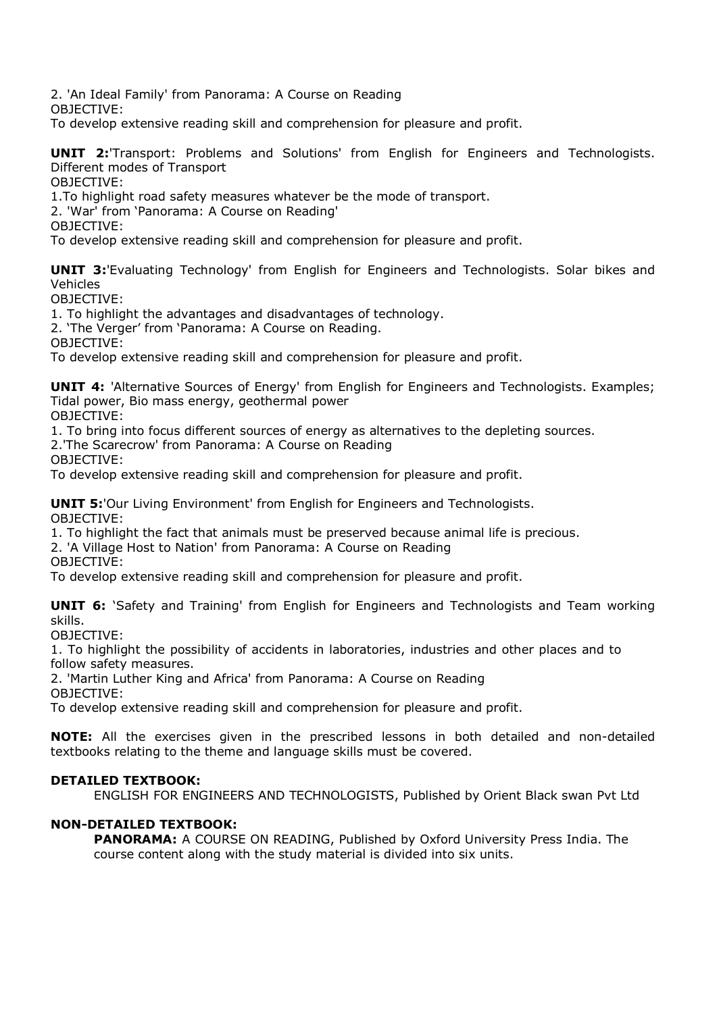2. 'An Ideal Family' from Panorama: A Course on Reading

OBJECTIVE:

To develop extensive reading skill and comprehension for pleasure and profit.

**UNIT 2:**'Transport: Problems and Solutions' from English for Engineers and Technologists. Different modes of Transport

OBJECTIVE:

1.To highlight road safety measures whatever be the mode of transport.

2. 'War' from 'Panorama: A Course on Reading'

OBJECTIVE:

To develop extensive reading skill and comprehension for pleasure and profit.

**UNIT 3:**'Evaluating Technology' from English for Engineers and Technologists. Solar bikes and Vehicles

OBJECTIVE:

1. To highlight the advantages and disadvantages of technology.

2. 'The Verger' from 'Panorama: A Course on Reading.

OBJECTIVE:

To develop extensive reading skill and comprehension for pleasure and profit.

**UNIT 4:** 'Alternative Sources of Energy' from English for Engineers and Technologists. Examples; Tidal power, Bio mass energy, geothermal power

OBJECTIVE:

1. To bring into focus different sources of energy as alternatives to the depleting sources.

2.'The Scarecrow' from Panorama: A Course on Reading

OBJECTIVE:

To develop extensive reading skill and comprehension for pleasure and profit.

**UNIT 5:**'Our Living Environment' from English for Engineers and Technologists. OBJECTIVE:

1. To highlight the fact that animals must be preserved because animal life is precious.

2. 'A Village Host to Nation' from Panorama: A Course on Reading

OBJECTIVE:

To develop extensive reading skill and comprehension for pleasure and profit.

**UNIT 6:** 'Safety and Training' from English for Engineers and Technologists and Team working skills.

OBJECTIVE:

1. To highlight the possibility of accidents in laboratories, industries and other places and to follow safety measures.

2. 'Martin Luther King and Africa' from Panorama: A Course on Reading

OBJECTIVE:

To develop extensive reading skill and comprehension for pleasure and profit.

**NOTE:** All the exercises given in the prescribed lessons in both detailed and non-detailed textbooks relating to the theme and language skills must be covered.

#### **DETAILED TEXTBOOK:**

ENGLISH FOR ENGINEERS AND TECHNOLOGISTS, Published by Orient Black swan Pvt Ltd

#### **NON-DETAILED TEXTBOOK:**

**PANORAMA:** A COURSE ON READING, Published by Oxford University Press India. The course content along with the study material is divided into six units.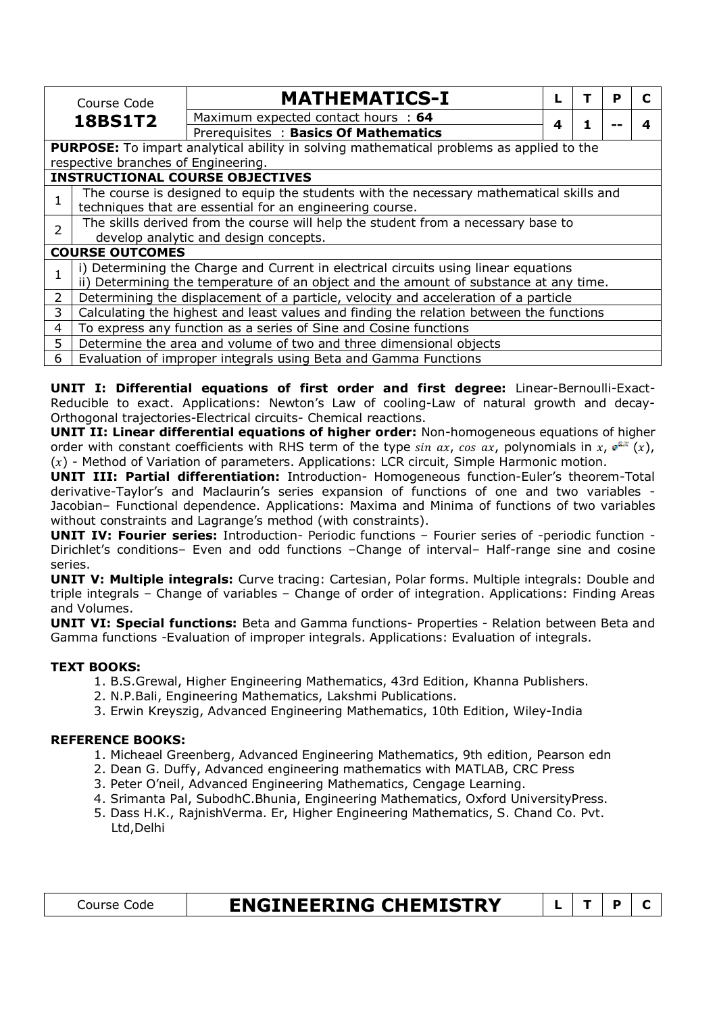|                | Course Code                                                     | <b>MATHEMATICS-I</b>                                                                            |   |  | Р |  |  |  |  |  |
|----------------|-----------------------------------------------------------------|-------------------------------------------------------------------------------------------------|---|--|---|--|--|--|--|--|
|                | <b>18BS1T2</b>                                                  | Maximum expected contact hours : 64                                                             | 4 |  |   |  |  |  |  |  |
|                |                                                                 | Prerequisites: Basics Of Mathematics                                                            |   |  |   |  |  |  |  |  |
|                |                                                                 | <b>PURPOSE:</b> To impart analytical ability in solving mathematical problems as applied to the |   |  |   |  |  |  |  |  |
|                | respective branches of Engineering.                             |                                                                                                 |   |  |   |  |  |  |  |  |
|                |                                                                 | <b>INSTRUCTIONAL COURSE OBJECTIVES</b>                                                          |   |  |   |  |  |  |  |  |
|                |                                                                 | The course is designed to equip the students with the necessary mathematical skills and         |   |  |   |  |  |  |  |  |
|                | techniques that are essential for an engineering course.        |                                                                                                 |   |  |   |  |  |  |  |  |
| $\overline{2}$ |                                                                 | The skills derived from the course will help the student from a necessary base to               |   |  |   |  |  |  |  |  |
|                |                                                                 | develop analytic and design concepts.                                                           |   |  |   |  |  |  |  |  |
|                | <b>COURSE OUTCOMES</b>                                          |                                                                                                 |   |  |   |  |  |  |  |  |
|                |                                                                 | i) Determining the Charge and Current in electrical circuits using linear equations             |   |  |   |  |  |  |  |  |
|                |                                                                 | ii) Determining the temperature of an object and the amount of substance at any time.           |   |  |   |  |  |  |  |  |
| $\overline{2}$ |                                                                 | Determining the displacement of a particle, velocity and acceleration of a particle             |   |  |   |  |  |  |  |  |
| 3              |                                                                 | Calculating the highest and least values and finding the relation between the functions         |   |  |   |  |  |  |  |  |
| 4              |                                                                 | To express any function as a series of Sine and Cosine functions                                |   |  |   |  |  |  |  |  |
| 5.             |                                                                 | Determine the area and volume of two and three dimensional objects                              |   |  |   |  |  |  |  |  |
| 6              | Evaluation of improper integrals using Beta and Gamma Functions |                                                                                                 |   |  |   |  |  |  |  |  |

**UNIT I: Differential equations of first order and first degree:** Linear-Bernoulli-Exact-Reducible to exact. Applications: Newton's Law of cooling-Law of natural growth and decay-Orthogonal trajectories-Electrical circuits- Chemical reactions.

**UNIT II: Linear differential equations of higher order:** Non-homogeneous equations of higher order with constant coefficients with RHS term of the type  $sin ax$ ,  $cos ax$ , polynomials in x,  $e^{ax}(x)$ ,  $(x)$  - Method of Variation of parameters. Applications: LCR circuit, Simple Harmonic motion.

**UNIT III: Partial differentiation:** Introduction- Homogeneous function-Euler's theorem-Total derivative-Taylor's and Maclaurin's series expansion of functions of one and two variables - Jacobian– Functional dependence. Applications: Maxima and Minima of functions of two variables without constraints and Lagrange's method (with constraints).

**UNIT IV: Fourier series:** Introduction- Periodic functions – Fourier series of -periodic function - Dirichlet's conditions– Even and odd functions –Change of interval– Half-range sine and cosine series.

**UNIT V: Multiple integrals:** Curve tracing: Cartesian, Polar forms. Multiple integrals: Double and triple integrals – Change of variables – Change of order of integration. Applications: Finding Areas and Volumes.

**UNIT VI: Special functions:** Beta and Gamma functions- Properties - Relation between Beta and Gamma functions -Evaluation of improper integrals. Applications: Evaluation of integrals.

#### **TEXT BOOKS:**

- 1. B.S.Grewal, Higher Engineering Mathematics, 43rd Edition, Khanna Publishers.
- 2. N.P.Bali, Engineering Mathematics, Lakshmi Publications.
- 3. Erwin Kreyszig, Advanced Engineering Mathematics, 10th Edition, Wiley-India

#### **REFERENCE BOOKS:**

- 1. Micheael Greenberg, Advanced Engineering Mathematics, 9th edition, Pearson edn
- 2. Dean G. Duffy, Advanced engineering mathematics with MATLAB, CRC Press
- 3. Peter O'neil, Advanced Engineering Mathematics, Cengage Learning.
- 4. Srimanta Pal, SubodhC.Bhunia, Engineering Mathematics, Oxford UniversityPress.
- 5. Dass H.K., RajnishVerma. Er, Higher Engineering Mathematics, S. Chand Co. Pvt. Ltd,Delhi

| Lourse : | <b>ENGINEERING CHEMISTRY</b> |  |  |
|----------|------------------------------|--|--|
|          |                              |  |  |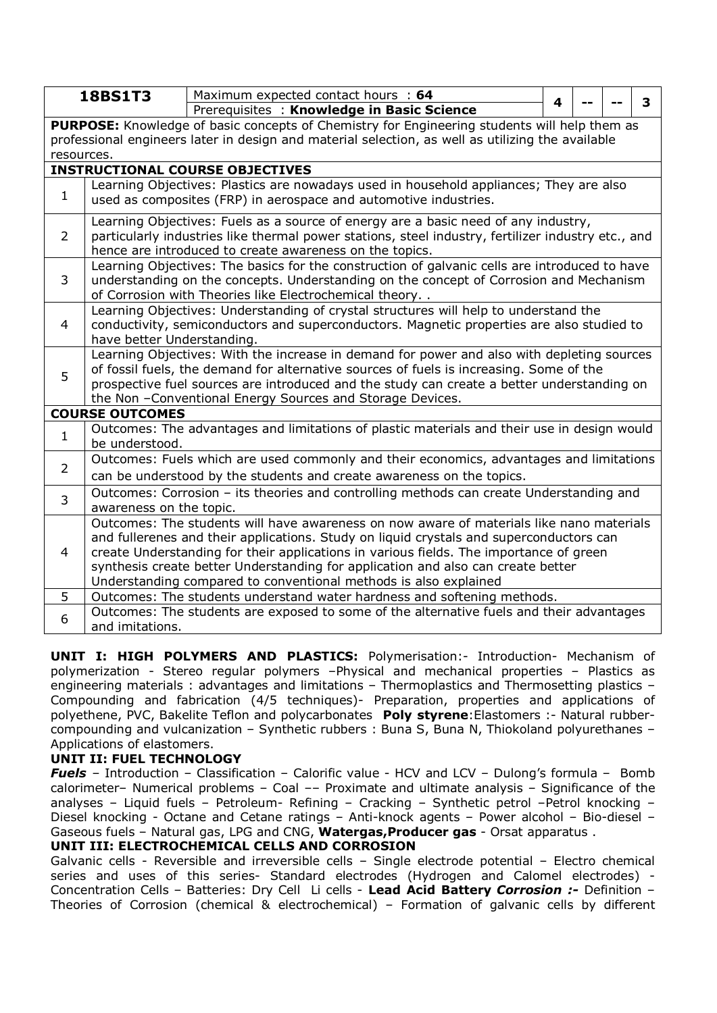|                | <b>18BS1T3</b>                                                                                                                                                                                                                                                                                                                                                                                                                        | Maximum expected contact hours : 64                                                                                                                                                                                                                                                                                                              |   |  |  |   |  |  |  |
|----------------|---------------------------------------------------------------------------------------------------------------------------------------------------------------------------------------------------------------------------------------------------------------------------------------------------------------------------------------------------------------------------------------------------------------------------------------|--------------------------------------------------------------------------------------------------------------------------------------------------------------------------------------------------------------------------------------------------------------------------------------------------------------------------------------------------|---|--|--|---|--|--|--|
|                |                                                                                                                                                                                                                                                                                                                                                                                                                                       | Prerequisites: Knowledge in Basic Science                                                                                                                                                                                                                                                                                                        | 4 |  |  | 3 |  |  |  |
|                |                                                                                                                                                                                                                                                                                                                                                                                                                                       | PURPOSE: Knowledge of basic concepts of Chemistry for Engineering students will help them as                                                                                                                                                                                                                                                     |   |  |  |   |  |  |  |
|                |                                                                                                                                                                                                                                                                                                                                                                                                                                       | professional engineers later in design and material selection, as well as utilizing the available                                                                                                                                                                                                                                                |   |  |  |   |  |  |  |
| resources.     |                                                                                                                                                                                                                                                                                                                                                                                                                                       |                                                                                                                                                                                                                                                                                                                                                  |   |  |  |   |  |  |  |
|                |                                                                                                                                                                                                                                                                                                                                                                                                                                       | <b>INSTRUCTIONAL COURSE OBJECTIVES</b><br>Learning Objectives: Plastics are nowadays used in household appliances; They are also                                                                                                                                                                                                                 |   |  |  |   |  |  |  |
| $\mathbf{1}$   |                                                                                                                                                                                                                                                                                                                                                                                                                                       | used as composites (FRP) in aerospace and automotive industries.                                                                                                                                                                                                                                                                                 |   |  |  |   |  |  |  |
| $\overline{2}$ |                                                                                                                                                                                                                                                                                                                                                                                                                                       | Learning Objectives: Fuels as a source of energy are a basic need of any industry,<br>particularly industries like thermal power stations, steel industry, fertilizer industry etc., and<br>hence are introduced to create awareness on the topics.                                                                                              |   |  |  |   |  |  |  |
| 3              | Learning Objectives: The basics for the construction of galvanic cells are introduced to have<br>understanding on the concepts. Understanding on the concept of Corrosion and Mechanism<br>of Corrosion with Theories like Electrochemical theory                                                                                                                                                                                     |                                                                                                                                                                                                                                                                                                                                                  |   |  |  |   |  |  |  |
| 4              | Learning Objectives: Understanding of crystal structures will help to understand the<br>conductivity, semiconductors and superconductors. Magnetic properties are also studied to<br>have better Understanding.                                                                                                                                                                                                                       |                                                                                                                                                                                                                                                                                                                                                  |   |  |  |   |  |  |  |
| 5              |                                                                                                                                                                                                                                                                                                                                                                                                                                       | Learning Objectives: With the increase in demand for power and also with depleting sources<br>of fossil fuels, the demand for alternative sources of fuels is increasing. Some of the<br>prospective fuel sources are introduced and the study can create a better understanding on<br>the Non -Conventional Energy Sources and Storage Devices. |   |  |  |   |  |  |  |
|                | <b>COURSE OUTCOMES</b>                                                                                                                                                                                                                                                                                                                                                                                                                |                                                                                                                                                                                                                                                                                                                                                  |   |  |  |   |  |  |  |
| $\mathbf{1}$   | be understood.                                                                                                                                                                                                                                                                                                                                                                                                                        | Outcomes: The advantages and limitations of plastic materials and their use in design would                                                                                                                                                                                                                                                      |   |  |  |   |  |  |  |
| $\overline{2}$ |                                                                                                                                                                                                                                                                                                                                                                                                                                       | Outcomes: Fuels which are used commonly and their economics, advantages and limitations<br>can be understood by the students and create awareness on the topics.                                                                                                                                                                                 |   |  |  |   |  |  |  |
| 3              | awareness on the topic.                                                                                                                                                                                                                                                                                                                                                                                                               | Outcomes: Corrosion - its theories and controlling methods can create Understanding and                                                                                                                                                                                                                                                          |   |  |  |   |  |  |  |
| 4              | Outcomes: The students will have awareness on now aware of materials like nano materials<br>and fullerenes and their applications. Study on liquid crystals and superconductors can<br>create Understanding for their applications in various fields. The importance of green<br>synthesis create better Understanding for application and also can create better<br>Understanding compared to conventional methods is also explained |                                                                                                                                                                                                                                                                                                                                                  |   |  |  |   |  |  |  |
| 5              |                                                                                                                                                                                                                                                                                                                                                                                                                                       | Outcomes: The students understand water hardness and softening methods.                                                                                                                                                                                                                                                                          |   |  |  |   |  |  |  |
| 6              | and imitations.                                                                                                                                                                                                                                                                                                                                                                                                                       | Outcomes: The students are exposed to some of the alternative fuels and their advantages                                                                                                                                                                                                                                                         |   |  |  |   |  |  |  |

**UNIT I: HIGH POLYMERS AND PLASTICS:** Polymerisation:- Introduction- Mechanism of polymerization - Stereo regular polymers –Physical and mechanical properties – Plastics as engineering materials : advantages and limitations – Thermoplastics and Thermosetting plastics – Compounding and fabrication (4/5 techniques)- Preparation, properties and applications of polyethene, PVC, Bakelite Teflon and polycarbonates **Poly styrene**:Elastomers :- Natural rubbercompounding and vulcanization – Synthetic rubbers : Buna S, Buna N, Thiokoland polyurethanes – Applications of elastomers.

#### **UNIT II: FUEL TECHNOLOGY**

*Fuels* – Introduction – Classification – Calorific value - HCV and LCV – Dulong's formula – Bomb calorimeter– Numerical problems – Coal –– Proximate and ultimate analysis – Significance of the analyses – Liquid fuels – Petroleum- Refining – Cracking – Synthetic petrol –Petrol knocking – Diesel knocking - Octane and Cetane ratings – Anti-knock agents – Power alcohol – Bio-diesel – Gaseous fuels – Natural gas, LPG and CNG, **Watergas,Producer gas** - Orsat apparatus . **UNIT III: ELECTROCHEMICAL CELLS AND CORROSION** 

Galvanic cells - Reversible and irreversible cells – Single electrode potential – Electro chemical series and uses of this series- Standard electrodes (Hydrogen and Calomel electrodes) - Concentration Cells – Batteries: Dry Cell Li cells - **Lead Acid Battery** *Corrosion :-* Definition – Theories of Corrosion (chemical & electrochemical) – Formation of galvanic cells by different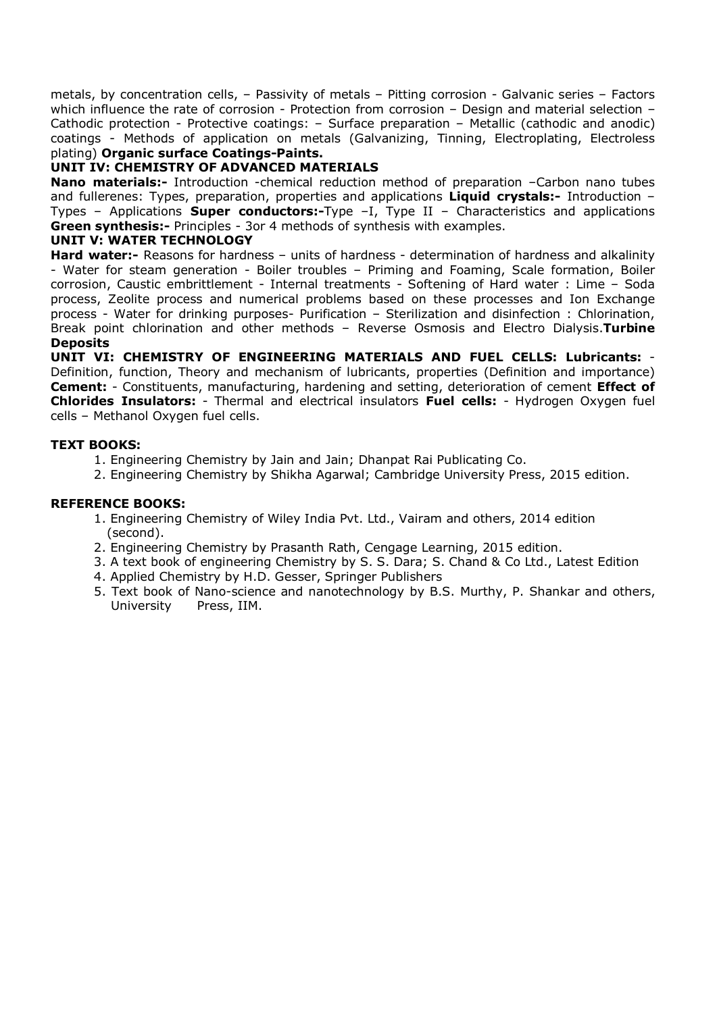metals, by concentration cells, – Passivity of metals – Pitting corrosion - Galvanic series – Factors which influence the rate of corrosion - Protection from corrosion - Design and material selection -Cathodic protection - Protective coatings: – Surface preparation – Metallic (cathodic and anodic) coatings - Methods of application on metals (Galvanizing, Tinning, Electroplating, Electroless plating) **Organic surface Coatings-Paints.** 

#### **UNIT IV: CHEMISTRY OF ADVANCED MATERIALS**

**Nano materials:-** Introduction -chemical reduction method of preparation -Carbon nano tubes and fullerenes: Types, preparation, properties and applications **Liquid crystals:-** Introduction – Types – Applications **Super conductors:-**Type –I, Type II – Characteristics and applications **Green synthesis:-** Principles - 3or 4 methods of synthesis with examples.

#### **UNIT V: WATER TECHNOLOGY**

**Hard water:-** Reasons for hardness – units of hardness - determination of hardness and alkalinity - Water for steam generation - Boiler troubles – Priming and Foaming, Scale formation, Boiler corrosion, Caustic embrittlement - Internal treatments - Softening of Hard water : Lime – Soda process, Zeolite process and numerical problems based on these processes and Ion Exchange process - Water for drinking purposes- Purification – Sterilization and disinfection : Chlorination, Break point chlorination and other methods – Reverse Osmosis and Electro Dialysis.**Turbine Deposits** 

**UNIT VI: CHEMISTRY OF ENGINEERING MATERIALS AND FUEL CELLS: Lubricants:** - Definition, function, Theory and mechanism of lubricants, properties (Definition and importance) **Cement:** - Constituents, manufacturing, hardening and setting, deterioration of cement **Effect of Chlorides Insulators:** - Thermal and electrical insulators **Fuel cells:** - Hydrogen Oxygen fuel cells – Methanol Oxygen fuel cells.

#### **TEXT BOOKS:**

- 1. Engineering Chemistry by Jain and Jain; Dhanpat Rai Publicating Co.
- 2. Engineering Chemistry by Shikha Agarwal; Cambridge University Press, 2015 edition.

#### **REFERENCE BOOKS:**

- 1. Engineering Chemistry of Wiley India Pvt. Ltd., Vairam and others, 2014 edition (second).
- 2. Engineering Chemistry by Prasanth Rath, Cengage Learning, 2015 edition.
- 3. A text book of engineering Chemistry by S. S. Dara; S. Chand & Co Ltd., Latest Edition
- 4. Applied Chemistry by H.D. Gesser, Springer Publishers
- 5. Text book of Nano-science and nanotechnology by B.S. Murthy, P. Shankar and others, University Press, IIM.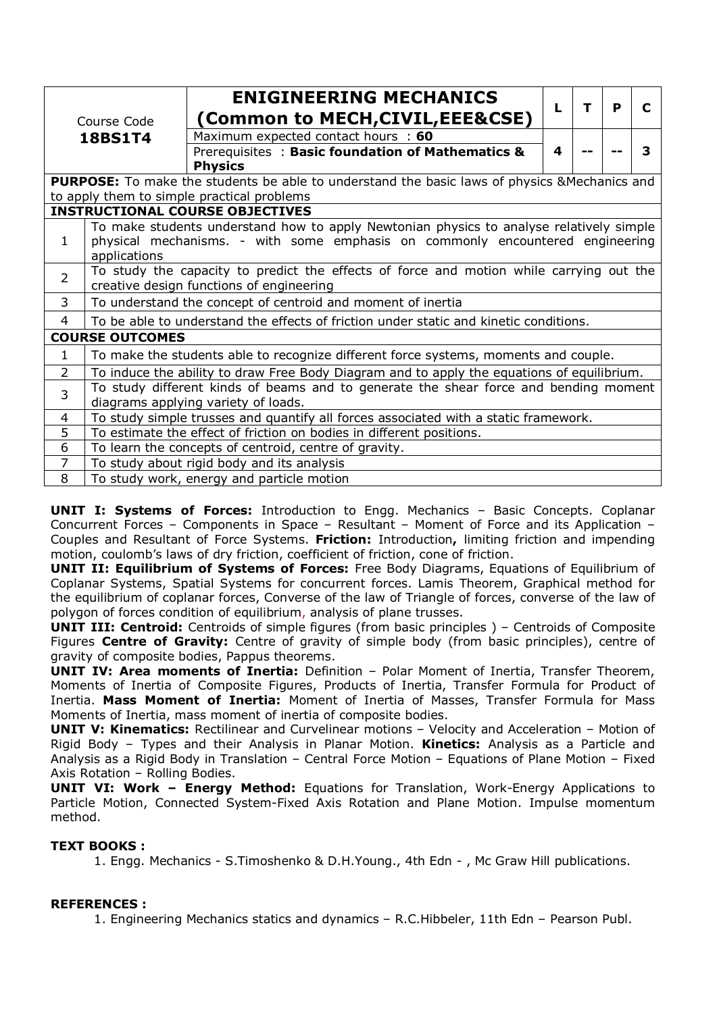|                | Course Code                                                                                                                                                                              | <b>ENIGINEERING MECHANICS</b><br>(Common to MECH,CIVIL,EEE&CSE)                                                             | L | т | P | C |  |  |
|----------------|------------------------------------------------------------------------------------------------------------------------------------------------------------------------------------------|-----------------------------------------------------------------------------------------------------------------------------|---|---|---|---|--|--|
|                | <b>18BS1T4</b>                                                                                                                                                                           | Maximum expected contact hours : 60                                                                                         |   |   |   |   |  |  |
|                |                                                                                                                                                                                          | Prerequisites: Basic foundation of Mathematics &<br><b>Physics</b>                                                          | 4 |   |   | 3 |  |  |
|                |                                                                                                                                                                                          | <b>PURPOSE:</b> To make the students be able to understand the basic laws of physics & Mechanics and                        |   |   |   |   |  |  |
|                | to apply them to simple practical problems                                                                                                                                               |                                                                                                                             |   |   |   |   |  |  |
|                | <b>INSTRUCTIONAL COURSE OBJECTIVES</b>                                                                                                                                                   |                                                                                                                             |   |   |   |   |  |  |
| $\mathbf{1}$   | To make students understand how to apply Newtonian physics to analyse relatively simple<br>physical mechanisms. - with some emphasis on commonly encountered engineering<br>applications |                                                                                                                             |   |   |   |   |  |  |
| $\overline{2}$ | To study the capacity to predict the effects of force and motion while carrying out the<br>creative design functions of engineering                                                      |                                                                                                                             |   |   |   |   |  |  |
| 3              | To understand the concept of centroid and moment of inertia                                                                                                                              |                                                                                                                             |   |   |   |   |  |  |
| 4              |                                                                                                                                                                                          | To be able to understand the effects of friction under static and kinetic conditions.                                       |   |   |   |   |  |  |
|                | <b>COURSE OUTCOMES</b>                                                                                                                                                                   |                                                                                                                             |   |   |   |   |  |  |
| $\mathbf{1}$   |                                                                                                                                                                                          | To make the students able to recognize different force systems, moments and couple.                                         |   |   |   |   |  |  |
| $\overline{2}$ |                                                                                                                                                                                          | To induce the ability to draw Free Body Diagram and to apply the equations of equilibrium.                                  |   |   |   |   |  |  |
| 3              |                                                                                                                                                                                          | To study different kinds of beams and to generate the shear force and bending moment<br>diagrams applying variety of loads. |   |   |   |   |  |  |
| 4              |                                                                                                                                                                                          | To study simple trusses and quantify all forces associated with a static framework.                                         |   |   |   |   |  |  |
| 5              |                                                                                                                                                                                          | To estimate the effect of friction on bodies in different positions.                                                        |   |   |   |   |  |  |
| 6              |                                                                                                                                                                                          | To learn the concepts of centroid, centre of gravity.                                                                       |   |   |   |   |  |  |
| $\overline{7}$ |                                                                                                                                                                                          | To study about rigid body and its analysis                                                                                  |   |   |   |   |  |  |
| 8              |                                                                                                                                                                                          | To study work, energy and particle motion                                                                                   |   |   |   |   |  |  |

**UNIT I: Systems of Forces:** Introduction to Engg. Mechanics – Basic Concepts. Coplanar Concurrent Forces – Components in Space – Resultant – Moment of Force and its Application – Couples and Resultant of Force Systems. **Friction:** Introduction**,** limiting friction and impending motion, coulomb's laws of dry friction, coefficient of friction, cone of friction.

**UNIT II: Equilibrium of Systems of Forces:** Free Body Diagrams, Equations of Equilibrium of Coplanar Systems, Spatial Systems for concurrent forces. Lamis Theorem, Graphical method for the equilibrium of coplanar forces, Converse of the law of Triangle of forces, converse of the law of polygon of forces condition of equilibrium, analysis of plane trusses.

**UNIT III: Centroid:** Centroids of simple figures (from basic principles) – Centroids of Composite Figures **Centre of Gravity:** Centre of gravity of simple body (from basic principles), centre of gravity of composite bodies, Pappus theorems.

**UNIT IV: Area moments of Inertia:** Definition – Polar Moment of Inertia, Transfer Theorem, Moments of Inertia of Composite Figures, Products of Inertia, Transfer Formula for Product of Inertia. **Mass Moment of Inertia:** Moment of Inertia of Masses, Transfer Formula for Mass Moments of Inertia, mass moment of inertia of composite bodies.

**UNIT V: Kinematics:** Rectilinear and Curvelinear motions – Velocity and Acceleration – Motion of Rigid Body – Types and their Analysis in Planar Motion. **Kinetics:** Analysis as a Particle and Analysis as a Rigid Body in Translation – Central Force Motion – Equations of Plane Motion – Fixed Axis Rotation – Rolling Bodies.

**UNIT VI: Work – Energy Method:** Equations for Translation, Work-Energy Applications to Particle Motion, Connected System-Fixed Axis Rotation and Plane Motion. Impulse momentum method.

#### **TEXT BOOKS :**

1. Engg. Mechanics - S.Timoshenko & D.H.Young., 4th Edn - , Mc Graw Hill publications.

#### **REFERENCES :**

1. Engineering Mechanics statics and dynamics – R.C.Hibbeler, 11th Edn – Pearson Publ.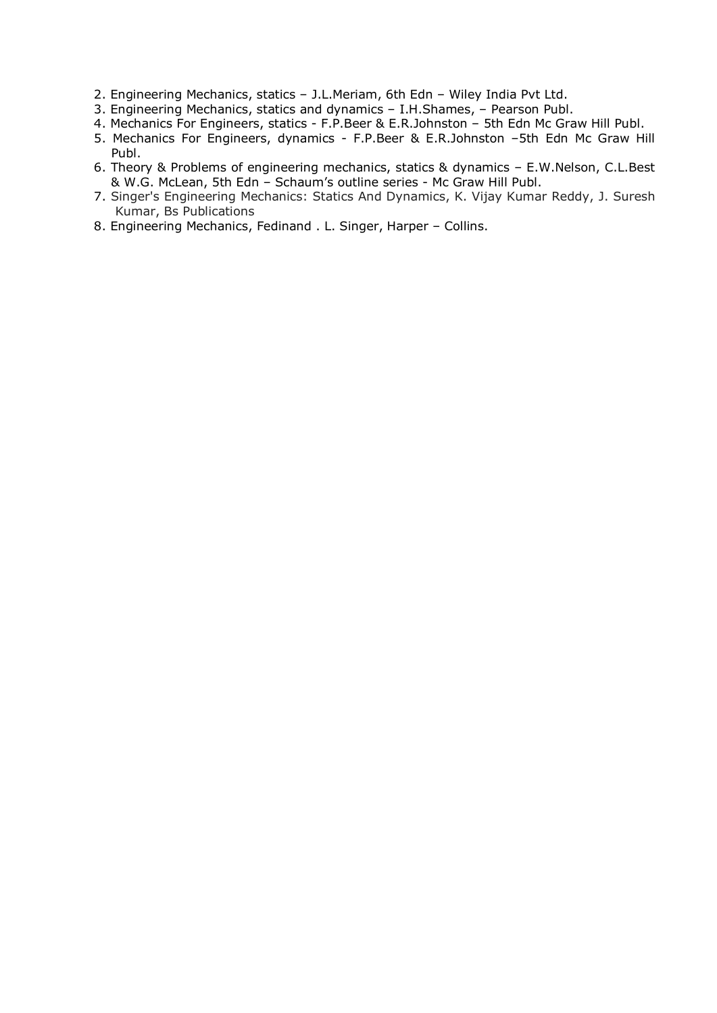- 2. Engineering Mechanics, statics J.L.Meriam, 6th Edn Wiley India Pvt Ltd.
- 3. Engineering Mechanics, statics and dynamics I.H.Shames, Pearson Publ.
- 4. Mechanics For Engineers, statics F.P.Beer & E.R.Johnston 5th Edn Mc Graw Hill Publ.
- 5. Mechanics For Engineers, dynamics F.P.Beer & E.R.Johnston –5th Edn Mc Graw Hill Publ.
- 6. Theory & Problems of engineering mechanics, statics & dynamics E.W.Nelson, C.L.Best & W.G. McLean, 5th Edn – Schaum's outline series - Mc Graw Hill Publ.
- 7. Singer's Engineering Mechanics: Statics And Dynamics, K. Vijay Kumar Reddy, J. Suresh Kumar, Bs Publications
- 8. Engineering Mechanics, Fedinand . L. Singer, Harper Collins.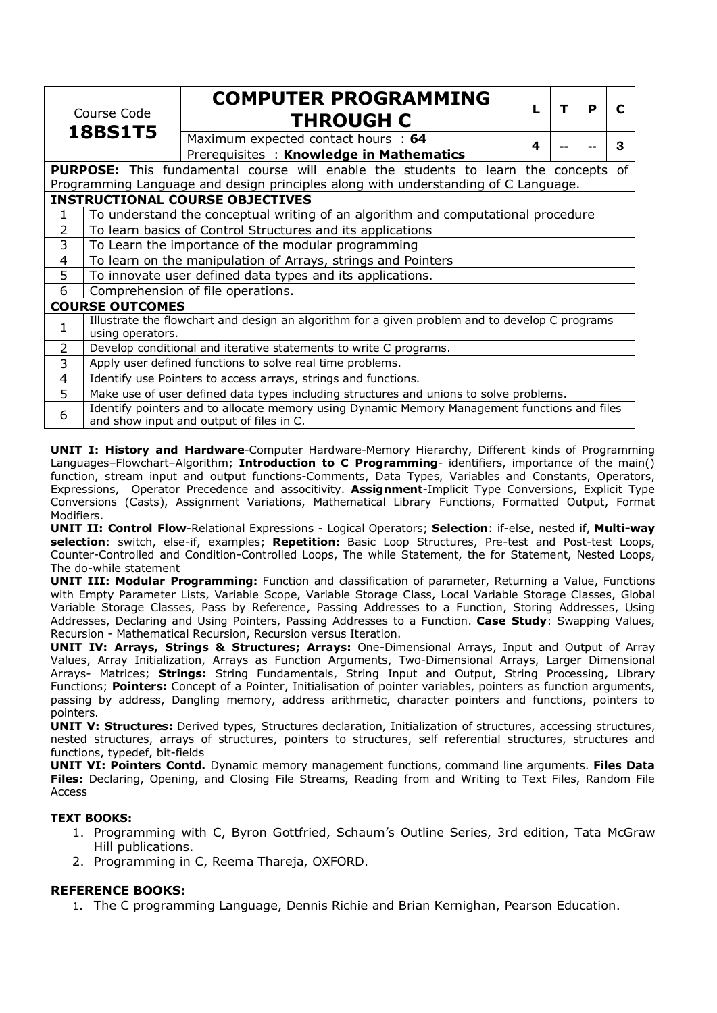| Course Code<br><b>18BS1T5</b> |                        | <b>COMPUTER PROGRAMMING</b><br><b>THROUGH C</b>                                                                                                                                 |   | т | P | С |  |  |
|-------------------------------|------------------------|---------------------------------------------------------------------------------------------------------------------------------------------------------------------------------|---|---|---|---|--|--|
|                               |                        | Maximum expected contact hours : 64                                                                                                                                             | 4 |   |   | 3 |  |  |
|                               |                        | Prerequisites: Knowledge in Mathematics                                                                                                                                         |   |   |   |   |  |  |
|                               |                        | <b>PURPOSE:</b> This fundamental course will enable the students to learn the concepts of<br>Programming Language and design principles along with understanding of C Language. |   |   |   |   |  |  |
|                               |                        | <b>INSTRUCTIONAL COURSE OBJECTIVES</b>                                                                                                                                          |   |   |   |   |  |  |
| 1                             |                        |                                                                                                                                                                                 |   |   |   |   |  |  |
|                               |                        | To understand the conceptual writing of an algorithm and computational procedure<br>To learn basics of Control Structures and its applications                                  |   |   |   |   |  |  |
| 2                             |                        |                                                                                                                                                                                 |   |   |   |   |  |  |
| 3                             |                        | To Learn the importance of the modular programming                                                                                                                              |   |   |   |   |  |  |
| 4                             |                        | To learn on the manipulation of Arrays, strings and Pointers                                                                                                                    |   |   |   |   |  |  |
| 5                             |                        | To innovate user defined data types and its applications.                                                                                                                       |   |   |   |   |  |  |
| 6                             |                        | Comprehension of file operations.                                                                                                                                               |   |   |   |   |  |  |
|                               | <b>COURSE OUTCOMES</b> |                                                                                                                                                                                 |   |   |   |   |  |  |
| 1                             | using operators.       | Illustrate the flowchart and design an algorithm for a given problem and to develop C programs                                                                                  |   |   |   |   |  |  |
| $\overline{2}$                |                        | Develop conditional and iterative statements to write C programs.                                                                                                               |   |   |   |   |  |  |
| 3                             |                        | Apply user defined functions to solve real time problems.                                                                                                                       |   |   |   |   |  |  |
| 4                             |                        | Identify use Pointers to access arrays, strings and functions.                                                                                                                  |   |   |   |   |  |  |
| 5                             |                        | Make use of user defined data types including structures and unions to solve problems.                                                                                          |   |   |   |   |  |  |
| 6                             |                        | Identify pointers and to allocate memory using Dynamic Memory Management functions and files<br>and show input and output of files in C.                                        |   |   |   |   |  |  |

**UNIT I: History and Hardware**-Computer Hardware-Memory Hierarchy, Different kinds of Programming Languages–Flowchart–Algorithm; **Introduction to C Programming**- identifiers, importance of the main() function, stream input and output functions-Comments, Data Types, Variables and Constants, Operators, Expressions, Operator Precedence and associtivity. **Assignment**-Implicit Type Conversions, Explicit Type Conversions (Casts), Assignment Variations, Mathematical Library Functions, Formatted Output, Format Modifiers.

**UNIT II: Control Flow**-Relational Expressions - Logical Operators; **Selection**: if-else, nested if, **Multi-way selection**: switch, else-if, examples; **Repetition:** Basic Loop Structures, Pre-test and Post-test Loops, Counter-Controlled and Condition-Controlled Loops, The while Statement, the for Statement, Nested Loops, The do-while statement

**UNIT III: Modular Programming:** Function and classification of parameter, Returning a Value, Functions with Empty Parameter Lists, Variable Scope, Variable Storage Class, Local Variable Storage Classes, Global Variable Storage Classes, Pass by Reference, Passing Addresses to a Function, Storing Addresses, Using Addresses, Declaring and Using Pointers, Passing Addresses to a Function. **Case Study**: Swapping Values, Recursion - Mathematical Recursion, Recursion versus Iteration.

**UNIT IV: Arrays, Strings & Structures; Arrays:** One-Dimensional Arrays, Input and Output of Array Values, Array Initialization, Arrays as Function Arguments, Two-Dimensional Arrays, Larger Dimensional Arrays- Matrices; **Strings:** String Fundamentals, String Input and Output, String Processing, Library Functions; **Pointers:** Concept of a Pointer, Initialisation of pointer variables, pointers as function arguments, passing by address, Dangling memory, address arithmetic, character pointers and functions, pointers to pointers.

**UNIT V: Structures:** Derived types, Structures declaration, Initialization of structures, accessing structures, nested structures, arrays of structures, pointers to structures, self referential structures, structures and functions, typedef, bit-fields

**UNIT VI: Pointers Contd.** Dynamic memory management functions, command line arguments. **Files Data Files:** Declaring, Opening, and Closing File Streams, Reading from and Writing to Text Files, Random File Access

#### **TEXT BOOKS:**

- 1. Programming with C, Byron Gottfried, Schaum's Outline Series, 3rd edition, Tata McGraw Hill publications.
- 2. Programming in C, Reema Thareja, OXFORD.

#### **REFERENCE BOOKS:**

1. The C programming Language, Dennis Richie and Brian Kernighan, Pearson Education.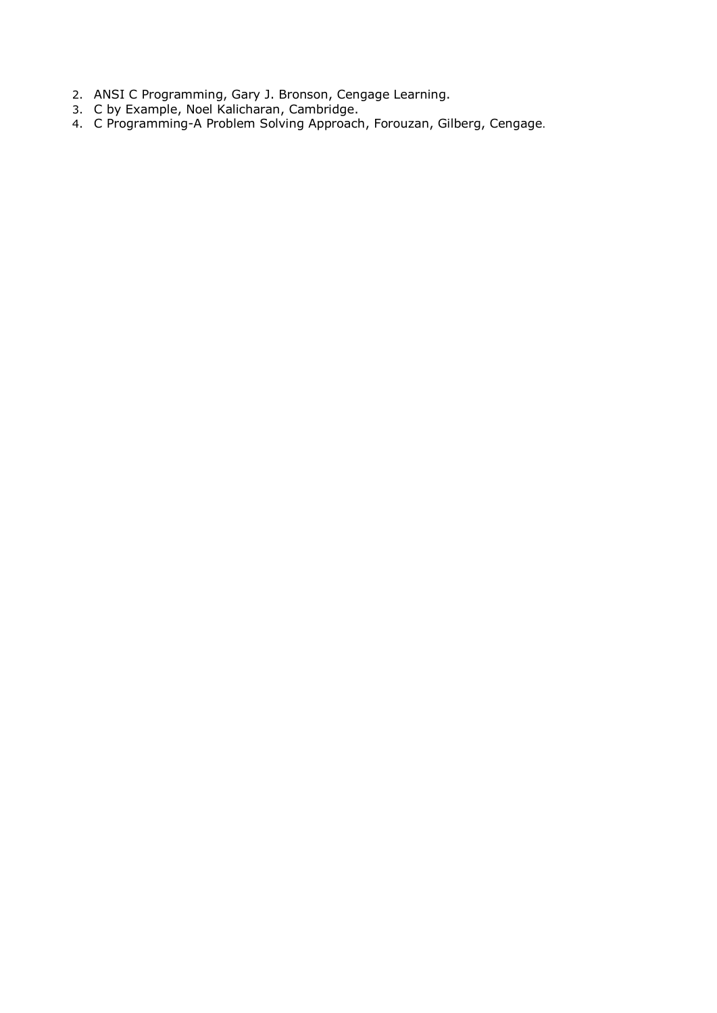- 2. ANSI C Programming, Gary J. Bronson, Cengage Learning.
- 3. C by Example, Noel Kalicharan, Cambridge.
- 4. C Programming-A Problem Solving Approach, Forouzan, Gilberg, Cengage.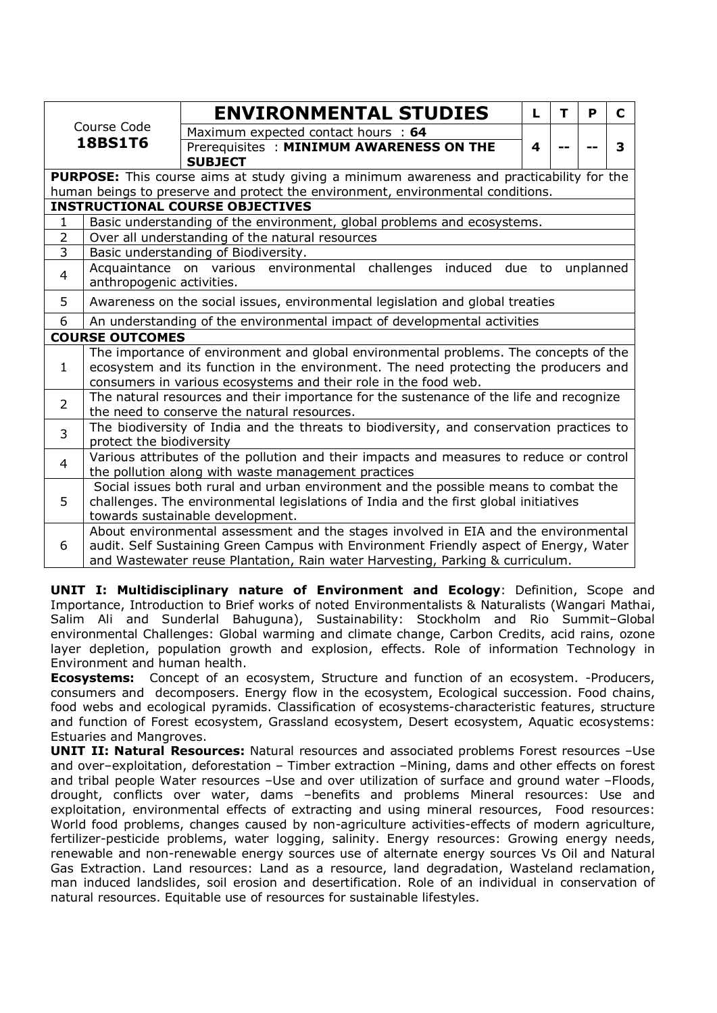|                        |                                                                                                                                         |                                                                                         | <b>ENVIRONMENTAL STUDIES</b>            |  |  | L | т | P | C |  |  |
|------------------------|-----------------------------------------------------------------------------------------------------------------------------------------|-----------------------------------------------------------------------------------------|-----------------------------------------|--|--|---|---|---|---|--|--|
|                        | Course Code                                                                                                                             |                                                                                         | Maximum expected contact hours : 64     |  |  |   |   |   |   |  |  |
|                        | <b>18BS1T6</b>                                                                                                                          |                                                                                         | Prerequisites: MINIMUM AWARENESS ON THE |  |  | 4 |   |   | 3 |  |  |
|                        |                                                                                                                                         | <b>SUBJECT</b>                                                                          |                                         |  |  |   |   |   |   |  |  |
|                        | PURPOSE: This course aims at study giving a minimum awareness and practicability for the                                                |                                                                                         |                                         |  |  |   |   |   |   |  |  |
|                        | human beings to preserve and protect the environment, environmental conditions.                                                         |                                                                                         |                                         |  |  |   |   |   |   |  |  |
|                        | <b>INSTRUCTIONAL COURSE OBJECTIVES</b>                                                                                                  |                                                                                         |                                         |  |  |   |   |   |   |  |  |
| 1                      | Basic understanding of the environment, global problems and ecosystems.                                                                 |                                                                                         |                                         |  |  |   |   |   |   |  |  |
| $\overline{2}$         | Over all understanding of the natural resources                                                                                         |                                                                                         |                                         |  |  |   |   |   |   |  |  |
| $\overline{3}$         | Basic understanding of Biodiversity.                                                                                                    |                                                                                         |                                         |  |  |   |   |   |   |  |  |
| $\overline{4}$         | Acquaintance on various environmental challenges induced<br>due to<br>unplanned<br>anthropogenic activities.                            |                                                                                         |                                         |  |  |   |   |   |   |  |  |
| 5                      | Awareness on the social issues, environmental legislation and global treaties                                                           |                                                                                         |                                         |  |  |   |   |   |   |  |  |
| 6                      | An understanding of the environmental impact of developmental activities                                                                |                                                                                         |                                         |  |  |   |   |   |   |  |  |
| <b>COURSE OUTCOMES</b> |                                                                                                                                         |                                                                                         |                                         |  |  |   |   |   |   |  |  |
|                        | The importance of environment and global environmental problems. The concepts of the                                                    |                                                                                         |                                         |  |  |   |   |   |   |  |  |
| $\mathbf{1}$           | ecosystem and its function in the environment. The need protecting the producers and                                                    |                                                                                         |                                         |  |  |   |   |   |   |  |  |
|                        | consumers in various ecosystems and their role in the food web.                                                                         |                                                                                         |                                         |  |  |   |   |   |   |  |  |
| $\overline{2}$         | The natural resources and their importance for the sustenance of the life and recognize                                                 |                                                                                         |                                         |  |  |   |   |   |   |  |  |
|                        | the need to conserve the natural resources.<br>The biodiversity of India and the threats to biodiversity, and conservation practices to |                                                                                         |                                         |  |  |   |   |   |   |  |  |
| $\overline{3}$         | protect the biodiversity                                                                                                                |                                                                                         |                                         |  |  |   |   |   |   |  |  |
| 4                      |                                                                                                                                         | Various attributes of the pollution and their impacts and measures to reduce or control |                                         |  |  |   |   |   |   |  |  |
|                        | the pollution along with waste management practices                                                                                     |                                                                                         |                                         |  |  |   |   |   |   |  |  |
|                        |                                                                                                                                         | Social issues both rural and urban environment and the possible means to combat the     |                                         |  |  |   |   |   |   |  |  |
| 5                      |                                                                                                                                         | challenges. The environmental legislations of India and the first global initiatives    |                                         |  |  |   |   |   |   |  |  |
|                        | towards sustainable development.                                                                                                        |                                                                                         |                                         |  |  |   |   |   |   |  |  |
|                        |                                                                                                                                         | About environmental assessment and the stages involved in EIA and the environmental     |                                         |  |  |   |   |   |   |  |  |
| 6                      |                                                                                                                                         | audit. Self Sustaining Green Campus with Environment Friendly aspect of Energy, Water   |                                         |  |  |   |   |   |   |  |  |
|                        |                                                                                                                                         | and Wastewater reuse Plantation, Rain water Harvesting, Parking & curriculum.           |                                         |  |  |   |   |   |   |  |  |

**UNIT I: Multidisciplinary nature of Environment and Ecology**: Definition, Scope and Importance, Introduction to Brief works of noted Environmentalists & Naturalists (Wangari Mathai, Salim Ali and Sunderlal Bahuguna), Sustainability: Stockholm and Rio Summit–Global environmental Challenges: Global warming and climate change, Carbon Credits, acid rains, ozone layer depletion, population growth and explosion, effects. Role of information Technology in Environment and human health.

**Ecosystems:** Concept of an ecosystem, Structure and function of an ecosystem. -Producers, consumers and decomposers. Energy flow in the ecosystem, Ecological succession. Food chains, food webs and ecological pyramids. Classification of ecosystems-characteristic features, structure and function of Forest ecosystem, Grassland ecosystem, Desert ecosystem, Aquatic ecosystems: Estuaries and Mangroves.

**UNIT II: Natural Resources:** Natural resources and associated problems Forest resources -Use and over–exploitation, deforestation – Timber extraction –Mining, dams and other effects on forest and tribal people Water resources -Use and over utilization of surface and ground water -Floods, drought, conflicts over water, dams –benefits and problems Mineral resources: Use and exploitation, environmental effects of extracting and using mineral resources, Food resources: World food problems, changes caused by non-agriculture activities-effects of modern agriculture, fertilizer-pesticide problems, water logging, salinity. Energy resources: Growing energy needs, renewable and non-renewable energy sources use of alternate energy sources Vs Oil and Natural Gas Extraction. Land resources: Land as a resource, land degradation, Wasteland reclamation, man induced landslides, soil erosion and desertification. Role of an individual in conservation of natural resources. Equitable use of resources for sustainable lifestyles.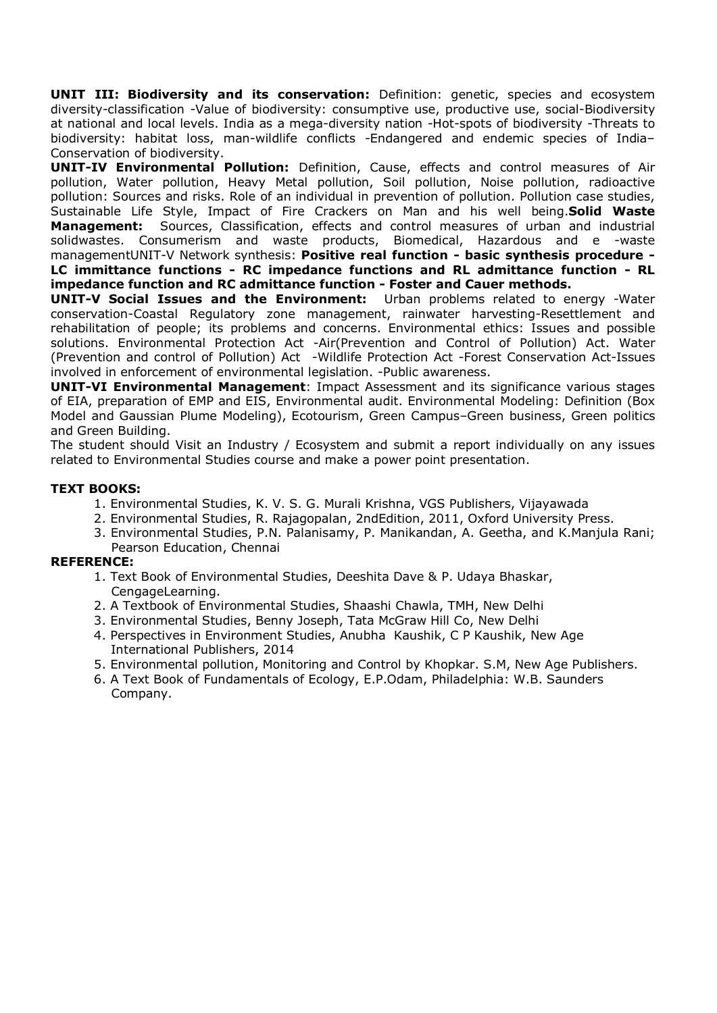**UNIT III: Biodiversity and its conservation:** Definition: genetic, species and ecosystem diversity-classification -Value of biodiversity: consumptive use, productive use, social-Biodiversity at national and local levels. India as a mega-diversity nation -Hot-spots of biodiversity -Threats to biodiversity: habitat loss, man-wildlife conflicts -Endangered and endemic species of India– Conservation of biodiversity.

**UNIT-IV Environmental Pollution:** Definition, Cause, effects and control measures of Air pollution, Water pollution, Heavy Metal pollution, Soil pollution, Noise pollution, radioactive pollution: Sources and risks. Role of an individual in prevention of pollution. Pollution case studies, Sustainable Life Style, Impact of Fire Crackers on Man and his well being.**Solid Waste Management:** Sources, Classification, effects and control measures of urban and industrial solidwastes. Consumerism and waste products, Biomedical, Hazardous and e -waste managementUNIT-V Network synthesis: **Positive real function - basic synthesis procedure - LC immittance functions - RC impedance functions and RL admittance function - RL impedance function and RC admittance function - Foster and Cauer methods.**

**UNIT-V Social Issues and the Environment:** Urban problems related to energy -Water conservation-Coastal Regulatory zone management, rainwater harvesting-Resettlement and rehabilitation of people; its problems and concerns. Environmental ethics: Issues and possible solutions. Environmental Protection Act -Air(Prevention and Control of Pollution) Act. Water (Prevention and control of Pollution) Act -Wildlife Protection Act -Forest Conservation Act-Issues involved in enforcement of environmental legislation. -Public awareness.

**UNIT-VI Environmental Management**: Impact Assessment and its significance various stages of EIA, preparation of EMP and EIS, Environmental audit. Environmental Modeling: Definition (Box Model and Gaussian Plume Modeling), Ecotourism, Green Campus–Green business, Green politics and Green Building.

The student should Visit an Industry / Ecosystem and submit a report individually on any issues related to Environmental Studies course and make a power point presentation.

#### **TEXT BOOKS:**

- 1. Environmental Studies, K. V. S. G. Murali Krishna, VGS Publishers, Vijayawada
- 2. Environmental Studies, R. Rajagopalan, 2ndEdition, 2011, Oxford University Press.
- 3. Environmental Studies, P.N. Palanisamy, P. Manikandan, A. Geetha, and K.Manjula Rani; Pearson Education, Chennai

#### **REFERENCE:**

- 1. Text Book of Environmental Studies, Deeshita Dave & P. Udaya Bhaskar, CengageLearning.
- 2. A Textbook of Environmental Studies, Shaashi Chawla, TMH, New Delhi
- 3. Environmental Studies, Benny Joseph, Tata McGraw Hill Co, New Delhi
- 4. Perspectives in Environment Studies, Anubha Kaushik, C P Kaushik, New Age International Publishers, 2014
- 5. Environmental pollution, Monitoring and Control by Khopkar. S.M, New Age Publishers.
- 6. A Text Book of Fundamentals of Ecology, E.P.Odam, Philadelphia: W.B. Saunders Company.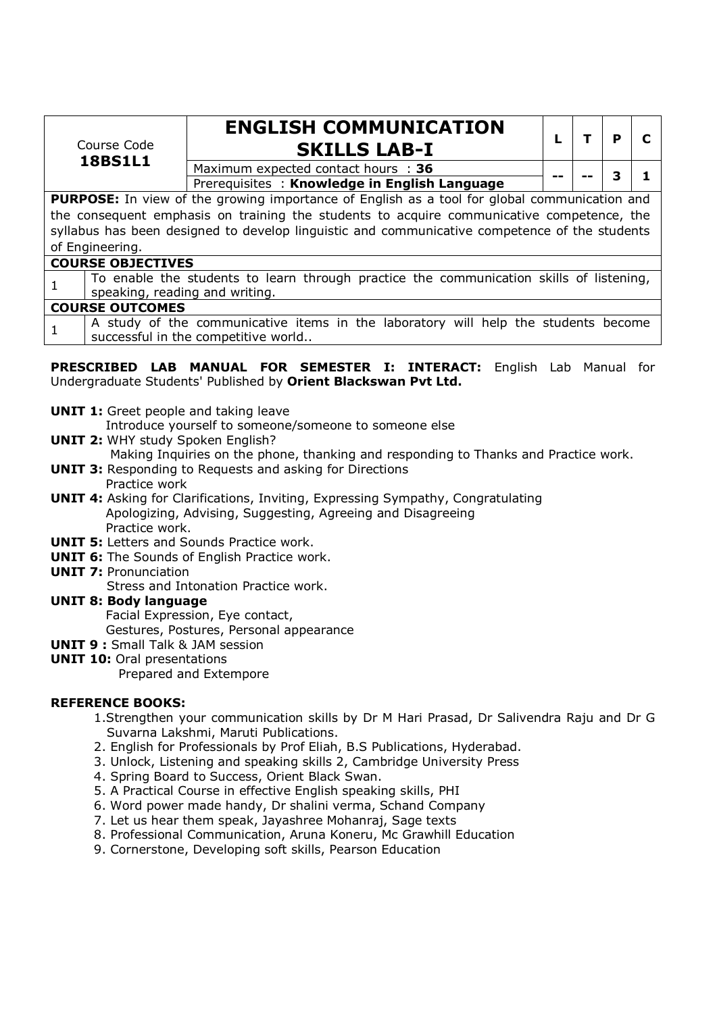|                                                                                                     | Course Code                                                                                                               | <b>ENGLISH COMMUNICATION</b><br><b>SKILLS LAB-I</b> |  |  | р |  |  |  |  |
|-----------------------------------------------------------------------------------------------------|---------------------------------------------------------------------------------------------------------------------------|-----------------------------------------------------|--|--|---|--|--|--|--|
|                                                                                                     | <b>18BS1L1</b>                                                                                                            | Maximum expected contact hours : 36                 |  |  |   |  |  |  |  |
|                                                                                                     |                                                                                                                           | Prerequisites: Knowledge in English Language        |  |  |   |  |  |  |  |
| <b>PURPOSE:</b> In view of the growing importance of English as a tool for global communication and |                                                                                                                           |                                                     |  |  |   |  |  |  |  |
| the consequent emphasis on training the students to acquire communicative competence, the           |                                                                                                                           |                                                     |  |  |   |  |  |  |  |
| syllabus has been designed to develop linguistic and communicative competence of the students       |                                                                                                                           |                                                     |  |  |   |  |  |  |  |
|                                                                                                     | of Engineering.                                                                                                           |                                                     |  |  |   |  |  |  |  |
|                                                                                                     | <b>COURSE OBJECTIVES</b>                                                                                                  |                                                     |  |  |   |  |  |  |  |
|                                                                                                     | To enable the students to learn through practice the communication skills of listening,<br>speaking, reading and writing. |                                                     |  |  |   |  |  |  |  |
|                                                                                                     | <b>COURSE OUTCOMES</b>                                                                                                    |                                                     |  |  |   |  |  |  |  |
|                                                                                                     | A study of the communicative items in the laboratory will help the students become<br>successful in the competitive world |                                                     |  |  |   |  |  |  |  |

**PRESCRIBED LAB MANUAL FOR SEMESTER I: INTERACT:** English Lab Manual for Undergraduate Students' Published by **Orient Blackswan Pvt Ltd.** 

**UNIT 1:** Greet people and taking leave

Introduce yourself to someone/someone to someone else

- **UNIT 2:** WHY study Spoken English?
	- Making Inquiries on the phone, thanking and responding to Thanks and Practice work.
- **UNIT 3:** Responding to Requests and asking for Directions Practice work
- **UNIT 4:** Asking for Clarifications, Inviting, Expressing Sympathy, Congratulating Apologizing, Advising, Suggesting, Agreeing and Disagreeing Practice work.
- **UNIT 5: Letters and Sounds Practice work.**
- **UNIT 6:** The Sounds of English Practice work.
- **UNIT 7: Pronunciation**

Stress and Intonation Practice work.

**UNIT 8: Body language** Facial Expression, Eye contact,

Gestures, Postures, Personal appearance

- **UNIT 9 :** Small Talk & JAM session
- **UNIT 10:** Oral presentations

Prepared and Extempore

#### **REFERENCE BOOKS:**

- 1.Strengthen your communication skills by Dr M Hari Prasad, Dr Salivendra Raju and Dr G Suvarna Lakshmi, Maruti Publications.
- 2. English for Professionals by Prof Eliah, B.S Publications, Hyderabad.
- 3. Unlock, Listening and speaking skills 2, Cambridge University Press
- 4. Spring Board to Success, Orient Black Swan.
- 5. A Practical Course in effective English speaking skills, PHI
- 6. Word power made handy, Dr shalini verma, Schand Company
- 7. Let us hear them speak, Jayashree Mohanraj, Sage texts
- 8. Professional Communication, Aruna Koneru, Mc Grawhill Education
- 9. Cornerstone, Developing soft skills, Pearson Education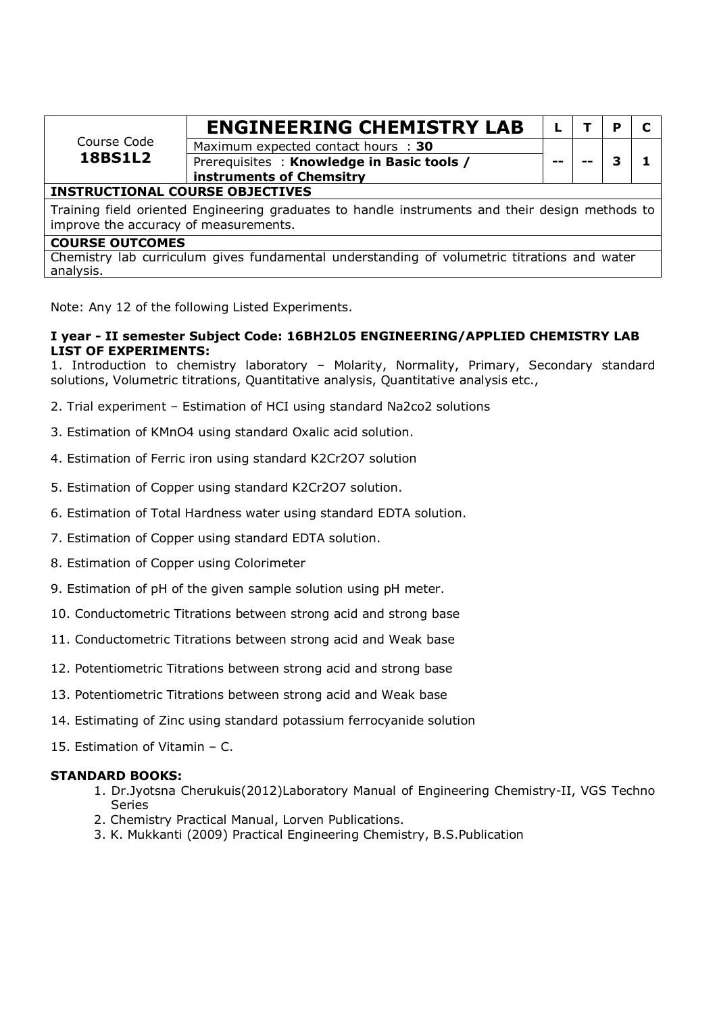| Course Code                            | <b>ENGINEERING CHEMISTRY LAB</b>          |     |  | D |  |  |  |  |
|----------------------------------------|-------------------------------------------|-----|--|---|--|--|--|--|
|                                        | Maximum expected contact hours : 30       |     |  |   |  |  |  |  |
| <b>18BS1L2</b>                         | Prerequisites: Knowledge in Basic tools / | $-$ |  |   |  |  |  |  |
|                                        | instruments of Chemsitry                  |     |  |   |  |  |  |  |
| <b>INSTRUCTIONAL COURSE OBJECTIVES</b> |                                           |     |  |   |  |  |  |  |
|                                        |                                           |     |  |   |  |  |  |  |

Training field oriented Engineering graduates to handle instruments and their design methods to improve the accuracy of measurements.

#### **COURSE OUTCOMES**

Chemistry lab curriculum gives fundamental understanding of volumetric titrations and water analysis.

Note: Any 12 of the following Listed Experiments.

#### **I year - II semester Subject Code: 16BH2L05 ENGINEERING/APPLIED CHEMISTRY LAB LIST OF EXPERIMENTS:**

1. Introduction to chemistry laboratory – Molarity, Normality, Primary, Secondary standard solutions, Volumetric titrations, Quantitative analysis, Quantitative analysis etc.,

- 2. Trial experiment Estimation of HCI using standard Na2co2 solutions
- 3. Estimation of KMnO4 using standard Oxalic acid solution.
- 4. Estimation of Ferric iron using standard K2Cr2O7 solution
- 5. Estimation of Copper using standard K2Cr2O7 solution.
- 6. Estimation of Total Hardness water using standard EDTA solution.
- 7. Estimation of Copper using standard EDTA solution.
- 8. Estimation of Copper using Colorimeter
- 9. Estimation of pH of the given sample solution using pH meter.
- 10. Conductometric Titrations between strong acid and strong base
- 11. Conductometric Titrations between strong acid and Weak base
- 12. Potentiometric Titrations between strong acid and strong base
- 13. Potentiometric Titrations between strong acid and Weak base
- 14. Estimating of Zinc using standard potassium ferrocyanide solution
- 15. Estimation of Vitamin C.

#### **STANDARD BOOKS:**

- 1. Dr.Jyotsna Cherukuis(2012)Laboratory Manual of Engineering Chemistry-II, VGS Techno Series
- 2. Chemistry Practical Manual, Lorven Publications.
- 3. K. Mukkanti (2009) Practical Engineering Chemistry, B.S.Publication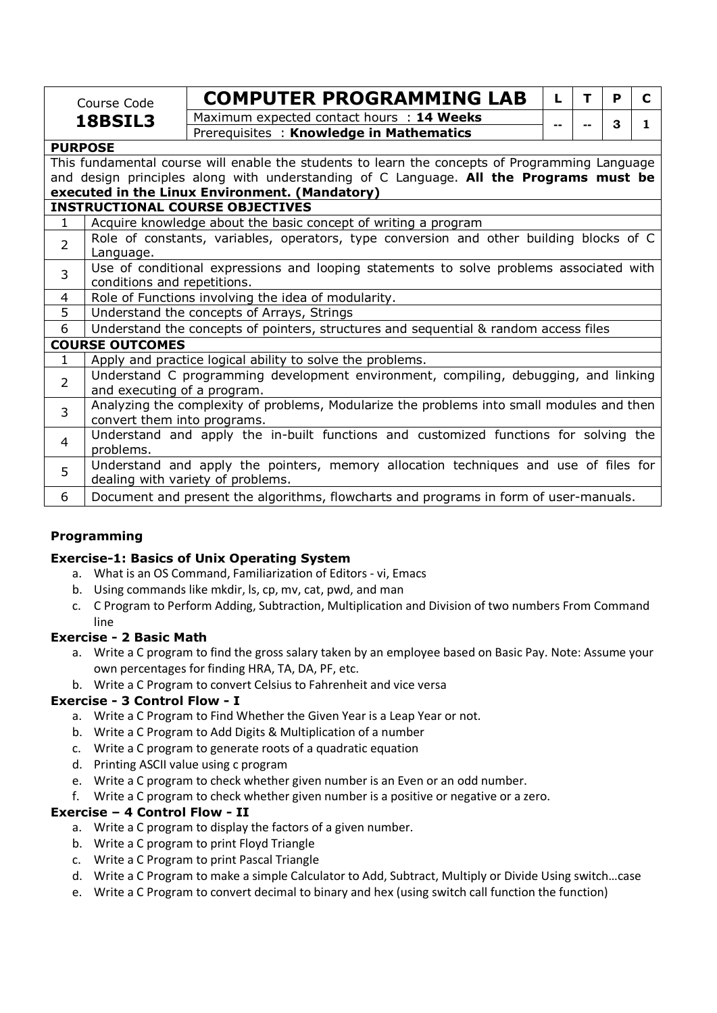|                                        | Course Code                                                                            | <b>COMPUTER PROGRAMMING LAB</b>                                                                | L  | т | P | C |  |  |  |  |  |
|----------------------------------------|----------------------------------------------------------------------------------------|------------------------------------------------------------------------------------------------|----|---|---|---|--|--|--|--|--|
|                                        | 18BSIL3                                                                                | Maximum expected contact hours : 14 Weeks                                                      |    |   |   |   |  |  |  |  |  |
|                                        |                                                                                        | Prerequisites: Knowledge in Mathematics                                                        | -- |   | 3 | 1 |  |  |  |  |  |
| <b>PURPOSE</b>                         |                                                                                        |                                                                                                |    |   |   |   |  |  |  |  |  |
|                                        |                                                                                        | This fundamental course will enable the students to learn the concepts of Programming Language |    |   |   |   |  |  |  |  |  |
|                                        | and design principles along with understanding of C Language. All the Programs must be |                                                                                                |    |   |   |   |  |  |  |  |  |
|                                        | executed in the Linux Environment. (Mandatory)                                         |                                                                                                |    |   |   |   |  |  |  |  |  |
| <b>INSTRUCTIONAL COURSE OBJECTIVES</b> |                                                                                        |                                                                                                |    |   |   |   |  |  |  |  |  |
| $\mathbf{1}$                           | Acquire knowledge about the basic concept of writing a program                         |                                                                                                |    |   |   |   |  |  |  |  |  |
| $\overline{2}$                         |                                                                                        | Role of constants, variables, operators, type conversion and other building blocks of C        |    |   |   |   |  |  |  |  |  |
|                                        |                                                                                        |                                                                                                |    |   |   |   |  |  |  |  |  |
| $\overline{3}$                         |                                                                                        | Use of conditional expressions and looping statements to solve problems associated with        |    |   |   |   |  |  |  |  |  |
|                                        | conditions and repetitions.                                                            |                                                                                                |    |   |   |   |  |  |  |  |  |
| 4                                      | Role of Functions involving the idea of modularity.                                    |                                                                                                |    |   |   |   |  |  |  |  |  |
| 5                                      |                                                                                        | Understand the concepts of Arrays, Strings                                                     |    |   |   |   |  |  |  |  |  |
| 6                                      |                                                                                        | Understand the concepts of pointers, structures and sequential & random access files           |    |   |   |   |  |  |  |  |  |
|                                        | <b>COURSE OUTCOMES</b>                                                                 |                                                                                                |    |   |   |   |  |  |  |  |  |
| $\mathbf{1}$                           |                                                                                        | Apply and practice logical ability to solve the problems.                                      |    |   |   |   |  |  |  |  |  |
| $\overline{2}$                         |                                                                                        | Understand C programming development environment, compiling, debugging, and linking            |    |   |   |   |  |  |  |  |  |
|                                        |                                                                                        | and executing of a program.                                                                    |    |   |   |   |  |  |  |  |  |
| 3                                      |                                                                                        | Analyzing the complexity of problems, Modularize the problems into small modules and then      |    |   |   |   |  |  |  |  |  |
|                                        | convert them into programs.                                                            |                                                                                                |    |   |   |   |  |  |  |  |  |
| 4                                      |                                                                                        | Understand and apply the in-built functions and customized functions for solving the           |    |   |   |   |  |  |  |  |  |
|                                        | problems.                                                                              |                                                                                                |    |   |   |   |  |  |  |  |  |
| 5                                      |                                                                                        | Understand and apply the pointers, memory allocation techniques and use of files for           |    |   |   |   |  |  |  |  |  |
|                                        | dealing with variety of problems.                                                      |                                                                                                |    |   |   |   |  |  |  |  |  |
| 6                                      |                                                                                        | Document and present the algorithms, flowcharts and programs in form of user-manuals.          |    |   |   |   |  |  |  |  |  |

#### **Programming**

#### **Exercise-1: Basics of Unix Operating System**

- a. What is an OS Command, Familiarization of Editors vi, Emacs
- b. Using commands like mkdir, ls, cp, mv, cat, pwd, and man
- c. C Program to Perform Adding, Subtraction, Multiplication and Division of two numbers From Command line

#### **Exercise - 2 Basic Math**

- a. Write a C program to find the gross salary taken by an employee based on Basic Pay. Note: Assume your own percentages for finding HRA, TA, DA, PF, etc.
- b. Write a C Program to convert Celsius to Fahrenheit and vice versa

#### **Exercise - 3 Control Flow - I**

- a. Write a C Program to Find Whether the Given Year is a Leap Year or not.
- b. Write a C Program to Add Digits & Multiplication of a number
- c. Write a C program to generate roots of a quadratic equation
- d. Printing ASCII value using c program
- e. Write a C program to check whether given number is an Even or an odd number.
- f. Write a C program to check whether given number is a positive or negative or a zero.

#### **Exercise – 4 Control Flow - II**

- a. Write a C program to display the factors of a given number.
- b. Write a C program to print Floyd Triangle
- c. Write a C Program to print Pascal Triangle
- d. Write a C Program to make a simple Calculator to Add, Subtract, Multiply or Divide Using switch…case
- e. Write a C Program to convert decimal to binary and hex (using switch call function the function)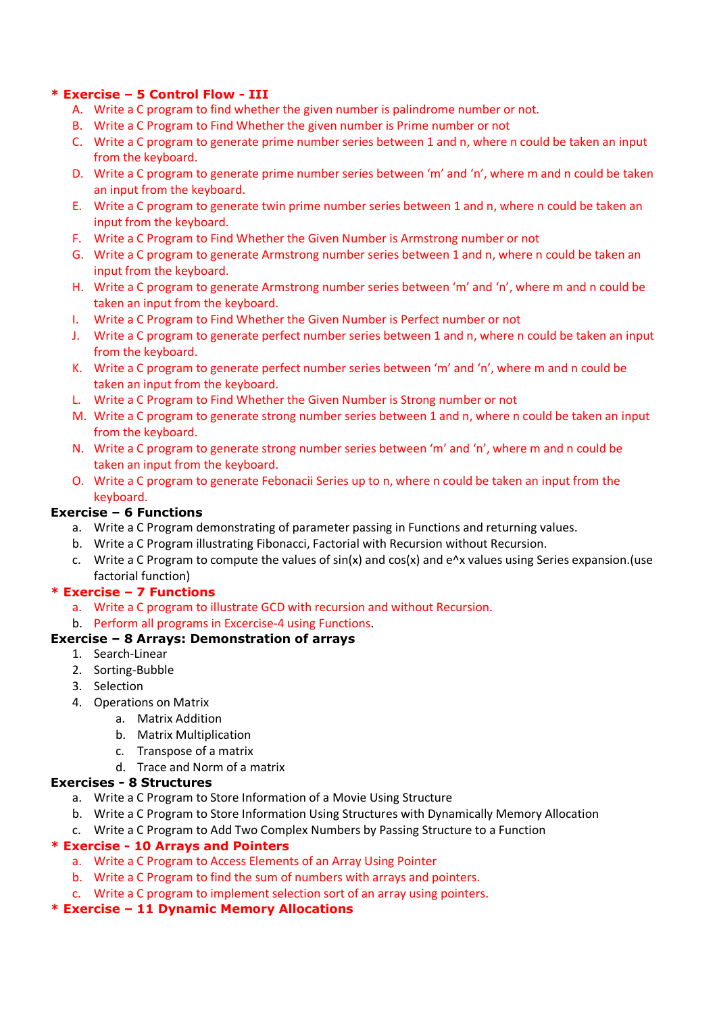#### **\* Exercise – 5 Control Flow - III**

- A. Write a C program to find whether the given number is palindrome number or not.
- B. Write a C Program to Find Whether the given number is Prime number or not
- C. Write a C program to generate prime number series between 1 and n, where n could be taken an input from the keyboard.
- D. Write a C program to generate prime number series between 'm' and 'n', where m and n could be taken an input from the keyboard.
- E. Write a C program to generate twin prime number series between 1 and n, where n could be taken an input from the keyboard.
- F. Write a C Program to Find Whether the Given Number is Armstrong number or not
- G. Write a C program to generate Armstrong number series between 1 and n, where n could be taken an input from the keyboard.
- H. Write a C program to generate Armstrong number series between 'm' and 'n', where m and n could be taken an input from the keyboard.
- I. Write a C Program to Find Whether the Given Number is Perfect number or not
- J. Write a C program to generate perfect number series between 1 and n, where n could be taken an input from the keyboard.
- K. Write a C program to generate perfect number series between 'm' and 'n', where m and n could be taken an input from the keyboard.
- L. Write a C Program to Find Whether the Given Number is Strong number or not
- M. Write a C program to generate strong number series between 1 and n, where n could be taken an input from the keyboard.
- N. Write a C program to generate strong number series between 'm' and 'n', where m and n could be taken an input from the keyboard.
- O. Write a C program to generate Febonacii Series up to n, where n could be taken an input from the keyboard.

#### **Exercise – 6 Functions**

- a. Write a C Program demonstrating of parameter passing in Functions and returning values.
- b. Write a C Program illustrating Fibonacci, Factorial with Recursion without Recursion.
- c. Write a C Program to compute the values of  $sin(x)$  and  $cos(x)$  and  $e^{\Lambda}x$  values using Series expansion.(use factorial function)

#### **\* Exercise – 7 Functions**

- a. Write a C program to illustrate GCD with recursion and without Recursion.
- b. Perform all programs in Excercise-4 using Functions.

#### **Exercise – 8 Arrays: Demonstration of arrays**

- 1. Search-Linear
- 2. Sorting-Bubble
- 3. Selection
- 4. Operations on Matrix
	- a. Matrix Addition
	- b. Matrix Multiplication
	- c. Transpose of a matrix
	- d. Trace and Norm of a matrix

#### **Exercises - 8 Structures**

- a. Write a C Program to Store Information of a Movie Using Structure
- b. Write a C Program to Store Information Using Structures with Dynamically Memory Allocation
- c. Write a C Program to Add Two Complex Numbers by Passing Structure to a Function

#### **\* Exercise - 10 Arrays and Pointers**

- a. Write a C Program to Access Elements of an Array Using Pointer
- b. Write a C Program to find the sum of numbers with arrays and pointers.
- c. Write a C program to implement selection sort of an array using pointers.

#### **\* Exercise – 11 Dynamic Memory Allocations**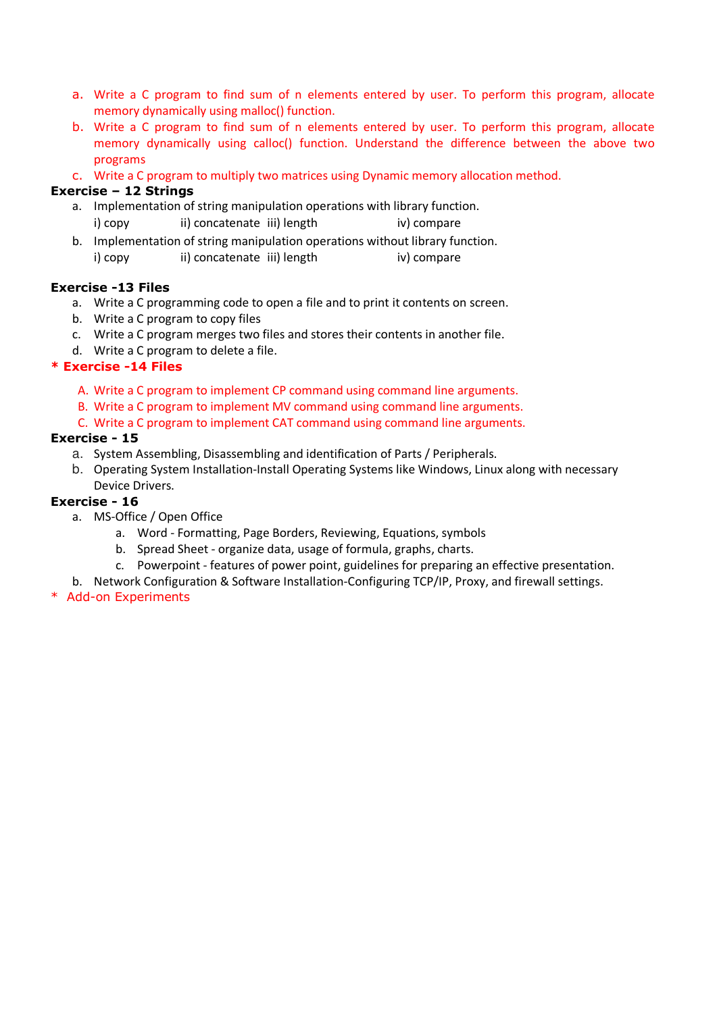- a. Write a C program to find sum of n elements entered by user. To perform this program, allocate memory dynamically using malloc() function.
- b. Write a C program to find sum of n elements entered by user. To perform this program, allocate memory dynamically using calloc() function. Understand the difference between the above two programs
- c. Write a C program to multiply two matrices using Dynamic memory allocation method.

#### **Exercise – 12 Strings**

- a. Implementation of string manipulation operations with library function.
	- i) copy ii) concatenate iii) length iv) compare
- b. Implementation of string manipulation operations without library function. i) copy ii) concatenate iii) length iv) compare

#### **Exercise -13 Files**

- a. Write a C programming code to open a file and to print it contents on screen.
- b. Write a C program to copy files
- c. Write a C program merges two files and stores their contents in another file.
- d. Write a C program to delete a file.

#### **\* Exercise -14 Files**

- A. Write a C program to implement CP command using command line arguments.
- B. Write a C program to implement MV command using command line arguments.
- C. Write a C program to implement CAT command using command line arguments.

#### **Exercise - 15**

- a. System Assembling, Disassembling and identification of Parts / Peripherals.
- b. Operating System Installation-Install Operating Systems like Windows, Linux along with necessary Device Drivers.

#### **Exercise - 16**

- a. MS-Office / Open Office
	- a. Word Formatting, Page Borders, Reviewing, Equations, symbols
	- b. Spread Sheet organize data, usage of formula, graphs, charts.
	- c. Powerpoint features of power point, guidelines for preparing an effective presentation.
- b. Network Configuration & Software Installation-Configuring TCP/IP, Proxy, and firewall settings.

#### \* Add-on Experiments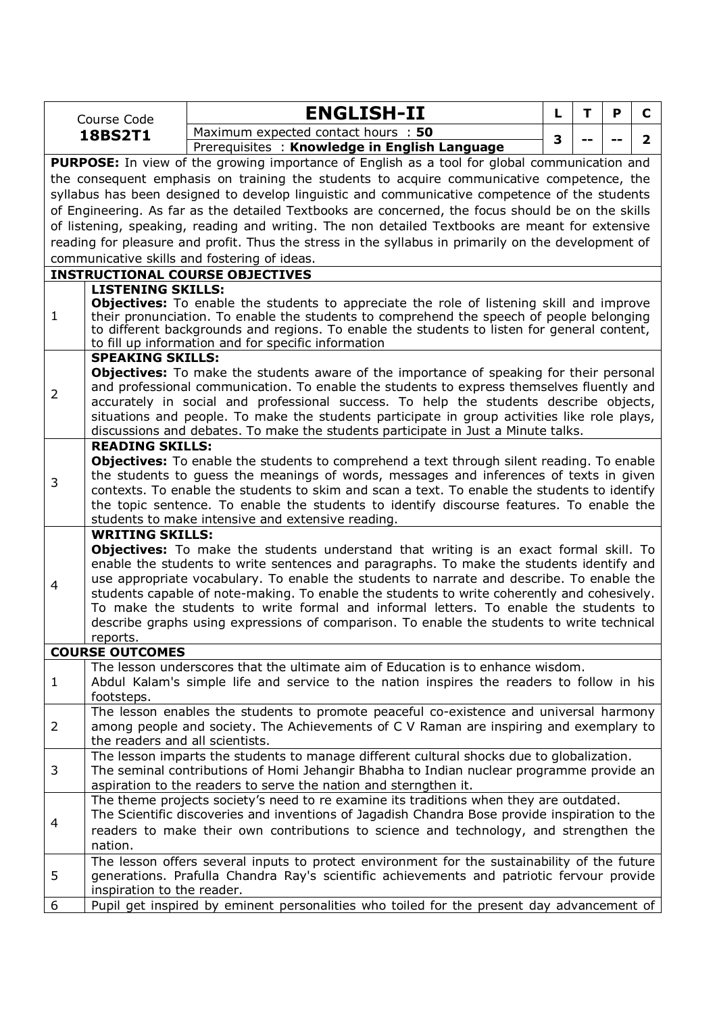|                | Course Code                                                                                                                                                                                | <b>ENGLISH-II</b>                                                                                                                                                                           | L | т | P | C              |  |  |  |
|----------------|--------------------------------------------------------------------------------------------------------------------------------------------------------------------------------------------|---------------------------------------------------------------------------------------------------------------------------------------------------------------------------------------------|---|---|---|----------------|--|--|--|
|                | <b>18BS2T1</b>                                                                                                                                                                             | Maximum expected contact hours : 50                                                                                                                                                         | 3 |   |   | $\overline{2}$ |  |  |  |
|                |                                                                                                                                                                                            | Prerequisites: Knowledge in English Language                                                                                                                                                |   |   |   |                |  |  |  |
|                |                                                                                                                                                                                            | <b>PURPOSE:</b> In view of the growing importance of English as a tool for global communication and                                                                                         |   |   |   |                |  |  |  |
|                |                                                                                                                                                                                            | the consequent emphasis on training the students to acquire communicative competence, the                                                                                                   |   |   |   |                |  |  |  |
|                |                                                                                                                                                                                            | syllabus has been designed to develop linguistic and communicative competence of the students                                                                                               |   |   |   |                |  |  |  |
|                |                                                                                                                                                                                            | of Engineering. As far as the detailed Textbooks are concerned, the focus should be on the skills                                                                                           |   |   |   |                |  |  |  |
|                |                                                                                                                                                                                            | of listening, speaking, reading and writing. The non detailed Textbooks are meant for extensive                                                                                             |   |   |   |                |  |  |  |
|                |                                                                                                                                                                                            | reading for pleasure and profit. Thus the stress in the syllabus in primarily on the development of                                                                                         |   |   |   |                |  |  |  |
|                |                                                                                                                                                                                            | communicative skills and fostering of ideas.                                                                                                                                                |   |   |   |                |  |  |  |
|                |                                                                                                                                                                                            | <b>INSTRUCTIONAL COURSE OBJECTIVES</b>                                                                                                                                                      |   |   |   |                |  |  |  |
|                | <b>LISTENING SKILLS:</b>                                                                                                                                                                   |                                                                                                                                                                                             |   |   |   |                |  |  |  |
| $\mathbf{1}$   |                                                                                                                                                                                            | <b>Objectives:</b> To enable the students to appreciate the role of listening skill and improve<br>their pronunciation. To enable the students to comprehend the speech of people belonging |   |   |   |                |  |  |  |
|                |                                                                                                                                                                                            | to different backgrounds and regions. To enable the students to listen for general content,                                                                                                 |   |   |   |                |  |  |  |
|                |                                                                                                                                                                                            | to fill up information and for specific information                                                                                                                                         |   |   |   |                |  |  |  |
|                | <b>SPEAKING SKILLS:</b>                                                                                                                                                                    |                                                                                                                                                                                             |   |   |   |                |  |  |  |
|                |                                                                                                                                                                                            | <b>Objectives:</b> To make the students aware of the importance of speaking for their personal                                                                                              |   |   |   |                |  |  |  |
| $\overline{2}$ |                                                                                                                                                                                            | and professional communication. To enable the students to express themselves fluently and                                                                                                   |   |   |   |                |  |  |  |
|                | accurately in social and professional success. To help the students describe objects,                                                                                                      |                                                                                                                                                                                             |   |   |   |                |  |  |  |
|                | situations and people. To make the students participate in group activities like role plays,                                                                                               |                                                                                                                                                                                             |   |   |   |                |  |  |  |
|                |                                                                                                                                                                                            | discussions and debates. To make the students participate in Just a Minute talks.                                                                                                           |   |   |   |                |  |  |  |
|                | <b>READING SKILLS:</b>                                                                                                                                                                     |                                                                                                                                                                                             |   |   |   |                |  |  |  |
| 3              | <b>Objectives:</b> To enable the students to comprehend a text through silent reading. To enable<br>the students to guess the meanings of words, messages and inferences of texts in given |                                                                                                                                                                                             |   |   |   |                |  |  |  |
|                |                                                                                                                                                                                            |                                                                                                                                                                                             |   |   |   |                |  |  |  |
|                |                                                                                                                                                                                            | contexts. To enable the students to skim and scan a text. To enable the students to identify                                                                                                |   |   |   |                |  |  |  |
|                |                                                                                                                                                                                            | the topic sentence. To enable the students to identify discourse features. To enable the<br>students to make intensive and extensive reading.                                               |   |   |   |                |  |  |  |
|                | <b>WRITING SKILLS:</b>                                                                                                                                                                     |                                                                                                                                                                                             |   |   |   |                |  |  |  |
|                |                                                                                                                                                                                            | <b>Objectives:</b> To make the students understand that writing is an exact formal skill. To                                                                                                |   |   |   |                |  |  |  |
|                |                                                                                                                                                                                            | enable the students to write sentences and paragraphs. To make the students identify and                                                                                                    |   |   |   |                |  |  |  |
|                |                                                                                                                                                                                            | use appropriate vocabulary. To enable the students to narrate and describe. To enable the                                                                                                   |   |   |   |                |  |  |  |
| 4              |                                                                                                                                                                                            | students capable of note-making. To enable the students to write coherently and cohesively.                                                                                                 |   |   |   |                |  |  |  |
|                |                                                                                                                                                                                            | To make the students to write formal and informal letters. To enable the students to                                                                                                        |   |   |   |                |  |  |  |
|                |                                                                                                                                                                                            | describe graphs using expressions of comparison. To enable the students to write technical                                                                                                  |   |   |   |                |  |  |  |
|                | reports.                                                                                                                                                                                   |                                                                                                                                                                                             |   |   |   |                |  |  |  |
|                | <b>COURSE OUTCOMES</b>                                                                                                                                                                     |                                                                                                                                                                                             |   |   |   |                |  |  |  |
|                |                                                                                                                                                                                            | The lesson underscores that the ultimate aim of Education is to enhance wisdom.                                                                                                             |   |   |   |                |  |  |  |
| $\mathbf{1}$   |                                                                                                                                                                                            | Abdul Kalam's simple life and service to the nation inspires the readers to follow in his                                                                                                   |   |   |   |                |  |  |  |
|                | footsteps.                                                                                                                                                                                 |                                                                                                                                                                                             |   |   |   |                |  |  |  |
|                |                                                                                                                                                                                            | The lesson enables the students to promote peaceful co-existence and universal harmony                                                                                                      |   |   |   |                |  |  |  |
| $\overline{2}$ | the readers and all scientists.                                                                                                                                                            | among people and society. The Achievements of C V Raman are inspiring and exemplary to                                                                                                      |   |   |   |                |  |  |  |
|                |                                                                                                                                                                                            | The lesson imparts the students to manage different cultural shocks due to globalization.                                                                                                   |   |   |   |                |  |  |  |
| 3              |                                                                                                                                                                                            | The seminal contributions of Homi Jehangir Bhabha to Indian nuclear programme provide an                                                                                                    |   |   |   |                |  |  |  |
|                |                                                                                                                                                                                            | aspiration to the readers to serve the nation and sterngthen it.                                                                                                                            |   |   |   |                |  |  |  |
|                |                                                                                                                                                                                            | The theme projects society's need to re examine its traditions when they are outdated.                                                                                                      |   |   |   |                |  |  |  |
|                |                                                                                                                                                                                            | The Scientific discoveries and inventions of Jagadish Chandra Bose provide inspiration to the                                                                                               |   |   |   |                |  |  |  |
| 4              |                                                                                                                                                                                            | readers to make their own contributions to science and technology, and strengthen the                                                                                                       |   |   |   |                |  |  |  |
|                | nation.                                                                                                                                                                                    |                                                                                                                                                                                             |   |   |   |                |  |  |  |
|                |                                                                                                                                                                                            | The lesson offers several inputs to protect environment for the sustainability of the future                                                                                                |   |   |   |                |  |  |  |
| 5              |                                                                                                                                                                                            | generations. Prafulla Chandra Ray's scientific achievements and patriotic fervour provide                                                                                                   |   |   |   |                |  |  |  |
|                | inspiration to the reader.                                                                                                                                                                 |                                                                                                                                                                                             |   |   |   |                |  |  |  |
| 6              |                                                                                                                                                                                            | Pupil get inspired by eminent personalities who toiled for the present day advancement of                                                                                                   |   |   |   |                |  |  |  |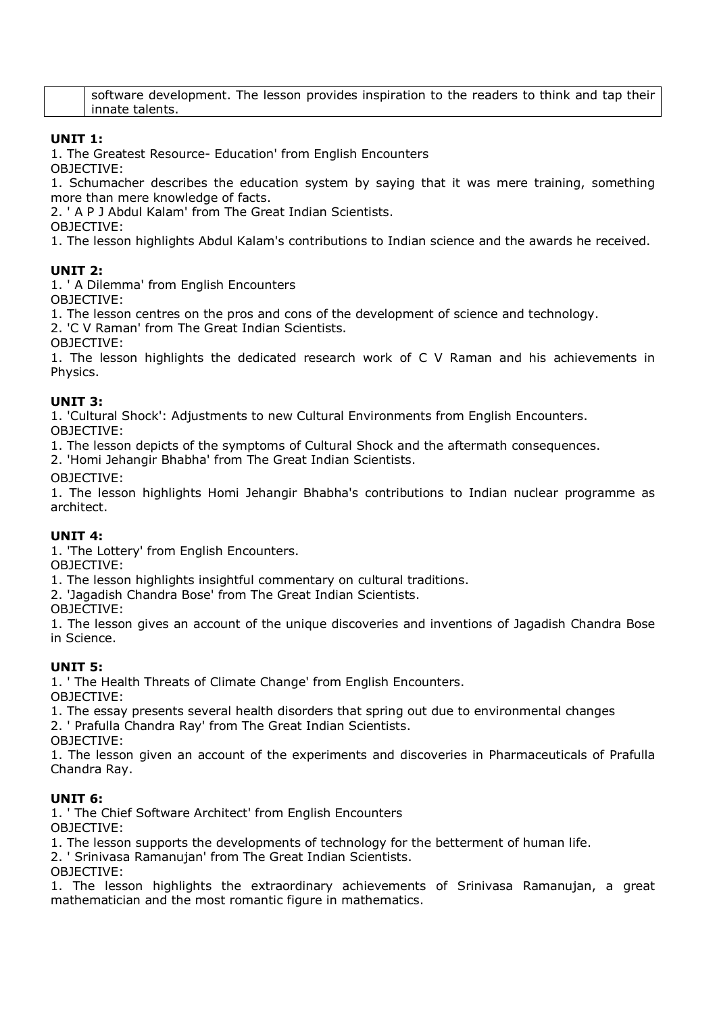| software development. The lesson provides inspiration to the readers to think and tap their |  |  |  |  |
|---------------------------------------------------------------------------------------------|--|--|--|--|
| innate talents.                                                                             |  |  |  |  |

#### **UNIT 1:**

1. The Greatest Resource- Education' from English Encounters

OBJECTIVE:

1. Schumacher describes the education system by saying that it was mere training, something more than mere knowledge of facts.

2. ' A P J Abdul Kalam' from The Great Indian Scientists.

OBJECTIVE:

1. The lesson highlights Abdul Kalam's contributions to Indian science and the awards he received.

#### **UNIT 2:**

1. ' A Dilemma' from English Encounters

OBJECTIVE:

1. The lesson centres on the pros and cons of the development of science and technology.

2. 'C V Raman' from The Great Indian Scientists.

OBJECTIVE:

1. The lesson highlights the dedicated research work of C V Raman and his achievements in Physics.

#### **UNIT 3:**

1. 'Cultural Shock': Adjustments to new Cultural Environments from English Encounters. OBJECTIVE:

1. The lesson depicts of the symptoms of Cultural Shock and the aftermath consequences.

2. 'Homi Jehangir Bhabha' from The Great Indian Scientists.

OBJECTIVE:

1. The lesson highlights Homi Jehangir Bhabha's contributions to Indian nuclear programme as architect.

#### **UNIT 4:**

1. 'The Lottery' from English Encounters.

OBJECTIVE:

1. The lesson highlights insightful commentary on cultural traditions.

2. 'Jagadish Chandra Bose' from The Great Indian Scientists.

OBJECTIVE:

1. The lesson gives an account of the unique discoveries and inventions of Jagadish Chandra Bose in Science.

#### **UNIT 5:**

1. ' The Health Threats of Climate Change' from English Encounters.

OBJECTIVE:

1. The essay presents several health disorders that spring out due to environmental changes 2. ' Prafulla Chandra Ray' from The Great Indian Scientists.

OBJECTIVE:

1. The lesson given an account of the experiments and discoveries in Pharmaceuticals of Prafulla Chandra Ray.

#### **UNIT 6:**

1. ' The Chief Software Architect' from English Encounters

OBJECTIVE:

1. The lesson supports the developments of technology for the betterment of human life.

2. ' Srinivasa Ramanujan' from The Great Indian Scientists.

OBJECTIVE:

1. The lesson highlights the extraordinary achievements of Srinivasa Ramanujan, a great mathematician and the most romantic figure in mathematics.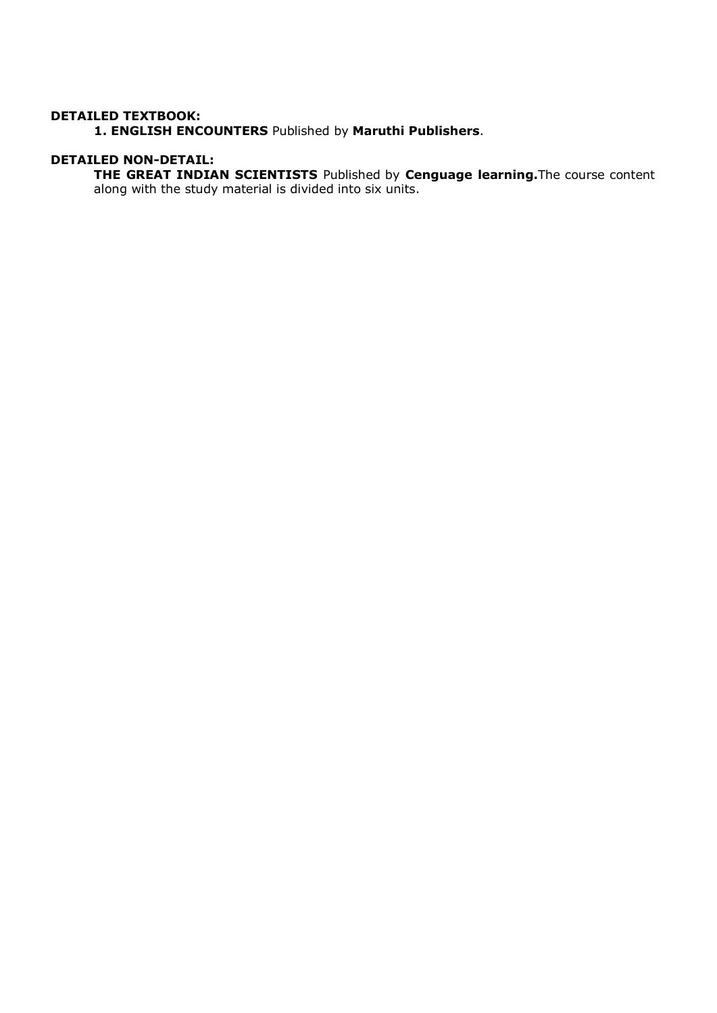#### **DETAILED TEXTBOOK:**

 **1. ENGLISH ENCOUNTERS** Published by **Maruthi Publishers**.

#### **DETAILED NON-DETAIL:**

 **THE GREAT INDIAN SCIENTISTS** Published by **Cenguage learning.**The course content along with the study material is divided into six units.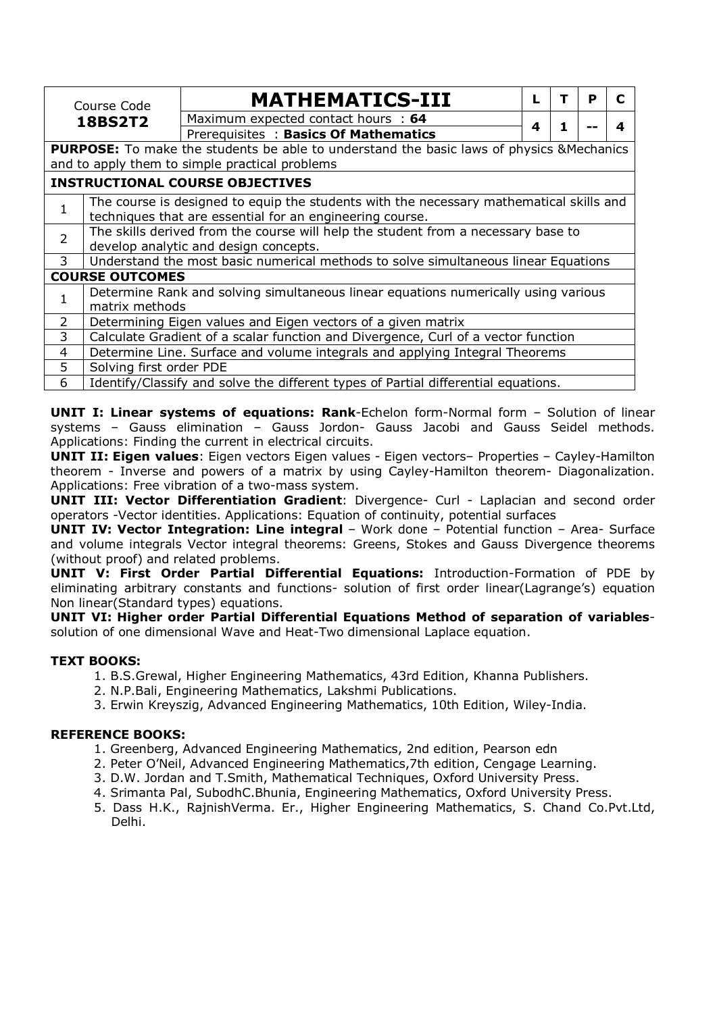|                | Course Code                                                                                      | <b>MATHEMATICS-III</b>                                                                  |  |   |   | Р | C |  |
|----------------|--------------------------------------------------------------------------------------------------|-----------------------------------------------------------------------------------------|--|---|---|---|---|--|
|                | <b>18BS2T2</b>                                                                                   | Maximum expected contact hours : 64                                                     |  |   | 1 |   |   |  |
|                |                                                                                                  | Prerequisites: Basics Of Mathematics                                                    |  | 4 |   |   | 4 |  |
|                | <b>PURPOSE:</b> To make the students be able to understand the basic laws of physics & Mechanics |                                                                                         |  |   |   |   |   |  |
|                |                                                                                                  | and to apply them to simple practical problems                                          |  |   |   |   |   |  |
|                |                                                                                                  | <b>INSTRUCTIONAL COURSE OBJECTIVES</b>                                                  |  |   |   |   |   |  |
| 1              |                                                                                                  | The course is designed to equip the students with the necessary mathematical skills and |  |   |   |   |   |  |
|                |                                                                                                  | techniques that are essential for an engineering course.                                |  |   |   |   |   |  |
| $\overline{2}$ | The skills derived from the course will help the student from a necessary base to                |                                                                                         |  |   |   |   |   |  |
|                | develop analytic and design concepts.                                                            |                                                                                         |  |   |   |   |   |  |
| 3              |                                                                                                  | Understand the most basic numerical methods to solve simultaneous linear Equations      |  |   |   |   |   |  |
|                | <b>COURSE OUTCOMES</b>                                                                           |                                                                                         |  |   |   |   |   |  |
| 1              |                                                                                                  | Determine Rank and solving simultaneous linear equations numerically using various      |  |   |   |   |   |  |
|                | matrix methods                                                                                   |                                                                                         |  |   |   |   |   |  |
| 2              | Determining Eigen values and Eigen vectors of a given matrix                                     |                                                                                         |  |   |   |   |   |  |
| 3              | Calculate Gradient of a scalar function and Divergence, Curl of a vector function                |                                                                                         |  |   |   |   |   |  |
| 4              | Determine Line. Surface and volume integrals and applying Integral Theorems                      |                                                                                         |  |   |   |   |   |  |
| 5              | Solving first order PDE                                                                          |                                                                                         |  |   |   |   |   |  |
| 6              | Identify/Classify and solve the different types of Partial differential equations.               |                                                                                         |  |   |   |   |   |  |

**UNIT I: Linear systems of equations: Rank**-Echelon form-Normal form – Solution of linear systems – Gauss elimination – Gauss Jordon- Gauss Jacobi and Gauss Seidel methods. Applications: Finding the current in electrical circuits.

**UNIT II: Eigen values**: Eigen vectors Eigen values - Eigen vectors– Properties – Cayley-Hamilton theorem - Inverse and powers of a matrix by using Cayley-Hamilton theorem- Diagonalization. Applications: Free vibration of a two-mass system.

**UNIT III: Vector Differentiation Gradient**: Divergence- Curl - Laplacian and second order operators -Vector identities. Applications: Equation of continuity, potential surfaces

**UNIT IV: Vector Integration: Line integral** – Work done – Potential function – Area- Surface and volume integrals Vector integral theorems: Greens, Stokes and Gauss Divergence theorems (without proof) and related problems.

**UNIT V: First Order Partial Differential Equations:** Introduction-Formation of PDE by eliminating arbitrary constants and functions- solution of first order linear(Lagrange's) equation Non linear(Standard types) equations.

**UNIT VI: Higher order Partial Differential Equations Method of separation of variables**solution of one dimensional Wave and Heat-Two dimensional Laplace equation.

#### **TEXT BOOKS:**

- 1. B.S.Grewal, Higher Engineering Mathematics, 43rd Edition, Khanna Publishers.
- 2. N.P.Bali, Engineering Mathematics, Lakshmi Publications.
- 3. Erwin Kreyszig, Advanced Engineering Mathematics, 10th Edition, Wiley-India.

#### **REFERENCE BOOKS:**

- 1. Greenberg, Advanced Engineering Mathematics, 2nd edition, Pearson edn
- 2. Peter O'Neil, Advanced Engineering Mathematics,7th edition, Cengage Learning.
- 3. D.W. Jordan and T.Smith, Mathematical Techniques, Oxford University Press.
- 4. Srimanta Pal, SubodhC.Bhunia, Engineering Mathematics, Oxford University Press.
- 5. Dass H.K., RajnishVerma. Er., Higher Engineering Mathematics, S. Chand Co.Pvt.Ltd, Delhi.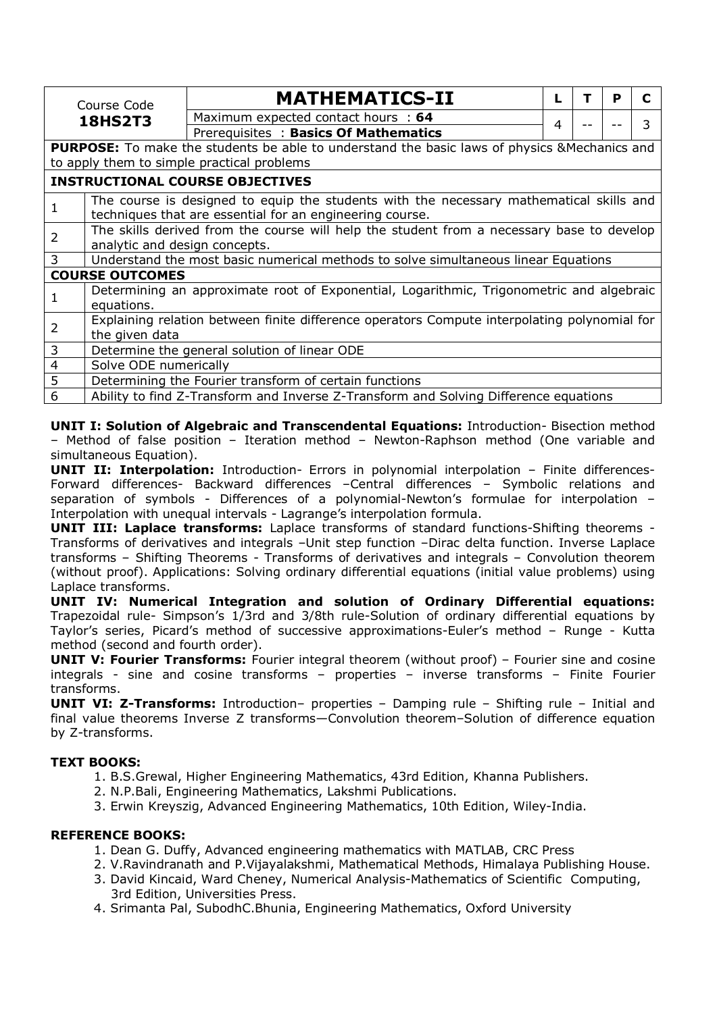|   | Course Code                                                                                                                                         | <b>MATHEMATICS-II</b>                                                              |   | т | P | C |  |  |
|---|-----------------------------------------------------------------------------------------------------------------------------------------------------|------------------------------------------------------------------------------------|---|---|---|---|--|--|
|   | <b>18HS2T3</b>                                                                                                                                      | Maximum expected contact hours : 64                                                |   |   |   | 3 |  |  |
|   |                                                                                                                                                     | Prerequisites: Basics Of Mathematics                                               | 4 |   |   |   |  |  |
|   | <b>PURPOSE:</b> To make the students be able to understand the basic laws of physics & Mechanics and<br>to apply them to simple practical problems  |                                                                                    |   |   |   |   |  |  |
|   |                                                                                                                                                     | <b>INSTRUCTIONAL COURSE OBJECTIVES</b>                                             |   |   |   |   |  |  |
| 1 | The course is designed to equip the students with the necessary mathematical skills and<br>techniques that are essential for an engineering course. |                                                                                    |   |   |   |   |  |  |
| 2 | The skills derived from the course will help the student from a necessary base to develop<br>analytic and design concepts.                          |                                                                                    |   |   |   |   |  |  |
| 3 |                                                                                                                                                     | Understand the most basic numerical methods to solve simultaneous linear Equations |   |   |   |   |  |  |
|   | <b>COURSE OUTCOMES</b>                                                                                                                              |                                                                                    |   |   |   |   |  |  |
| 1 | Determining an approximate root of Exponential, Logarithmic, Trigonometric and algebraic<br>equations.                                              |                                                                                    |   |   |   |   |  |  |
| 2 | Explaining relation between finite difference operators Compute interpolating polynomial for<br>the given data                                      |                                                                                    |   |   |   |   |  |  |
| 3 | Determine the general solution of linear ODE                                                                                                        |                                                                                    |   |   |   |   |  |  |
| 4 | Solve ODE numerically                                                                                                                               |                                                                                    |   |   |   |   |  |  |
| 5 |                                                                                                                                                     | Determining the Fourier transform of certain functions                             |   |   |   |   |  |  |
| 6 | Ability to find Z-Transform and Inverse Z-Transform and Solving Difference equations                                                                |                                                                                    |   |   |   |   |  |  |

**UNIT I: Solution of Algebraic and Transcendental Equations:** Introduction- Bisection method – Method of false position – Iteration method – Newton-Raphson method (One variable and simultaneous Equation).

**UNIT II: Interpolation:** Introduction- Errors in polynomial interpolation – Finite differences-Forward differences- Backward differences -Central differences - Symbolic relations and separation of symbols - Differences of a polynomial-Newton's formulae for interpolation – Interpolation with unequal intervals - Lagrange's interpolation formula.

**UNIT III: Laplace transforms:** Laplace transforms of standard functions-Shifting theorems - Transforms of derivatives and integrals –Unit step function –Dirac delta function. Inverse Laplace transforms – Shifting Theorems - Transforms of derivatives and integrals – Convolution theorem (without proof). Applications: Solving ordinary differential equations (initial value problems) using Laplace transforms.

**UNIT IV: Numerical Integration and solution of Ordinary Differential equations:**  Trapezoidal rule- Simpson's 1/3rd and 3/8th rule-Solution of ordinary differential equations by Taylor's series, Picard's method of successive approximations-Euler's method – Runge - Kutta method (second and fourth order).

**UNIT V: Fourier Transforms:** Fourier integral theorem (without proof) - Fourier sine and cosine integrals - sine and cosine transforms – properties – inverse transforms – Finite Fourier transforms.

**UNIT VI: Z-Transforms:** Introduction– properties – Damping rule – Shifting rule – Initial and final value theorems Inverse Z transforms—Convolution theorem–Solution of difference equation by Z-transforms.

#### **TEXT BOOKS:**

- 1. B.S.Grewal, Higher Engineering Mathematics, 43rd Edition, Khanna Publishers.
- 2. N.P.Bali, Engineering Mathematics, Lakshmi Publications.
- 3. Erwin Kreyszig, Advanced Engineering Mathematics, 10th Edition, Wiley-India.

#### **REFERENCE BOOKS:**

- 1. Dean G. Duffy, Advanced engineering mathematics with MATLAB, CRC Press
- 2. V.Ravindranath and P.Vijayalakshmi, Mathematical Methods, Himalaya Publishing House.
- 3. David Kincaid, Ward Cheney, Numerical Analysis-Mathematics of Scientific Computing, 3rd Edition, Universities Press.
- 4. Srimanta Pal, SubodhC.Bhunia, Engineering Mathematics, Oxford University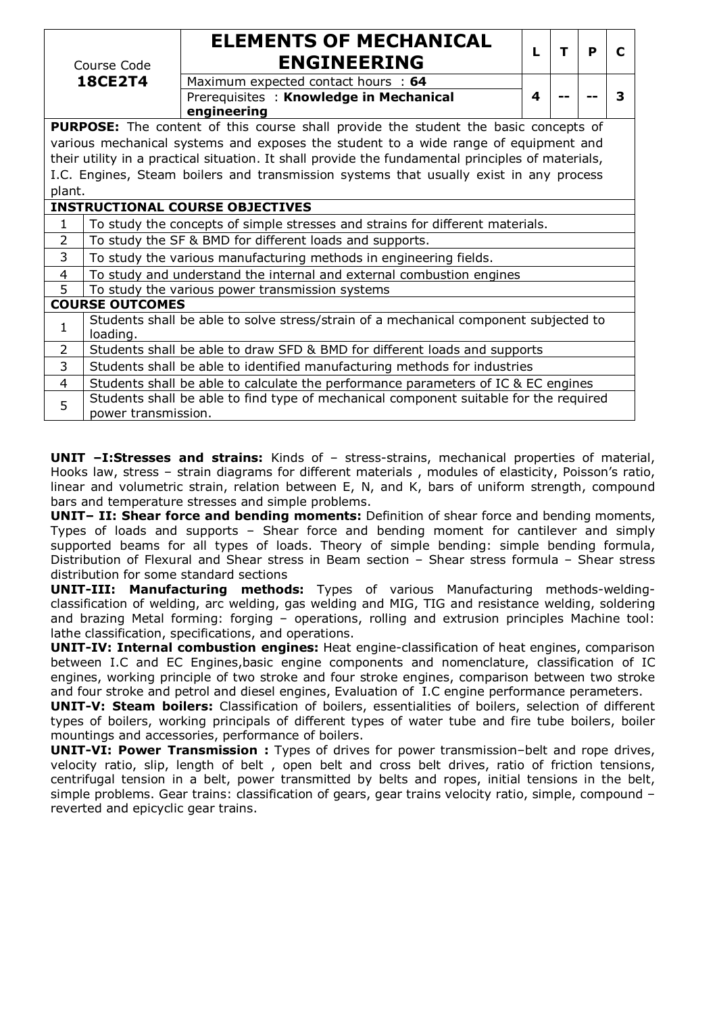| Course Code                                                                            |                                                                                                  | <b>ELEMENTS OF MECHANICAL</b><br><b>ENGINEERING</b>                                               | L | т | P |   |
|----------------------------------------------------------------------------------------|--------------------------------------------------------------------------------------------------|---------------------------------------------------------------------------------------------------|---|---|---|---|
|                                                                                        | <b>18CE2T4</b>                                                                                   | Maximum expected contact hours : 64                                                               |   |   |   |   |
|                                                                                        |                                                                                                  | Prerequisites: Knowledge in Mechanical<br>engineering                                             | 4 |   |   | 3 |
|                                                                                        |                                                                                                  | <b>PURPOSE:</b> The content of this course shall provide the student the basic concepts of        |   |   |   |   |
|                                                                                        |                                                                                                  | various mechanical systems and exposes the student to a wide range of equipment and               |   |   |   |   |
|                                                                                        |                                                                                                  | their utility in a practical situation. It shall provide the fundamental principles of materials, |   |   |   |   |
| I.C. Engines, Steam boilers and transmission systems that usually exist in any process |                                                                                                  |                                                                                                   |   |   |   |   |
| plant.                                                                                 |                                                                                                  |                                                                                                   |   |   |   |   |
|                                                                                        | <b>INSTRUCTIONAL COURSE OBJECTIVES</b>                                                           |                                                                                                   |   |   |   |   |
| $\mathbf{1}$                                                                           | To study the concepts of simple stresses and strains for different materials.                    |                                                                                                   |   |   |   |   |
| $\overline{2}$                                                                         | To study the SF & BMD for different loads and supports.                                          |                                                                                                   |   |   |   |   |
| 3                                                                                      |                                                                                                  | To study the various manufacturing methods in engineering fields.                                 |   |   |   |   |
| 4                                                                                      |                                                                                                  | To study and understand the internal and external combustion engines                              |   |   |   |   |
| 5                                                                                      |                                                                                                  | To study the various power transmission systems                                                   |   |   |   |   |
|                                                                                        | <b>COURSE OUTCOMES</b>                                                                           |                                                                                                   |   |   |   |   |
| 1                                                                                      | Students shall be able to solve stress/strain of a mechanical component subjected to<br>loading. |                                                                                                   |   |   |   |   |
| $\overline{2}$                                                                         | Students shall be able to draw SFD & BMD for different loads and supports                        |                                                                                                   |   |   |   |   |
| 3                                                                                      | Students shall be able to identified manufacturing methods for industries                        |                                                                                                   |   |   |   |   |
| 4                                                                                      |                                                                                                  | Students shall be able to calculate the performance parameters of IC & EC engines                 |   |   |   |   |
| 5                                                                                      |                                                                                                  | Students shall be able to find type of mechanical component suitable for the required             |   |   |   |   |
|                                                                                        | power transmission.                                                                              |                                                                                                   |   |   |   |   |

**UNIT –I:Stresses and strains:** Kinds of – stress-strains, mechanical properties of material, Hooks law, stress – strain diagrams for different materials , modules of elasticity, Poisson's ratio, linear and volumetric strain, relation between E, N, and K, bars of uniform strength, compound bars and temperature stresses and simple problems.

**UNIT– II: Shear force and bending moments:** Definition of shear force and bending moments, Types of loads and supports – Shear force and bending moment for cantilever and simply supported beams for all types of loads. Theory of simple bending: simple bending formula, Distribution of Flexural and Shear stress in Beam section – Shear stress formula – Shear stress distribution for some standard sections

**UNIT-III: Manufacturing methods:** Types of various Manufacturing methods-weldingclassification of welding, arc welding, gas welding and MIG, TIG and resistance welding, soldering and brazing Metal forming: forging – operations, rolling and extrusion principles Machine tool: lathe classification, specifications, and operations.

**UNIT-IV: Internal combustion engines:** Heat engine-classification of heat engines, comparison between I.C and EC Engines,basic engine components and nomenclature, classification of IC engines, working principle of two stroke and four stroke engines, comparison between two stroke and four stroke and petrol and diesel engines, Evaluation of I.C engine performance perameters.

**UNIT-V: Steam boilers:** Classification of boilers, essentialities of boilers, selection of different types of boilers, working principals of different types of water tube and fire tube boilers, boiler mountings and accessories, performance of boilers.

**UNIT-VI: Power Transmission :** Types of drives for power transmission–belt and rope drives, velocity ratio, slip, length of belt , open belt and cross belt drives, ratio of friction tensions, centrifugal tension in a belt, power transmitted by belts and ropes, initial tensions in the belt, simple problems. Gear trains: classification of gears, gear trains velocity ratio, simple, compound – reverted and epicyclic gear trains.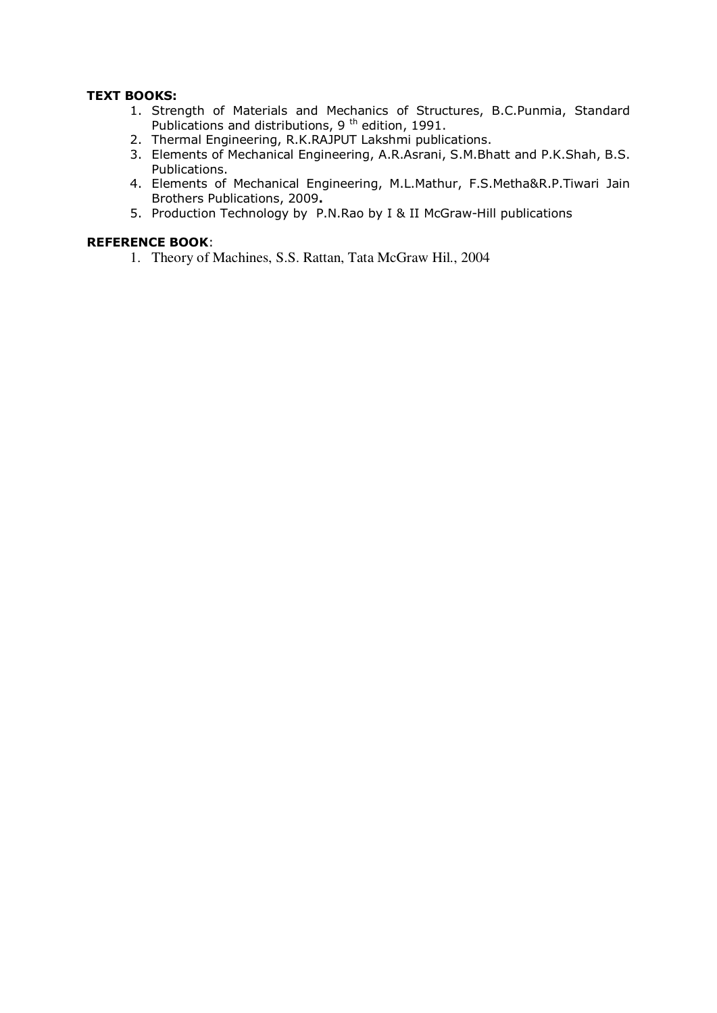#### **TEXT BOOKS:**

- 1. Strength of Materials and Mechanics of Structures, B.C.Punmia, Standard Publications and distributions, 9<sup>th</sup> edition, 1991.
- 2. Thermal Engineering, R.K.RAJPUT Lakshmi publications.
- 3. Elements of Mechanical Engineering, A.R.Asrani, S.M.Bhatt and P.K.Shah, B.S. Publications.
- 4. Elements of Mechanical Engineering, M.L.Mathur, F.S.Metha&R.P.Tiwari Jain Brothers Publications, 2009**.**
- 5. Production Technology by P.N.Rao by I & II McGraw-Hill publications

#### **REFERENCE BOOK**:

1. Theory of Machines, S.S. Rattan, Tata McGraw Hil., 2004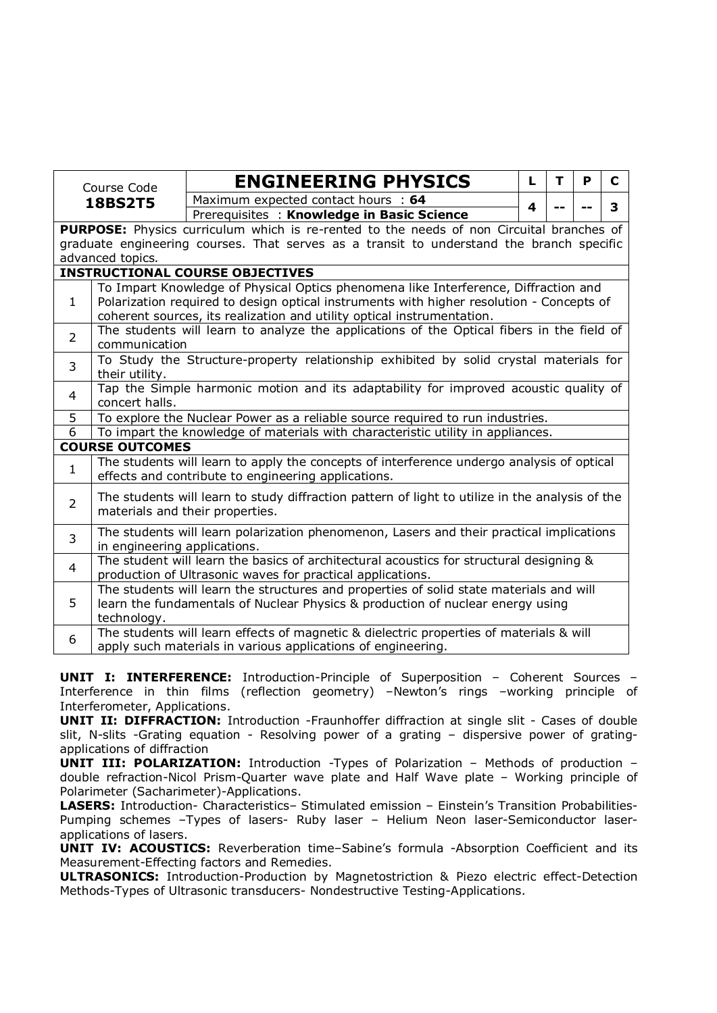| Course Code    |                                                                                                         | <b>ENGINEERING PHYSICS</b>                                                                                                                              | L | T | P | C |  |
|----------------|---------------------------------------------------------------------------------------------------------|---------------------------------------------------------------------------------------------------------------------------------------------------------|---|---|---|---|--|
|                | <b>18BS2T5</b>                                                                                          | Maximum expected contact hours : 64                                                                                                                     | 4 |   |   | 3 |  |
|                |                                                                                                         | Prerequisites: Knowledge in Basic Science                                                                                                               |   |   |   |   |  |
|                |                                                                                                         | PURPOSE: Physics curriculum which is re-rented to the needs of non Circuital branches of                                                                |   |   |   |   |  |
|                | graduate engineering courses. That serves as a transit to understand the branch specific                |                                                                                                                                                         |   |   |   |   |  |
|                | advanced topics.                                                                                        |                                                                                                                                                         |   |   |   |   |  |
|                |                                                                                                         | <b>INSTRUCTIONAL COURSE OBJECTIVES</b>                                                                                                                  |   |   |   |   |  |
|                |                                                                                                         | To Impart Knowledge of Physical Optics phenomena like Interference, Diffraction and                                                                     |   |   |   |   |  |
| $\mathbf{1}$   |                                                                                                         | Polarization required to design optical instruments with higher resolution - Concepts of                                                                |   |   |   |   |  |
|                |                                                                                                         | coherent sources, its realization and utility optical instrumentation.                                                                                  |   |   |   |   |  |
| $\overline{2}$ |                                                                                                         | The students will learn to analyze the applications of the Optical fibers in the field of                                                               |   |   |   |   |  |
|                | communication                                                                                           |                                                                                                                                                         |   |   |   |   |  |
| 3              | To Study the Structure-property relationship exhibited by solid crystal materials for<br>their utility. |                                                                                                                                                         |   |   |   |   |  |
|                |                                                                                                         | Tap the Simple harmonic motion and its adaptability for improved acoustic quality of                                                                    |   |   |   |   |  |
| 4              | concert halls.                                                                                          |                                                                                                                                                         |   |   |   |   |  |
| 5              | To explore the Nuclear Power as a reliable source required to run industries.                           |                                                                                                                                                         |   |   |   |   |  |
| 6              |                                                                                                         | To impart the knowledge of materials with characteristic utility in appliances.                                                                         |   |   |   |   |  |
|                | <b>COURSE OUTCOMES</b>                                                                                  |                                                                                                                                                         |   |   |   |   |  |
|                |                                                                                                         | The students will learn to apply the concepts of interference undergo analysis of optical                                                               |   |   |   |   |  |
| $\mathbf{1}$   |                                                                                                         | effects and contribute to engineering applications.                                                                                                     |   |   |   |   |  |
|                |                                                                                                         | The students will learn to study diffraction pattern of light to utilize in the analysis of the                                                         |   |   |   |   |  |
| $\overline{2}$ |                                                                                                         | materials and their properties.                                                                                                                         |   |   |   |   |  |
| $\overline{3}$ |                                                                                                         | The students will learn polarization phenomenon, Lasers and their practical implications                                                                |   |   |   |   |  |
|                | in engineering applications.                                                                            |                                                                                                                                                         |   |   |   |   |  |
| 4              |                                                                                                         | The student will learn the basics of architectural acoustics for structural designing &                                                                 |   |   |   |   |  |
|                | production of Ultrasonic waves for practical applications.                                              |                                                                                                                                                         |   |   |   |   |  |
|                |                                                                                                         | The students will learn the structures and properties of solid state materials and will                                                                 |   |   |   |   |  |
| 5              | learn the fundamentals of Nuclear Physics & production of nuclear energy using                          |                                                                                                                                                         |   |   |   |   |  |
|                | technology.                                                                                             |                                                                                                                                                         |   |   |   |   |  |
| 6              |                                                                                                         | The students will learn effects of magnetic & dielectric properties of materials & will<br>apply such materials in various applications of engineering. |   |   |   |   |  |
|                |                                                                                                         |                                                                                                                                                         |   |   |   |   |  |

**UNIT I: INTERFERENCE:** Introduction-Principle of Superposition – Coherent Sources – Interference in thin films (reflection geometry) –Newton's rings –working principle of Interferometer, Applications.

**UNIT II: DIFFRACTION:** Introduction -Fraunhoffer diffraction at single slit - Cases of double slit, N-slits -Grating equation - Resolving power of a grating – dispersive power of gratingapplications of diffraction

**UNIT III: POLARIZATION:** Introduction -Types of Polarization – Methods of production – double refraction-Nicol Prism-Quarter wave plate and Half Wave plate – Working principle of Polarimeter (Sacharimeter)-Applications.

**LASERS:** Introduction- Characteristics– Stimulated emission – Einstein's Transition Probabilities-Pumping schemes –Types of lasers- Ruby laser – Helium Neon laser-Semiconductor laserapplications of lasers.

**UNIT IV: ACOUSTICS:** Reverberation time–Sabine's formula -Absorption Coefficient and its Measurement-Effecting factors and Remedies.

**ULTRASONICS:** Introduction-Production by Magnetostriction & Piezo electric effect-Detection Methods-Types of Ultrasonic transducers- Nondestructive Testing-Applications.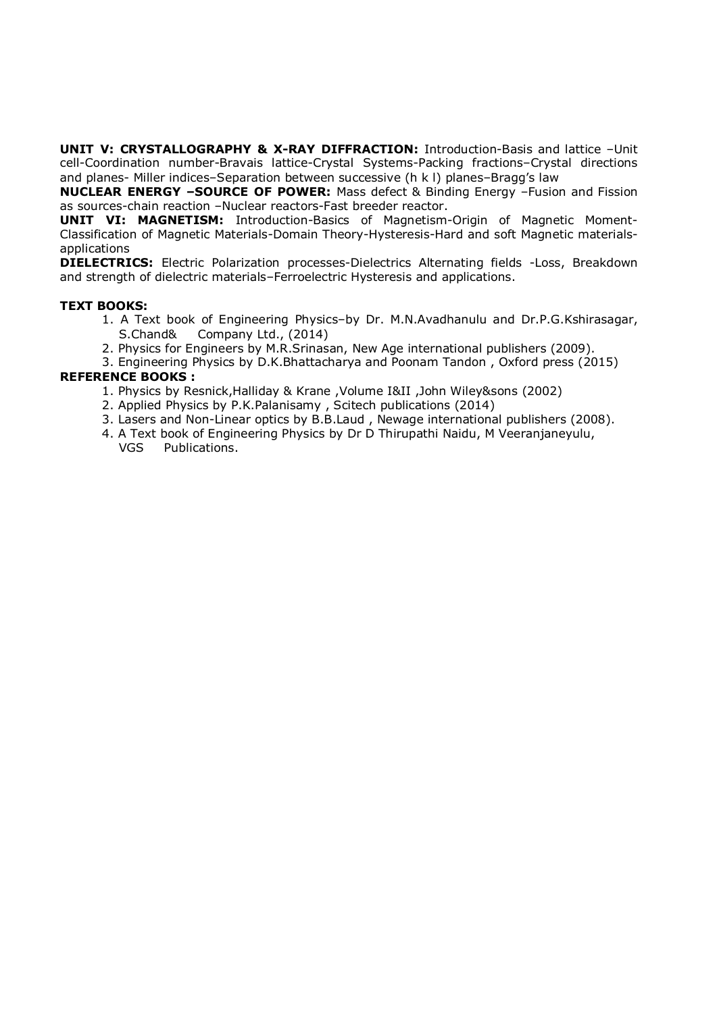**UNIT V: CRYSTALLOGRAPHY & X-RAY DIFFRACTION:** Introduction-Basis and lattice -Unit cell-Coordination number-Bravais lattice-Crystal Systems-Packing fractions–Crystal directions and planes- Miller indices–Separation between successive (h k l) planes–Bragg's law

**NUCLEAR ENERGY –SOURCE OF POWER:** Mass defect & Binding Energy –Fusion and Fission as sources-chain reaction –Nuclear reactors-Fast breeder reactor.

**UNIT VI: MAGNETISM:** Introduction-Basics of Magnetism-Origin of Magnetic Moment-Classification of Magnetic Materials-Domain Theory-Hysteresis-Hard and soft Magnetic materialsapplications

**DIELECTRICS:** Electric Polarization processes-Dielectrics Alternating fields -Loss, Breakdown and strength of dielectric materials–Ferroelectric Hysteresis and applications.

#### **TEXT BOOKS:**

- 1. A Text book of Engineering Physics–by Dr. M.N.Avadhanulu and Dr.P.G.Kshirasagar, S.Chand& Company Ltd., (2014)
- 2. Physics for Engineers by M.R.Srinasan, New Age international publishers (2009).
- 3. Engineering Physics by D.K.Bhattacharya and Poonam Tandon , Oxford press (2015) **REFERENCE BOOKS :**

- 1. Physics by Resnick,Halliday & Krane ,Volume I&II ,John Wiley&sons (2002)
- 2. Applied Physics by P.K.Palanisamy , Scitech publications (2014)
- 3. Lasers and Non-Linear optics by B.B.Laud , Newage international publishers (2008).
- 4. A Text book of Engineering Physics by Dr D Thirupathi Naidu, M Veeranjaneyulu, VGS Publications.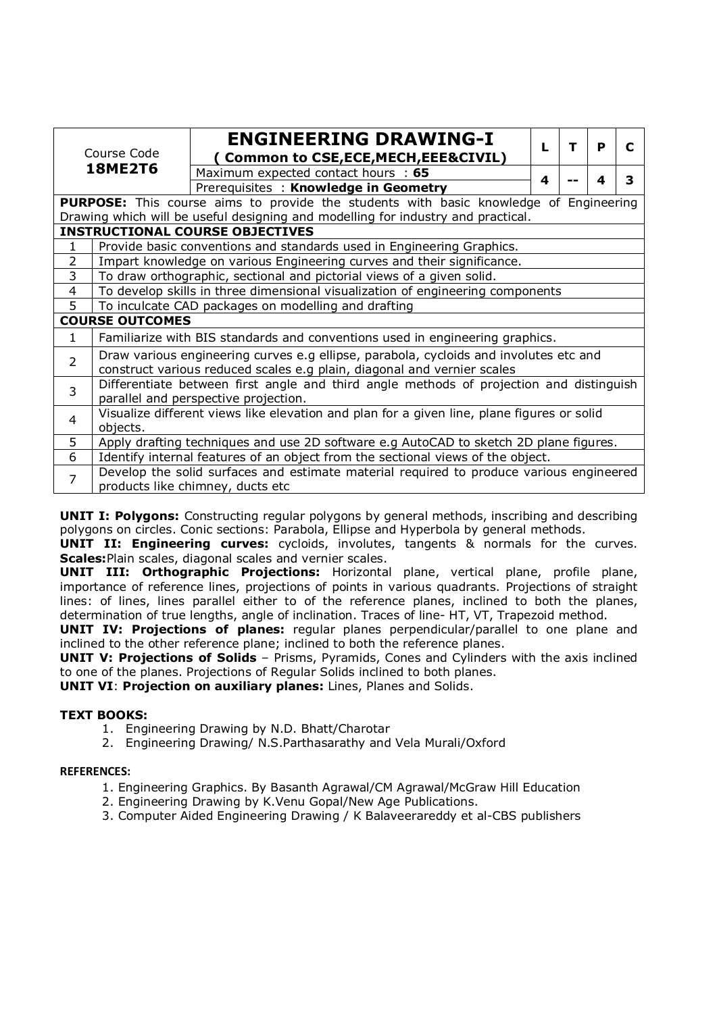| Course Code                                              |                                                                                                                             | <b>ENGINEERING DRAWING-I</b>                                                                 | L | т | P |  |  |
|----------------------------------------------------------|-----------------------------------------------------------------------------------------------------------------------------|----------------------------------------------------------------------------------------------|---|---|---|--|--|
|                                                          |                                                                                                                             | <b>Common to CSE, ECE, MECH, EEE&amp;CIVIL)</b>                                              |   |   |   |  |  |
| <b>18ME2T6</b>                                           |                                                                                                                             | Maximum expected contact hours : 65                                                          | 4 |   | 4 |  |  |
|                                                          |                                                                                                                             | Prerequisites: Knowledge in Geometry                                                         |   |   |   |  |  |
|                                                          |                                                                                                                             | <b>PURPOSE:</b> This course aims to provide the students with basic knowledge of Engineering |   |   |   |  |  |
|                                                          |                                                                                                                             | Drawing which will be useful designing and modelling for industry and practical.             |   |   |   |  |  |
|                                                          |                                                                                                                             | <b>INSTRUCTIONAL COURSE OBJECTIVES</b>                                                       |   |   |   |  |  |
| $\mathbf{1}$                                             |                                                                                                                             | Provide basic conventions and standards used in Engineering Graphics.                        |   |   |   |  |  |
| $\overline{2}$                                           |                                                                                                                             | Impart knowledge on various Engineering curves and their significance.                       |   |   |   |  |  |
| $\overline{3}$                                           |                                                                                                                             | To draw orthographic, sectional and pictorial views of a given solid.                        |   |   |   |  |  |
| 4                                                        | To develop skills in three dimensional visualization of engineering components                                              |                                                                                              |   |   |   |  |  |
| 5<br>To inculcate CAD packages on modelling and drafting |                                                                                                                             |                                                                                              |   |   |   |  |  |
| <b>COURSE OUTCOMES</b>                                   |                                                                                                                             |                                                                                              |   |   |   |  |  |
| $\mathbf{1}$                                             | Familiarize with BIS standards and conventions used in engineering graphics.                                                |                                                                                              |   |   |   |  |  |
| $\overline{2}$                                           | Draw various engineering curves e.g ellipse, parabola, cycloids and involutes etc and                                       |                                                                                              |   |   |   |  |  |
|                                                          |                                                                                                                             | construct various reduced scales e.g plain, diagonal and vernier scales                      |   |   |   |  |  |
| 3                                                        |                                                                                                                             | Differentiate between first angle and third angle methods of projection and distinguish      |   |   |   |  |  |
|                                                          | parallel and perspective projection.                                                                                        |                                                                                              |   |   |   |  |  |
| 4                                                        | Visualize different views like elevation and plan for a given line, plane figures or solid                                  |                                                                                              |   |   |   |  |  |
|                                                          | objects.                                                                                                                    |                                                                                              |   |   |   |  |  |
|                                                          | 5<br>Apply drafting techniques and use 2D software e.g AutoCAD to sketch 2D plane figures.                                  |                                                                                              |   |   |   |  |  |
| 6                                                        |                                                                                                                             | Identify internal features of an object from the sectional views of the object.              |   |   |   |  |  |
| $\overline{7}$                                           | Develop the solid surfaces and estimate material required to produce various engineered<br>products like chimney, ducts etc |                                                                                              |   |   |   |  |  |

**UNIT I: Polygons:** Constructing regular polygons by general methods, inscribing and describing polygons on circles. Conic sections: Parabola, Ellipse and Hyperbola by general methods.

**UNIT II: Engineering curves:** cycloids, involutes, tangents & normals for the curves. **Scales:**Plain scales, diagonal scales and vernier scales.

**UNIT III: Orthographic Projections:** Horizontal plane, vertical plane, profile plane, importance of reference lines, projections of points in various quadrants. Projections of straight lines: of lines, lines parallel either to of the reference planes, inclined to both the planes, determination of true lengths, angle of inclination. Traces of line- HT, VT, Trapezoid method.

**UNIT IV: Projections of planes:** regular planes perpendicular/parallel to one plane and inclined to the other reference plane; inclined to both the reference planes.

**UNIT V: Projections of Solids** – Prisms, Pyramids, Cones and Cylinders with the axis inclined to one of the planes. Projections of Regular Solids inclined to both planes.

**UNIT VI**: **Projection on auxiliary planes:** Lines, Planes and Solids.

#### **TEXT BOOKS:**

- 1. Engineering Drawing by N.D. Bhatt/Charotar
- 2. Engineering Drawing/ N.S.Parthasarathy and Vela Murali/Oxford

#### **REFERENCES:**

- 1. Engineering Graphics. By Basanth Agrawal/CM Agrawal/McGraw Hill Education
- 2. Engineering Drawing by K.Venu Gopal/New Age Publications.
- 3. Computer Aided Engineering Drawing / K Balaveerareddy et al-CBS publishers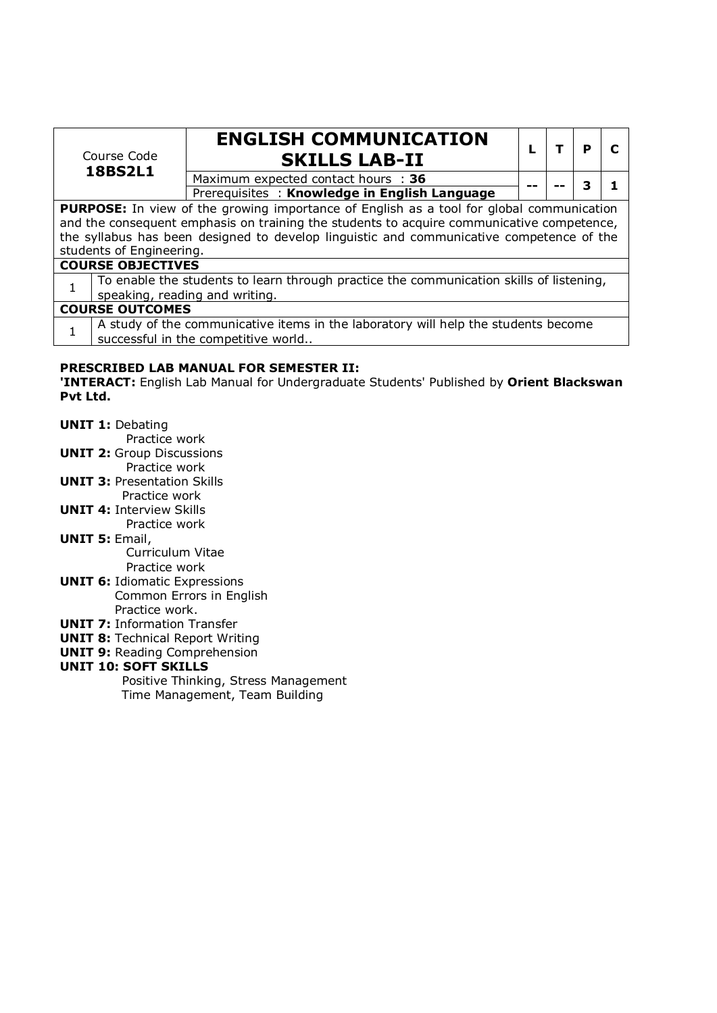| Course Code<br><b>18BS2L1</b>                                                                                                                                                                |                          | <b>ENGLISH COMMUNICATION</b><br><b>SKILLS LAB-II</b>                                                                      |  | р |  |
|----------------------------------------------------------------------------------------------------------------------------------------------------------------------------------------------|--------------------------|---------------------------------------------------------------------------------------------------------------------------|--|---|--|
|                                                                                                                                                                                              |                          | Maximum expected contact hours : 36                                                                                       |  |   |  |
|                                                                                                                                                                                              |                          | Prerequisites: Knowledge in English Language                                                                              |  |   |  |
| <b>PURPOSE:</b> In view of the growing importance of English as a tool for global communication<br>and the consequent emphasis on training the students to acquire communicative competence, |                          |                                                                                                                           |  |   |  |
| the syllabus has been designed to develop linguistic and communicative competence of the                                                                                                     |                          |                                                                                                                           |  |   |  |
|                                                                                                                                                                                              | students of Engineering. |                                                                                                                           |  |   |  |
|                                                                                                                                                                                              | <b>COURSE OBJECTIVES</b> |                                                                                                                           |  |   |  |
|                                                                                                                                                                                              |                          | To enable the students to learn through practice the communication skills of listening,<br>speaking, reading and writing. |  |   |  |
|                                                                                                                                                                                              | <b>COURSE OUTCOMES</b>   |                                                                                                                           |  |   |  |
|                                                                                                                                                                                              |                          | A study of the communicative items in the laboratory will help the students become<br>successful in the competitive world |  |   |  |
|                                                                                                                                                                                              |                          | RRECARTRER I AR MANUIAI FAR CEMECTER                                                                                      |  |   |  |

#### **PRESCRIBED LAB MANUAL FOR SEMESTER II:**

**'INTERACT:** English Lab Manual for Undergraduate Students' Published by **Orient Blackswan Pvt Ltd.** 

- **UNIT 1:** Debating
	- Practice work
- **UNIT 2:** Group Discussions
	- Practice work
- **UNIT 3:** Presentation Skills Practice work
- **UNIT 4:** Interview Skills Practice work
- **UNIT 5:** Email,

Curriculum Vitae

- Practice work **UNIT 6:** Idiomatic Expressions Common Errors in English
	- Practice work.
- **UNIT 7:** Information Transfer **UNIT 8: Technical Report Writing**
- **UNIT 9: Reading Comprehension**

### **UNIT 10: SOFT SKILLS**

 Positive Thinking, Stress Management Time Management, Team Building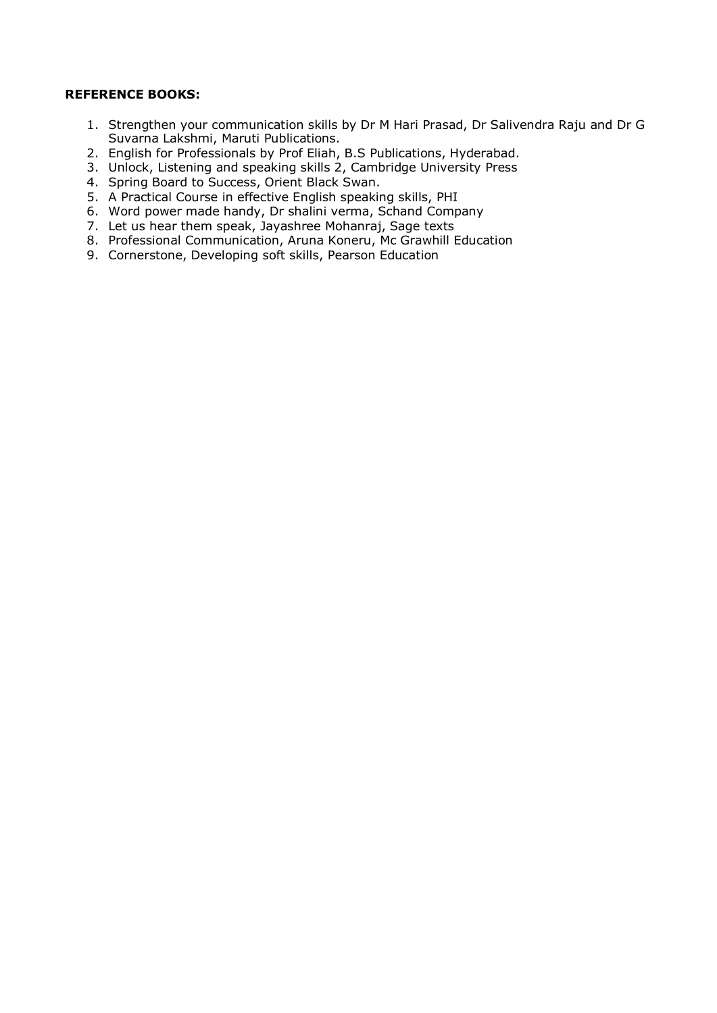#### **REFERENCE BOOKS:**

- 1. Strengthen your communication skills by Dr M Hari Prasad, Dr Salivendra Raju and Dr G Suvarna Lakshmi, Maruti Publications.
- 2. English for Professionals by Prof Eliah, B.S Publications, Hyderabad.
- 3. Unlock, Listening and speaking skills 2, Cambridge University Press
- 4. Spring Board to Success, Orient Black Swan.
- 5. A Practical Course in effective English speaking skills, PHI
- 6. Word power made handy, Dr shalini verma, Schand Company
- 7. Let us hear them speak, Jayashree Mohanraj, Sage texts
- 8. Professional Communication, Aruna Koneru, Mc Grawhill Education
- 9. Cornerstone, Developing soft skills, Pearson Education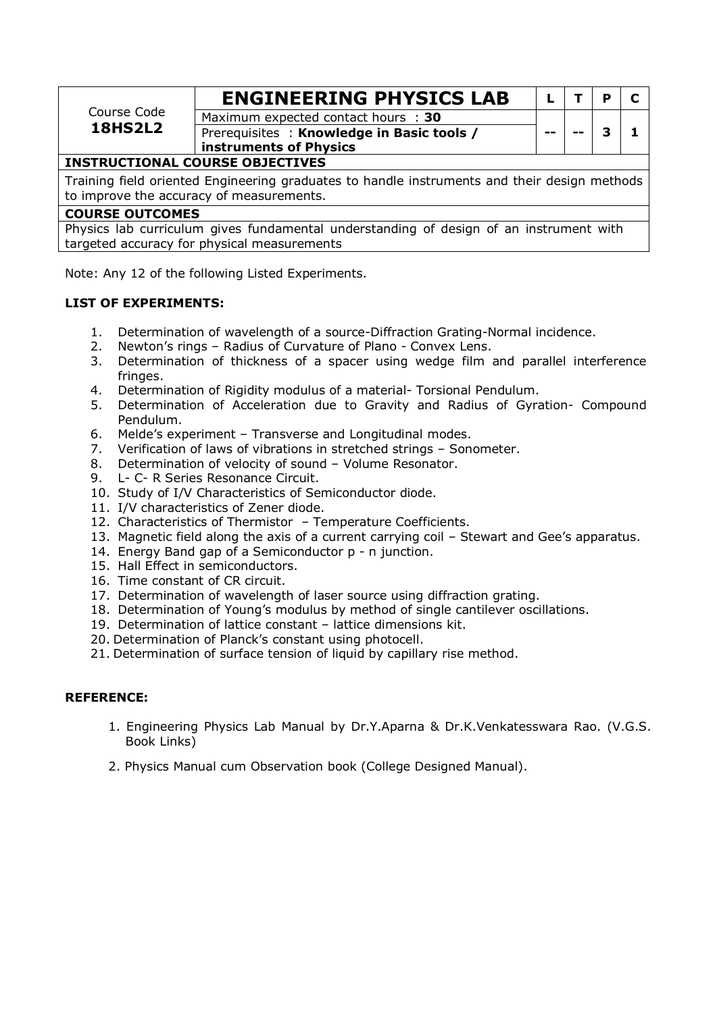|                                                                                                                                          | <b>ENGINEERING PHYSICS LAB</b>            |     |  | D |  |  |
|------------------------------------------------------------------------------------------------------------------------------------------|-------------------------------------------|-----|--|---|--|--|
| Course Code                                                                                                                              | Maximum expected contact hours : 30       |     |  |   |  |  |
| <b>18HS2L2</b>                                                                                                                           | Prerequisites: Knowledge in Basic tools / | $-$ |  | 3 |  |  |
|                                                                                                                                          | instruments of Physics                    |     |  |   |  |  |
| <b>INSTRUCTIONAL COURSE OBJECTIVES</b>                                                                                                   |                                           |     |  |   |  |  |
| Training field oriented Engineering graduates to handle instruments and their design methods<br>to improve the accuracy of measurements. |                                           |     |  |   |  |  |

#### **COURSE OUTCOMES**

Physics lab curriculum gives fundamental understanding of design of an instrument with targeted accuracy for physical measurements

Note: Any 12 of the following Listed Experiments.

#### **LIST OF EXPERIMENTS:**

- 1. Determination of wavelength of a source-Diffraction Grating-Normal incidence.
- 2. Newton's rings Radius of Curvature of Plano Convex Lens.
- 3. Determination of thickness of a spacer using wedge film and parallel interference fringes.
- 4. Determination of Rigidity modulus of a material- Torsional Pendulum.
- 5. Determination of Acceleration due to Gravity and Radius of Gyration- Compound Pendulum.
- 6. Melde's experiment Transverse and Longitudinal modes.
- 7. Verification of laws of vibrations in stretched strings Sonometer.
- 8. Determination of velocity of sound Volume Resonator.
- 9. L- C- R Series Resonance Circuit.
- 10. Study of I/V Characteristics of Semiconductor diode.
- 11. I/V characteristics of Zener diode.
- 12. Characteristics of Thermistor Temperature Coefficients.
- 13. Magnetic field along the axis of a current carrying coil Stewart and Gee's apparatus.
- 14. Energy Band gap of a Semiconductor p n junction.
- 15. Hall Effect in semiconductors.
- 16. Time constant of CR circuit.
- 17. Determination of wavelength of laser source using diffraction grating.
- 18. Determination of Young's modulus by method of single cantilever oscillations.
- 19. Determination of lattice constant lattice dimensions kit.
- 20. Determination of Planck's constant using photocell.
- 21. Determination of surface tension of liquid by capillary rise method.

#### **REFERENCE:**

- 1. Engineering Physics Lab Manual by Dr.Y.Aparna & Dr.K.Venkatesswara Rao. (V.G.S. Book Links)
- 2. Physics Manual cum Observation book (College Designed Manual).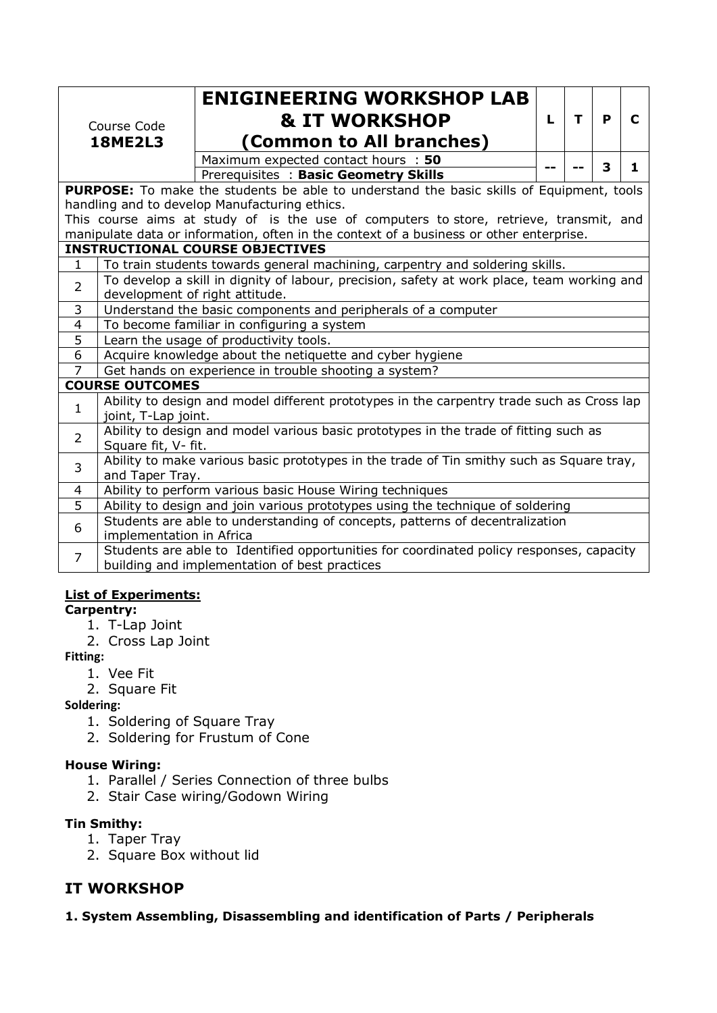| Course Code<br><b>18ME2L3</b> |                                                                                                                                           | <b>ENIGINEERING WORKSHOP LAB</b><br><b>&amp; IT WORKSHOP</b><br>(Common to All branches)<br>Maximum expected contact hours : 50<br>Prerequisites : Basic Geometry Skills | L | т | P<br>3 | C<br>1 |
|-------------------------------|-------------------------------------------------------------------------------------------------------------------------------------------|--------------------------------------------------------------------------------------------------------------------------------------------------------------------------|---|---|--------|--------|
|                               |                                                                                                                                           | <b>PURPOSE:</b> To make the students be able to understand the basic skills of Equipment, tools                                                                          |   |   |        |        |
|                               |                                                                                                                                           | handling and to develop Manufacturing ethics.                                                                                                                            |   |   |        |        |
|                               |                                                                                                                                           | This course aims at study of is the use of computers to store, retrieve, transmit, and                                                                                   |   |   |        |        |
|                               |                                                                                                                                           | manipulate data or information, often in the context of a business or other enterprise.                                                                                  |   |   |        |        |
|                               |                                                                                                                                           | <b>INSTRUCTIONAL COURSE OBJECTIVES</b>                                                                                                                                   |   |   |        |        |
| $\mathbf{1}$                  |                                                                                                                                           | To train students towards general machining, carpentry and soldering skills.                                                                                             |   |   |        |        |
| $\overline{2}$                | To develop a skill in dignity of labour, precision, safety at work place, team working and<br>development of right attitude.              |                                                                                                                                                                          |   |   |        |        |
| 3                             | Understand the basic components and peripherals of a computer                                                                             |                                                                                                                                                                          |   |   |        |        |
| $\overline{4}$                | To become familiar in configuring a system                                                                                                |                                                                                                                                                                          |   |   |        |        |
| 5                             | Learn the usage of productivity tools.                                                                                                    |                                                                                                                                                                          |   |   |        |        |
| 6                             |                                                                                                                                           | Acquire knowledge about the netiquette and cyber hygiene                                                                                                                 |   |   |        |        |
| $\overline{7}$                |                                                                                                                                           | Get hands on experience in trouble shooting a system?                                                                                                                    |   |   |        |        |
|                               | <b>COURSE OUTCOMES</b>                                                                                                                    |                                                                                                                                                                          |   |   |        |        |
| $\mathbf{1}$                  | joint, T-Lap joint.                                                                                                                       | Ability to design and model different prototypes in the carpentry trade such as Cross lap                                                                                |   |   |        |        |
| $\overline{2}$                | Ability to design and model various basic prototypes in the trade of fitting such as<br>Square fit, V- fit.                               |                                                                                                                                                                          |   |   |        |        |
| 3                             | Ability to make various basic prototypes in the trade of Tin smithy such as Square tray,<br>and Taper Tray.                               |                                                                                                                                                                          |   |   |        |        |
| 4                             | Ability to perform various basic House Wiring techniques                                                                                  |                                                                                                                                                                          |   |   |        |        |
| $\overline{5}$                |                                                                                                                                           | Ability to design and join various prototypes using the technique of soldering                                                                                           |   |   |        |        |
| 6                             | Students are able to understanding of concepts, patterns of decentralization<br>implementation in Africa                                  |                                                                                                                                                                          |   |   |        |        |
| $\overline{7}$                | Students are able to Identified opportunities for coordinated policy responses, capacity<br>building and implementation of best practices |                                                                                                                                                                          |   |   |        |        |

#### **List of Experiments:**

- **Carpentry:** 
	- 1. T-Lap Joint
	- 2. Cross Lap Joint

**Fitting:**

- 1. Vee Fit
- 2. Square Fit

**Soldering:** 

- 1. Soldering of Square Tray
- 2. Soldering for Frustum of Cone

#### **House Wiring:**

- 1. Parallel / Series Connection of three bulbs
- 2. Stair Case wiring/Godown Wiring

#### **Tin Smithy:**

- 1. Taper Tray
- 2. Square Box without lid

### **IT WORKSHOP**

**1. System Assembling, Disassembling and identification of Parts / Peripherals**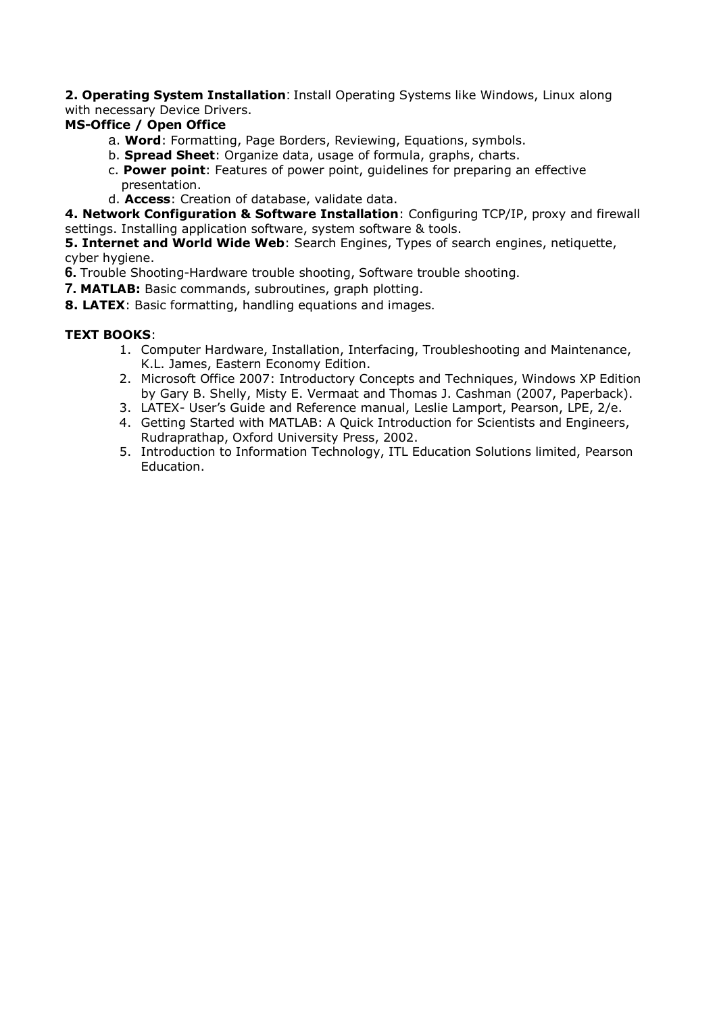**2. Operating System Installation**: Install Operating Systems like Windows, Linux along with necessary Device Drivers.

#### **MS-Office / Open Office**

- a. **Word**: Formatting, Page Borders, Reviewing, Equations, symbols.
- b. **Spread Sheet**: Organize data, usage of formula, graphs, charts.
- c. **Power point**: Features of power point, guidelines for preparing an effective presentation.
- d. **Access**: Creation of database, validate data.

**4. Network Configuration & Software Installation**: Configuring TCP/IP, proxy and firewall settings. Installing application software, system software & tools.

**5. Internet and World Wide Web**: Search Engines, Types of search engines, netiquette, cyber hygiene.

**6.** Trouble Shooting-Hardware trouble shooting, Software trouble shooting.

**7. MATLAB:** Basic commands, subroutines, graph plotting.

**8. LATEX**: Basic formatting, handling equations and images.

#### **TEXT BOOKS**:

- 1. Computer Hardware, Installation, Interfacing, Troubleshooting and Maintenance, K.L. James, Eastern Economy Edition.
- 2. Microsoft Office 2007: Introductory Concepts and Techniques, Windows XP Edition by Gary B. Shelly, Misty E. Vermaat and Thomas J. Cashman (2007, Paperback).
- 3. LATEX- User's Guide and Reference manual, Leslie Lamport, Pearson, LPE, 2/e.
- 4. Getting Started with MATLAB: A Quick Introduction for Scientists and Engineers, Rudraprathap, Oxford University Press, 2002.
- 5. Introduction to Information Technology, ITL Education Solutions limited, Pearson Education.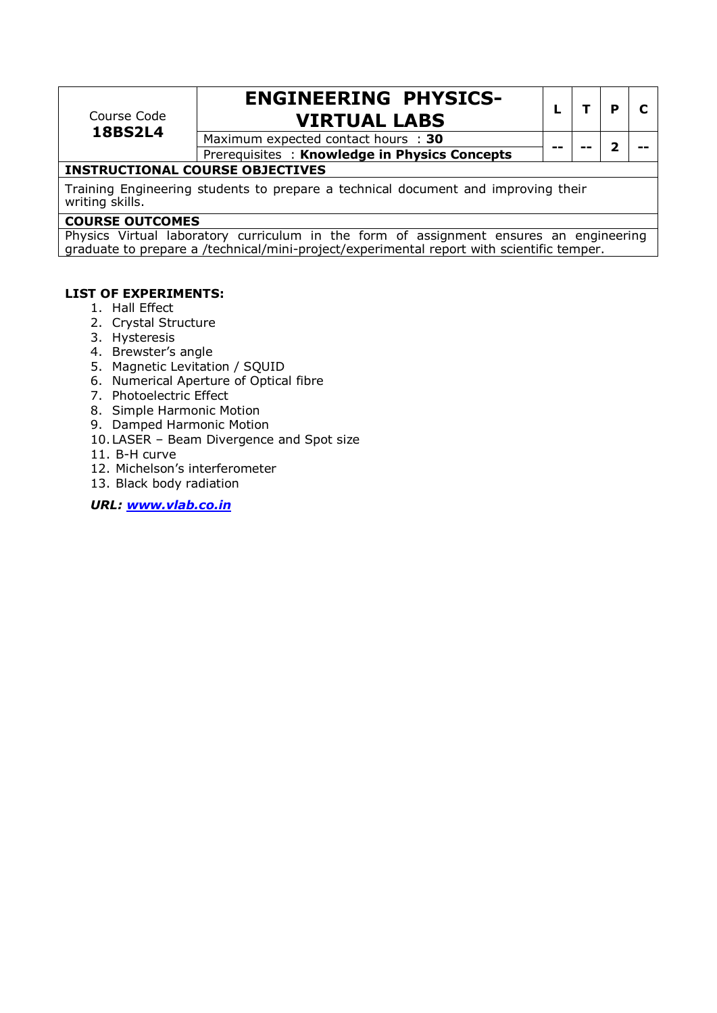| Course Code<br><b>18BS2L4</b>                                                                        | <b>ENGINEERING PHYSICS-</b><br><b>VIRTUAL LABS</b> |    |  | D |  |  |  |
|------------------------------------------------------------------------------------------------------|----------------------------------------------------|----|--|---|--|--|--|
|                                                                                                      | Maximum expected contact hours : 30                | -- |  |   |  |  |  |
|                                                                                                      | Prerequisites: Knowledge in Physics Concepts       |    |  |   |  |  |  |
| <b>INSTRUCTIONAL COURSE OBJECTIVES</b>                                                               |                                                    |    |  |   |  |  |  |
| Training Engineering students to prepare a technical document and improving their<br>writing skills. |                                                    |    |  |   |  |  |  |
| COUDER AUTOOMER                                                                                      |                                                    |    |  |   |  |  |  |

#### **COURSE OUTCOMES**

Physics Virtual laboratory curriculum in the form of assignment ensures an engineering graduate to prepare a /technical/mini-project/experimental report with scientific temper.

#### **LIST OF EXPERIMENTS:**

- 1. Hall Effect
- 2. Crystal Structure
- 3. Hysteresis
- 4. Brewster's angle
- 5. Magnetic Levitation / SQUID
- 6. Numerical Aperture of Optical fibre
- 7. Photoelectric Effect
- 8. Simple Harmonic Motion
- 9. Damped Harmonic Motion
- 10.LASER Beam Divergence and Spot size
- 11. B-H curve
- 12. Michelson's interferometer
- 13. Black body radiation

*URL: www.vlab.co.in*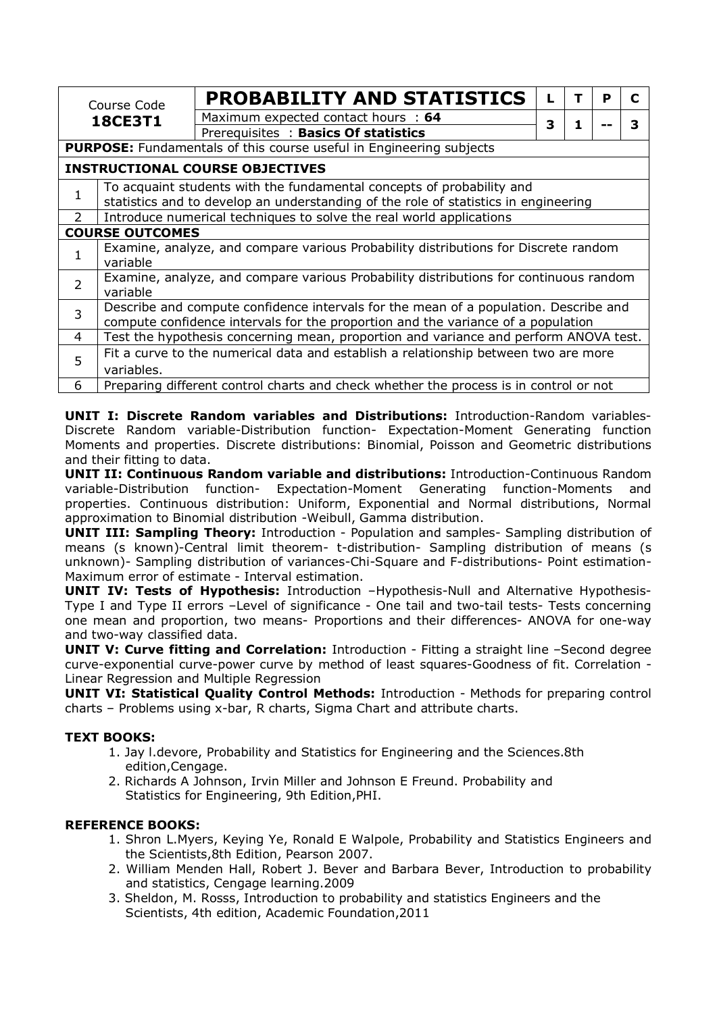| Course Code<br><b>18CE3T1</b>                                                            |                                                                                                   | <b>PROBABILITY AND STATISTICS</b>                                                    |   |   | P | C |  |  |
|------------------------------------------------------------------------------------------|---------------------------------------------------------------------------------------------------|--------------------------------------------------------------------------------------|---|---|---|---|--|--|
|                                                                                          |                                                                                                   | Maximum expected contact hours : 64                                                  | 3 | 1 |   | З |  |  |
|                                                                                          |                                                                                                   | Prerequisites: Basics Of statistics                                                  |   |   |   |   |  |  |
|                                                                                          | <b>PURPOSE:</b> Fundamentals of this course useful in Engineering subjects                        |                                                                                      |   |   |   |   |  |  |
| <b>INSTRUCTIONAL COURSE OBJECTIVES</b>                                                   |                                                                                                   |                                                                                      |   |   |   |   |  |  |
|                                                                                          | To acquaint students with the fundamental concepts of probability and                             |                                                                                      |   |   |   |   |  |  |
| 1<br>statistics and to develop an understanding of the role of statistics in engineering |                                                                                                   |                                                                                      |   |   |   |   |  |  |
| $\mathcal{P}$                                                                            | Introduce numerical techniques to solve the real world applications                               |                                                                                      |   |   |   |   |  |  |
| <b>COURSE OUTCOMES</b>                                                                   |                                                                                                   |                                                                                      |   |   |   |   |  |  |
| 1                                                                                        | Examine, analyze, and compare various Probability distributions for Discrete random               |                                                                                      |   |   |   |   |  |  |
|                                                                                          | variable                                                                                          |                                                                                      |   |   |   |   |  |  |
| $\mathcal{P}$                                                                            | Examine, analyze, and compare various Probability distributions for continuous random<br>variable |                                                                                      |   |   |   |   |  |  |
|                                                                                          |                                                                                                   | Describe and compute confidence intervals for the mean of a population. Describe and |   |   |   |   |  |  |
| 3                                                                                        |                                                                                                   | compute confidence intervals for the proportion and the variance of a population     |   |   |   |   |  |  |
| 4                                                                                        |                                                                                                   | Test the hypothesis concerning mean, proportion and variance and perform ANOVA test. |   |   |   |   |  |  |
|                                                                                          |                                                                                                   | Fit a curve to the numerical data and establish a relationship between two are more  |   |   |   |   |  |  |
| 5                                                                                        | variables.                                                                                        |                                                                                      |   |   |   |   |  |  |
| 6                                                                                        | Preparing different control charts and check whether the process is in control or not             |                                                                                      |   |   |   |   |  |  |

**UNIT I: Discrete Random variables and Distributions:** Introduction-Random variables-Discrete Random variable-Distribution function- Expectation-Moment Generating function Moments and properties. Discrete distributions: Binomial, Poisson and Geometric distributions and their fitting to data.

**UNIT II: Continuous Random variable and distributions:** Introduction-Continuous Random variable-Distribution function- Expectation-Moment Generating function-Moments and properties. Continuous distribution: Uniform, Exponential and Normal distributions, Normal approximation to Binomial distribution -Weibull, Gamma distribution.

**UNIT III: Sampling Theory:** Introduction - Population and samples- Sampling distribution of means (s known)-Central limit theorem- t-distribution- Sampling distribution of means (s unknown)- Sampling distribution of variances-Chi-Square and F-distributions- Point estimation-Maximum error of estimate - Interval estimation.

**UNIT IV: Tests of Hypothesis:** Introduction -Hypothesis-Null and Alternative Hypothesis-Type I and Type II errors –Level of significance - One tail and two-tail tests- Tests concerning one mean and proportion, two means- Proportions and their differences- ANOVA for one-way and two-way classified data.

**UNIT V: Curve fitting and Correlation:** Introduction - Fitting a straight line –Second degree curve-exponential curve-power curve by method of least squares-Goodness of fit. Correlation - Linear Regression and Multiple Regression

**UNIT VI: Statistical Quality Control Methods:** Introduction - Methods for preparing control charts – Problems using x-bar, R charts, Sigma Chart and attribute charts.

## **TEXT BOOKS:**

- 1. Jay l.devore, Probability and Statistics for Engineering and the Sciences.8th edition,Cengage.
- 2. Richards A Johnson, Irvin Miller and Johnson E Freund. Probability and Statistics for Engineering, 9th Edition,PHI.

## **REFERENCE BOOKS:**

- 1. Shron L.Myers, Keying Ye, Ronald E Walpole, Probability and Statistics Engineers and the Scientists,8th Edition, Pearson 2007.
- 2. William Menden Hall, Robert J. Bever and Barbara Bever, Introduction to probability and statistics, Cengage learning.2009
- 3. Sheldon, M. Rosss, Introduction to probability and statistics Engineers and the Scientists, 4th edition, Academic Foundation,2011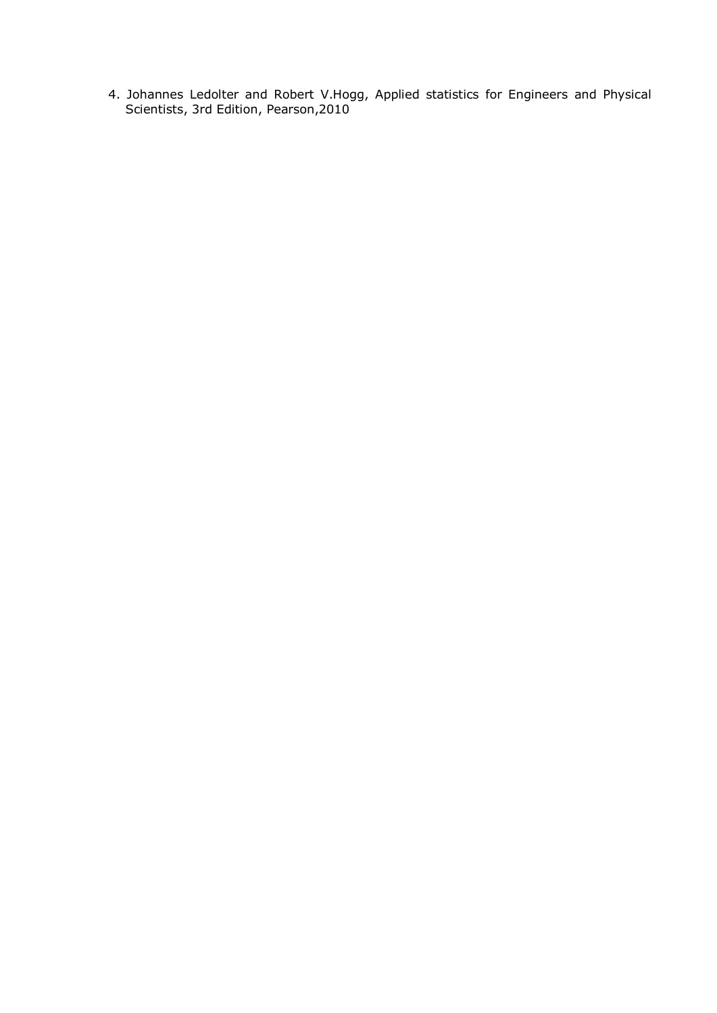4. Johannes Ledolter and Robert V.Hogg, Applied statistics for Engineers and Physical Scientists, 3rd Edition, Pearson,2010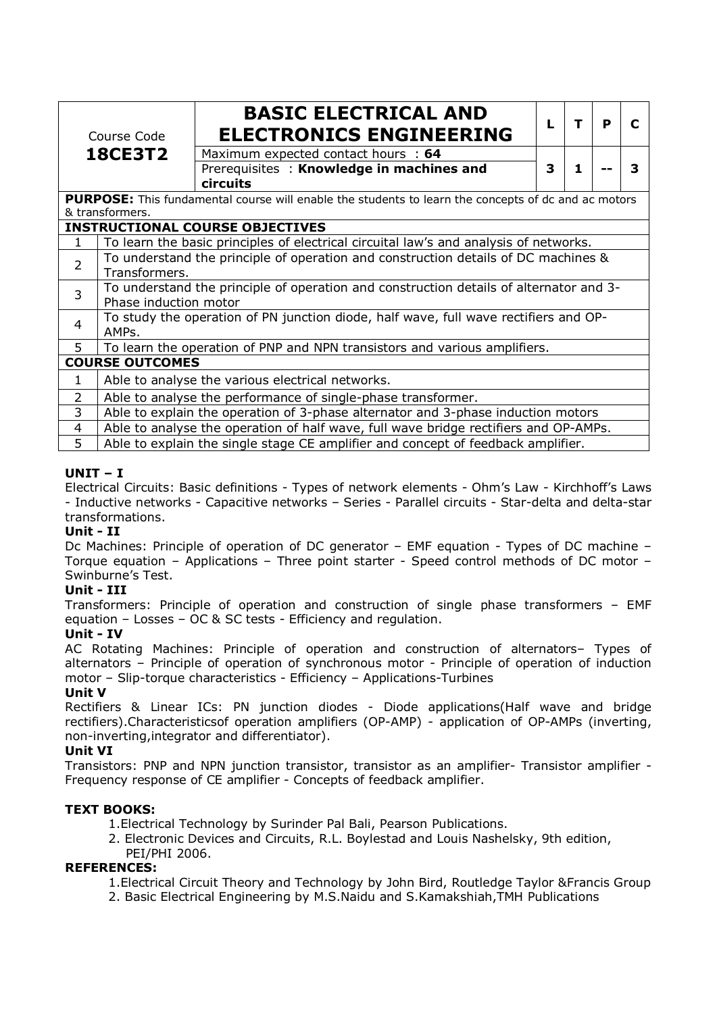| Course Code    |                                                                                                            | <b>BASIC ELECTRICAL AND</b><br><b>ELECTRONICS ENGINEERING</b>                          | L | т | P |   |  |  |
|----------------|------------------------------------------------------------------------------------------------------------|----------------------------------------------------------------------------------------|---|---|---|---|--|--|
|                | <b>18CE3T2</b>                                                                                             | Maximum expected contact hours : 64                                                    |   |   |   |   |  |  |
|                |                                                                                                            | Prerequisites: Knowledge in machines and<br><b>circuits</b>                            | 3 | 1 |   | З |  |  |
|                | <b>PURPOSE:</b> This fundamental course will enable the students to learn the concepts of dc and ac motors |                                                                                        |   |   |   |   |  |  |
|                | & transformers.                                                                                            |                                                                                        |   |   |   |   |  |  |
|                | <b>INSTRUCTIONAL COURSE OBJECTIVES</b>                                                                     |                                                                                        |   |   |   |   |  |  |
| 1              | To learn the basic principles of electrical circuital law's and analysis of networks.                      |                                                                                        |   |   |   |   |  |  |
| $\overline{2}$ | To understand the principle of operation and construction details of DC machines &                         |                                                                                        |   |   |   |   |  |  |
|                | Transformers.                                                                                              |                                                                                        |   |   |   |   |  |  |
| $\overline{3}$ |                                                                                                            | To understand the principle of operation and construction details of alternator and 3- |   |   |   |   |  |  |
|                | Phase induction motor                                                                                      |                                                                                        |   |   |   |   |  |  |
| 4              | To study the operation of PN junction diode, half wave, full wave rectifiers and OP-                       |                                                                                        |   |   |   |   |  |  |
|                | AMPs.                                                                                                      |                                                                                        |   |   |   |   |  |  |
| 5              | To learn the operation of PNP and NPN transistors and various amplifiers.                                  |                                                                                        |   |   |   |   |  |  |
|                | <b>COURSE OUTCOMES</b>                                                                                     |                                                                                        |   |   |   |   |  |  |
| 1              |                                                                                                            | Able to analyse the various electrical networks.                                       |   |   |   |   |  |  |
| $\overline{2}$ |                                                                                                            | Able to analyse the performance of single-phase transformer.                           |   |   |   |   |  |  |
| 3              |                                                                                                            | Able to explain the operation of 3-phase alternator and 3-phase induction motors       |   |   |   |   |  |  |
| 4              |                                                                                                            | Able to analyse the operation of half wave, full wave bridge rectifiers and OP-AMPs.   |   |   |   |   |  |  |

5 Able to explain the single stage CE amplifier and concept of feedback amplifier.

## **UNIT – I**

Electrical Circuits: Basic definitions - Types of network elements - Ohm's Law - Kirchhoff's Laws - Inductive networks - Capacitive networks – Series - Parallel circuits - Star-delta and delta-star transformations.

#### **Unit - II**

Dc Machines: Principle of operation of DC generator – EMF equation - Types of DC machine – Torque equation – Applications – Three point starter - Speed control methods of DC motor – Swinburne's Test.

#### **Unit - III**

Transformers: Principle of operation and construction of single phase transformers – EMF equation – Losses – OC & SC tests - Efficiency and regulation.

#### **Unit - IV**

AC Rotating Machines: Principle of operation and construction of alternators– Types of alternators – Principle of operation of synchronous motor - Principle of operation of induction motor – Slip-torque characteristics - Efficiency – Applications-Turbines

#### **Unit V**

Rectifiers & Linear ICs: PN junction diodes - Diode applications(Half wave and bridge rectifiers).Characteristicsof operation amplifiers (OP-AMP) - application of OP-AMPs (inverting, non-inverting,integrator and differentiator).

#### **Unit VI**

Transistors: PNP and NPN junction transistor, transistor as an amplifier- Transistor amplifier - Frequency response of CE amplifier - Concepts of feedback amplifier.

#### **TEXT BOOKS:**

- 1.Electrical Technology by Surinder Pal Bali, Pearson Publications.
- 2. Electronic Devices and Circuits, R.L. Boylestad and Louis Nashelsky, 9th edition, PEI/PHI 2006.

## **REFERENCES:**

- 1.Electrical Circuit Theory and Technology by John Bird, Routledge Taylor &Francis Group
- 2. Basic Electrical Engineering by M.S.Naidu and S.Kamakshiah,TMH Publications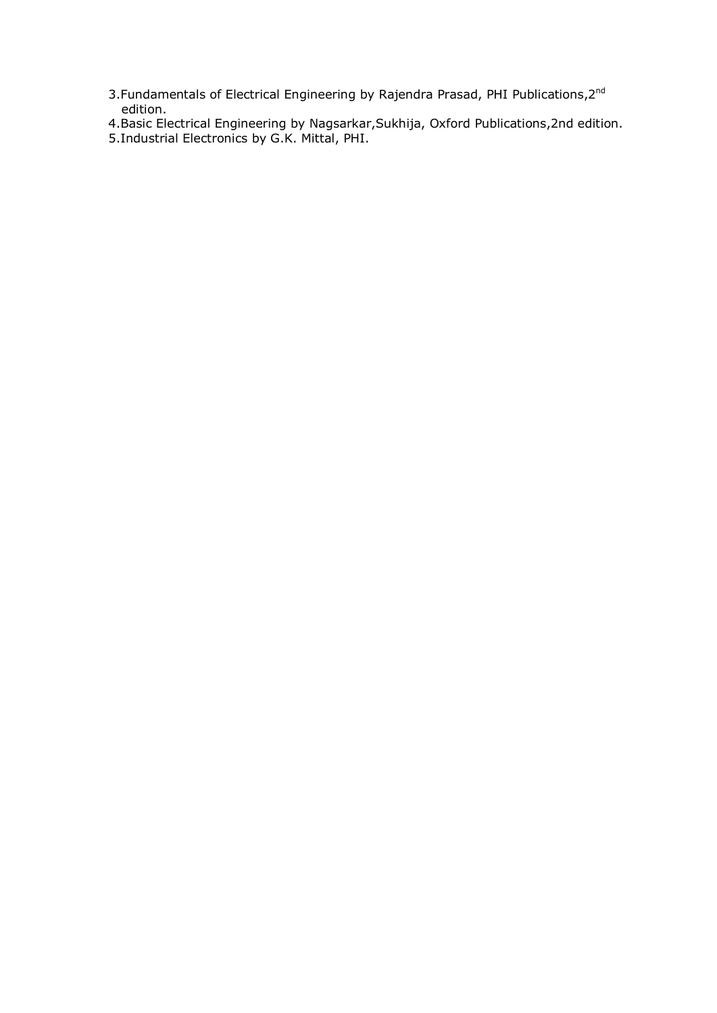- 3.Fundamentals of Electrical Engineering by Rajendra Prasad, PHI Publications, $2^{nd}$ edition.
- 4.Basic Electrical Engineering by Nagsarkar,Sukhija, Oxford Publications,2nd edition.
- 5.Industrial Electronics by G.K. Mittal, PHI.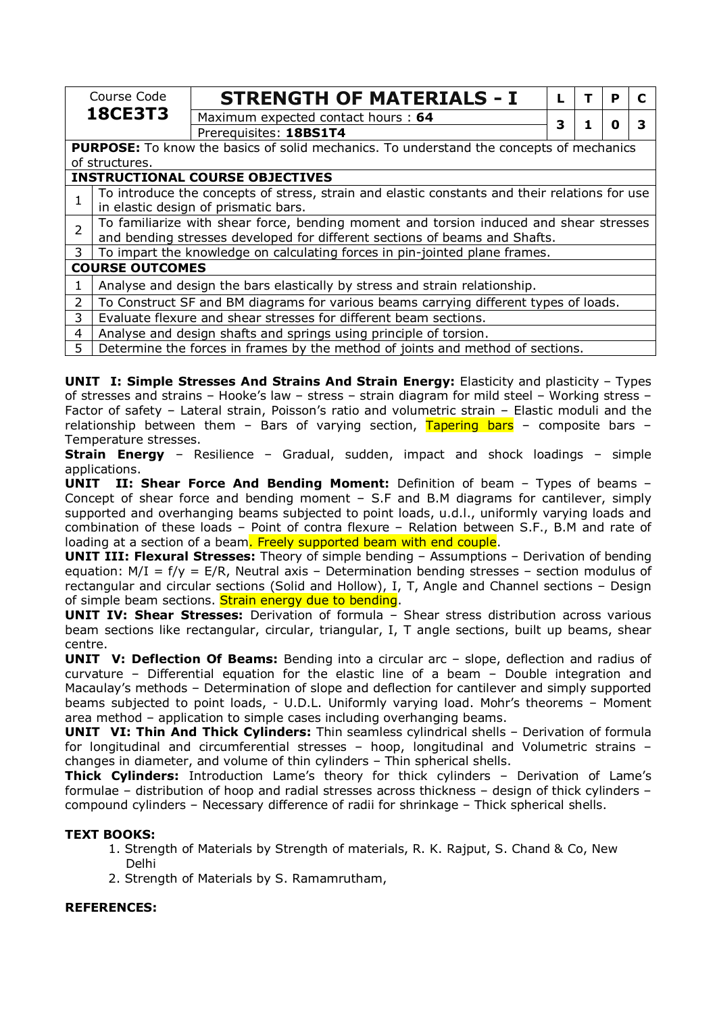|                | Course Code                                                                                                                                                          | <b>STRENGTH OF MATERIALS - I</b>                                                     |   |  | P |  |  |
|----------------|----------------------------------------------------------------------------------------------------------------------------------------------------------------------|--------------------------------------------------------------------------------------|---|--|---|--|--|
|                | <b>18CE3T3</b>                                                                                                                                                       | Maximum expected contact hours: 64                                                   | 3 |  | n |  |  |
|                |                                                                                                                                                                      | Prerequisites: 18BS1T4                                                               |   |  |   |  |  |
|                | <b>PURPOSE:</b> To know the basics of solid mechanics. To understand the concepts of mechanics                                                                       |                                                                                      |   |  |   |  |  |
|                | of structures.                                                                                                                                                       |                                                                                      |   |  |   |  |  |
|                | <b>INSTRUCTIONAL COURSE OBJECTIVES</b>                                                                                                                               |                                                                                      |   |  |   |  |  |
|                | To introduce the concepts of stress, strain and elastic constants and their relations for use<br>in elastic design of prismatic bars.                                |                                                                                      |   |  |   |  |  |
| $\overline{2}$ | To familiarize with shear force, bending moment and torsion induced and shear stresses<br>and bending stresses developed for different sections of beams and Shafts. |                                                                                      |   |  |   |  |  |
| 3              |                                                                                                                                                                      | To impart the knowledge on calculating forces in pin-jointed plane frames.           |   |  |   |  |  |
|                | <b>COURSE OUTCOMES</b>                                                                                                                                               |                                                                                      |   |  |   |  |  |
| 1              |                                                                                                                                                                      | Analyse and design the bars elastically by stress and strain relationship.           |   |  |   |  |  |
| $\overline{2}$ |                                                                                                                                                                      | To Construct SF and BM diagrams for various beams carrying different types of loads. |   |  |   |  |  |
| 3              |                                                                                                                                                                      | Evaluate flexure and shear stresses for different beam sections.                     |   |  |   |  |  |
| 4              |                                                                                                                                                                      | Analyse and design shafts and springs using principle of torsion.                    |   |  |   |  |  |
| 5              |                                                                                                                                                                      | Determine the forces in frames by the method of joints and method of sections.       |   |  |   |  |  |

**UNIT I: Simple Stresses And Strains And Strain Energy: Elasticity and plasticity – Types** of stresses and strains – Hooke's law – stress – strain diagram for mild steel – Working stress – Factor of safety – Lateral strain, Poisson's ratio and volumetric strain – Elastic moduli and the relationship between them – Bars of varying section, Tapering bars – composite bars – Temperature stresses.

**Strain Energy** – Resilience – Gradual, sudden, impact and shock loadings – simple applications.

**UNIT II: Shear Force And Bending Moment:** Definition of beam – Types of beams – Concept of shear force and bending moment – S.F and B.M diagrams for cantilever, simply supported and overhanging beams subjected to point loads, u.d.l., uniformly varying loads and combination of these loads – Point of contra flexure – Relation between S.F., B.M and rate of loading at a section of a beam. Freely supported beam with end couple.

**UNIT III: Flexural Stresses:** Theory of simple bending – Assumptions – Derivation of bending equation:  $M/I = f/y = E/R$ , Neutral axis – Determination bending stresses – section modulus of rectangular and circular sections (Solid and Hollow), I, T, Angle and Channel sections – Design of simple beam sections. Strain energy due to bending.

**UNIT IV: Shear Stresses:** Derivation of formula – Shear stress distribution across various beam sections like rectangular, circular, triangular, I, T angle sections, built up beams, shear centre.

**UNIT V: Deflection Of Beams:** Bending into a circular arc - slope, deflection and radius of curvature – Differential equation for the elastic line of a beam – Double integration and Macaulay's methods – Determination of slope and deflection for cantilever and simply supported beams subjected to point loads, - U.D.L. Uniformly varying load. Mohr's theorems – Moment area method – application to simple cases including overhanging beams.

**UNIT VI: Thin And Thick Cylinders:** Thin seamless cylindrical shells – Derivation of formula for longitudinal and circumferential stresses – hoop, longitudinal and Volumetric strains – changes in diameter, and volume of thin cylinders – Thin spherical shells.

**Thick Cylinders:** Introduction Lame's theory for thick cylinders – Derivation of Lame's formulae – distribution of hoop and radial stresses across thickness – design of thick cylinders – compound cylinders – Necessary difference of radii for shrinkage – Thick spherical shells.

## **TEXT BOOKS:**

- 1. Strength of Materials by Strength of materials, R. K. Rajput, S. Chand & Co, New Delhi
- 2. Strength of Materials by S. Ramamrutham,

## **REFERENCES:**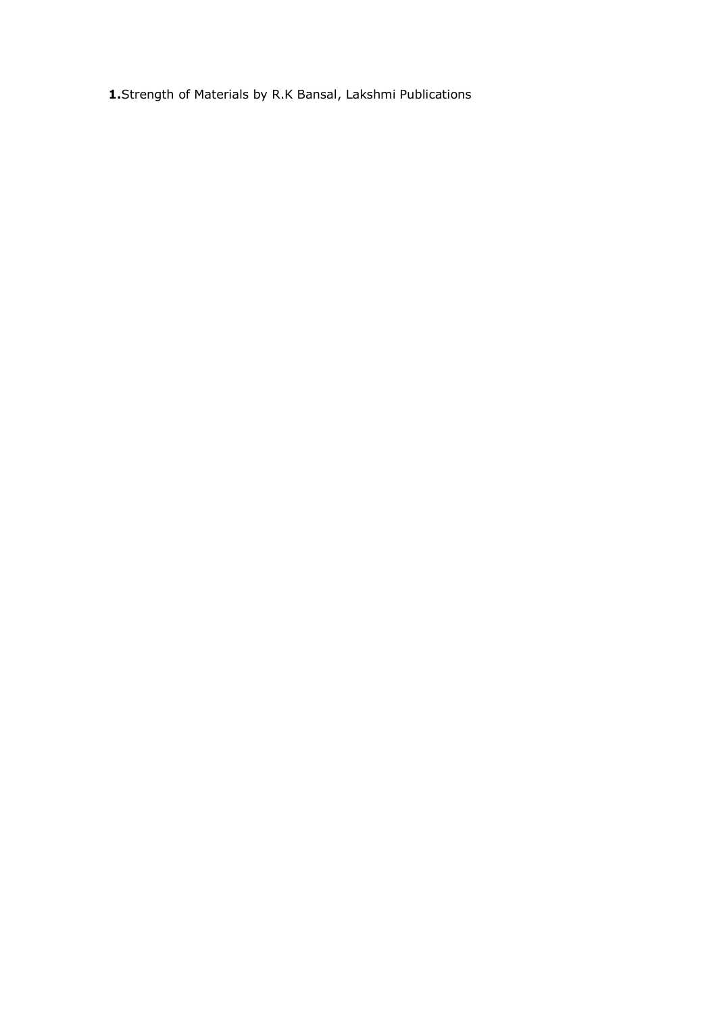**1.**Strength of Materials by R.K Bansal, Lakshmi Publications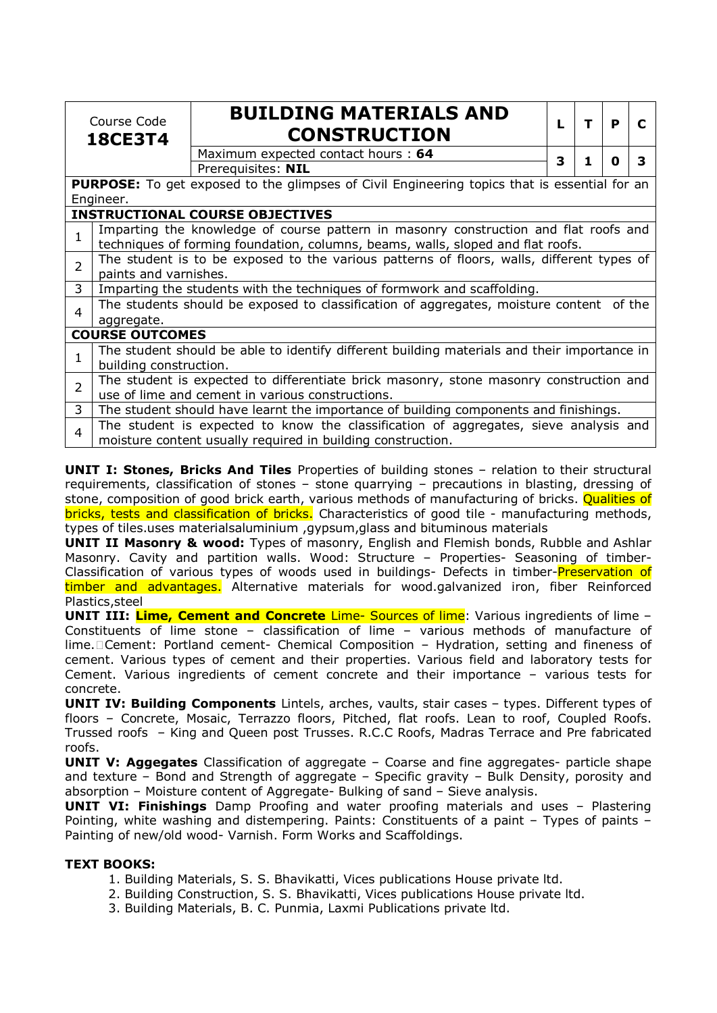|                                                                                                             | Course Code<br><b>18CE3T4</b>                                                                                                                                           | <b>BUILDING MATERIALS AND</b><br><b>CONSTRUCTION</b>                                        | L | т | P |   |  |
|-------------------------------------------------------------------------------------------------------------|-------------------------------------------------------------------------------------------------------------------------------------------------------------------------|---------------------------------------------------------------------------------------------|---|---|---|---|--|
|                                                                                                             |                                                                                                                                                                         | Maximum expected contact hours: 64                                                          | 3 | 1 | 0 | 3 |  |
|                                                                                                             |                                                                                                                                                                         | Prerequisites: NIL                                                                          |   |   |   |   |  |
|                                                                                                             | <b>PURPOSE:</b> To get exposed to the glimpses of Civil Engineering topics that is essential for an                                                                     |                                                                                             |   |   |   |   |  |
|                                                                                                             | Engineer.                                                                                                                                                               |                                                                                             |   |   |   |   |  |
|                                                                                                             |                                                                                                                                                                         | <b>INSTRUCTIONAL COURSE OBJECTIVES</b>                                                      |   |   |   |   |  |
| 1                                                                                                           | Imparting the knowledge of course pattern in masonry construction and flat roofs and<br>techniques of forming foundation, columns, beams, walls, sloped and flat roofs. |                                                                                             |   |   |   |   |  |
| The student is to be exposed to the various patterns of floors, walls, different types of<br>$\overline{2}$ |                                                                                                                                                                         |                                                                                             |   |   |   |   |  |
| paints and varnishes.                                                                                       |                                                                                                                                                                         |                                                                                             |   |   |   |   |  |
| 3                                                                                                           | Imparting the students with the techniques of formwork and scaffolding.                                                                                                 |                                                                                             |   |   |   |   |  |
| 4                                                                                                           |                                                                                                                                                                         | The students should be exposed to classification of aggregates, moisture content of the     |   |   |   |   |  |
|                                                                                                             | aggregate.                                                                                                                                                              |                                                                                             |   |   |   |   |  |
|                                                                                                             | <b>COURSE OUTCOMES</b>                                                                                                                                                  |                                                                                             |   |   |   |   |  |
|                                                                                                             |                                                                                                                                                                         | The student should be able to identify different building materials and their importance in |   |   |   |   |  |
|                                                                                                             | building construction.                                                                                                                                                  |                                                                                             |   |   |   |   |  |
| $\overline{2}$                                                                                              |                                                                                                                                                                         | The student is expected to differentiate brick masonry, stone masonry construction and      |   |   |   |   |  |
|                                                                                                             |                                                                                                                                                                         | use of lime and cement in various constructions.                                            |   |   |   |   |  |
| 3                                                                                                           |                                                                                                                                                                         | The student should have learnt the importance of building components and finishings.        |   |   |   |   |  |
| 4                                                                                                           | The student is expected to know the classification of aggregates, sieve analysis and<br>moisture content usually required in building construction.                     |                                                                                             |   |   |   |   |  |

**UNIT I: Stones, Bricks And Tiles** Properties of building stones – relation to their structural requirements, classification of stones – stone quarrying – precautions in blasting, dressing of stone, composition of good brick earth, various methods of manufacturing of bricks. Qualities of bricks, tests and classification of bricks. Characteristics of good tile - manufacturing methods, types of tiles.uses materialsaluminium ,gypsum,glass and bituminous materials

**UNIT II Masonry & wood:** Types of masonry, English and Flemish bonds, Rubble and Ashlar Masonry. Cavity and partition walls. Wood: Structure - Properties- Seasoning of timber-Classification of various types of woods used in buildings- Defects in timber-**Preservation of** timber and advantages. Alternative materials for wood.galvanized iron, fiber Reinforced Plastics,steel

**UNIT III: Lime, Cement and Concrete** Lime- Sources of lime: Various ingredients of lime – Constituents of lime stone – classification of lime – various methods of manufacture of lime. Cement: Portland cement- Chemical Composition - Hydration, setting and fineness of cement. Various types of cement and their properties. Various field and laboratory tests for Cement. Various ingredients of cement concrete and their importance – various tests for concrete.

**UNIT IV: Building Components** Lintels, arches, vaults, stair cases – types. Different types of floors – Concrete, Mosaic, Terrazzo floors, Pitched, flat roofs. Lean to roof, Coupled Roofs. Trussed roofs – King and Queen post Trusses. R.C.C Roofs, Madras Terrace and Pre fabricated roofs.

**UNIT V: Aggegates** Classification of aggregate – Coarse and fine aggregates- particle shape and texture – Bond and Strength of aggregate – Specific gravity – Bulk Density, porosity and absorption – Moisture content of Aggregate- Bulking of sand – Sieve analysis.

**UNIT VI: Finishings** Damp Proofing and water proofing materials and uses – Plastering Pointing, white washing and distempering. Paints: Constituents of a paint – Types of paints – Painting of new/old wood- Varnish. Form Works and Scaffoldings.

## **TEXT BOOKS:**

- 1. Building Materials, S. S. Bhavikatti, Vices publications House private ltd.
- 2. Building Construction, S. S. Bhavikatti, Vices publications House private ltd.
- 3. Building Materials, B. C. Punmia, Laxmi Publications private ltd.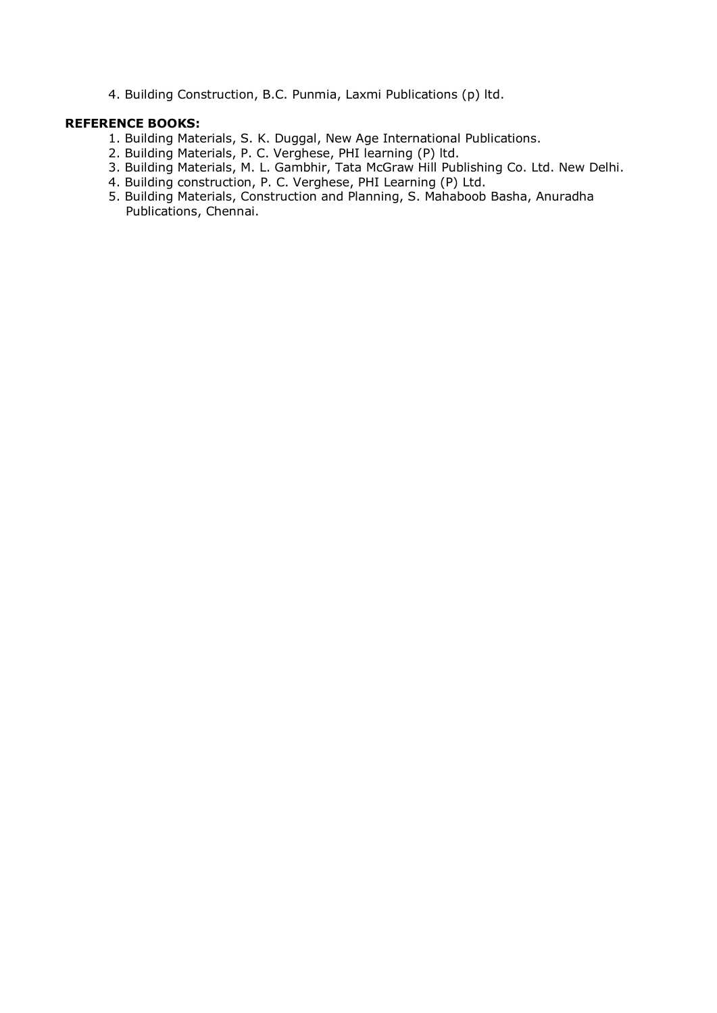4. Building Construction, B.C. Punmia, Laxmi Publications (p) ltd.

#### **REFERENCE BOOKS:**

- 1. Building Materials, S. K. Duggal, New Age International Publications.
- 2. Building Materials, P. C. Verghese, PHI learning (P) ltd.
- 3. Building Materials, M. L. Gambhir, Tata McGraw Hill Publishing Co. Ltd. New Delhi.
- 4. Building construction, P. C. Verghese, PHI Learning (P) Ltd.
- 5. Building Materials, Construction and Planning, S. Mahaboob Basha, Anuradha Publications, Chennai.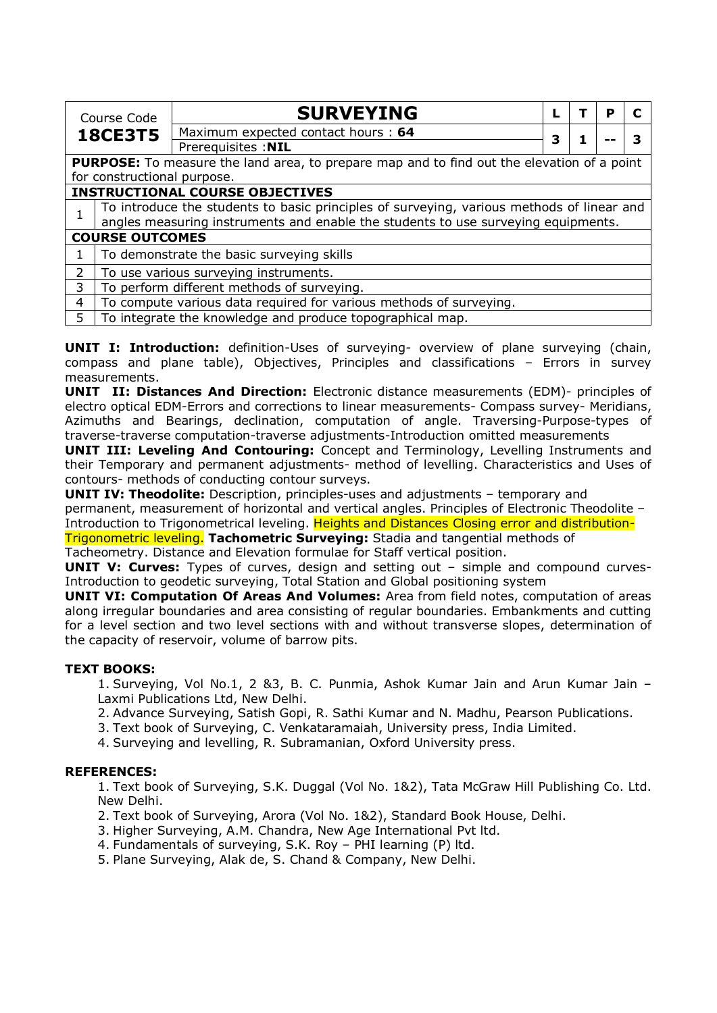| Course Code    |                                                                                   | <b>SURVEYING</b>                                                                                  |   |  | Р |  |  |  |
|----------------|-----------------------------------------------------------------------------------|---------------------------------------------------------------------------------------------------|---|--|---|--|--|--|
|                |                                                                                   | Maximum expected contact hours: 64                                                                |   |  |   |  |  |  |
|                | <b>18CE3T5</b>                                                                    |                                                                                                   | 3 |  |   |  |  |  |
|                |                                                                                   | Prerequisites : NIL                                                                               |   |  |   |  |  |  |
|                |                                                                                   | <b>PURPOSE:</b> To measure the land area, to prepare map and to find out the elevation of a point |   |  |   |  |  |  |
|                | for constructional purpose.                                                       |                                                                                                   |   |  |   |  |  |  |
|                |                                                                                   | <b>INSTRUCTIONAL COURSE OBJECTIVES</b>                                                            |   |  |   |  |  |  |
|                |                                                                                   | To introduce the students to basic principles of surveying, various methods of linear and         |   |  |   |  |  |  |
|                | angles measuring instruments and enable the students to use surveying equipments. |                                                                                                   |   |  |   |  |  |  |
|                | <b>COURSE OUTCOMES</b>                                                            |                                                                                                   |   |  |   |  |  |  |
| $\mathbf{1}$   |                                                                                   | To demonstrate the basic surveying skills                                                         |   |  |   |  |  |  |
| $\overline{2}$ |                                                                                   | To use various surveying instruments.                                                             |   |  |   |  |  |  |
| 3              | To perform different methods of surveying.                                        |                                                                                                   |   |  |   |  |  |  |
| 4              | To compute various data required for various methods of surveying.                |                                                                                                   |   |  |   |  |  |  |
| 5              | To integrate the knowledge and produce topographical map.                         |                                                                                                   |   |  |   |  |  |  |

**UNIT I: Introduction:** definition-Uses of surveying- overview of plane surveying (chain, compass and plane table), Objectives, Principles and classifications – Errors in survey measurements.

**UNIT II: Distances And Direction:** Electronic distance measurements (EDM)- principles of electro optical EDM-Errors and corrections to linear measurements- Compass survey- Meridians, Azimuths and Bearings, declination, computation of angle. Traversing-Purpose-types of traverse-traverse computation-traverse adjustments-Introduction omitted measurements

**UNIT III: Leveling And Contouring:** Concept and Terminology, Levelling Instruments and their Temporary and permanent adjustments- method of levelling. Characteristics and Uses of contours- methods of conducting contour surveys.

**UNIT IV: Theodolite:** Description, principles-uses and adjustments – temporary and permanent, measurement of horizontal and vertical angles. Principles of Electronic Theodolite – Introduction to Trigonometrical leveling. Heights and Distances Closing error and distribution-

Trigonometric leveling. **Tachometric Surveying:** Stadia and tangential methods of Tacheometry. Distance and Elevation formulae for Staff vertical position.

**UNIT V: Curves:** Types of curves, design and setting out – simple and compound curves-Introduction to geodetic surveying, Total Station and Global positioning system

**UNIT VI: Computation Of Areas And Volumes:** Area from field notes, computation of areas along irregular boundaries and area consisting of regular boundaries. Embankments and cutting for a level section and two level sections with and without transverse slopes, determination of the capacity of reservoir, volume of barrow pits.

## **TEXT BOOKS:**

1. Surveying, Vol No.1, 2 &3, B. C. Punmia, Ashok Kumar Jain and Arun Kumar Jain – Laxmi Publications Ltd, New Delhi.

2. Advance Surveying, Satish Gopi, R. Sathi Kumar and N. Madhu, Pearson Publications.

3. Text book of Surveying, C. Venkataramaiah, University press, India Limited.

4. Surveying and levelling, R. Subramanian, Oxford University press.

## **REFERENCES:**

1. Text book of Surveying, S.K. Duggal (Vol No. 1&2), Tata McGraw Hill Publishing Co. Ltd. New Delhi.

2. Text book of Surveying, Arora (Vol No. 1&2), Standard Book House, Delhi.

- 3. Higher Surveying, A.M. Chandra, New Age International Pvt ltd.
- 4. Fundamentals of surveying, S.K. Roy PHI learning (P) ltd.

5. Plane Surveying, Alak de, S. Chand & Company, New Delhi.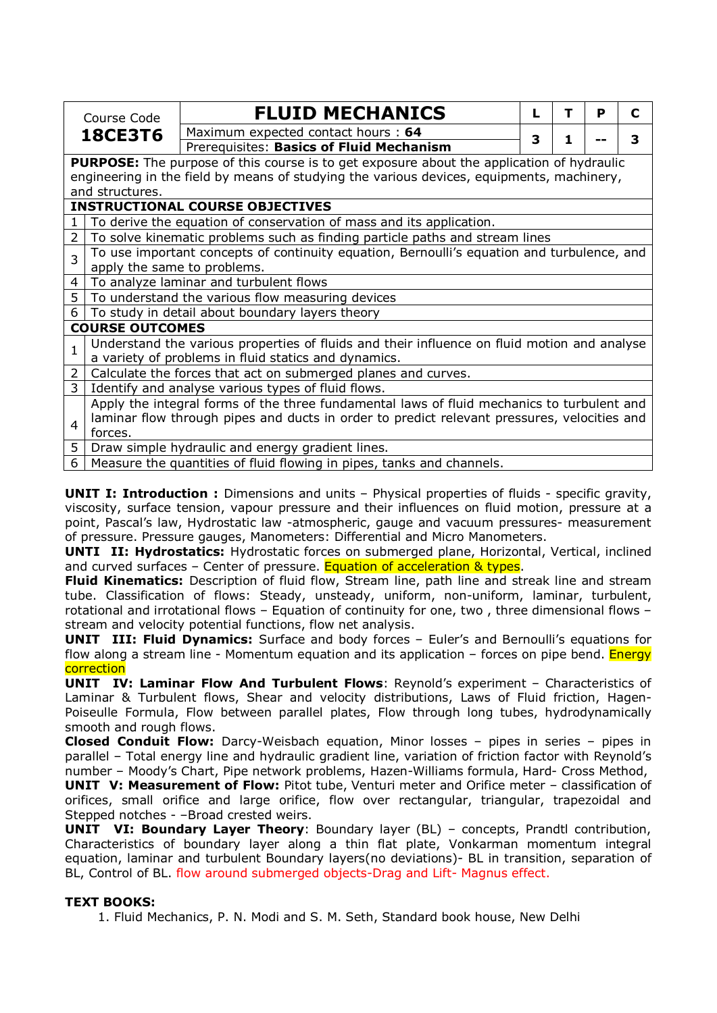|                | Course Code                                                                                      | <b>FLUID MECHANICS</b>                                                                      |   | т  | P | C |  |  |
|----------------|--------------------------------------------------------------------------------------------------|---------------------------------------------------------------------------------------------|---|----|---|---|--|--|
| <b>18CE3T6</b> |                                                                                                  | Maximum expected contact hours: 64                                                          | 3 | 1. |   | 3 |  |  |
|                |                                                                                                  | Prerequisites: Basics of Fluid Mechanism                                                    |   |    |   |   |  |  |
|                | <b>PURPOSE:</b> The purpose of this course is to get exposure about the application of hydraulic |                                                                                             |   |    |   |   |  |  |
|                |                                                                                                  | engineering in the field by means of studying the various devices, equipments, machinery,   |   |    |   |   |  |  |
|                | and structures.                                                                                  |                                                                                             |   |    |   |   |  |  |
|                |                                                                                                  | <b>INSTRUCTIONAL COURSE OBJECTIVES</b>                                                      |   |    |   |   |  |  |
| $\mathbf{1}$   |                                                                                                  | To derive the equation of conservation of mass and its application.                         |   |    |   |   |  |  |
| $\overline{2}$ | To solve kinematic problems such as finding particle paths and stream lines                      |                                                                                             |   |    |   |   |  |  |
| 3              |                                                                                                  | To use important concepts of continuity equation, Bernoulli's equation and turbulence, and  |   |    |   |   |  |  |
|                | apply the same to problems.                                                                      |                                                                                             |   |    |   |   |  |  |
| 4              |                                                                                                  | To analyze laminar and turbulent flows                                                      |   |    |   |   |  |  |
| 5.             | To understand the various flow measuring devices                                                 |                                                                                             |   |    |   |   |  |  |
| 6.             |                                                                                                  | To study in detail about boundary layers theory                                             |   |    |   |   |  |  |
|                | <b>COURSE OUTCOMES</b>                                                                           |                                                                                             |   |    |   |   |  |  |
| $\mathbf{1}$   |                                                                                                  | Understand the various properties of fluids and their influence on fluid motion and analyse |   |    |   |   |  |  |
|                | a variety of problems in fluid statics and dynamics.                                             |                                                                                             |   |    |   |   |  |  |
| 2              |                                                                                                  | Calculate the forces that act on submerged planes and curves.                               |   |    |   |   |  |  |
| 3              |                                                                                                  | Identify and analyse various types of fluid flows.                                          |   |    |   |   |  |  |
|                |                                                                                                  | Apply the integral forms of the three fundamental laws of fluid mechanics to turbulent and  |   |    |   |   |  |  |
| 4              |                                                                                                  | laminar flow through pipes and ducts in order to predict relevant pressures, velocities and |   |    |   |   |  |  |
|                | forces.                                                                                          |                                                                                             |   |    |   |   |  |  |
| 5              | Draw simple hydraulic and energy gradient lines.                                                 |                                                                                             |   |    |   |   |  |  |
| 6              |                                                                                                  | Measure the quantities of fluid flowing in pipes, tanks and channels.                       |   |    |   |   |  |  |

**UNIT I: Introduction :** Dimensions and units - Physical properties of fluids - specific gravity, viscosity, surface tension, vapour pressure and their influences on fluid motion, pressure at a point, Pascal's law, Hydrostatic law -atmospheric, gauge and vacuum pressures- measurement of pressure. Pressure gauges, Manometers: Differential and Micro Manometers.

**UNTI II: Hydrostatics:** Hydrostatic forces on submerged plane, Horizontal, Vertical, inclined and curved surfaces – Center of pressure. Equation of acceleration & types.

**Fluid Kinematics:** Description of fluid flow, Stream line, path line and streak line and stream tube. Classification of flows: Steady, unsteady, uniform, non-uniform, laminar, turbulent, rotational and irrotational flows – Equation of continuity for one, two , three dimensional flows – stream and velocity potential functions, flow net analysis.

**UNIT III: Fluid Dynamics:** Surface and body forces – Euler's and Bernoulli's equations for flow along a stream line - Momentum equation and its application  $-$  forces on pipe bend. Energy correction

**UNIT IV: Laminar Flow And Turbulent Flows**: Reynold's experiment – Characteristics of Laminar & Turbulent flows, Shear and velocity distributions, Laws of Fluid friction, Hagen-Poiseulle Formula, Flow between parallel plates, Flow through long tubes, hydrodynamically smooth and rough flows.

**Closed Conduit Flow:** Darcy-Weisbach equation, Minor losses – pipes in series – pipes in parallel – Total energy line and hydraulic gradient line, variation of friction factor with Reynold's number – Moody's Chart, Pipe network problems, Hazen-Williams formula, Hard- Cross Method,

**UNIT V: Measurement of Flow:** Pitot tube, Venturi meter and Orifice meter – classification of orifices, small orifice and large orifice, flow over rectangular, triangular, trapezoidal and Stepped notches - –Broad crested weirs.

**UNIT VI: Boundary Layer Theory**: Boundary layer (BL) – concepts, Prandtl contribution, Characteristics of boundary layer along a thin flat plate, Vonkarman momentum integral equation, laminar and turbulent Boundary layers(no deviations)- BL in transition, separation of BL, Control of BL. flow around submerged objects-Drag and Lift- Magnus effect.

## **TEXT BOOKS:**

1. Fluid Mechanics, P. N. Modi and S. M. Seth, Standard book house, New Delhi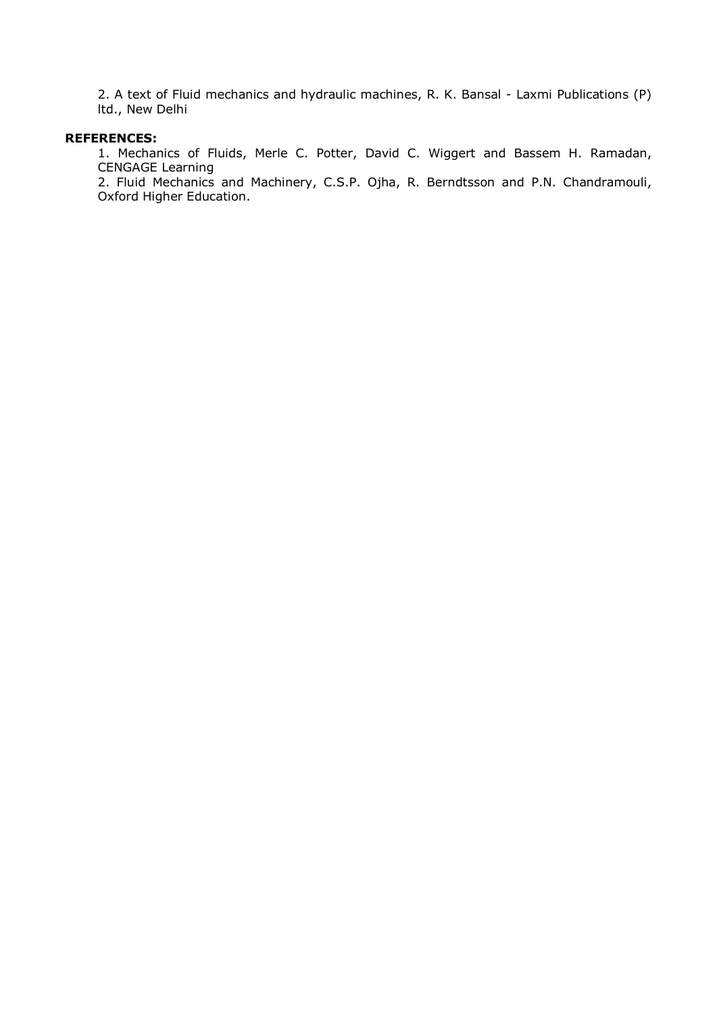2. A text of Fluid mechanics and hydraulic machines, R. K. Bansal - Laxmi Publications (P) ltd., New Delhi

#### **REFERENCES:**

1. Mechanics of Fluids, Merle C. Potter, David C. Wiggert and Bassem H. Ramadan, CENGAGE Learning

2. Fluid Mechanics and Machinery, C.S.P. Ojha, R. Berndtsson and P.N. Chandramouli, Oxford Higher Education.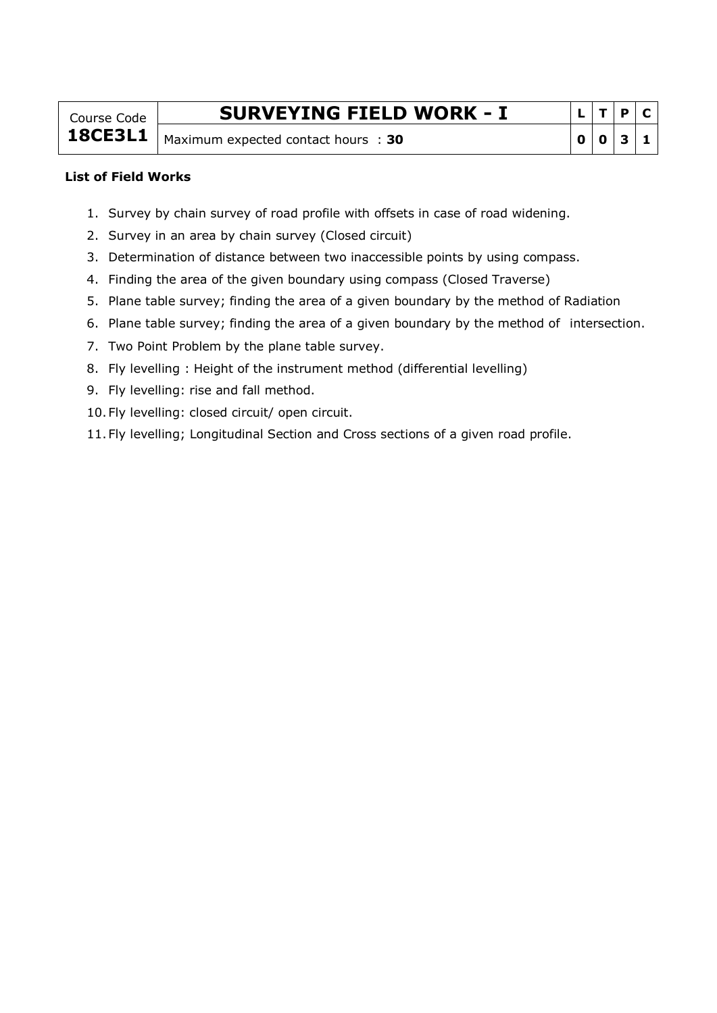Course Code **18CE3L1**

# **SURVEYING FIELD WORK - I**

Maximum expected contact hours : 30

|   | т | $\mathbf{P}$ | $\mathbf C$ |
|---|---|--------------|-------------|
| O | 0 | $\mathbf{3}$ | ٦           |

#### **List of Field Works**

- 1. Survey by chain survey of road profile with offsets in case of road widening.
- 2. Survey in an area by chain survey (Closed circuit)
- 3. Determination of distance between two inaccessible points by using compass.
- 4. Finding the area of the given boundary using compass (Closed Traverse)
- 5. Plane table survey; finding the area of a given boundary by the method of Radiation
- 6. Plane table survey; finding the area of a given boundary by the method of intersection.
- 7. Two Point Problem by the plane table survey.
- 8. Fly levelling : Height of the instrument method (differential levelling)
- 9. Fly levelling: rise and fall method.
- 10.Fly levelling: closed circuit/ open circuit.
- 11.Fly levelling; Longitudinal Section and Cross sections of a given road profile.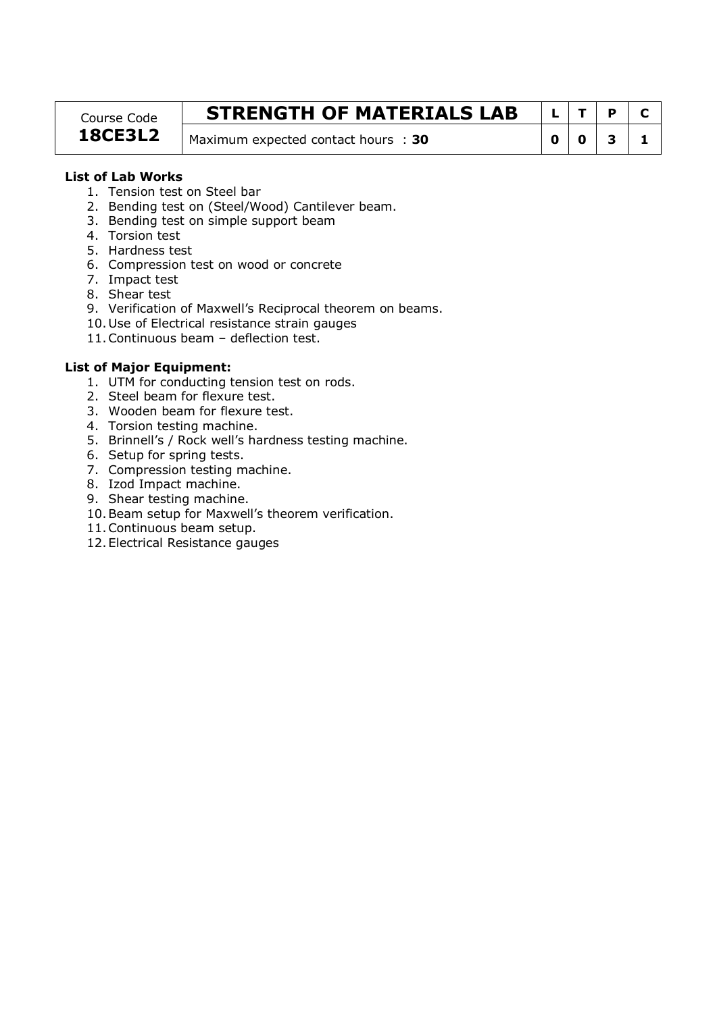#### Course Code **18CE3L2**

# **STRENGTH OF MATERIALS LAB**  $\left| L \right|$  T  $\left| P \right|$  C

Maximum expected contact hours : **30 0 0 1 3 1** 

## **List of Lab Works**

- 1. Tension test on Steel bar
- 2. Bending test on (Steel/Wood) Cantilever beam.
- 3. Bending test on simple support beam
- 4. Torsion test
- 5. Hardness test
- 6. Compression test on wood or concrete
- 7. Impact test
- 8. Shear test
- 9. Verification of Maxwell's Reciprocal theorem on beams.
- 10.Use of Electrical resistance strain gauges
- 11.Continuous beam deflection test.

## **List of Major Equipment:**

- 1. UTM for conducting tension test on rods.
- 2. Steel beam for flexure test.
- 3. Wooden beam for flexure test.
- 4. Torsion testing machine.
- 5. Brinnell's / Rock well's hardness testing machine.
- 6. Setup for spring tests.
- 7. Compression testing machine.
- 8. Izod Impact machine.
- 9. Shear testing machine.
- 10.Beam setup for Maxwell's theorem verification.
- 11.Continuous beam setup.
- 12.Electrical Resistance gauges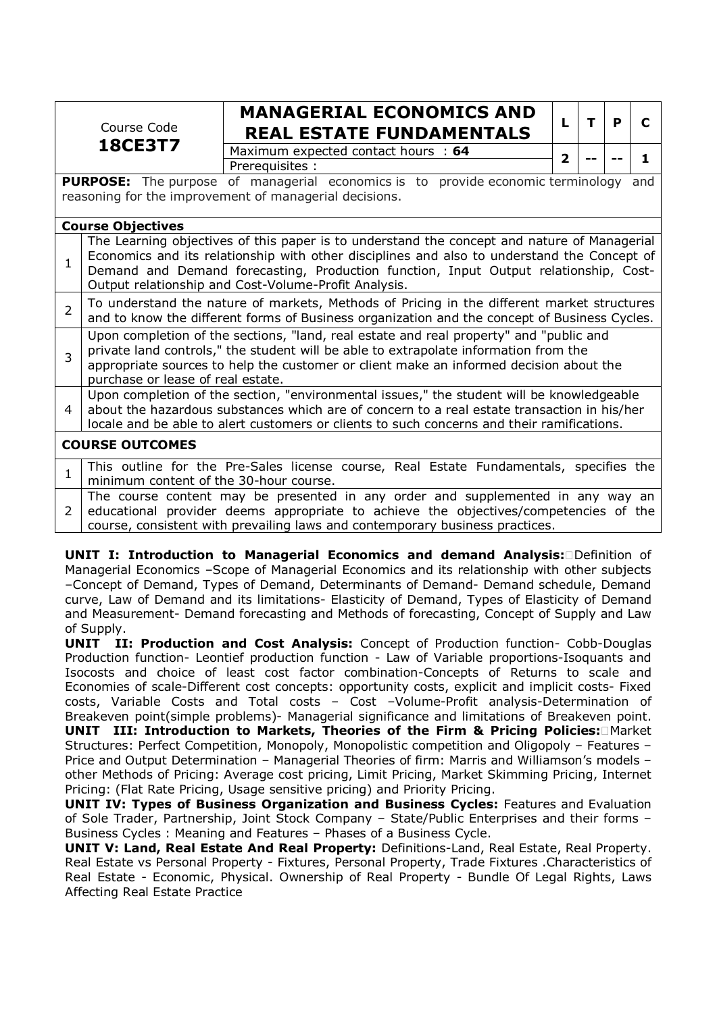|                                                                                                                                                                                                                                                                                                                                                                                        | Course Code | <b>MANAGERIAL ECONOMICS AND</b><br><b>REAL ESTATE FUNDAMENTALS</b> |   |  | р |  |
|----------------------------------------------------------------------------------------------------------------------------------------------------------------------------------------------------------------------------------------------------------------------------------------------------------------------------------------------------------------------------------------|-------------|--------------------------------------------------------------------|---|--|---|--|
| <b>18CE3T7</b>                                                                                                                                                                                                                                                                                                                                                                         |             | Maximum expected contact hours : 64<br>Prerequisites :             | 2 |  |   |  |
| <b>PURPOSE:</b> The purpose of managerial economics is to provide economic terminology<br>and<br>reasoning for the improvement of managerial decisions.                                                                                                                                                                                                                                |             |                                                                    |   |  |   |  |
| <b>Course Objectives</b><br>The Learning objectives of this paper is to understand the concept and nature of Managerial<br>Economics and its relationship with other disciplines and also to understand the Concept of<br>$\mathbf{1}$<br>Demand and Demand forecasting, Production function, Input Output relationship, Cost-<br>Output relationship and Cost-Volume-Profit Analysis. |             |                                                                    |   |  |   |  |
|                                                                                                                                                                                                                                                                                                                                                                                        |             |                                                                    |   |  |   |  |

| $\sim$ 2 $\mid$ To understand the nature of markets, Methods of Pricing in the different market structures<br>and to know the different forms of Business organization and the concept of Business Cycles.                                                                               |
|------------------------------------------------------------------------------------------------------------------------------------------------------------------------------------------------------------------------------------------------------------------------------------------|
| Upon completion of the sections, "land, real estate and real property" and "public and<br>$\frac{1}{3}$   private land controls," the student will be able to extrapolate information from the<br>appropriate sources to help the customer or client make an informed decision about the |

purchase or lease of real estate.

4 Upon completion of the section, "environmental issues," the student will be knowledgeable about the hazardous substances which are of concern to a real estate transaction in his/her locale and be able to alert customers or clients to such concerns and their ramifications.

## **COURSE OUTCOMES**

| This outline for the Pre-Sales license course, Real Estate Fundamentals, specifies the |
|----------------------------------------------------------------------------------------|
| minimum content of the 30-hour course.                                                 |
| The course content may be presented in any order and supplemented in any way an        |
| 2 educational provider deems appropriate to achieve the objectives/competencies of the |

course, consistent with prevailing laws and contemporary business practices. **UNIT I: Introduction to Managerial Economics and demand Analysis: Definition of** Managerial Economics –Scope of Managerial Economics and its relationship with other subjects –Concept of Demand, Types of Demand, Determinants of Demand- Demand schedule, Demand

curve, Law of Demand and its limitations- Elasticity of Demand, Types of Elasticity of Demand and Measurement- Demand forecasting and Methods of forecasting, Concept of Supply and Law of Supply. **UNIT II: Production and Cost Analysis:** Concept of Production function- Cobb-Douglas

Production function- Leontief production function - Law of Variable proportions-Isoquants and Isocosts and choice of least cost factor combination-Concepts of Returns to scale and Economies of scale-Different cost concepts: opportunity costs, explicit and implicit costs- Fixed costs, Variable Costs and Total costs – Cost –Volume-Profit analysis-Determination of Breakeven point(simple problems)- Managerial significance and limitations of Breakeven point. **UNIT III: Introduction to Markets, Theories of the Firm & Pricing Policies: Market** Structures: Perfect Competition, Monopoly, Monopolistic competition and Oligopoly – Features – Price and Output Determination – Managerial Theories of firm: Marris and Williamson's models – other Methods of Pricing: Average cost pricing, Limit Pricing, Market Skimming Pricing, Internet Pricing: (Flat Rate Pricing, Usage sensitive pricing) and Priority Pricing.

**UNIT IV: Types of Business Organization and Business Cycles:** Features and Evaluation of Sole Trader, Partnership, Joint Stock Company – State/Public Enterprises and their forms – Business Cycles : Meaning and Features – Phases of a Business Cycle.

**UNIT V: Land, Real Estate And Real Property:** Definitions-Land, Real Estate, Real Property. Real Estate vs Personal Property - Fixtures, Personal Property, Trade Fixtures .Characteristics of Real Estate - Economic, Physical. Ownership of Real Property - Bundle Of Legal Rights, Laws Affecting Real Estate Practice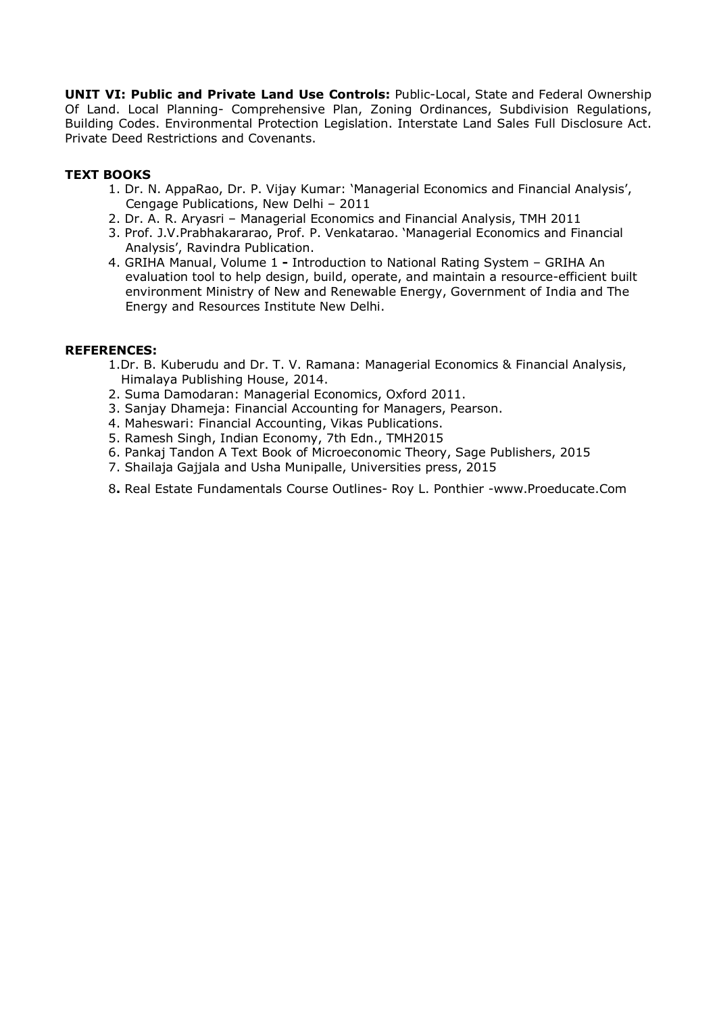**UNIT VI: Public and Private Land Use Controls:** Public-Local, State and Federal Ownership Of Land. Local Planning- Comprehensive Plan, Zoning Ordinances, Subdivision Regulations, Building Codes. Environmental Protection Legislation. Interstate Land Sales Full Disclosure Act. Private Deed Restrictions and Covenants.

## **TEXT BOOKS**

- 1. Dr. N. AppaRao, Dr. P. Vijay Kumar: 'Managerial Economics and Financial Analysis', Cengage Publications, New Delhi – 2011
- 2. Dr. A. R. Aryasri Managerial Economics and Financial Analysis, TMH 2011
- 3. Prof. J.V.Prabhakararao, Prof. P. Venkatarao. 'Managerial Economics and Financial Analysis', Ravindra Publication.
- 4. GRIHA Manual, Volume 1Introduction to National Rating System GRIHA An evaluation tool to help design, build, operate, and maintain a resource-efficient built environment Ministry of New and Renewable Energy, Government of India and The Energy and Resources Institute New Delhi.

#### **REFERENCES:**

- 1.Dr. B. Kuberudu and Dr. T. V. Ramana: Managerial Economics & Financial Analysis, Himalaya Publishing House, 2014.
- 2. Suma Damodaran: Managerial Economics, Oxford 2011.
- 3. Sanjay Dhameja: Financial Accounting for Managers, Pearson.
- 4. Maheswari: Financial Accounting, Vikas Publications.
- 5. Ramesh Singh, Indian Economy, 7th Edn., TMH2015
- 6. Pankaj Tandon A Text Book of Microeconomic Theory, Sage Publishers, 2015
- 7. Shailaja Gajjala and Usha Munipalle, Universities press, 2015
- 8**.** Real Estate Fundamentals Course Outlines- Roy L. Ponthier -www.Proeducate.Com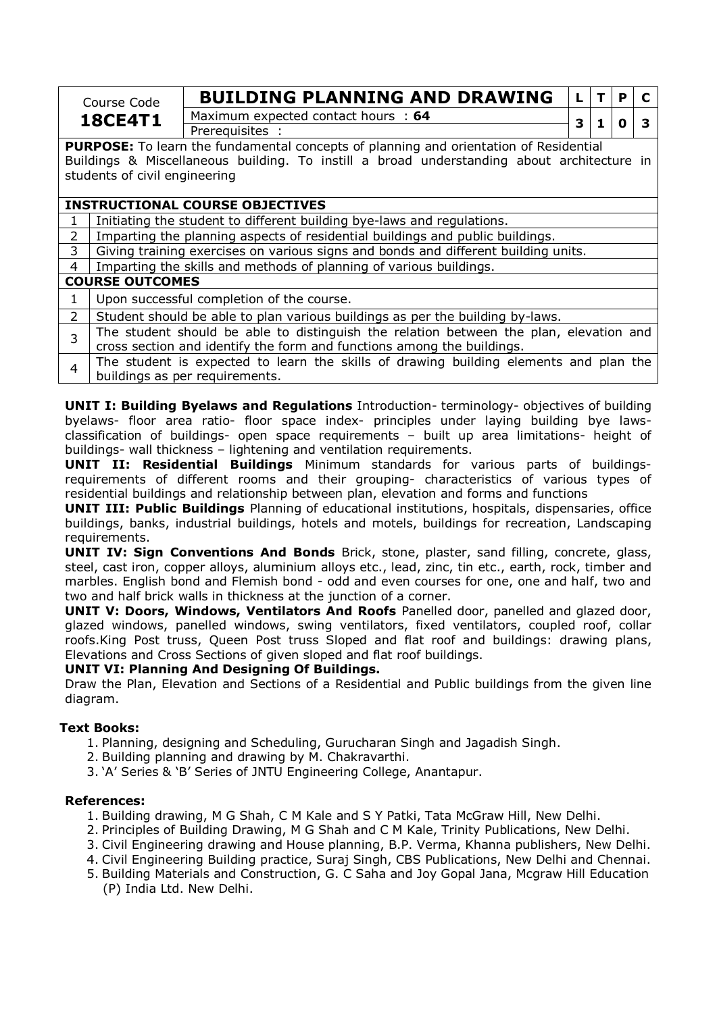| Course Code    | <b>BUILDING PLANNING AND DRAWING</b> |  |              |  |
|----------------|--------------------------------------|--|--------------|--|
| <b>18CE4T1</b> | Maximum expected contact hours: 64   |  | <sup>0</sup> |  |
|                | <b>Prereguisites</b>                 |  |              |  |

**PURPOSE:** To learn the fundamental concepts of planning and orientation of Residential Buildings & Miscellaneous building. To instill a broad understanding about architecture in students of civil engineering

#### **INSTRUCTIONAL COURSE OBJECTIVES**

1 | Initiating the student to different building bye-laws and regulations.

2 | Imparting the planning aspects of residential buildings and public buildings.

- 3 Giving training exercises on various signs and bonds and different building units.
- 4 Imparting the skills and methods of planning of various buildings.

#### **COURSE OUTCOMES**

- $1$  Upon successful completion of the course.
- 2 Student should be able to plan various buildings as per the building by-laws.
- $3$  The student should be able to distinguish the relation between the plan, elevation and cross section and identify the form and functions among the buildings.
- $4$  The student is expected to learn the skills of drawing building elements and plan the buildings as per requirements.

**UNIT I: Building Byelaws and Regulations** Introduction- terminology- objectives of building byelaws- floor area ratio- floor space index- principles under laying building bye lawsclassification of buildings- open space requirements – built up area limitations- height of buildings- wall thickness – lightening and ventilation requirements.

**UNIT II: Residential Buildings** Minimum standards for various parts of buildingsrequirements of different rooms and their grouping- characteristics of various types of residential buildings and relationship between plan, elevation and forms and functions

**UNIT III: Public Buildings** Planning of educational institutions, hospitals, dispensaries, office buildings, banks, industrial buildings, hotels and motels, buildings for recreation, Landscaping requirements.

**UNIT IV: Sign Conventions And Bonds** Brick, stone, plaster, sand filling, concrete, glass, steel, cast iron, copper alloys, aluminium alloys etc., lead, zinc, tin etc., earth, rock, timber and marbles. English bond and Flemish bond - odd and even courses for one, one and half, two and two and half brick walls in thickness at the junction of a corner.

**UNIT V: Doors, Windows, Ventilators And Roofs** Panelled door, panelled and glazed door, glazed windows, panelled windows, swing ventilators, fixed ventilators, coupled roof, collar roofs.King Post truss, Queen Post truss Sloped and flat roof and buildings: drawing plans, Elevations and Cross Sections of given sloped and flat roof buildings.

#### **UNIT VI: Planning And Designing Of Buildings.**

Draw the Plan, Elevation and Sections of a Residential and Public buildings from the given line diagram.

## **Text Books:**

- 1. Planning, designing and Scheduling, Gurucharan Singh and Jagadish Singh.
- 2. Building planning and drawing by M. Chakravarthi.
- 3. 'A' Series & 'B' Series of JNTU Engineering College, Anantapur.

#### **References:**

- 1. Building drawing, M G Shah, C M Kale and S Y Patki, Tata McGraw Hill, New Delhi.
- 2. Principles of Building Drawing, M G Shah and C M Kale, Trinity Publications, New Delhi.
- 3. Civil Engineering drawing and House planning, B.P. Verma, Khanna publishers, New Delhi.
- 4. Civil Engineering Building practice, Suraj Singh, CBS Publications, New Delhi and Chennai.
- 5. Building Materials and Construction, G. C Saha and Joy Gopal Jana, Mcgraw Hill Education (P) India Ltd. New Delhi.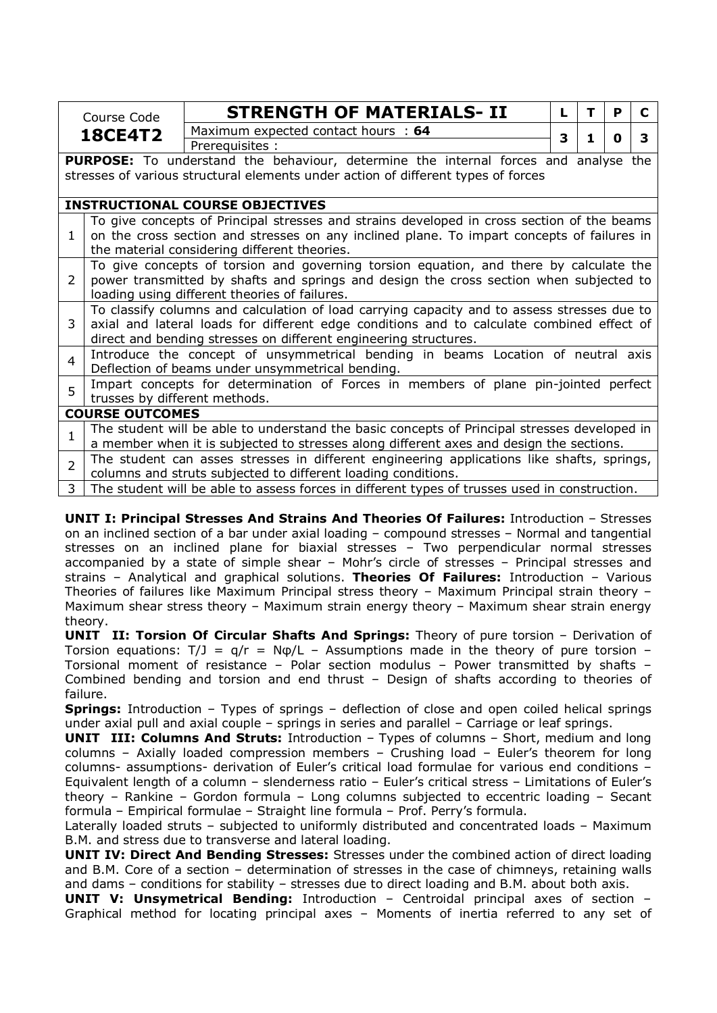|                | Course Code                                                                                   | <b>STRENGTH OF MATERIALS- II</b>                                                             | L. | т | P | C |  |  |
|----------------|-----------------------------------------------------------------------------------------------|----------------------------------------------------------------------------------------------|----|---|---|---|--|--|
|                | <b>18CE4T2</b>                                                                                | Maximum expected contact hours : 64                                                          | 3  | 1 |   | 3 |  |  |
|                |                                                                                               | Prerequisites :                                                                              |    |   | O |   |  |  |
|                |                                                                                               | <b>PURPOSE:</b> To understand the behaviour, determine the internal forces and analyse the   |    |   |   |   |  |  |
|                |                                                                                               | stresses of various structural elements under action of different types of forces            |    |   |   |   |  |  |
|                |                                                                                               |                                                                                              |    |   |   |   |  |  |
|                | <b>INSTRUCTIONAL COURSE OBJECTIVES</b>                                                        |                                                                                              |    |   |   |   |  |  |
|                |                                                                                               | To give concepts of Principal stresses and strains developed in cross section of the beams   |    |   |   |   |  |  |
| $\mathbf{1}$   |                                                                                               | on the cross section and stresses on any inclined plane. To impart concepts of failures in   |    |   |   |   |  |  |
|                | the material considering different theories.                                                  |                                                                                              |    |   |   |   |  |  |
|                |                                                                                               | To give concepts of torsion and governing torsion equation, and there by calculate the       |    |   |   |   |  |  |
| $\overline{2}$ |                                                                                               | power transmitted by shafts and springs and design the cross section when subjected to       |    |   |   |   |  |  |
|                |                                                                                               | loading using different theories of failures.                                                |    |   |   |   |  |  |
|                |                                                                                               | To classify columns and calculation of load carrying capacity and to assess stresses due to  |    |   |   |   |  |  |
| 3              |                                                                                               | axial and lateral loads for different edge conditions and to calculate combined effect of    |    |   |   |   |  |  |
|                |                                                                                               | direct and bending stresses on different engineering structures.                             |    |   |   |   |  |  |
| 4              |                                                                                               | Introduce the concept of unsymmetrical bending in beams Location of neutral axis             |    |   |   |   |  |  |
|                |                                                                                               | Deflection of beams under unsymmetrical bending.                                             |    |   |   |   |  |  |
| 5              |                                                                                               | Impart concepts for determination of Forces in members of plane pin-jointed perfect          |    |   |   |   |  |  |
|                | trusses by different methods.                                                                 |                                                                                              |    |   |   |   |  |  |
|                | <b>COURSE OUTCOMES</b>                                                                        |                                                                                              |    |   |   |   |  |  |
| 1              |                                                                                               | The student will be able to understand the basic concepts of Principal stresses developed in |    |   |   |   |  |  |
|                |                                                                                               | a member when it is subjected to stresses along different axes and design the sections.      |    |   |   |   |  |  |
| $\overline{2}$ |                                                                                               | The student can asses stresses in different engineering applications like shafts, springs,   |    |   |   |   |  |  |
|                |                                                                                               | columns and struts subjected to different loading conditions.                                |    |   |   |   |  |  |
| 3              | The student will be able to assess forces in different types of trusses used in construction. |                                                                                              |    |   |   |   |  |  |

**UNIT I: Principal Stresses And Strains And Theories Of Failures:** Introduction – Stresses on an inclined section of a bar under axial loading – compound stresses – Normal and tangential stresses on an inclined plane for biaxial stresses – Two perpendicular normal stresses accompanied by a state of simple shear – Mohr's circle of stresses – Principal stresses and strains – Analytical and graphical solutions. **Theories Of Failures:** Introduction – Various Theories of failures like Maximum Principal stress theory – Maximum Principal strain theory – Maximum shear stress theory – Maximum strain energy theory – Maximum shear strain energy theory.

**UNIT II: Torsion Of Circular Shafts And Springs:** Theory of pure torsion – Derivation of Torsion equations:  $T/J = q/r = N\phi/L -$  Assumptions made in the theory of pure torsion – Torsional moment of resistance – Polar section modulus – Power transmitted by shafts – Combined bending and torsion and end thrust – Design of shafts according to theories of failure.

**Springs:** Introduction – Types of springs – deflection of close and open coiled helical springs under axial pull and axial couple – springs in series and parallel – Carriage or leaf springs.

**UNIT III: Columns And Struts:** Introduction – Types of columns – Short, medium and long columns – Axially loaded compression members – Crushing load – Euler's theorem for long columns- assumptions- derivation of Euler's critical load formulae for various end conditions – Equivalent length of a column – slenderness ratio – Euler's critical stress – Limitations of Euler's theory – Rankine – Gordon formula – Long columns subjected to eccentric loading – Secant formula – Empirical formulae – Straight line formula – Prof. Perry's formula.

Laterally loaded struts – subjected to uniformly distributed and concentrated loads – Maximum B.M. and stress due to transverse and lateral loading.

**UNIT IV: Direct And Bending Stresses:** Stresses under the combined action of direct loading and B.M. Core of a section – determination of stresses in the case of chimneys, retaining walls and dams – conditions for stability – stresses due to direct loading and B.M. about both axis.

**UNIT V: Unsymetrical Bending:** Introduction – Centroidal principal axes of section – Graphical method for locating principal axes – Moments of inertia referred to any set of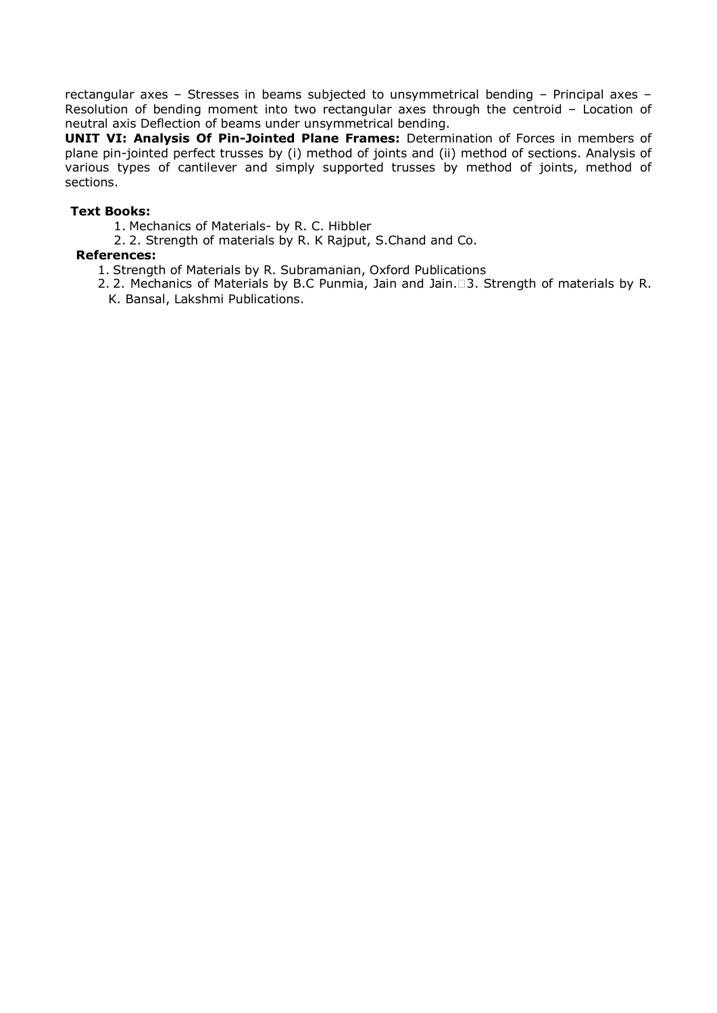rectangular axes – Stresses in beams subjected to unsymmetrical bending – Principal axes – Resolution of bending moment into two rectangular axes through the centroid – Location of neutral axis Deflection of beams under unsymmetrical bending.

**UNIT VI: Analysis Of Pin-Jointed Plane Frames:** Determination of Forces in members of plane pin-jointed perfect trusses by (i) method of joints and (ii) method of sections. Analysis of various types of cantilever and simply supported trusses by method of joints, method of sections.

#### **Text Books:**

- 1. Mechanics of Materials- by R. C. Hibbler
- 2. 2. Strength of materials by R. K Rajput, S.Chand and Co.

#### **References:**

- 1. Strength of Materials by R. Subramanian, Oxford Publications
- 2. 2. Mechanics of Materials by B.C Punmia, Jain and Jain.3. Strength of materials by R. K. Bansal, Lakshmi Publications.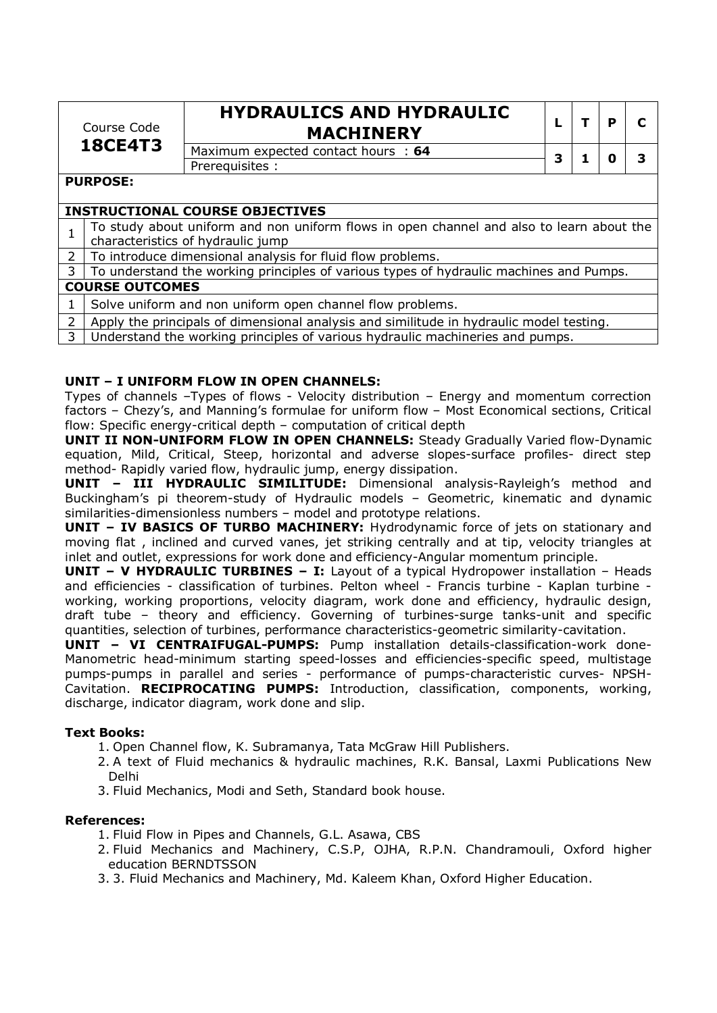| Course Code<br><b>18CE4T3</b> |                 | <b>HYDRAULICS AND HYDRAULIC</b><br><b>MACHINERY</b>                                                                           |   |  |  |  |  |
|-------------------------------|-----------------|-------------------------------------------------------------------------------------------------------------------------------|---|--|--|--|--|
|                               |                 | Maximum expected contact hours : 64                                                                                           | 3 |  |  |  |  |
|                               |                 | Prerequisites :                                                                                                               |   |  |  |  |  |
|                               | <b>PURPOSE:</b> |                                                                                                                               |   |  |  |  |  |
|                               |                 | <b>INSTRUCTIONAL COURSE OBJECTIVES</b>                                                                                        |   |  |  |  |  |
|                               |                 | To study about uniform and non uniform flows in open channel and also to learn about the<br>characteristics of hydraulic jump |   |  |  |  |  |
| 2 <sup>1</sup>                |                 | To introduce dimensional analysis for fluid flow problems.                                                                    |   |  |  |  |  |
|                               |                 |                                                                                                                               |   |  |  |  |  |
| 3 <sup>1</sup>                |                 | To understand the working principles of various types of hydraulic machines and Pumps.                                        |   |  |  |  |  |

#### **COURSE OUTCOMES**

- 1 Solve uniform and non uniform open channel flow problems.
- 2 Apply the principals of dimensional analysis and similitude in hydraulic model testing.
- 3 Understand the working principles of various hydraulic machineries and pumps.

#### **UNIT – I UNIFORM FLOW IN OPEN CHANNELS:**

Types of channels –Types of flows - Velocity distribution – Energy and momentum correction factors – Chezy's, and Manning's formulae for uniform flow – Most Economical sections, Critical flow: Specific energy-critical depth – computation of critical depth

**UNIT II NON-UNIFORM FLOW IN OPEN CHANNELS:** Steady Gradually Varied flow-Dynamic equation, Mild, Critical, Steep, horizontal and adverse slopes-surface profiles- direct step method- Rapidly varied flow, hydraulic jump, energy dissipation.

**UNIT – III HYDRAULIC SIMILITUDE:** Dimensional analysis-Rayleigh's method and Buckingham's pi theorem-study of Hydraulic models – Geometric, kinematic and dynamic similarities-dimensionless numbers – model and prototype relations.

**UNIT – IV BASICS OF TURBO MACHINERY:** Hydrodynamic force of jets on stationary and moving flat , inclined and curved vanes, jet striking centrally and at tip, velocity triangles at inlet and outlet, expressions for work done and efficiency-Angular momentum principle.

**UNIT - V HYDRAULIC TURBINES - I:** Layout of a typical Hydropower installation - Heads and efficiencies - classification of turbines. Pelton wheel - Francis turbine - Kaplan turbine working, working proportions, velocity diagram, work done and efficiency, hydraulic design, draft tube – theory and efficiency. Governing of turbines-surge tanks-unit and specific quantities, selection of turbines, performance characteristics-geometric similarity-cavitation.

**UNIT – VI CENTRAIFUGAL-PUMPS:** Pump installation details-classification-work done-Manometric head-minimum starting speed-losses and efficiencies-specific speed, multistage pumps-pumps in parallel and series - performance of pumps-characteristic curves- NPSH-Cavitation. **RECIPROCATING PUMPS:** Introduction, classification, components, working, discharge, indicator diagram, work done and slip.

#### **Text Books:**

- 1. Open Channel flow, K. Subramanya, Tata McGraw Hill Publishers.
- 2. A text of Fluid mechanics & hydraulic machines, R.K. Bansal, Laxmi Publications New Delhi
- 3. Fluid Mechanics, Modi and Seth, Standard book house.

#### **References:**

- 1. Fluid Flow in Pipes and Channels, G.L. Asawa, CBS
- 2. Fluid Mechanics and Machinery, C.S.P, OJHA, R.P.N. Chandramouli, Oxford higher education BERNDTSSON
- 3. 3. Fluid Mechanics and Machinery, Md. Kaleem Khan, Oxford Higher Education.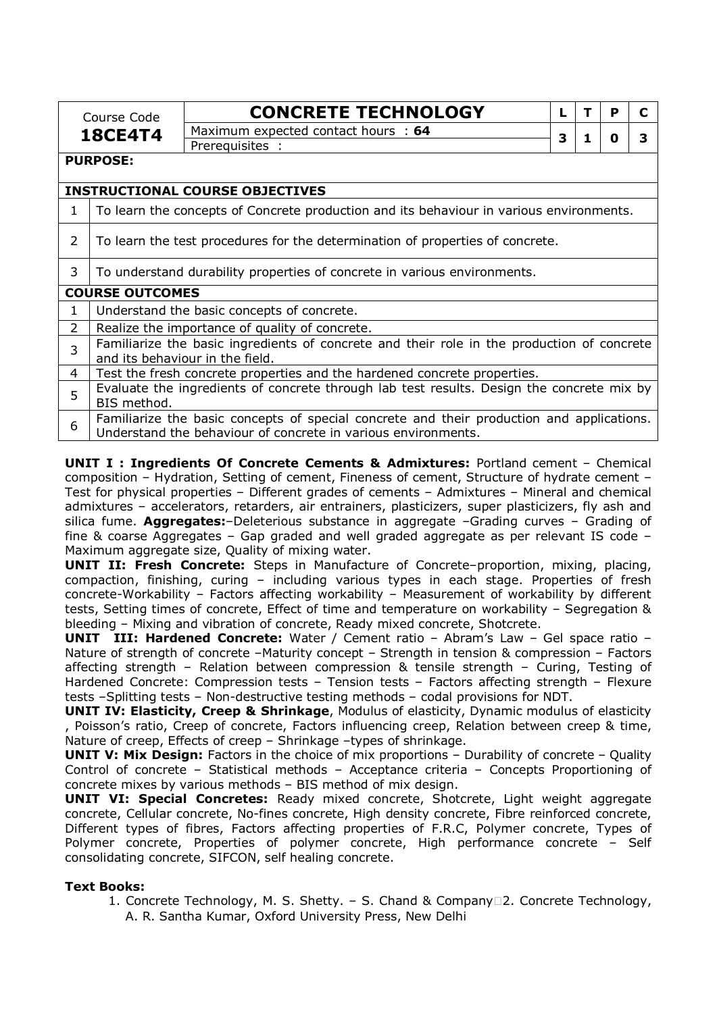|                |                                                                                         | <b>CONCRETE TECHNOLOGY</b>                                                                 | L |    | P | C |
|----------------|-----------------------------------------------------------------------------------------|--------------------------------------------------------------------------------------------|---|----|---|---|
|                | Course Code                                                                             | Maximum expected contact hours : 64                                                        |   |    |   |   |
| <b>18CE4T4</b> |                                                                                         | Prerequisites :                                                                            | 3 | 1. | o | 3 |
|                | <b>PURPOSE:</b>                                                                         |                                                                                            |   |    |   |   |
|                |                                                                                         | <b>INSTRUCTIONAL COURSE OBJECTIVES</b>                                                     |   |    |   |   |
| 1              | To learn the concepts of Concrete production and its behaviour in various environments. |                                                                                            |   |    |   |   |
| 2              | To learn the test procedures for the determination of properties of concrete.           |                                                                                            |   |    |   |   |
| 3              | To understand durability properties of concrete in various environments.                |                                                                                            |   |    |   |   |
|                | <b>COURSE OUTCOMES</b>                                                                  |                                                                                            |   |    |   |   |
| $\mathbf{1}$   |                                                                                         | Understand the basic concepts of concrete.                                                 |   |    |   |   |
| $\overline{2}$ |                                                                                         | Realize the importance of quality of concrete.                                             |   |    |   |   |
| 3              |                                                                                         | Familiarize the basic ingredients of concrete and their role in the production of concrete |   |    |   |   |
|                |                                                                                         | and its behaviour in the field.                                                            |   |    |   |   |
| 4              |                                                                                         | Test the fresh concrete properties and the hardened concrete properties.                   |   |    |   |   |
| 5              | BIS method.                                                                             | Evaluate the ingredients of concrete through lab test results. Design the concrete mix by  |   |    |   |   |
| 6              |                                                                                         | Familiarize the basic concepts of special concrete and their production and applications.  |   |    |   |   |
|                | Understand the behaviour of concrete in various environments.                           |                                                                                            |   |    |   |   |

**UNIT I : Ingredients Of Concrete Cements & Admixtures:** Portland cement – Chemical composition – Hydration, Setting of cement, Fineness of cement, Structure of hydrate cement – Test for physical properties – Different grades of cements – Admixtures – Mineral and chemical admixtures – accelerators, retarders, air entrainers, plasticizers, super plasticizers, fly ash and silica fume. **Aggregates:**–Deleterious substance in aggregate –Grading curves – Grading of fine & coarse Aggregates – Gap graded and well graded aggregate as per relevant IS code – Maximum aggregate size, Quality of mixing water.

**UNIT II: Fresh Concrete:** Steps in Manufacture of Concrete–proportion, mixing, placing, compaction, finishing, curing – including various types in each stage. Properties of fresh concrete-Workability – Factors affecting workability – Measurement of workability by different tests, Setting times of concrete, Effect of time and temperature on workability – Segregation & bleeding – Mixing and vibration of concrete, Ready mixed concrete, Shotcrete.

**UNIT III: Hardened Concrete:** Water / Cement ratio – Abram's Law – Gel space ratio – Nature of strength of concrete -Maturity concept - Strength in tension & compression - Factors affecting strength – Relation between compression & tensile strength – Curing, Testing of Hardened Concrete: Compression tests – Tension tests – Factors affecting strength – Flexure tests –Splitting tests – Non-destructive testing methods – codal provisions for NDT.

**UNIT IV: Elasticity, Creep & Shrinkage**, Modulus of elasticity, Dynamic modulus of elasticity , Poisson's ratio, Creep of concrete, Factors influencing creep, Relation between creep & time, Nature of creep, Effects of creep – Shrinkage –types of shrinkage.

**UNIT V: Mix Design:** Factors in the choice of mix proportions - Durability of concrete - Quality Control of concrete – Statistical methods – Acceptance criteria – Concepts Proportioning of concrete mixes by various methods – BIS method of mix design.

**UNIT VI: Special Concretes:** Ready mixed concrete, Shotcrete, Light weight aggregate concrete, Cellular concrete, No-fines concrete, High density concrete, Fibre reinforced concrete, Different types of fibres, Factors affecting properties of F.R.C, Polymer concrete, Types of Polymer concrete, Properties of polymer concrete, High performance concrete – Self consolidating concrete, SIFCON, self healing concrete.

#### **Text Books:**

1. Concrete Technology, M. S. Shetty. - S. Chand & Company 2. Concrete Technology, A. R. Santha Kumar, Oxford University Press, New Delhi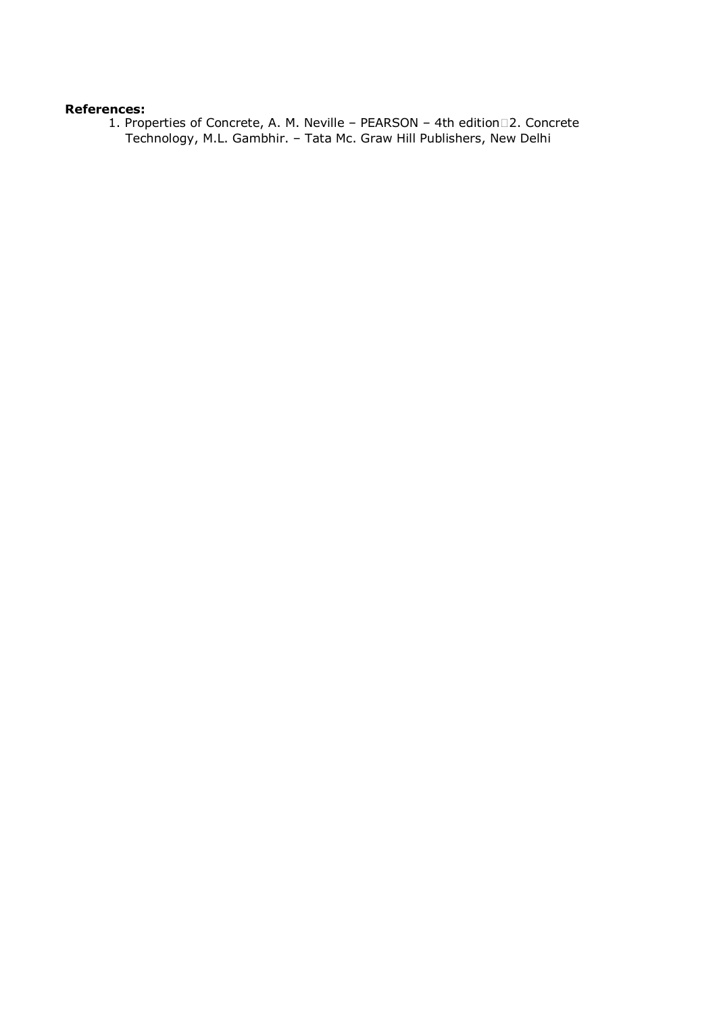#### **References:**

1. Properties of Concrete, A. M. Neville – PEARSON – 4th edition 2. Concrete Technology, M.L. Gambhir. – Tata Mc. Graw Hill Publishers, New Delhi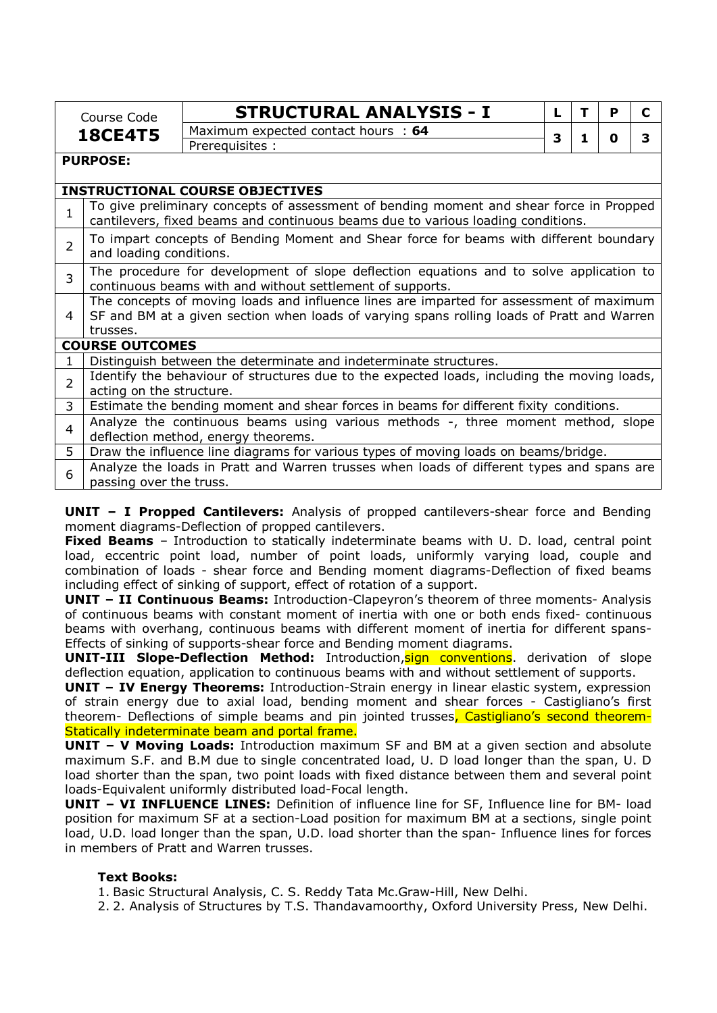|                | Course Code                                                                                                                                                                 | <b>STRUCTURAL ANALYSIS - I</b>                                                              | L | т | P | C |  |  |
|----------------|-----------------------------------------------------------------------------------------------------------------------------------------------------------------------------|---------------------------------------------------------------------------------------------|---|---|---|---|--|--|
|                | <b>18CE4T5</b>                                                                                                                                                              | Maximum expected contact hours : 64                                                         | 3 | 1 | O | 3 |  |  |
|                |                                                                                                                                                                             | Prerequisites :                                                                             |   |   |   |   |  |  |
|                | <b>PURPOSE:</b>                                                                                                                                                             |                                                                                             |   |   |   |   |  |  |
|                |                                                                                                                                                                             | <b>INSTRUCTIONAL COURSE OBJECTIVES</b>                                                      |   |   |   |   |  |  |
| 1              | To give preliminary concepts of assessment of bending moment and shear force in Propped<br>cantilevers, fixed beams and continuous beams due to various loading conditions. |                                                                                             |   |   |   |   |  |  |
| 2              | To impart concepts of Bending Moment and Shear force for beams with different boundary<br>and loading conditions.                                                           |                                                                                             |   |   |   |   |  |  |
| 3              | The procedure for development of slope deflection equations and to solve application to<br>continuous beams with and without settlement of supports.                        |                                                                                             |   |   |   |   |  |  |
|                | The concepts of moving loads and influence lines are imparted for assessment of maximum                                                                                     |                                                                                             |   |   |   |   |  |  |
| 4              |                                                                                                                                                                             | SF and BM at a given section when loads of varying spans rolling loads of Pratt and Warren  |   |   |   |   |  |  |
|                | trusses.                                                                                                                                                                    |                                                                                             |   |   |   |   |  |  |
|                | <b>COURSE OUTCOMES</b>                                                                                                                                                      |                                                                                             |   |   |   |   |  |  |
|                |                                                                                                                                                                             | Distinguish between the determinate and indeterminate structures.                           |   |   |   |   |  |  |
| $\overline{2}$ |                                                                                                                                                                             | Identify the behaviour of structures due to the expected loads, including the moving loads, |   |   |   |   |  |  |
|                | acting on the structure.                                                                                                                                                    |                                                                                             |   |   |   |   |  |  |
| 3              |                                                                                                                                                                             | Estimate the bending moment and shear forces in beams for different fixity conditions.      |   |   |   |   |  |  |
| 4              |                                                                                                                                                                             | Analyze the continuous beams using various methods -, three moment method, slope            |   |   |   |   |  |  |
|                |                                                                                                                                                                             | deflection method, energy theorems.                                                         |   |   |   |   |  |  |
| 5              |                                                                                                                                                                             | Draw the influence line diagrams for various types of moving loads on beams/bridge.         |   |   |   |   |  |  |
| 6              | passing over the truss.                                                                                                                                                     | Analyze the loads in Pratt and Warren trusses when loads of different types and spans are   |   |   |   |   |  |  |

**UNIT – I Propped Cantilevers:** Analysis of propped cantilevers-shear force and Bending moment diagrams-Deflection of propped cantilevers.

**Fixed Beams** – Introduction to statically indeterminate beams with U. D. load, central point load, eccentric point load, number of point loads, uniformly varying load, couple and combination of loads - shear force and Bending moment diagrams-Deflection of fixed beams including effect of sinking of support, effect of rotation of a support.

**UNIT – II Continuous Beams:** Introduction-Clapeyron's theorem of three moments- Analysis of continuous beams with constant moment of inertia with one or both ends fixed- continuous beams with overhang, continuous beams with different moment of inertia for different spans-Effects of sinking of supports-shear force and Bending moment diagrams.

**UNIT-III Slope-Deflection Method:** Introduction.**sign conventions**, derivation of slope deflection equation, application to continuous beams with and without settlement of supports.

**UNIT – IV Energy Theorems:** Introduction-Strain energy in linear elastic system, expression of strain energy due to axial load, bending moment and shear forces - Castigliano's first theorem- Deflections of simple beams and pin jointed trusses, Castigliano's second theorem-Statically indeterminate beam and portal frame.

**UNIT – V Moving Loads:** Introduction maximum SF and BM at a given section and absolute maximum S.F. and B.M due to single concentrated load, U. D load longer than the span, U. D load shorter than the span, two point loads with fixed distance between them and several point loads-Equivalent uniformly distributed load-Focal length.

**UNIT – VI INFLUENCE LINES:** Definition of influence line for SF, Influence line for BM- load position for maximum SF at a section-Load position for maximum BM at a sections, single point load, U.D. load longer than the span, U.D. load shorter than the span- Influence lines for forces in members of Pratt and Warren trusses.

## **Text Books:**

1. Basic Structural Analysis, C. S. Reddy Tata Mc.Graw-Hill, New Delhi.

2. 2. Analysis of Structures by T.S. Thandavamoorthy, Oxford University Press, New Delhi.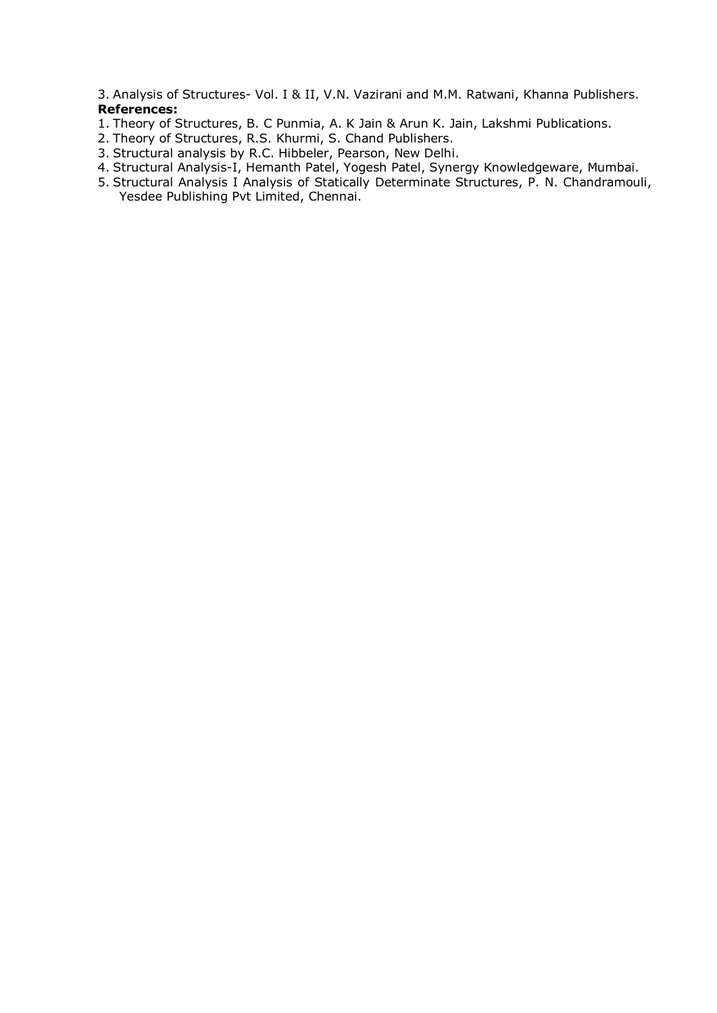3. Analysis of Structures- Vol. I & II, V.N. Vazirani and M.M. Ratwani, Khanna Publishers. **References:** 

- 1. Theory of Structures, B. C Punmia, A. K Jain & Arun K. Jain, Lakshmi Publications.
- 2. Theory of Structures, R.S. Khurmi, S. Chand Publishers.
- 3. Structural analysis by R.C. Hibbeler, Pearson, New Delhi.
- 4. Structural Analysis-I, Hemanth Patel, Yogesh Patel, Synergy Knowledgeware, Mumbai.
- 5. Structural Analysis I Analysis of Statically Determinate Structures, P. N. Chandramouli, Yesdee Publishing Pvt Limited, Chennai.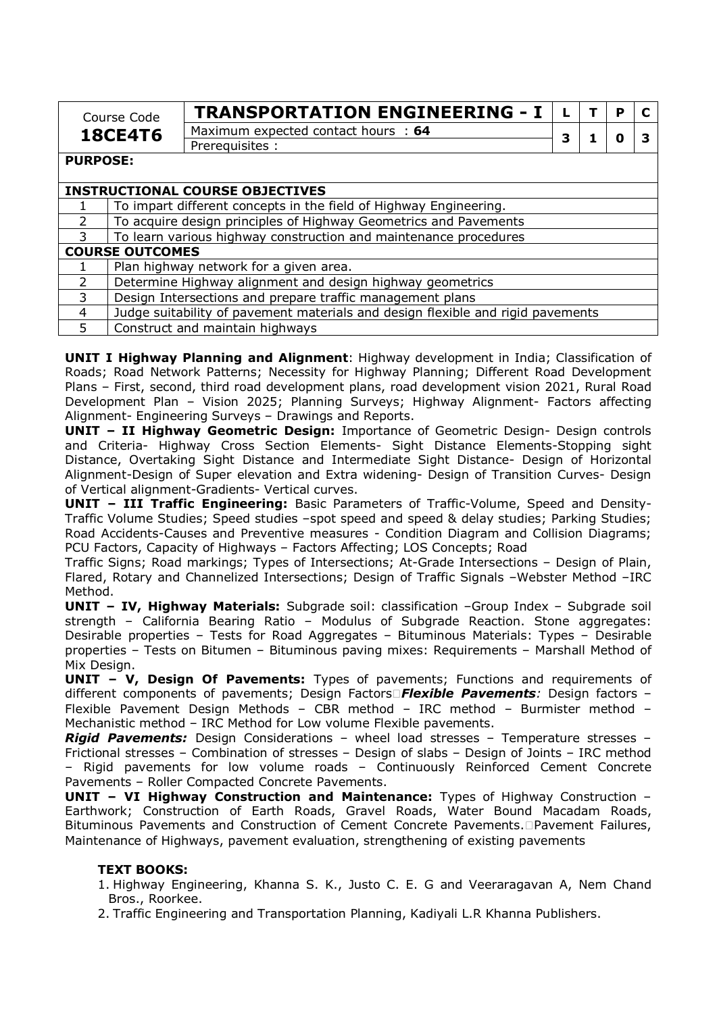| Course Code    | <b>TRANSPORTATION ENGINEERING -</b> |  |  |  |
|----------------|-------------------------------------|--|--|--|
| <b>18CE4T6</b> | Maximum expected contact hours : 64 |  |  |  |
|                | Prereguisites                       |  |  |  |

**PURPOSE:** 

|               | <b>INSTRUCTIONAL COURSE OBJECTIVES</b>                                          |  |  |  |
|---------------|---------------------------------------------------------------------------------|--|--|--|
|               | To impart different concepts in the field of Highway Engineering.               |  |  |  |
| 2             | To acquire design principles of Highway Geometrics and Pavements                |  |  |  |
| $\mathcal{R}$ | To learn various highway construction and maintenance procedures                |  |  |  |
|               | <b>COURSE OUTCOMES</b>                                                          |  |  |  |
|               | Plan highway network for a given area.                                          |  |  |  |
| 2             | Determine Highway alignment and design highway geometrics                       |  |  |  |
| 3             | Design Intersections and prepare traffic management plans                       |  |  |  |
| 4             | Judge suitability of pavement materials and design flexible and rigid pavements |  |  |  |
| 5             | Construct and maintain highways                                                 |  |  |  |

**UNIT I Highway Planning and Alignment**: Highway development in India; Classification of Roads; Road Network Patterns; Necessity for Highway Planning; Different Road Development Plans – First, second, third road development plans, road development vision 2021, Rural Road Development Plan – Vision 2025; Planning Surveys; Highway Alignment- Factors affecting Alignment- Engineering Surveys – Drawings and Reports.

**UNIT – II Highway Geometric Design:** Importance of Geometric Design- Design controls and Criteria- Highway Cross Section Elements- Sight Distance Elements-Stopping sight Distance, Overtaking Sight Distance and Intermediate Sight Distance- Design of Horizontal Alignment-Design of Super elevation and Extra widening- Design of Transition Curves- Design of Vertical alignment-Gradients- Vertical curves.

**UNIT – III Traffic Engineering:** Basic Parameters of Traffic-Volume, Speed and Density-Traffic Volume Studies; Speed studies –spot speed and speed & delay studies; Parking Studies; Road Accidents-Causes and Preventive measures - Condition Diagram and Collision Diagrams; PCU Factors, Capacity of Highways – Factors Affecting; LOS Concepts; Road

Traffic Signs; Road markings; Types of Intersections; At-Grade Intersections – Design of Plain, Flared, Rotary and Channelized Intersections; Design of Traffic Signals –Webster Method –IRC Method.

**UNIT – IV, Highway Materials:** Subgrade soil: classification –Group Index – Subgrade soil strength – California Bearing Ratio – Modulus of Subgrade Reaction. Stone aggregates: Desirable properties – Tests for Road Aggregates – Bituminous Materials: Types – Desirable properties – Tests on Bitumen – Bituminous paving mixes: Requirements – Marshall Method of Mix Design.

**UNIT – V, Design Of Pavements:** Types of pavements; Functions and requirements of different components of pavements; Design Factors*Flexible Pavements:* Design factors – Flexible Pavement Design Methods – CBR method – IRC method – Burmister method – Mechanistic method – IRC Method for Low volume Flexible pavements.

*Rigid Pavements:* Design Considerations – wheel load stresses – Temperature stresses – Frictional stresses – Combination of stresses – Design of slabs – Design of Joints – IRC method – Rigid pavements for low volume roads – Continuously Reinforced Cement Concrete Pavements – Roller Compacted Concrete Pavements.

**UNIT – VI Highway Construction and Maintenance:** Types of Highway Construction – Earthwork; Construction of Earth Roads, Gravel Roads, Water Bound Macadam Roads, Bituminous Pavements and Construction of Cement Concrete Pavements. Pavement Failures, Maintenance of Highways, pavement evaluation, strengthening of existing pavements

## **TEXT BOOKS:**

- 1. Highway Engineering, Khanna S. K., Justo C. E. G and Veeraragavan A, Nem Chand Bros., Roorkee.
- 2. Traffic Engineering and Transportation Planning, Kadiyali L.R Khanna Publishers.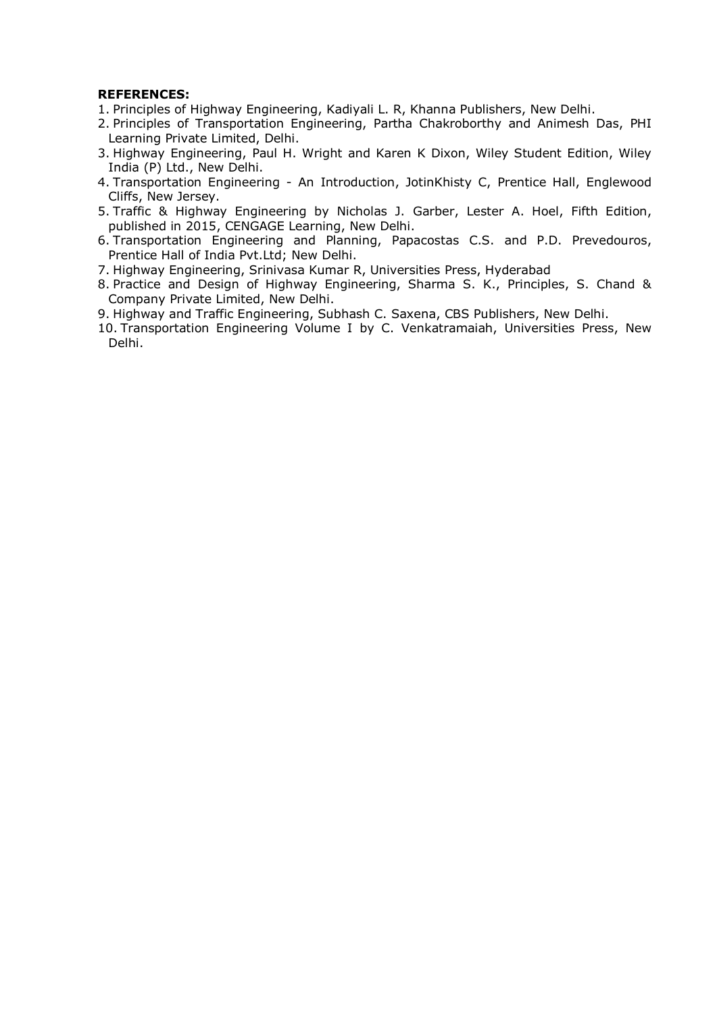#### **REFERENCES:**

- 1. Principles of Highway Engineering, Kadiyali L. R, Khanna Publishers, New Delhi.
- 2. Principles of Transportation Engineering, Partha Chakroborthy and Animesh Das, PHI Learning Private Limited, Delhi.
- 3. Highway Engineering, Paul H. Wright and Karen K Dixon, Wiley Student Edition, Wiley India (P) Ltd., New Delhi.
- 4. Transportation Engineering An Introduction, JotinKhisty C, Prentice Hall, Englewood Cliffs, New Jersey.
- 5. Traffic & Highway Engineering by Nicholas J. Garber, Lester A. Hoel, Fifth Edition, published in 2015, CENGAGE Learning, New Delhi.
- 6. Transportation Engineering and Planning, Papacostas C.S. and P.D. Prevedouros, Prentice Hall of India Pvt.Ltd; New Delhi.
- 7. Highway Engineering, Srinivasa Kumar R, Universities Press, Hyderabad
- 8. Practice and Design of Highway Engineering, Sharma S. K., Principles, S. Chand & Company Private Limited, New Delhi.
- 9. Highway and Traffic Engineering, Subhash C. Saxena, CBS Publishers, New Delhi.
- 10. Transportation Engineering Volume I by C. Venkatramaiah, Universities Press, New Delhi.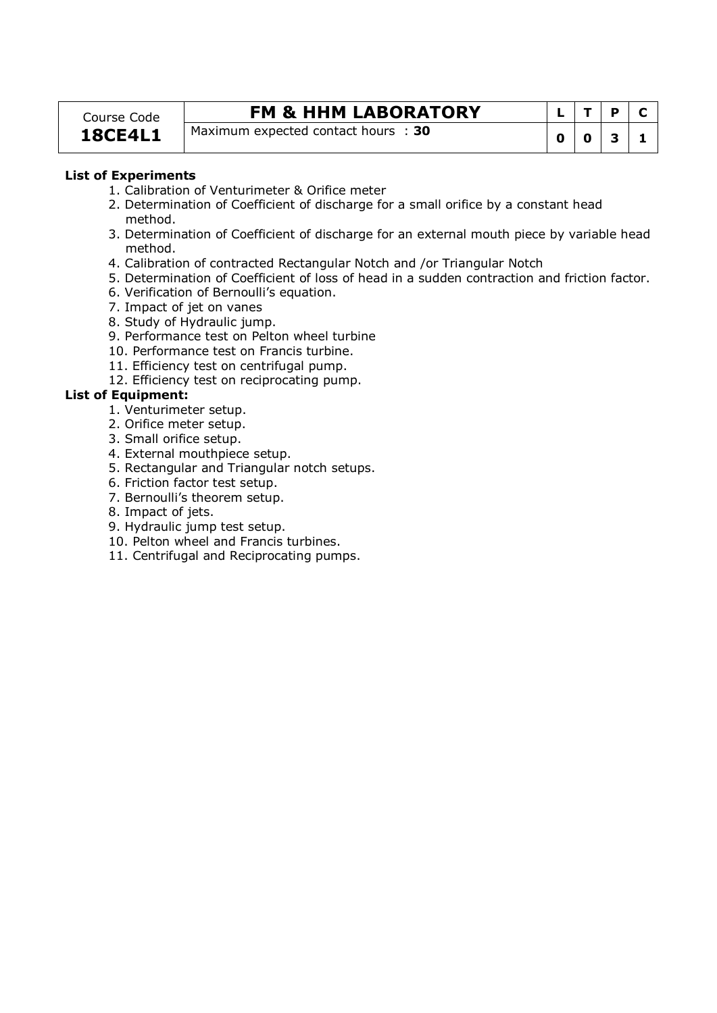### Course Code **18CE4L1**

## **FM & HHM LABORATORY**

Maximum expected contact hours : 30

|   | T | P | $\mathbf C$ |
|---|---|---|-------------|
| 0 | 0 | З | ъ           |

### **List of Experiments**

- 1. Calibration of Venturimeter & Orifice meter
- 2. Determination of Coefficient of discharge for a small orifice by a constant head method.
- 3. Determination of Coefficient of discharge for an external mouth piece by variable head method.
- 4. Calibration of contracted Rectangular Notch and /or Triangular Notch
- 5. Determination of Coefficient of loss of head in a sudden contraction and friction factor.
- 6. Verification of Bernoulli's equation.
- 7. Impact of jet on vanes
- 8. Study of Hydraulic jump.
- 9. Performance test on Pelton wheel turbine
- 10. Performance test on Francis turbine.
- 11. Efficiency test on centrifugal pump.
- 12. Efficiency test on reciprocating pump.

#### **List of Equipment:**

- 1. Venturimeter setup.
- 2. Orifice meter setup.
- 3. Small orifice setup.
- 4. External mouthpiece setup.
- 5. Rectangular and Triangular notch setups.
- 6. Friction factor test setup.
- 7. Bernoulli's theorem setup.
- 8. Impact of jets.
- 9. Hydraulic jump test setup.
- 10. Pelton wheel and Francis turbines.
- 11. Centrifugal and Reciprocating pumps.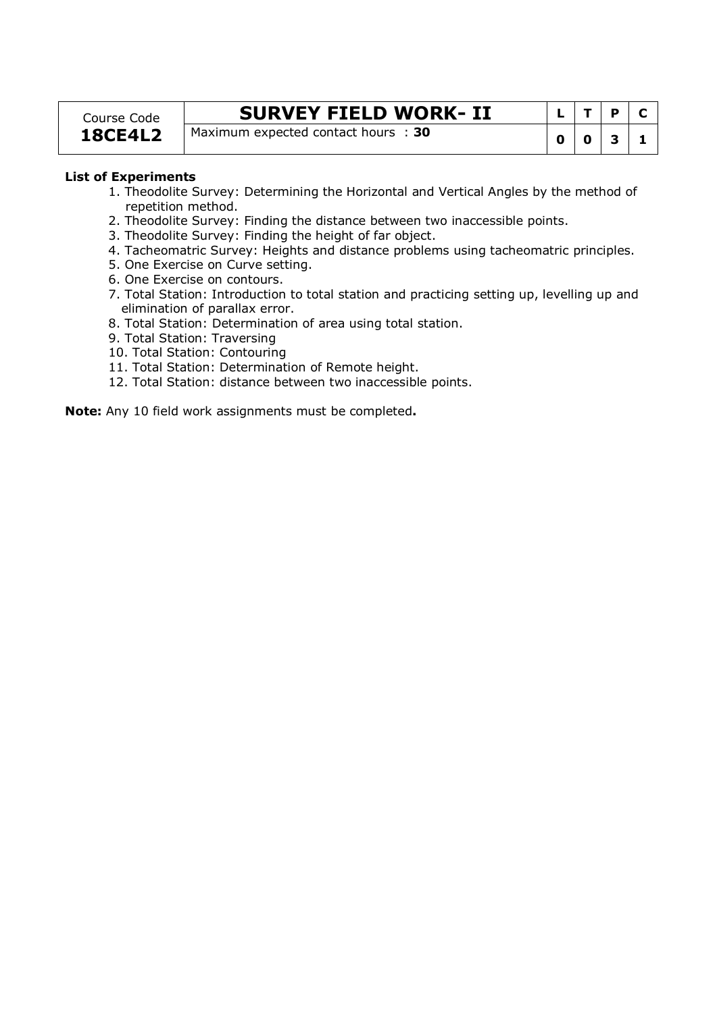## Course Code **18CE4L2**

## **SURVEY FIELD WORK-II**

Maximum expected contact hours : 30

|             |              | <b>P</b>     | C |
|-------------|--------------|--------------|---|
| $\mathbf 0$ | $\mathbf{0}$ | $\mathbf{3}$ | ı |

#### **List of Experiments**

- 1. Theodolite Survey: Determining the Horizontal and Vertical Angles by the method of repetition method.
- 2. Theodolite Survey: Finding the distance between two inaccessible points.
- 3. Theodolite Survey: Finding the height of far object.
- 4. Tacheomatric Survey: Heights and distance problems using tacheomatric principles.
- 5. One Exercise on Curve setting.
- 6. One Exercise on contours.
- 7. Total Station: Introduction to total station and practicing setting up, levelling up and elimination of parallax error.
- 8. Total Station: Determination of area using total station.
- 9. Total Station: Traversing
- 10. Total Station: Contouring
- 11. Total Station: Determination of Remote height.
- 12. Total Station: distance between two inaccessible points.

**Note:** Any 10 field work assignments must be completed**.**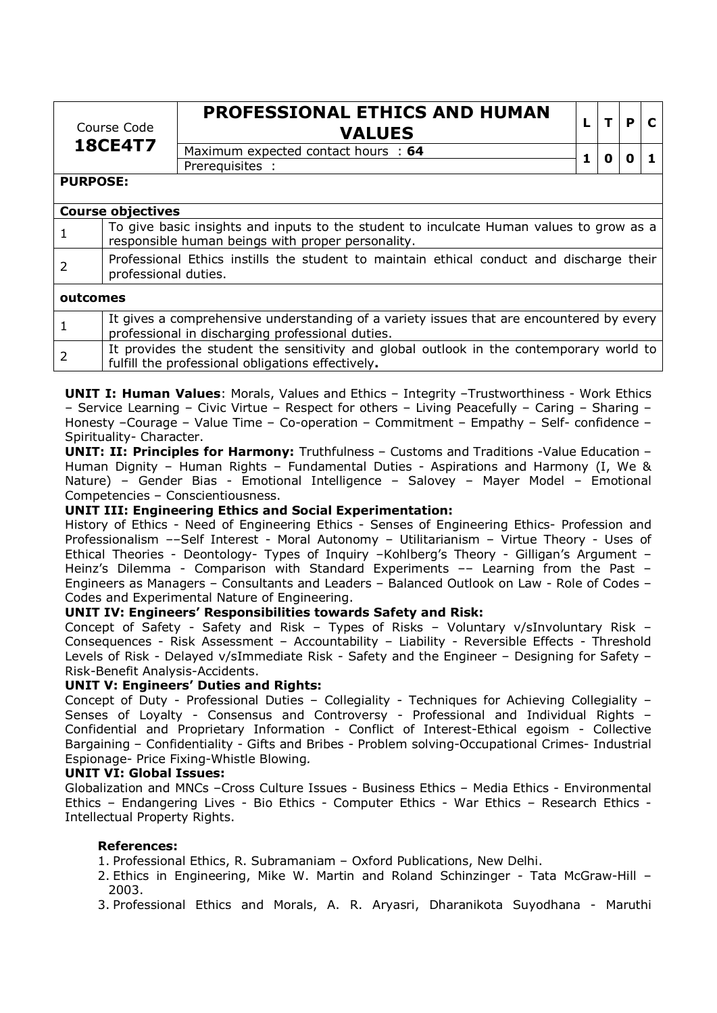| Course Code<br><b>18CE4T7</b> |                                                                                                                                              | PROFESSIONAL ETHICS AND HUMAN<br><b>VALUES</b>                                           |   |   | P |  |  |  |
|-------------------------------|----------------------------------------------------------------------------------------------------------------------------------------------|------------------------------------------------------------------------------------------|---|---|---|--|--|--|
|                               |                                                                                                                                              | Maximum expected contact hours : 64                                                      | 1 | n | Ω |  |  |  |
|                               |                                                                                                                                              | Prerequisites :                                                                          |   |   |   |  |  |  |
| <b>PURPOSE:</b>               |                                                                                                                                              |                                                                                          |   |   |   |  |  |  |
|                               | <b>Course objectives</b>                                                                                                                     |                                                                                          |   |   |   |  |  |  |
| $\mathbf{1}$                  | To give basic insights and inputs to the student to inculcate Human values to grow as a<br>responsible human beings with proper personality. |                                                                                          |   |   |   |  |  |  |
| $\overline{2}$                | Professional Ethics instills the student to maintain ethical conduct and discharge their<br>professional duties.                             |                                                                                          |   |   |   |  |  |  |
|                               | outcomes                                                                                                                                     |                                                                                          |   |   |   |  |  |  |
|                               |                                                                                                                                              | It gives a comprehensive understanding of a variety issues that are encountered by every |   |   |   |  |  |  |

|  | It gives a comprehensive understanding of a variety issues that are encountered by every |
|--|------------------------------------------------------------------------------------------|
|  | professional in discharging professional duties.                                         |
|  | It provides the student the sensitivity and global outlook in the contemporary world to  |
|  | fulfill the professional obligations effectively.                                        |

**UNIT I: Human Values**: Morals, Values and Ethics – Integrity –Trustworthiness - Work Ethics – Service Learning – Civic Virtue – Respect for others – Living Peacefully – Caring – Sharing – Honesty –Courage – Value Time – Co-operation – Commitment – Empathy – Self- confidence – Spirituality- Character.

**UNIT: II: Principles for Harmony:** Truthfulness – Customs and Traditions -Value Education – Human Dignity – Human Rights – Fundamental Duties - Aspirations and Harmony (I, We & Nature) – Gender Bias - Emotional Intelligence – Salovey – Mayer Model – Emotional Competencies – Conscientiousness.

## **UNIT III: Engineering Ethics and Social Experimentation:**

History of Ethics - Need of Engineering Ethics - Senses of Engineering Ethics- Profession and Professionalism ––Self Interest - Moral Autonomy – Utilitarianism – Virtue Theory - Uses of Ethical Theories - Deontology- Types of Inquiry –Kohlberg's Theory - Gilligan's Argument – Heinz's Dilemma - Comparison with Standard Experiments –– Learning from the Past – Engineers as Managers – Consultants and Leaders – Balanced Outlook on Law - Role of Codes – Codes and Experimental Nature of Engineering.

## **UNIT IV: Engineers' Responsibilities towards Safety and Risk:**

Concept of Safety - Safety and Risk – Types of Risks – Voluntary v/sInvoluntary Risk – Consequences - Risk Assessment – Accountability – Liability - Reversible Effects - Threshold Levels of Risk - Delayed v/sImmediate Risk - Safety and the Engineer – Designing for Safety – Risk-Benefit Analysis-Accidents.

## **UNIT V: Engineers' Duties and Rights:**

Concept of Duty - Professional Duties – Collegiality - Techniques for Achieving Collegiality – Senses of Loyalty - Consensus and Controversy - Professional and Individual Rights – Confidential and Proprietary Information - Conflict of Interest-Ethical egoism - Collective Bargaining – Confidentiality - Gifts and Bribes - Problem solving-Occupational Crimes- Industrial Espionage- Price Fixing-Whistle Blowing*.* 

## **UNIT VI: Global Issues:**

Globalization and MNCs –Cross Culture Issues - Business Ethics – Media Ethics - Environmental Ethics – Endangering Lives - Bio Ethics - Computer Ethics - War Ethics *–* Research Ethics - Intellectual Property Rights.

## **References:**

- 1. Professional Ethics, R. Subramaniam Oxford Publications, New Delhi.
- 2. Ethics in Engineering, Mike W. Martin and Roland Schinzinger Tata McGraw-Hill 2003.

3. Professional Ethics and Morals, A. R. Aryasri, Dharanikota Suyodhana - Maruthi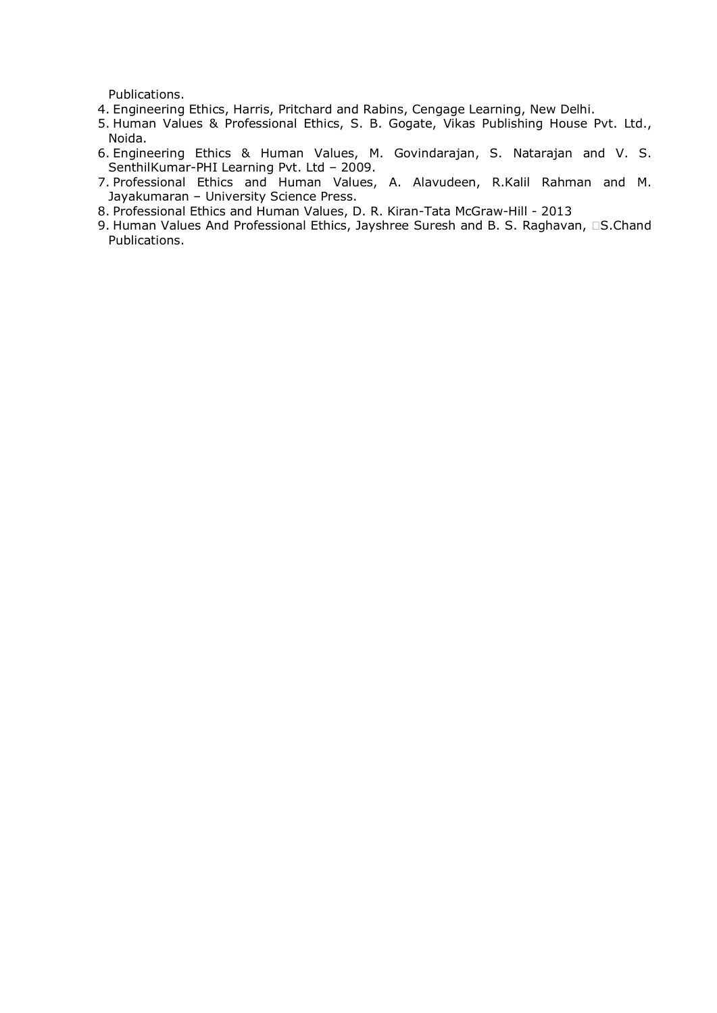Publications.

- 4. Engineering Ethics, Harris, Pritchard and Rabins, Cengage Learning, New Delhi.
- 5. Human Values & Professional Ethics, S. B. Gogate, Vikas Publishing House Pvt. Ltd., Noida.
- 6. Engineering Ethics & Human Values, M. Govindarajan, S. Natarajan and V. S. SenthilKumar-PHI Learning Pvt. Ltd – 2009.
- 7. Professional Ethics and Human Values, A. Alavudeen, R.Kalil Rahman and M. Jayakumaran – University Science Press.
- 8. Professional Ethics and Human Values, D. R. Kiran-Tata McGraw-Hill 2013
- 9. Human Values And Professional Ethics, Jayshree Suresh and B. S. Raghavan, S.Chand Publications.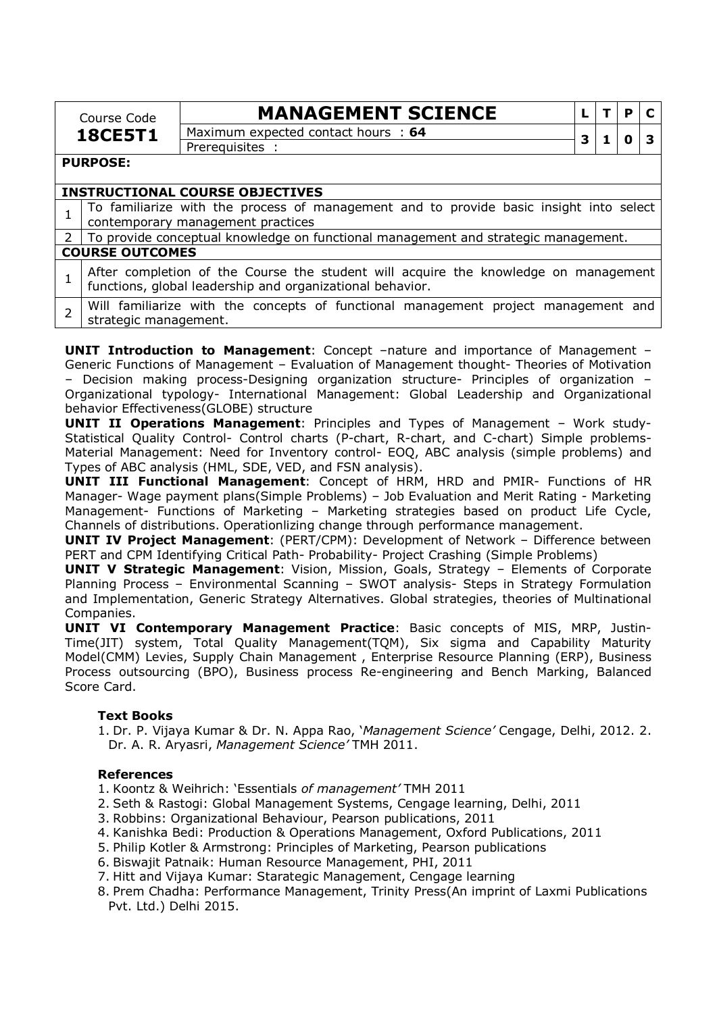|               | Course Code                                                                                                                                      | <b>MANAGEMENT SCIENCE</b>           |   |  | P |  |  |  |
|---------------|--------------------------------------------------------------------------------------------------------------------------------------------------|-------------------------------------|---|--|---|--|--|--|
|               | <b>18CE5T1</b>                                                                                                                                   | Maximum expected contact hours : 64 |   |  |   |  |  |  |
|               |                                                                                                                                                  | Prerequisites :                     | 3 |  | O |  |  |  |
|               | <b>PURPOSE:</b>                                                                                                                                  |                                     |   |  |   |  |  |  |
|               |                                                                                                                                                  |                                     |   |  |   |  |  |  |
|               | <b>INSTRUCTIONAL COURSE OBJECTIVES</b>                                                                                                           |                                     |   |  |   |  |  |  |
|               | To familiarize with the process of management and to provide basic insight into select                                                           |                                     |   |  |   |  |  |  |
|               | contemporary management practices                                                                                                                |                                     |   |  |   |  |  |  |
| $\mathcal{P}$ | To provide conceptual knowledge on functional management and strategic management.                                                               |                                     |   |  |   |  |  |  |
|               | <b>COURSE OUTCOMES</b>                                                                                                                           |                                     |   |  |   |  |  |  |
|               | After completion of the Course the student will acquire the knowledge on management<br>functions, global leadership and organizational behavior. |                                     |   |  |   |  |  |  |
|               | Will familiarize with the concepts of functional management project management and<br>strategic management.                                      |                                     |   |  |   |  |  |  |

**UNIT Introduction to Management**: Concept –nature and importance of Management – Generic Functions of Management – Evaluation of Management thought- Theories of Motivation – Decision making process-Designing organization structure- Principles of organization – Organizational typology- International Management: Global Leadership and Organizational behavior Effectiveness(GLOBE) structure

**UNIT II Operations Management**: Principles and Types of Management – Work study-Statistical Quality Control- Control charts (P-chart, R-chart, and C-chart) Simple problems-Material Management: Need for Inventory control- EOQ, ABC analysis (simple problems) and Types of ABC analysis (HML, SDE, VED, and FSN analysis).

**UNIT III Functional Management**: Concept of HRM, HRD and PMIR- Functions of HR Manager- Wage payment plans(Simple Problems) – Job Evaluation and Merit Rating - Marketing Management- Functions of Marketing – Marketing strategies based on product Life Cycle, Channels of distributions. Operationlizing change through performance management.

**UNIT IV Project Management**: (PERT/CPM): Development of Network – Difference between PERT and CPM Identifying Critical Path- Probability- Project Crashing (Simple Problems)

**UNIT V Strategic Management**: Vision, Mission, Goals, Strategy – Elements of Corporate Planning Process – Environmental Scanning – SWOT analysis- Steps in Strategy Formulation and Implementation, Generic Strategy Alternatives. Global strategies, theories of Multinational Companies.

**UNIT VI Contemporary Management Practice**: Basic concepts of MIS, MRP, Justin-Time(JIT) system, Total Quality Management(TQM), Six sigma and Capability Maturity Model(CMM) Levies, Supply Chain Management , Enterprise Resource Planning (ERP), Business Process outsourcing (BPO), Business process Re-engineering and Bench Marking, Balanced Score Card.

## **Text Books**

1. Dr. P. Vijaya Kumar & Dr. N. Appa Rao, '*Management Science'* Cengage, Delhi, 2012. 2. Dr. A. R. Aryasri, *Management Science'* TMH 2011.

## **References**

- 1. Koontz & Weihrich: 'Essentials *of management'* TMH 2011
- 2. Seth & Rastogi: Global Management Systems, Cengage learning, Delhi, 2011
- 3. Robbins: Organizational Behaviour, Pearson publications, 2011
- 4. Kanishka Bedi: Production & Operations Management, Oxford Publications, 2011
- 5. Philip Kotler & Armstrong: Principles of Marketing, Pearson publications
- 6. Biswajit Patnaik: Human Resource Management, PHI, 2011
- 7. Hitt and Vijaya Kumar: Starategic Management, Cengage learning
- 8. Prem Chadha: Performance Management, Trinity Press(An imprint of Laxmi Publications Pvt. Ltd.) Delhi 2015.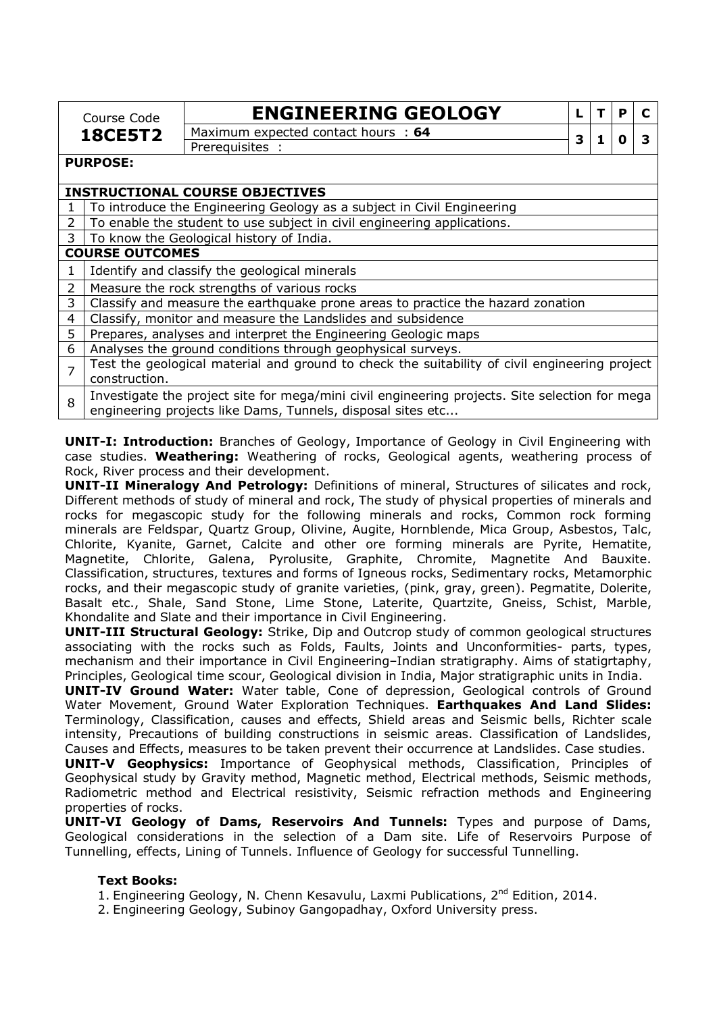| <b>ENGINEERING GEOLOGY</b><br>т<br>L<br>Course Code<br>Maximum expected contact hours : 64<br><b>18CE5T2</b><br>3<br>0<br>1<br>Prerequisites :<br><b>PURPOSE:</b><br><b>INSTRUCTIONAL COURSE OBJECTIVES</b><br>To introduce the Engineering Geology as a subject in Civil Engineering<br>1<br>To enable the student to use subject in civil engineering applications.<br>$\mathcal{P}$<br>3<br>To know the Geological history of India.<br><b>COURSE OUTCOMES</b><br>Identify and classify the geological minerals<br>1<br>$\overline{2}$<br>Measure the rock strengths of various rocks<br>3<br>Classify and measure the earthquake prone areas to practice the hazard zonation | P |   |  |  |  |  |
|----------------------------------------------------------------------------------------------------------------------------------------------------------------------------------------------------------------------------------------------------------------------------------------------------------------------------------------------------------------------------------------------------------------------------------------------------------------------------------------------------------------------------------------------------------------------------------------------------------------------------------------------------------------------------------|---|---|--|--|--|--|
|                                                                                                                                                                                                                                                                                                                                                                                                                                                                                                                                                                                                                                                                                  |   |   |  |  |  |  |
|                                                                                                                                                                                                                                                                                                                                                                                                                                                                                                                                                                                                                                                                                  |   | 3 |  |  |  |  |
|                                                                                                                                                                                                                                                                                                                                                                                                                                                                                                                                                                                                                                                                                  |   |   |  |  |  |  |
|                                                                                                                                                                                                                                                                                                                                                                                                                                                                                                                                                                                                                                                                                  |   |   |  |  |  |  |
|                                                                                                                                                                                                                                                                                                                                                                                                                                                                                                                                                                                                                                                                                  |   |   |  |  |  |  |
|                                                                                                                                                                                                                                                                                                                                                                                                                                                                                                                                                                                                                                                                                  |   |   |  |  |  |  |
|                                                                                                                                                                                                                                                                                                                                                                                                                                                                                                                                                                                                                                                                                  |   |   |  |  |  |  |
|                                                                                                                                                                                                                                                                                                                                                                                                                                                                                                                                                                                                                                                                                  |   |   |  |  |  |  |
|                                                                                                                                                                                                                                                                                                                                                                                                                                                                                                                                                                                                                                                                                  |   |   |  |  |  |  |
|                                                                                                                                                                                                                                                                                                                                                                                                                                                                                                                                                                                                                                                                                  |   |   |  |  |  |  |
|                                                                                                                                                                                                                                                                                                                                                                                                                                                                                                                                                                                                                                                                                  |   |   |  |  |  |  |
|                                                                                                                                                                                                                                                                                                                                                                                                                                                                                                                                                                                                                                                                                  |   |   |  |  |  |  |
| Classify, monitor and measure the Landslides and subsidence<br>4                                                                                                                                                                                                                                                                                                                                                                                                                                                                                                                                                                                                                 |   |   |  |  |  |  |
| 5<br>Prepares, analyses and interpret the Engineering Geologic maps                                                                                                                                                                                                                                                                                                                                                                                                                                                                                                                                                                                                              |   |   |  |  |  |  |
| 6<br>Analyses the ground conditions through geophysical surveys.                                                                                                                                                                                                                                                                                                                                                                                                                                                                                                                                                                                                                 |   |   |  |  |  |  |
| Test the geological material and ground to check the suitability of civil engineering project<br>$\overline{7}$                                                                                                                                                                                                                                                                                                                                                                                                                                                                                                                                                                  |   |   |  |  |  |  |
| construction.                                                                                                                                                                                                                                                                                                                                                                                                                                                                                                                                                                                                                                                                    |   |   |  |  |  |  |
| Investigate the project site for mega/mini civil engineering projects. Site selection for mega<br>engineering projects like Dams, Tunnels, disposal sites etc                                                                                                                                                                                                                                                                                                                                                                                                                                                                                                                    |   |   |  |  |  |  |

**UNIT-I: Introduction:** Branches of Geology, Importance of Geology in Civil Engineering with case studies. **Weathering:** Weathering of rocks, Geological agents, weathering process of Rock, River process and their development.

**UNIT-II Mineralogy And Petrology:** Definitions of mineral, Structures of silicates and rock, Different methods of study of mineral and rock, The study of physical properties of minerals and rocks for megascopic study for the following minerals and rocks, Common rock forming minerals are Feldspar, Quartz Group, Olivine, Augite, Hornblende, Mica Group, Asbestos, Talc, Chlorite, Kyanite, Garnet, Calcite and other ore forming minerals are Pyrite, Hematite, Magnetite, Chlorite, Galena, Pyrolusite, Graphite, Chromite, Magnetite And Bauxite. Classification, structures, textures and forms of Igneous rocks, Sedimentary rocks, Metamorphic rocks, and their megascopic study of granite varieties, (pink, gray, green). Pegmatite, Dolerite, Basalt etc., Shale, Sand Stone, Lime Stone, Laterite, Quartzite, Gneiss, Schist, Marble, Khondalite and Slate and their importance in Civil Engineering.

**UNIT-III Structural Geology:** Strike, Dip and Outcrop study of common geological structures associating with the rocks such as Folds, Faults, Joints and Unconformities- parts, types, mechanism and their importance in Civil Engineering–Indian stratigraphy. Aims of statigrtaphy, Principles, Geological time scour, Geological division in India, Major stratigraphic units in India.

**UNIT-IV Ground Water:** Water table, Cone of depression, Geological controls of Ground Water Movement, Ground Water Exploration Techniques. **Earthquakes And Land Slides:**  Terminology, Classification, causes and effects, Shield areas and Seismic bells, Richter scale intensity, Precautions of building constructions in seismic areas. Classification of Landslides, Causes and Effects, measures to be taken prevent their occurrence at Landslides. Case studies.

**UNIT-V Geophysics:** Importance of Geophysical methods, Classification, Principles of Geophysical study by Gravity method, Magnetic method, Electrical methods, Seismic methods, Radiometric method and Electrical resistivity, Seismic refraction methods and Engineering properties of rocks.

**UNIT-VI Geology of Dams, Reservoirs And Tunnels:** Types and purpose of Dams, Geological considerations in the selection of a Dam site. Life of Reservoirs Purpose of Tunnelling, effects, Lining of Tunnels. Influence of Geology for successful Tunnelling.

## **Text Books:**

- 1. Engineering Geology, N. Chenn Kesavulu, Laxmi Publications, 2<sup>nd</sup> Edition, 2014.
- 2. Engineering Geology, Subinoy Gangopadhay, Oxford University press.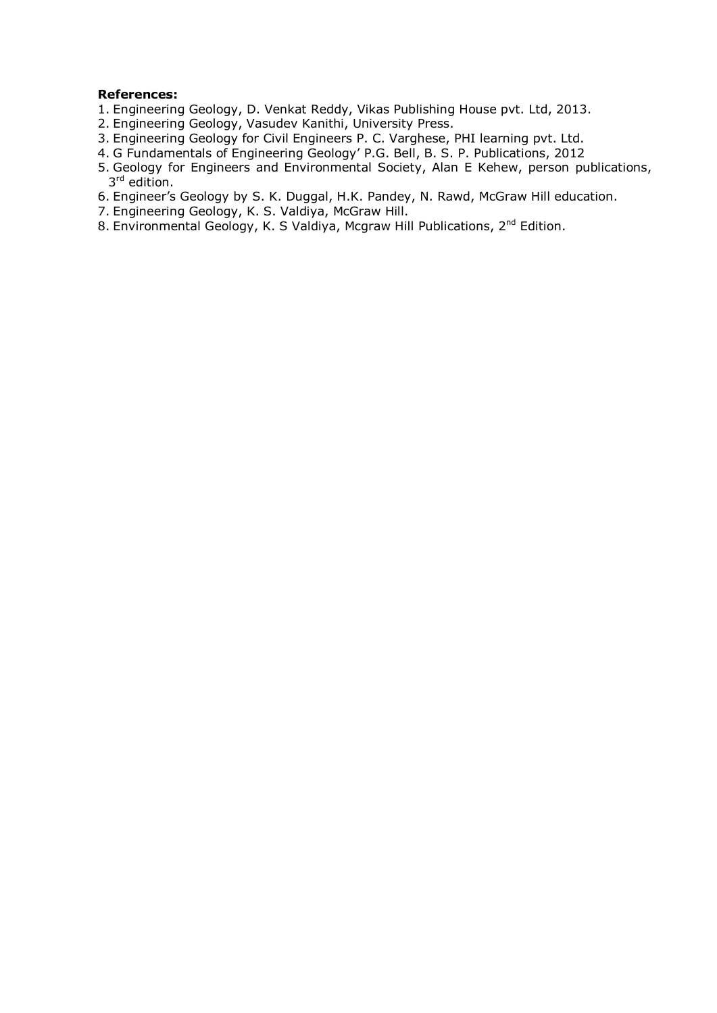#### **References:**

- 1. Engineering Geology, D. Venkat Reddy, Vikas Publishing House pvt. Ltd, 2013.
- 2. Engineering Geology, Vasudev Kanithi, University Press.
- 3. Engineering Geology for Civil Engineers P. C. Varghese, PHI learning pvt. Ltd.
- 4. G Fundamentals of Engineering Geology' P.G. Bell, B. S. P. Publications, 2012
- 5. Geology for Engineers and Environmental Society, Alan E Kehew, person publications, 3<sup>rd</sup> edition.
- 6. Engineer's Geology by S. K. Duggal, H.K. Pandey, N. Rawd, McGraw Hill education.
- 7. Engineering Geology, K. S. Valdiya, McGraw Hill.
- 8. Environmental Geology, K. S Valdiya, Mcgraw Hill Publications, 2<sup>nd</sup> Edition.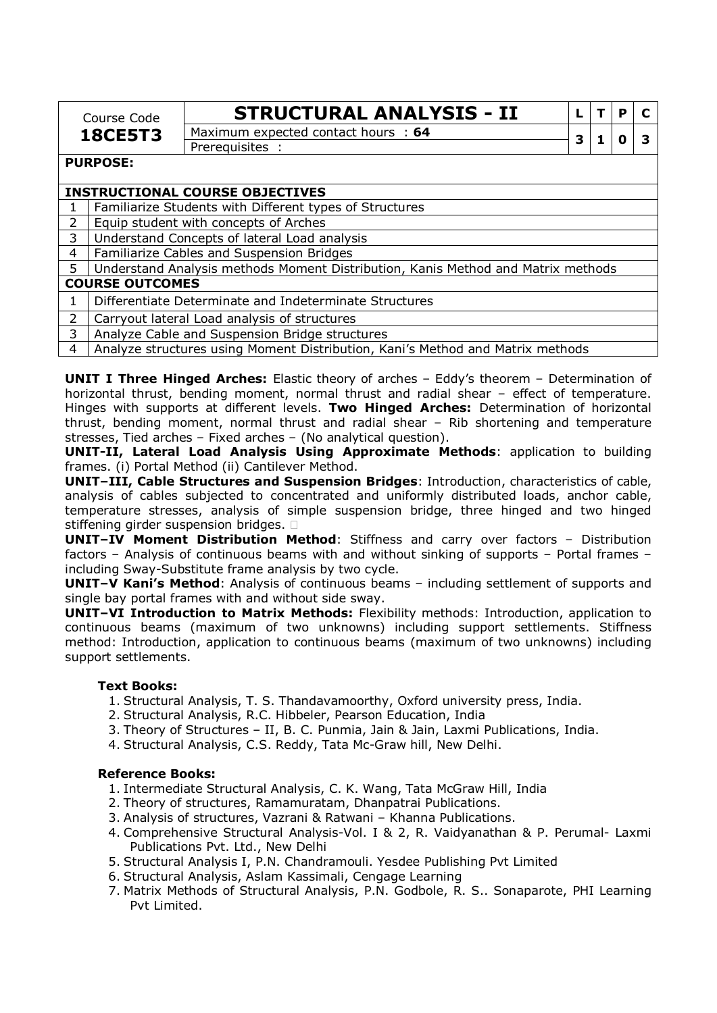| <b>STRUCTU</b>       |
|----------------------|
| Maximum expected cor |
|                      |

Maximum expected contact hours : **<sup>64</sup> <sup>3</sup> <sup>1</sup> <sup>0</sup> <sup>3</sup>**

 $RAL$  ANALYSIS - II  $|L|T|P|C$ 

Prerequisites :

#### **PURPOSE:**

#### **INSTRUCTIONAL COURSE OBJECTIVES**

1 Familiarize Students with Different types of Structures

2 Equip student with concepts of Arches

3 Understand Concepts of lateral Load analysis

4 Familiarize Cables and Suspension Bridges

5 Understand Analysis methods Moment Distribution, Kanis Method and Matrix methods

## **COURSE OUTCOMES**

#### 1 Differentiate Determinate and Indeterminate Structures

2 Carryout lateral Load analysis of structures

3 Analyze Cable and Suspension Bridge structures

4 Analyze structures using Moment Distribution, Kani's Method and Matrix methods

**UNIT I Three Hinged Arches:** Elastic theory of arches – Eddy's theorem – Determination of horizontal thrust, bending moment, normal thrust and radial shear – effect of temperature. Hinges with supports at different levels. **Two Hinged Arches:** Determination of horizontal thrust, bending moment, normal thrust and radial shear – Rib shortening and temperature stresses, Tied arches – Fixed arches – (No analytical question).

**UNIT-II, Lateral Load Analysis Using Approximate Methods**: application to building frames. (i) Portal Method (ii) Cantilever Method.

**UNIT–III, Cable Structures and Suspension Bridges**: Introduction, characteristics of cable, analysis of cables subjected to concentrated and uniformly distributed loads, anchor cable, temperature stresses, analysis of simple suspension bridge, three hinged and two hinged stiffening girder suspension bridges.

**UNIT–IV Moment Distribution Method**: Stiffness and carry over factors – Distribution factors – Analysis of continuous beams with and without sinking of supports – Portal frames – including Sway-Substitute frame analysis by two cycle.

**UNIT–V Kani's Method**: Analysis of continuous beams – including settlement of supports and single bay portal frames with and without side sway.

**UNIT–VI Introduction to Matrix Methods:** Flexibility methods: Introduction, application to continuous beams (maximum of two unknowns) including support settlements. Stiffness method: Introduction, application to continuous beams (maximum of two unknowns) including support settlements.

#### **Text Books:**

- 1. Structural Analysis, T. S. Thandavamoorthy, Oxford university press, India.
- 2. Structural Analysis, R.C. Hibbeler, Pearson Education, India
- 3. Theory of Structures II, B. C. Punmia, Jain & Jain, Laxmi Publications, India.
- 4. Structural Analysis, C.S. Reddy, Tata Mc-Graw hill, New Delhi.

#### **Reference Books:**

- 1. Intermediate Structural Analysis, C. K. Wang, Tata McGraw Hill, India
- 2. Theory of structures, Ramamuratam, Dhanpatrai Publications.
- 3. Analysis of structures, Vazrani & Ratwani Khanna Publications.
- 4. Comprehensive Structural Analysis-Vol. I & 2, R. Vaidyanathan & P. Perumal- Laxmi Publications Pvt. Ltd., New Delhi
- 5. Structural Analysis I, P.N. Chandramouli. Yesdee Publishing Pvt Limited
- 6. Structural Analysis, Aslam Kassimali, Cengage Learning
- 7. Matrix Methods of Structural Analysis, P.N. Godbole, R. S.. Sonaparote, PHI Learning Pvt Limited.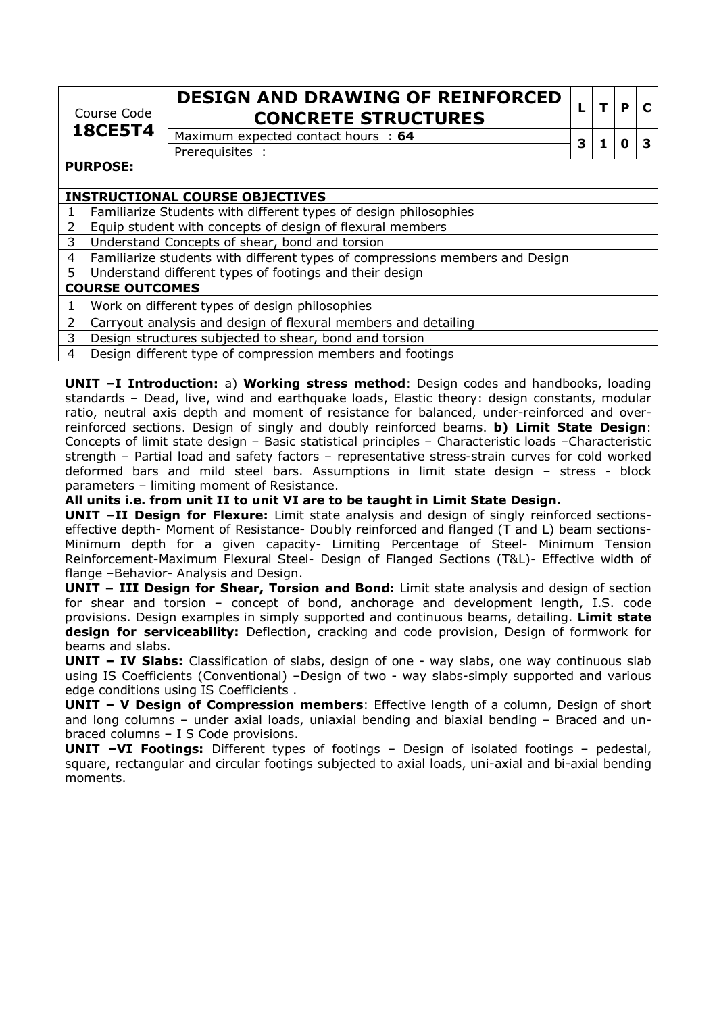| Course Code<br><b>18CE5T4</b>          |                                                                              | <b>DESIGN AND DRAWING OF REINFORCED</b><br><b>CONCRETE STRUCTURES</b>                                                                                                                                                                                                            | L |  | P |   |  |  |  |  |
|----------------------------------------|------------------------------------------------------------------------------|----------------------------------------------------------------------------------------------------------------------------------------------------------------------------------------------------------------------------------------------------------------------------------|---|--|---|---|--|--|--|--|
|                                        |                                                                              | Maximum expected contact hours : 64                                                                                                                                                                                                                                              | 3 |  |   | Ω |  |  |  |  |
|                                        |                                                                              | Prerequisites :                                                                                                                                                                                                                                                                  |   |  |   |   |  |  |  |  |
| <b>PURPOSE:</b>                        |                                                                              |                                                                                                                                                                                                                                                                                  |   |  |   |   |  |  |  |  |
|                                        |                                                                              |                                                                                                                                                                                                                                                                                  |   |  |   |   |  |  |  |  |
| <b>INSTRUCTIONAL COURSE OBJECTIVES</b> |                                                                              |                                                                                                                                                                                                                                                                                  |   |  |   |   |  |  |  |  |
|                                        | Familiarize Students with different types of design philosophies             |                                                                                                                                                                                                                                                                                  |   |  |   |   |  |  |  |  |
| $\overline{2}$                         | Equip student with concepts of design of flexural members                    |                                                                                                                                                                                                                                                                                  |   |  |   |   |  |  |  |  |
| 3                                      | Understand Concepts of shear, bond and torsion                               |                                                                                                                                                                                                                                                                                  |   |  |   |   |  |  |  |  |
| 4                                      | Familiarize students with different types of compressions members and Design |                                                                                                                                                                                                                                                                                  |   |  |   |   |  |  |  |  |
| 5.                                     | Understand different types of footings and their design                      |                                                                                                                                                                                                                                                                                  |   |  |   |   |  |  |  |  |
|                                        | <b>COURSE OUTCOMES</b>                                                       |                                                                                                                                                                                                                                                                                  |   |  |   |   |  |  |  |  |
| 1                                      |                                                                              | Work on different types of design philosophies                                                                                                                                                                                                                                   |   |  |   |   |  |  |  |  |
| $\overline{2}$                         |                                                                              | Carryout analysis and design of flexural members and detailing                                                                                                                                                                                                                   |   |  |   |   |  |  |  |  |
| 3                                      |                                                                              | Design structures subjected to shear, bond and torsion                                                                                                                                                                                                                           |   |  |   |   |  |  |  |  |
|                                        |                                                                              | $\sim$ 1.000 $\sim$ 1.1 $\sim$ 0.1 $\sim$ 1.1 $\sim$ 1.1 $\sim$ 1.1 $\sim$ 1.1 $\sim$ 1.1 $\sim$ 1.1 $\sim$ 1.1 $\sim$ 1.1 $\sim$ 1.1 $\sim$ 1.1 $\sim$ 1.1 $\sim$ 1.1 $\sim$ 1.1 $\sim$ 1.1 $\sim$ 1.1 $\sim$ 1.1 $\sim$ 1.1 $\sim$ 1.1 $\sim$ 1.1 $\sim$ 1.1 $\sim$ 1.1 $\sim$ |   |  |   |   |  |  |  |  |

| 4 | Design different type of compression members and footings

**UNIT –I Introduction:** a) **Working stress method**: Design codes and handbooks, loading standards – Dead, live, wind and earthquake loads, Elastic theory: design constants, modular ratio, neutral axis depth and moment of resistance for balanced, under-reinforced and overreinforced sections. Design of singly and doubly reinforced beams. **b) Limit State Design**: Concepts of limit state design – Basic statistical principles – Characteristic loads –Characteristic strength – Partial load and safety factors – representative stress-strain curves for cold worked deformed bars and mild steel bars. Assumptions in limit state design – stress - block parameters – limiting moment of Resistance.

**All units i.e. from unit II to unit VI are to be taught in Limit State Design.** 

**UNIT –II Design for Flexure:** Limit state analysis and design of singly reinforced sectionseffective depth- Moment of Resistance- Doubly reinforced and flanged (T and L) beam sections-Minimum depth for a given capacity- Limiting Percentage of Steel- Minimum Tension Reinforcement-Maximum Flexural Steel- Design of Flanged Sections (T&L)- Effective width of flange –Behavior- Analysis and Design.

**UNIT – III Design for Shear, Torsion and Bond:** Limit state analysis and design of section for shear and torsion – concept of bond, anchorage and development length, I.S. code provisions. Design examples in simply supported and continuous beams, detailing. **Limit state design for serviceability:** Deflection, cracking and code provision, Design of formwork for beams and slabs.

**UNIT – IV Slabs:** Classification of slabs, design of one - way slabs, one way continuous slab using IS Coefficients (Conventional) -Design of two - way slabs-simply supported and various edge conditions using IS Coefficients .

**UNIT – V Design of Compression members**: Effective length of a column, Design of short and long columns – under axial loads, uniaxial bending and biaxial bending – Braced and unbraced columns – I S Code provisions.

**UNIT –VI Footings:** Different types of footings – Design of isolated footings – pedestal, square, rectangular and circular footings subjected to axial loads, uni-axial and bi-axial bending moments.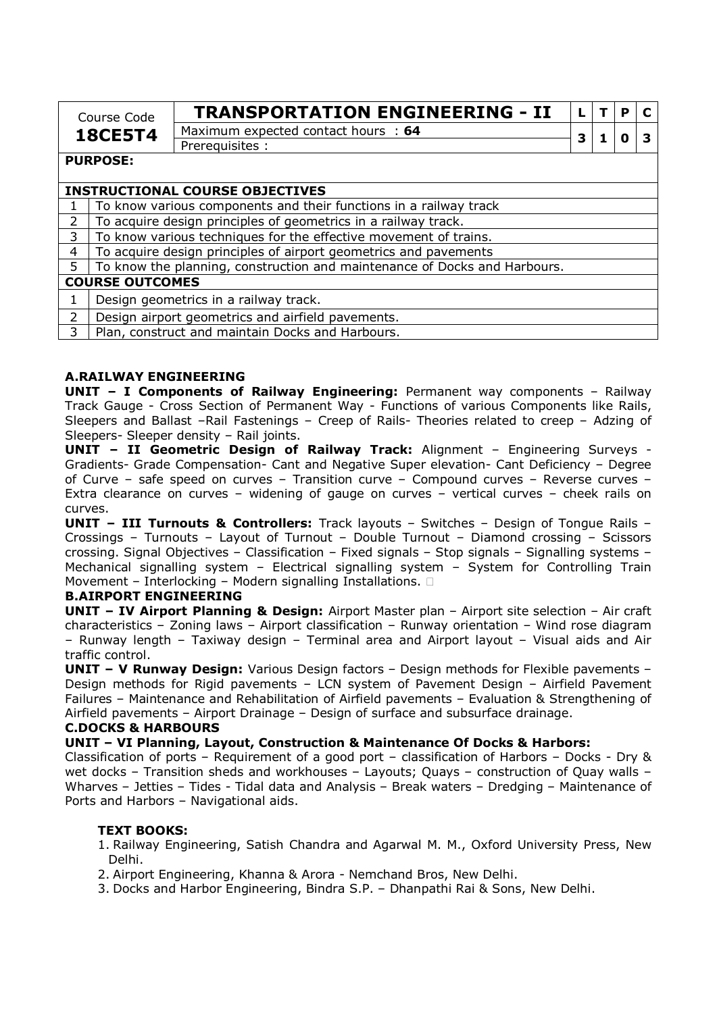| Course Code     | <b>TRANSPORTATION ENGINEERING - II</b> |  |  |
|-----------------|----------------------------------------|--|--|
| <b>18CE5T4</b>  | Maximum expected contact hours: 64     |  |  |
|                 | Prereguisites:                         |  |  |
| <b>PURPOSE:</b> |                                        |  |  |

#### **INSTRUCTIONAL COURSE OBJECTIVES**

 $1$  To know various components and their functions in a railway track

2  $\vert$  To acquire design principles of geometrics in a railway track.

 $3$  To know various techniques for the effective movement of trains.

4 To acquire design principles of airport geometrics and pavements

5 To know the planning, construction and maintenance of Docks and Harbours.

## **COURSE OUTCOMES**

 $1$  Design geometrics in a railway track.

2 Design airport geometrics and airfield pavements.

3 | Plan, construct and maintain Docks and Harbours.

#### **A.RAILWAY ENGINEERING**

**UNIT – I Components of Railway Engineering:** Permanent way components – Railway Track Gauge - Cross Section of Permanent Way - Functions of various Components like Rails, Sleepers and Ballast –Rail Fastenings – Creep of Rails- Theories related to creep – Adzing of Sleepers- Sleeper density – Rail joints.

**UNIT – II Geometric Design of Railway Track:** Alignment – Engineering Surveys - Gradients- Grade Compensation- Cant and Negative Super elevation- Cant Deficiency – Degree of Curve – safe speed on curves – Transition curve – Compound curves – Reverse curves – Extra clearance on curves – widening of gauge on curves – vertical curves – cheek rails on curves.

**UNIT – III Turnouts & Controllers:** Track layouts – Switches – Design of Tongue Rails – Crossings – Turnouts – Layout of Turnout – Double Turnout – Diamond crossing – Scissors crossing. Signal Objectives – Classification – Fixed signals – Stop signals – Signalling systems – Mechanical signalling system – Electrical signalling system – System for Controlling Train Movement – Interlocking – Modern signalling Installations.

#### **B.AIRPORT ENGINEERING**

**UNIT – IV Airport Planning & Design:** Airport Master plan – Airport site selection – Air craft characteristics – Zoning laws – Airport classification – Runway orientation – Wind rose diagram – Runway length – Taxiway design – Terminal area and Airport layout – Visual aids and Air traffic control.

**UNIT – V Runway Design:** Various Design factors – Design methods for Flexible pavements – Design methods for Rigid pavements – LCN system of Pavement Design – Airfield Pavement Failures – Maintenance and Rehabilitation of Airfield pavements – Evaluation & Strengthening of Airfield pavements – Airport Drainage – Design of surface and subsurface drainage.

#### **C.DOCKS & HARBOURS**

**UNIT – VI Planning, Layout, Construction & Maintenance Of Docks & Harbors:** 

Classification of ports – Requirement of a good port – classification of Harbors – Docks - Dry & wet docks – Transition sheds and workhouses – Layouts; Quays – construction of Quay walls – Wharves – Jetties – Tides - Tidal data and Analysis – Break waters – Dredging – Maintenance of Ports and Harbors – Navigational aids.

#### **TEXT BOOKS:**

1. Railway Engineering, Satish Chandra and Agarwal M. M., Oxford University Press, New Delhi.

2. Airport Engineering, Khanna & Arora - Nemchand Bros, New Delhi.

3. Docks and Harbor Engineering, Bindra S.P. – Dhanpathi Rai & Sons, New Delhi.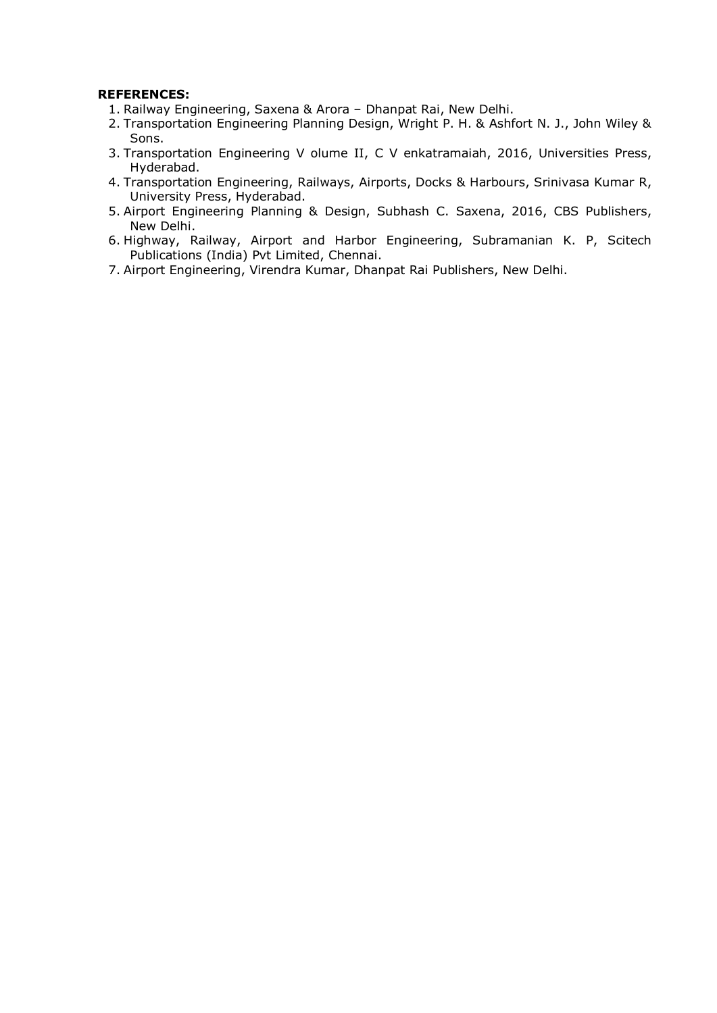### **REFERENCES:**

- 1. Railway Engineering, Saxena & Arora Dhanpat Rai, New Delhi.
- 2. Transportation Engineering Planning Design, Wright P. H. & Ashfort N. J., John Wiley & Sons.
- 3. Transportation Engineering V olume II, C V enkatramaiah, 2016, Universities Press, Hyderabad.
- 4. Transportation Engineering, Railways, Airports, Docks & Harbours, Srinivasa Kumar R, University Press, Hyderabad.
- 5. Airport Engineering Planning & Design, Subhash C. Saxena, 2016, CBS Publishers, New Delhi.
- 6. Highway, Railway, Airport and Harbor Engineering, Subramanian K. P, Scitech Publications (India) Pvt Limited, Chennai.
- 7. Airport Engineering, Virendra Kumar, Dhanpat Rai Publishers, New Delhi.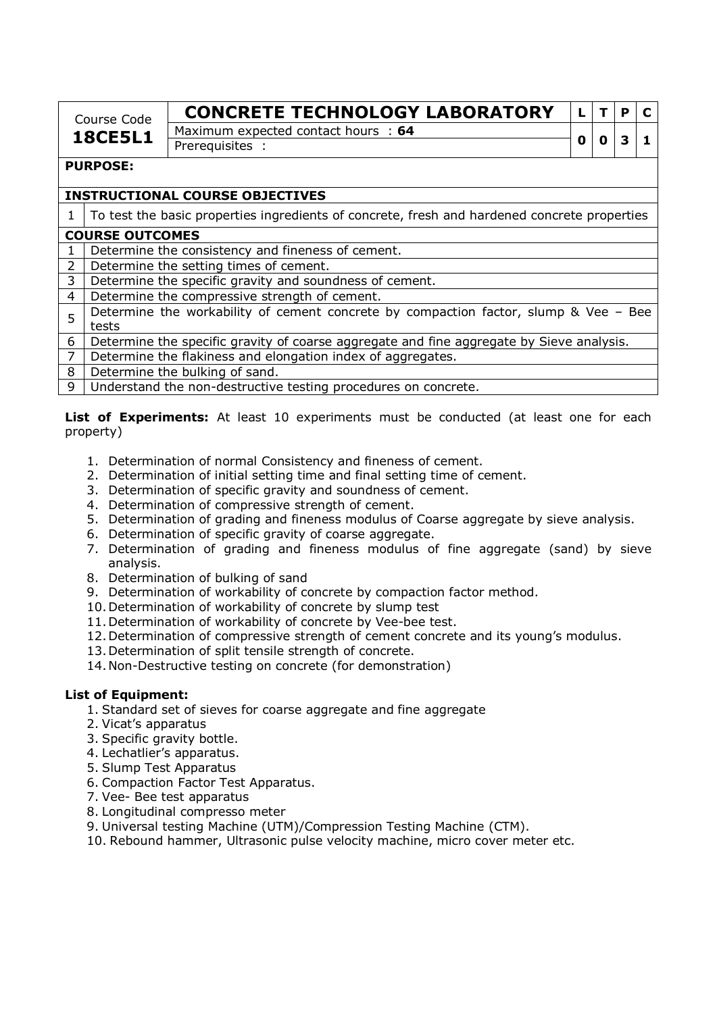| Course Code    | <b>CONCRETE TECHNOLOGY LABORATORY</b> |  |  |
|----------------|---------------------------------------|--|--|
| <b>18CE5L1</b> | Maximum expected contact hours: 64    |  |  |
|                | <b>Prereguisites</b>                  |  |  |

### **PURPOSE:**

# **INSTRUCTIONAL COURSE OBJECTIVES**

1 To test the basic properties ingredients of concrete, fresh and hardened concrete properties

### **COURSE OUTCOMES**

1 | Determine the consistency and fineness of cement.

2 Determine the setting times of cement.

3 Determine the specific gravity and soundness of cement.

4 Determine the compressive strength of cement.

 $5$  Determine the workability of cement concrete by compaction factor, slump & Vee – Bee tests

6 Determine the specific gravity of coarse aggregate and fine aggregate by Sieve analysis.

7 Determine the flakiness and elongation index of aggregates.

8 Determine the bulking of sand.

9 Understand the non-destructive testing procedures on concrete.

**List of Experiments:** At least 10 experiments must be conducted (at least one for each property)

- 1. Determination of normal Consistency and fineness of cement.
- 2. Determination of initial setting time and final setting time of cement.
- 3. Determination of specific gravity and soundness of cement.
- 4. Determination of compressive strength of cement.
- 5. Determination of grading and fineness modulus of Coarse aggregate by sieve analysis.
- 6. Determination of specific gravity of coarse aggregate.
- 7. Determination of grading and fineness modulus of fine aggregate (sand) by sieve analysis.
- 8. Determination of bulking of sand
- 9. Determination of workability of concrete by compaction factor method.
- 10.Determination of workability of concrete by slump test
- 11.Determination of workability of concrete by Vee-bee test.
- 12.Determination of compressive strength of cement concrete and its young's modulus.
- 13.Determination of split tensile strength of concrete.
- 14.Non-Destructive testing on concrete (for demonstration)

### **List of Equipment:**

- 1. Standard set of sieves for coarse aggregate and fine aggregate
- 2. Vicat's apparatus
- 3. Specific gravity bottle.
- 4. Lechatlier's apparatus.
- 5. Slump Test Apparatus
- 6. Compaction Factor Test Apparatus.
- 7. Vee- Bee test apparatus
- 8. Longitudinal compresso meter
- 9. Universal testing Machine (UTM)/Compression Testing Machine (CTM).

10. Rebound hammer, Ultrasonic pulse velocity machine, micro cover meter etc.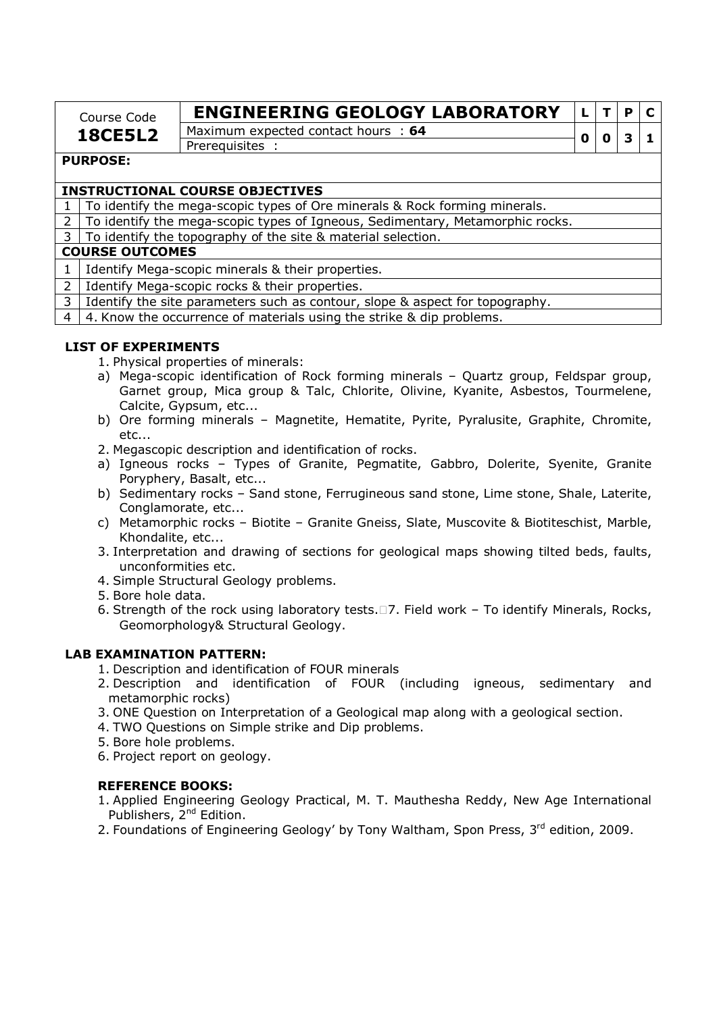| Course Code    | <b>ENGINEERING GEOLOGY LABORATORY</b> |  |  |
|----------------|---------------------------------------|--|--|
| <b>18CE5L2</b> | Maximum expected contact hours : 64   |  |  |
|                | Prerequisites                         |  |  |

### **PURPOSE:**

### **INSTRUCTIONAL COURSE OBJECTIVES**

1 To identify the mega-scopic types of Ore minerals & Rock forming minerals.

2 To identify the mega-scopic types of Igneous, Sedimentary, Metamorphic rocks.

3 To identify the topography of the site & material selection.

### **COURSE OUTCOMES**

1 | Identify Mega-scopic minerals & their properties.

2 I Identify Mega-scopic rocks & their properties.

3 | Identify the site parameters such as contour, slope & aspect for topography.

4 | 4. Know the occurrence of materials using the strike & dip problems.

### **LIST OF EXPERIMENTS**

1. Physical properties of minerals:

- a) Mega-scopic identification of Rock forming minerals Quartz group, Feldspar group, Garnet group, Mica group & Talc, Chlorite, Olivine, Kyanite, Asbestos, Tourmelene, Calcite, Gypsum, etc...
- b) Ore forming minerals Magnetite, Hematite, Pyrite, Pyralusite, Graphite, Chromite, etc...
- 2. Megascopic description and identification of rocks.
- a) Igneous rocks Types of Granite, Pegmatite, Gabbro, Dolerite, Syenite, Granite Poryphery, Basalt, etc...
- b) Sedimentary rocks Sand stone, Ferrugineous sand stone, Lime stone, Shale, Laterite, Conglamorate, etc...
- c) Metamorphic rocks Biotite Granite Gneiss, Slate, Muscovite & Biotiteschist, Marble, Khondalite, etc...
- 3. Interpretation and drawing of sections for geological maps showing tilted beds, faults, unconformities etc.
- 4. Simple Structural Geology problems.
- 5. Bore hole data.
- 6. Strength of the rock using laboratory tests.7. Field work To identify Minerals, Rocks, Geomorphology& Structural Geology.

### **LAB EXAMINATION PATTERN:**

- 1. Description and identification of FOUR minerals
- 2. Description and identification of FOUR (including igneous, sedimentary and metamorphic rocks)
- 3. ONE Question on Interpretation of a Geological map along with a geological section.
- 4. TWO Questions on Simple strike and Dip problems.
- 5. Bore hole problems.
- 6. Project report on geology.

### **REFERENCE BOOKS:**

- 1. Applied Engineering Geology Practical, M. T. Mauthesha Reddy, New Age International Publishers, 2<sup>nd</sup> Edition.
- 2. Foundations of Engineering Geology' by Tony Waltham, Spon Press, 3<sup>rd</sup> edition, 2009.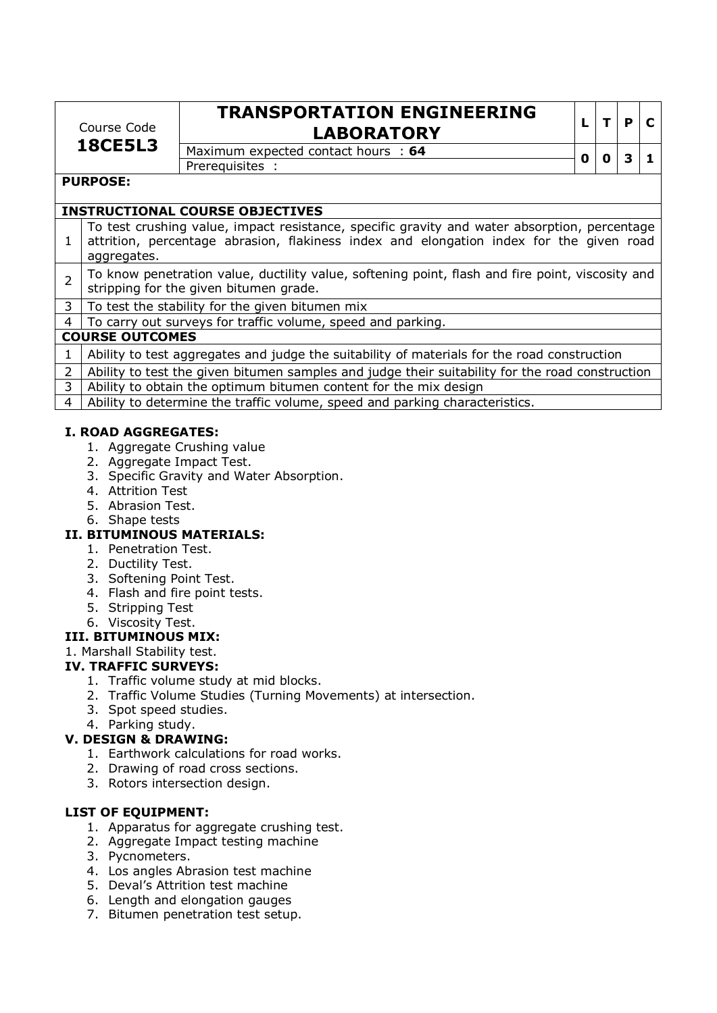| Course Code<br><b>18CE5L3</b> |                                                                                                                                                                                                        | <b>TRANSPORTATION ENGINEERING</b><br><b>LABORATORY</b>      |   |   | P |   |
|-------------------------------|--------------------------------------------------------------------------------------------------------------------------------------------------------------------------------------------------------|-------------------------------------------------------------|---|---|---|---|
|                               |                                                                                                                                                                                                        | Maximum expected contact hours : 64<br>Prerequisites :      | 0 | O | З | 1 |
|                               | <b>PURPOSE:</b>                                                                                                                                                                                        | <b>INSTRUCTIONAL COURSE OBJECTIVES</b>                      |   |   |   |   |
|                               |                                                                                                                                                                                                        |                                                             |   |   |   |   |
| $\mathbf{1}$                  | To test crushing value, impact resistance, specific gravity and water absorption, percentage<br>attrition, percentage abrasion, flakiness index and elongation index for the given road<br>aggregates. |                                                             |   |   |   |   |
| $\overline{2}$                | To know penetration value, ductility value, softening point, flash and fire point, viscosity and<br>stripping for the given bitumen grade.                                                             |                                                             |   |   |   |   |
| 3 <sup>1</sup>                |                                                                                                                                                                                                        | To test the stability for the given bitumen mix             |   |   |   |   |
| $4 \quad$                     |                                                                                                                                                                                                        | To carry out surveys for traffic volume, speed and parking. |   |   |   |   |

### **COURSE OUTCOMES**

| COURSE OUTCOMES                                                                                 |  |  |  |  |  |  |  |  |
|-------------------------------------------------------------------------------------------------|--|--|--|--|--|--|--|--|
| Ability to test aggregates and judge the suitability of materials for the road construction     |  |  |  |  |  |  |  |  |
| Ability to test the given bitumen samples and judge their suitability for the road construction |  |  |  |  |  |  |  |  |
| 3 Ability to obtain the optimum bitumen content for the mix design                              |  |  |  |  |  |  |  |  |
| 4   Ability to determine the traffic volume, speed and parking characteristics.                 |  |  |  |  |  |  |  |  |

### **I. ROAD AGGREGATES:**

- 1. Aggregate Crushing value
- 2. Aggregate Impact Test.
- 3. Specific Gravity and Water Absorption.
- 4. Attrition Test
- 5. Abrasion Test.
- 6. Shape tests

# **II. BITUMINOUS MATERIALS:**

- 1. Penetration Test.
- 2. Ductility Test.
- 3. Softening Point Test.
- 4. Flash and fire point tests.
- 5. Stripping Test
- 6. Viscosity Test.

# **III. BITUMINOUS MIX:**

# 1. Marshall Stability test.

# **IV. TRAFFIC SURVEYS:**

- 1. Traffic volume study at mid blocks.
- 2. Traffic Volume Studies (Turning Movements) at intersection.
- 3. Spot speed studies.
- 4. Parking study.

# **V. DESIGN & DRAWING:**

- 1. Earthwork calculations for road works.
- 2. Drawing of road cross sections.
- 3. Rotors intersection design.

# **LIST OF EQUIPMENT:**

- 1. Apparatus for aggregate crushing test.
- 2. Aggregate Impact testing machine
- 3. Pycnometers.
- 4. Los angles Abrasion test machine
- 5. Deval's Attrition test machine
- 6. Length and elongation gauges
- 7. Bitumen penetration test setup.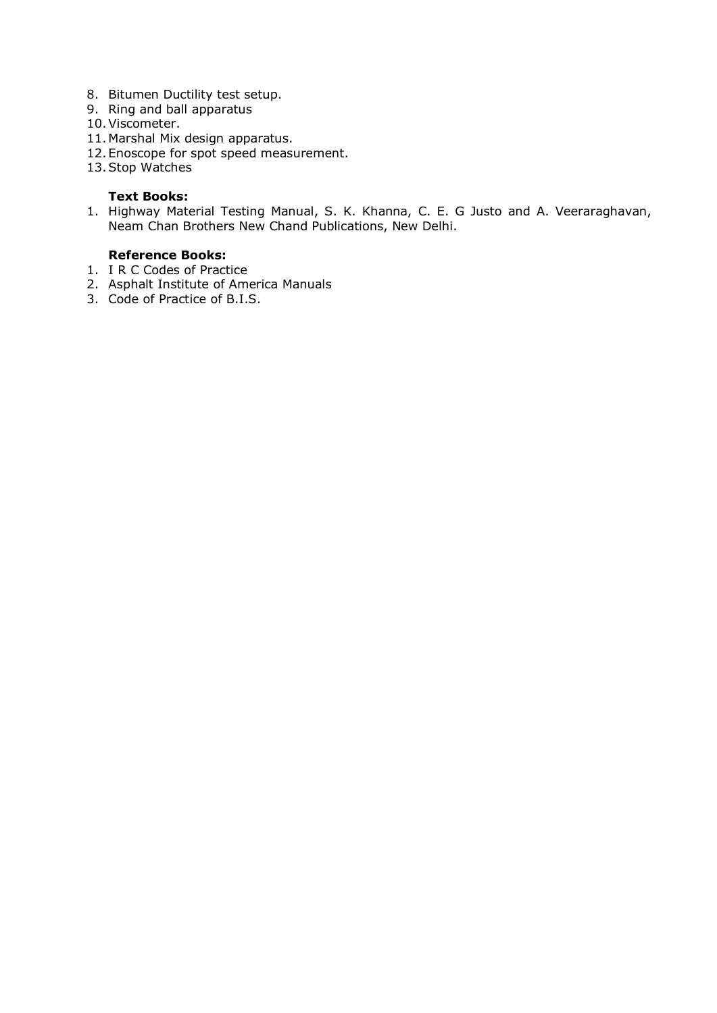- 8. Bitumen Ductility test setup.
- 9. Ring and ball apparatus
- 10.Viscometer.
- 11.Marshal Mix design apparatus.
- 12.Enoscope for spot speed measurement.
- 13.Stop Watches

### **Text Books:**

1. Highway Material Testing Manual, S. K. Khanna, C. E. G Justo and A. Veeraraghavan, Neam Chan Brothers New Chand Publications, New Delhi.

# **Reference Books:**

- 1. I R C Codes of Practice
- 2. Asphalt Institute of America Manuals
- 3. Code of Practice of B.I.S.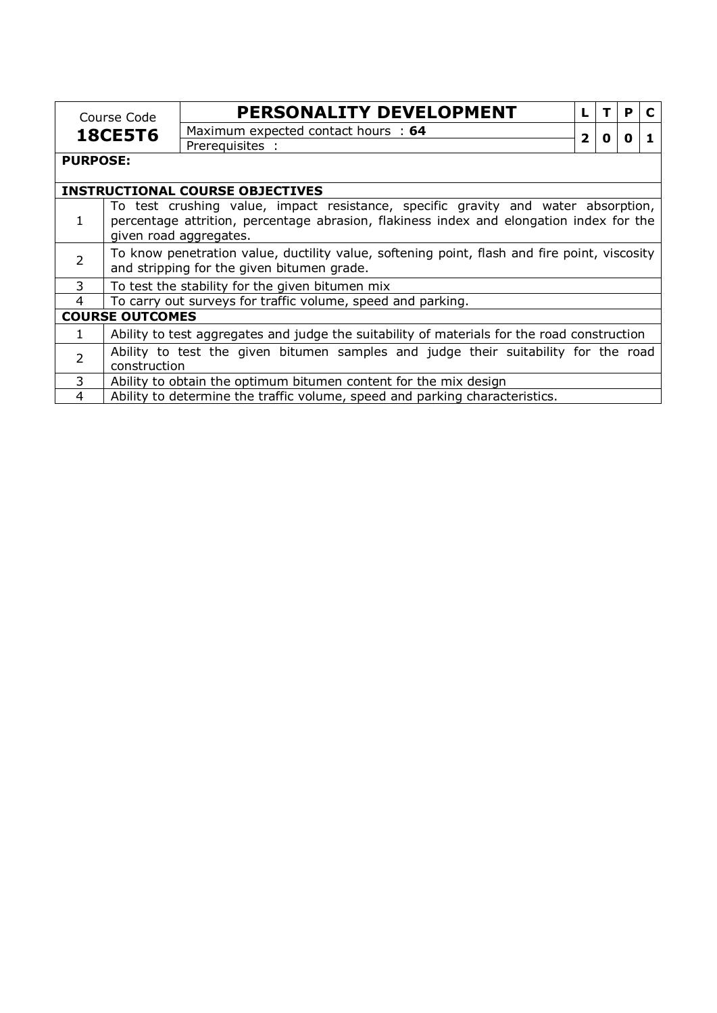|                 | Course Code                                                                                                                                | PERSONALITY DEVELOPMENT                                                                                                                                                                                |   |   | P |  |
|-----------------|--------------------------------------------------------------------------------------------------------------------------------------------|--------------------------------------------------------------------------------------------------------------------------------------------------------------------------------------------------------|---|---|---|--|
|                 | <b>18CE5T6</b>                                                                                                                             | Maximum expected contact hours : 64                                                                                                                                                                    | 2 | 0 | O |  |
|                 |                                                                                                                                            | Prerequisites :                                                                                                                                                                                        |   |   |   |  |
| <b>PURPOSE:</b> |                                                                                                                                            |                                                                                                                                                                                                        |   |   |   |  |
|                 |                                                                                                                                            | <b>INSTRUCTIONAL COURSE OBJECTIVES</b>                                                                                                                                                                 |   |   |   |  |
|                 |                                                                                                                                            | To test crushing value, impact resistance, specific gravity and water absorption,<br>percentage attrition, percentage abrasion, flakiness index and elongation index for the<br>given road aggregates. |   |   |   |  |
| $\overline{2}$  | To know penetration value, ductility value, softening point, flash and fire point, viscosity<br>and stripping for the given bitumen grade. |                                                                                                                                                                                                        |   |   |   |  |
| 3               |                                                                                                                                            | To test the stability for the given bitumen mix                                                                                                                                                        |   |   |   |  |
| 4               |                                                                                                                                            | To carry out surveys for traffic volume, speed and parking.                                                                                                                                            |   |   |   |  |
|                 | <b>COURSE OUTCOMES</b>                                                                                                                     |                                                                                                                                                                                                        |   |   |   |  |
| $\mathbf{1}$    |                                                                                                                                            | Ability to test aggregates and judge the suitability of materials for the road construction                                                                                                            |   |   |   |  |
| $\overline{2}$  | construction                                                                                                                               | Ability to test the given bitumen samples and judge their suitability for the road                                                                                                                     |   |   |   |  |
| 3               |                                                                                                                                            | Ability to obtain the optimum bitumen content for the mix design                                                                                                                                       |   |   |   |  |
| 4               |                                                                                                                                            | Ability to determine the traffic volume, speed and parking characteristics.                                                                                                                            |   |   |   |  |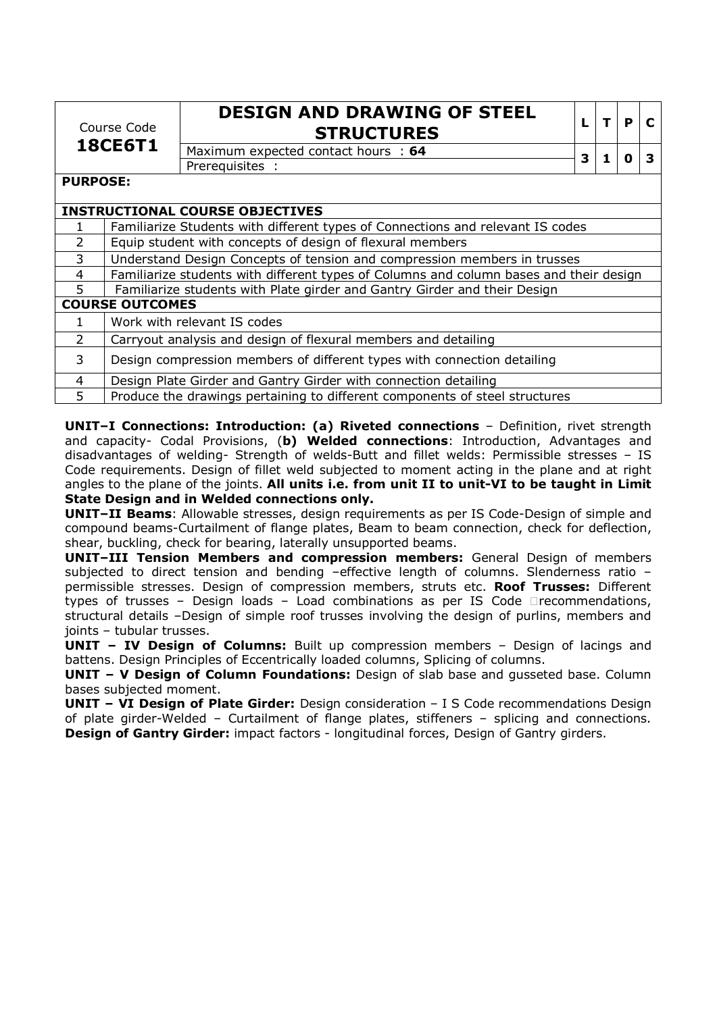| Course Code     |                                                                             | <b>DESIGN AND DRAWING OF STEEL</b><br><b>STRUCTURES</b>                                | L | T | P | $\mathbf{C}$ |
|-----------------|-----------------------------------------------------------------------------|----------------------------------------------------------------------------------------|---|---|---|--------------|
|                 | <b>18CE6T1</b>                                                              | Maximum expected contact hours : 64                                                    |   | 1 | 0 | 3            |
|                 |                                                                             | Prerequisites :                                                                        | 3 |   |   |              |
| <b>PURPOSE:</b> |                                                                             |                                                                                        |   |   |   |              |
|                 |                                                                             |                                                                                        |   |   |   |              |
|                 |                                                                             | <b>INSTRUCTIONAL COURSE OBJECTIVES</b>                                                 |   |   |   |              |
| 1               |                                                                             | Familiarize Students with different types of Connections and relevant IS codes         |   |   |   |              |
| $\overline{2}$  |                                                                             | Equip student with concepts of design of flexural members                              |   |   |   |              |
| 3               |                                                                             | Understand Design Concepts of tension and compression members in trusses               |   |   |   |              |
| 4               |                                                                             | Familiarize students with different types of Columns and column bases and their design |   |   |   |              |
| 5.              |                                                                             | Familiarize students with Plate girder and Gantry Girder and their Design              |   |   |   |              |
|                 | <b>COURSE OUTCOMES</b>                                                      |                                                                                        |   |   |   |              |
| $\mathbf{1}$    |                                                                             | Work with relevant IS codes                                                            |   |   |   |              |
| $\overline{2}$  |                                                                             | Carryout analysis and design of flexural members and detailing                         |   |   |   |              |
| 3               |                                                                             | Design compression members of different types with connection detailing                |   |   |   |              |
| 4               |                                                                             | Design Plate Girder and Gantry Girder with connection detailing                        |   |   |   |              |
| 5               | Produce the drawings pertaining to different components of steel structures |                                                                                        |   |   |   |              |

**UNIT–I Connections: Introduction: (a) Riveted connections** – Definition, rivet strength and capacity- Codal Provisions, (**b) Welded connections**: Introduction, Advantages and disadvantages of welding- Strength of welds-Butt and fillet welds: Permissible stresses – IS Code requirements. Design of fillet weld subjected to moment acting in the plane and at right angles to the plane of the joints. **All units i.e. from unit II to unit-VI to be taught in Limit State Design and in Welded connections only.** 

**UNIT–II Beams**: Allowable stresses, design requirements as per IS Code-Design of simple and compound beams-Curtailment of flange plates, Beam to beam connection, check for deflection, shear, buckling, check for bearing, laterally unsupported beams.

**UNIT–III Tension Members and compression members:** General Design of members subjected to direct tension and bending –effective length of columns. Slenderness ratio – permissible stresses. Design of compression members, struts etc. **Roof Trusses:** Different types of trusses – Design loads – Load combinations as per IS Code recommendations, structural details –Design of simple roof trusses involving the design of purlins, members and joints – tubular trusses.

**UNIT – IV Design of Columns:** Built up compression members – Design of lacings and battens. Design Principles of Eccentrically loaded columns, Splicing of columns.

**UNIT - V Design of Column Foundations:** Design of slab base and gusseted base. Column bases subjected moment.

**UNIT - VI Design of Plate Girder:** Design consideration - I S Code recommendations Design of plate girder-Welded – Curtailment of flange plates, stiffeners – splicing and connections. **Design of Gantry Girder:** impact factors - longitudinal forces, Design of Gantry girders.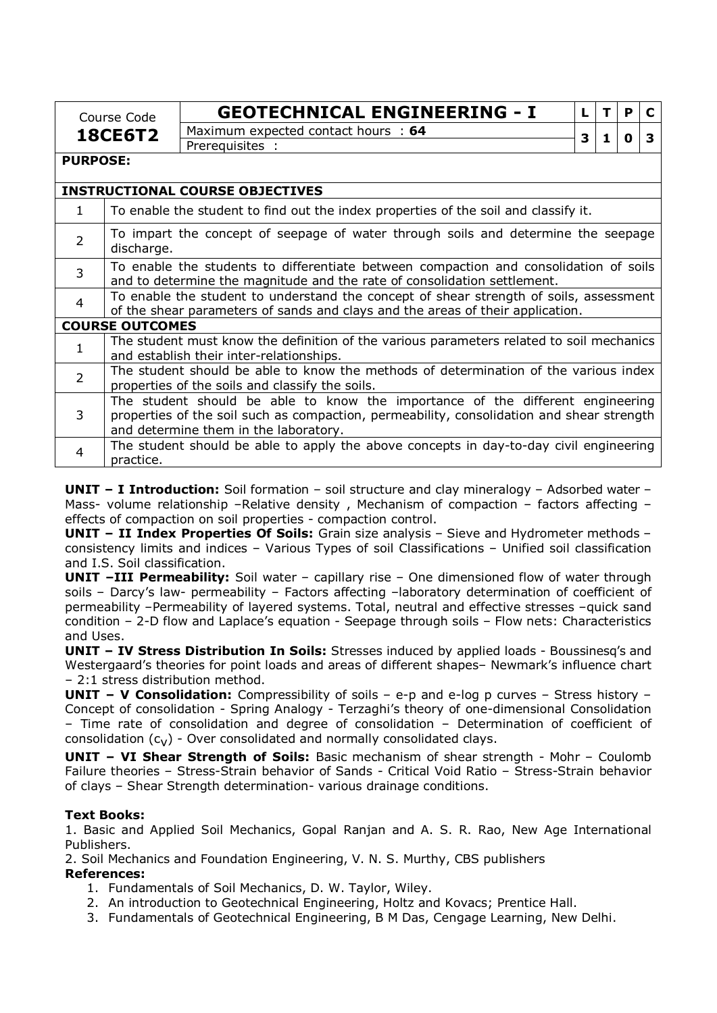|                 | Course Code                                                                                                                                                                                                          | <b>GEOTECHNICAL ENGINEERING - I</b>                                                                                                     | L |   | P.           | C |
|-----------------|----------------------------------------------------------------------------------------------------------------------------------------------------------------------------------------------------------------------|-----------------------------------------------------------------------------------------------------------------------------------------|---|---|--------------|---|
|                 | <b>18CE6T2</b>                                                                                                                                                                                                       | Maximum expected contact hours : 64                                                                                                     | 3 | 1 | $\mathbf{0}$ | 3 |
|                 |                                                                                                                                                                                                                      | Prerequisites :                                                                                                                         |   |   |              |   |
| <b>PURPOSE:</b> |                                                                                                                                                                                                                      |                                                                                                                                         |   |   |              |   |
|                 |                                                                                                                                                                                                                      | <b>INSTRUCTIONAL COURSE OBJECTIVES</b>                                                                                                  |   |   |              |   |
| $\mathbf{1}$    |                                                                                                                                                                                                                      | To enable the student to find out the index properties of the soil and classify it.                                                     |   |   |              |   |
| $\overline{2}$  | To impart the concept of seepage of water through soils and determine the seepage<br>discharge.                                                                                                                      |                                                                                                                                         |   |   |              |   |
| 3               | To enable the students to differentiate between compaction and consolidation of soils<br>and to determine the magnitude and the rate of consolidation settlement.                                                    |                                                                                                                                         |   |   |              |   |
| $\overline{4}$  | To enable the student to understand the concept of shear strength of soils, assessment<br>of the shear parameters of sands and clays and the areas of their application.                                             |                                                                                                                                         |   |   |              |   |
|                 | <b>COURSE OUTCOMES</b>                                                                                                                                                                                               |                                                                                                                                         |   |   |              |   |
| 1               |                                                                                                                                                                                                                      | The student must know the definition of the various parameters related to soil mechanics<br>and establish their inter-relationships.    |   |   |              |   |
| $\overline{2}$  |                                                                                                                                                                                                                      | The student should be able to know the methods of determination of the various index<br>properties of the soils and classify the soils. |   |   |              |   |
| 3               | The student should be able to know the importance of the different engineering<br>properties of the soil such as compaction, permeability, consolidation and shear strength<br>and determine them in the laboratory. |                                                                                                                                         |   |   |              |   |
| $\overline{4}$  | The student should be able to apply the above concepts in day-to-day civil engineering<br>practice.                                                                                                                  |                                                                                                                                         |   |   |              |   |

**UNIT – I Introduction:** Soil formation – soil structure and clay mineralogy – Adsorbed water – Mass- volume relationship -Relative density, Mechanism of compaction - factors affecting effects of compaction on soil properties - compaction control.

**UNIT – II Index Properties Of Soils:** Grain size analysis – Sieve and Hydrometer methods – consistency limits and indices – Various Types of soil Classifications – Unified soil classification and I.S. Soil classification.

**UNIT –III Permeability:** Soil water – capillary rise – One dimensioned flow of water through soils – Darcy's law- permeability – Factors affecting –laboratory determination of coefficient of permeability –Permeability of layered systems. Total, neutral and effective stresses –quick sand condition – 2-D flow and Laplace's equation - Seepage through soils – Flow nets: Characteristics and Uses.

**UNIT – IV Stress Distribution In Soils:** Stresses induced by applied loads - Boussinesq's and Westergaard's theories for point loads and areas of different shapes– Newmark's influence chart – 2:1 stress distribution method.

**UNIT – V Consolidation:** Compressibility of soils – e-p and e-log p curves – Stress history – Concept of consolidation - Spring Analogy - Terzaghi's theory of one-dimensional Consolidation – Time rate of consolidation and degree of consolidation – Determination of coefficient of consolidation  $(c_V)$  - Over consolidated and normally consolidated clays.

**UNIT – VI Shear Strength of Soils:** Basic mechanism of shear strength - Mohr – Coulomb Failure theories – Stress-Strain behavior of Sands - Critical Void Ratio – Stress-Strain behavior of clays – Shear Strength determination- various drainage conditions.

# **Text Books:**

1. Basic and Applied Soil Mechanics, Gopal Ranjan and A. S. R. Rao, New Age International Publishers.

2. Soil Mechanics and Foundation Engineering, V. N. S. Murthy, CBS publishers

### **References:**

- 1. Fundamentals of Soil Mechanics, D. W. Taylor, Wiley.
- 2. An introduction to Geotechnical Engineering, Holtz and Kovacs; Prentice Hall.
- 3. Fundamentals of Geotechnical Engineering, B M Das, Cengage Learning, New Delhi.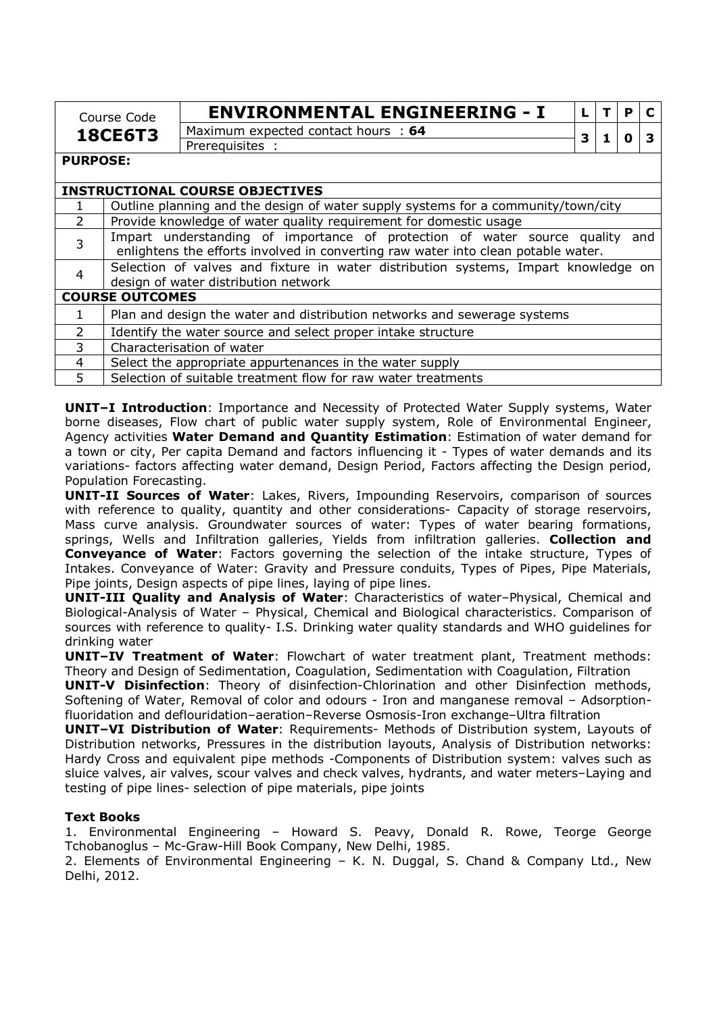|                 | Course Code                                                                       | <b>ENVIRONMENTAL ENGINEERING - I</b>                                                                                                                          |   | P |     |
|-----------------|-----------------------------------------------------------------------------------|---------------------------------------------------------------------------------------------------------------------------------------------------------------|---|---|-----|
|                 | <b>18CE6T3</b>                                                                    | Maximum expected contact hours : 64                                                                                                                           | З |   |     |
|                 |                                                                                   | Prerequisites :                                                                                                                                               |   |   |     |
| <b>PURPOSE:</b> |                                                                                   |                                                                                                                                                               |   |   |     |
|                 |                                                                                   |                                                                                                                                                               |   |   |     |
|                 |                                                                                   | <b>INSTRUCTIONAL COURSE OBJECTIVES</b>                                                                                                                        |   |   |     |
|                 | Outline planning and the design of water supply systems for a community/town/city |                                                                                                                                                               |   |   |     |
| $\mathcal{P}$   |                                                                                   | Provide knowledge of water quality requirement for domestic usage                                                                                             |   |   |     |
| $\mathbf{3}$    |                                                                                   | Impart understanding of importance of protection of water source quality<br>enlightens the efforts involved in converting raw water into clean potable water. |   |   | and |
|                 |                                                                                   | Selection of valves and fixture in water distribution systems, Impart knowledge on<br>design of water distribution network                                    |   |   |     |

|                | acsign of watch alstribution network                                     |  |  |  |  |
|----------------|--------------------------------------------------------------------------|--|--|--|--|
|                | <b>COURSE OUTCOMES</b>                                                   |  |  |  |  |
|                | Plan and design the water and distribution networks and sewerage systems |  |  |  |  |
|                | Identify the water source and select proper intake structure             |  |  |  |  |
| 3              | Characterisation of water                                                |  |  |  |  |
| $\overline{4}$ | Select the appropriate appurtenances in the water supply                 |  |  |  |  |
|                | Selection of suitable treatment flow for raw water treatments            |  |  |  |  |
|                |                                                                          |  |  |  |  |

**UNIT–I Introduction**: Importance and Necessity of Protected Water Supply systems, Water borne diseases, Flow chart of public water supply system, Role of Environmental Engineer, Agency activities **Water Demand and Quantity Estimation**: Estimation of water demand for a town or city, Per capita Demand and factors influencing it - Types of water demands and its variations- factors affecting water demand, Design Period, Factors affecting the Design period, Population Forecasting.

**UNIT-II Sources of Water**: Lakes, Rivers, Impounding Reservoirs, comparison of sources with reference to quality, quantity and other considerations- Capacity of storage reservoirs, Mass curve analysis. Groundwater sources of water: Types of water bearing formations, springs, Wells and Infiltration galleries, Yields from infiltration galleries. **Collection and Conveyance of Water**: Factors governing the selection of the intake structure, Types of Intakes. Conveyance of Water: Gravity and Pressure conduits, Types of Pipes, Pipe Materials, Pipe joints, Design aspects of pipe lines, laying of pipe lines.

**UNIT-III Quality and Analysis of Water**: Characteristics of water–Physical, Chemical and Biological-Analysis of Water – Physical, Chemical and Biological characteristics. Comparison of sources with reference to quality- I.S. Drinking water quality standards and WHO guidelines for drinking water

**UNIT–IV Treatment of Water**: Flowchart of water treatment plant, Treatment methods: Theory and Design of Sedimentation, Coagulation, Sedimentation with Coagulation, Filtration

**UNIT-V Disinfection**: Theory of disinfection-Chlorination and other Disinfection methods, Softening of Water, Removal of color and odours - Iron and manganese removal – Adsorptionfluoridation and deflouridation–aeration–Reverse Osmosis-Iron exchange–Ultra filtration

**UNIT–VI Distribution of Water**: Requirements- Methods of Distribution system, Layouts of Distribution networks, Pressures in the distribution layouts, Analysis of Distribution networks: Hardy Cross and equivalent pipe methods -Components of Distribution system: valves such as sluice valves, air valves, scour valves and check valves, hydrants, and water meters–Laying and testing of pipe lines- selection of pipe materials, pipe joints

# **Text Books**

1. Environmental Engineering – Howard S. Peavy, Donald R. Rowe, Teorge George Tchobanoglus – Mc-Graw-Hill Book Company, New Delhi, 1985.

2. Elements of Environmental Engineering – K. N. Duggal, S. Chand & Company Ltd., New Delhi, 2012.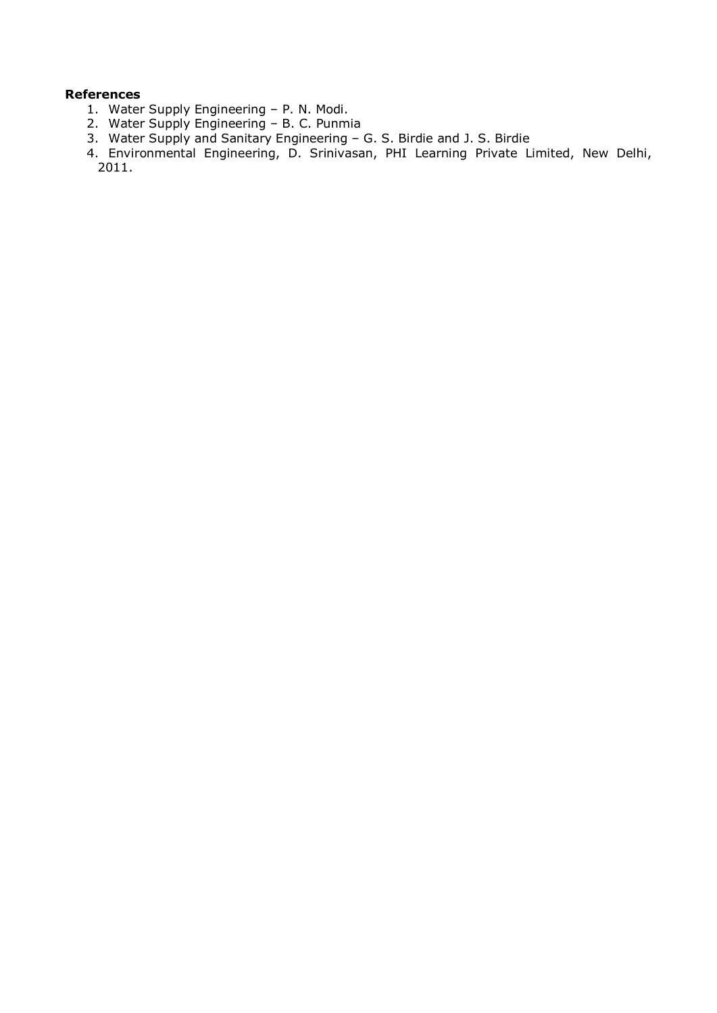# **References**

- 1. Water Supply Engineering P. N. Modi.
- 2. Water Supply Engineering B. C. Punmia
- 3. Water Supply and Sanitary Engineering G. S. Birdie and J. S. Birdie
- 4. Environmental Engineering, D. Srinivasan, PHI Learning Private Limited, New Delhi, 2011.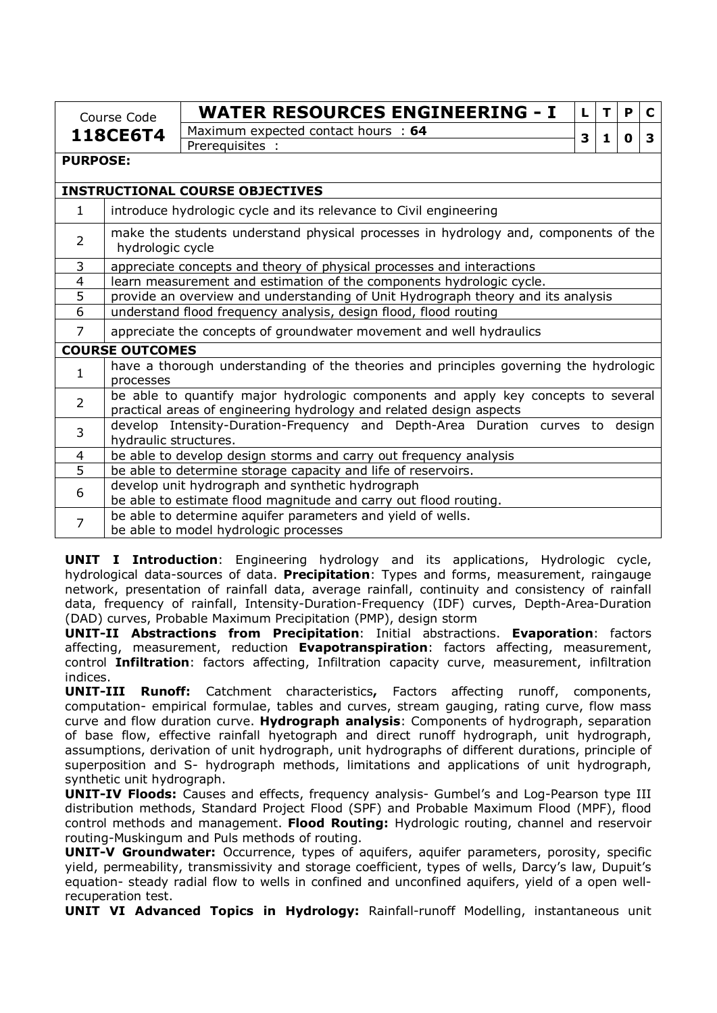|                 | Course Code                                                                                             | <b>WATER RESOURCES ENGINEERING - I</b>                                                                                                                   | L | т | P | C |  |  |  |
|-----------------|---------------------------------------------------------------------------------------------------------|----------------------------------------------------------------------------------------------------------------------------------------------------------|---|---|---|---|--|--|--|
|                 | 118CE6T4                                                                                                | Maximum expected contact hours : 64                                                                                                                      | 3 |   | 0 | 3 |  |  |  |
|                 |                                                                                                         | Prerequisites :                                                                                                                                          |   | 1 |   |   |  |  |  |
| <b>PURPOSE:</b> |                                                                                                         |                                                                                                                                                          |   |   |   |   |  |  |  |
|                 |                                                                                                         | <b>INSTRUCTIONAL COURSE OBJECTIVES</b>                                                                                                                   |   |   |   |   |  |  |  |
| 1               |                                                                                                         | introduce hydrologic cycle and its relevance to Civil engineering                                                                                        |   |   |   |   |  |  |  |
| $\overline{2}$  | make the students understand physical processes in hydrology and, components of the<br>hydrologic cycle |                                                                                                                                                          |   |   |   |   |  |  |  |
| 3               |                                                                                                         | appreciate concepts and theory of physical processes and interactions                                                                                    |   |   |   |   |  |  |  |
| $\overline{4}$  |                                                                                                         | learn measurement and estimation of the components hydrologic cycle.                                                                                     |   |   |   |   |  |  |  |
| 5               |                                                                                                         | provide an overview and understanding of Unit Hydrograph theory and its analysis                                                                         |   |   |   |   |  |  |  |
| 6               |                                                                                                         | understand flood frequency analysis, design flood, flood routing                                                                                         |   |   |   |   |  |  |  |
| 7               |                                                                                                         | appreciate the concepts of groundwater movement and well hydraulics                                                                                      |   |   |   |   |  |  |  |
|                 | <b>COURSE OUTCOMES</b>                                                                                  |                                                                                                                                                          |   |   |   |   |  |  |  |
| 1               | processes                                                                                               | have a thorough understanding of the theories and principles governing the hydrologic                                                                    |   |   |   |   |  |  |  |
| $\overline{2}$  |                                                                                                         | be able to quantify major hydrologic components and apply key concepts to several<br>practical areas of engineering hydrology and related design aspects |   |   |   |   |  |  |  |
| 3               | develop Intensity-Duration-Frequency and Depth-Area Duration curves to design<br>hydraulic structures.  |                                                                                                                                                          |   |   |   |   |  |  |  |
| 4               |                                                                                                         | be able to develop design storms and carry out frequency analysis                                                                                        |   |   |   |   |  |  |  |
| $\overline{5}$  |                                                                                                         | be able to determine storage capacity and life of reservoirs.                                                                                            |   |   |   |   |  |  |  |
| 6               |                                                                                                         | develop unit hydrograph and synthetic hydrograph                                                                                                         |   |   |   |   |  |  |  |
|                 | be able to estimate flood magnitude and carry out flood routing.                                        |                                                                                                                                                          |   |   |   |   |  |  |  |
| $\overline{7}$  |                                                                                                         | be able to determine aquifer parameters and yield of wells.                                                                                              |   |   |   |   |  |  |  |
|                 |                                                                                                         | be able to model hydrologic processes                                                                                                                    |   |   |   |   |  |  |  |

**UNIT I Introduction**: Engineering hydrology and its applications, Hydrologic cycle, hydrological data-sources of data. **Precipitation**: Types and forms, measurement, raingauge network, presentation of rainfall data, average rainfall, continuity and consistency of rainfall data, frequency of rainfall, Intensity-Duration-Frequency (IDF) curves, Depth-Area-Duration (DAD) curves, Probable Maximum Precipitation (PMP), design storm

**UNIT-II Abstractions from Precipitation**: Initial abstractions. **Evaporation**: factors affecting, measurement, reduction **Evapotranspiration**: factors affecting, measurement, control **Infiltration**: factors affecting, Infiltration capacity curve, measurement, infiltration indices.

**UNIT-III Runoff:** Catchment characteristics**,** Factors affecting runoff, components, computation- empirical formulae, tables and curves, stream gauging, rating curve, flow mass curve and flow duration curve. **Hydrograph analysis**: Components of hydrograph, separation of base flow, effective rainfall hyetograph and direct runoff hydrograph, unit hydrograph, assumptions, derivation of unit hydrograph, unit hydrographs of different durations, principle of superposition and S- hydrograph methods, limitations and applications of unit hydrograph, synthetic unit hydrograph.

**UNIT-IV Floods:** Causes and effects, frequency analysis- Gumbel's and Log-Pearson type III distribution methods, Standard Project Flood (SPF) and Probable Maximum Flood (MPF), flood control methods and management. **Flood Routing:** Hydrologic routing, channel and reservoir routing-Muskingum and Puls methods of routing.

**UNIT-V Groundwater:** Occurrence, types of aquifers, aquifer parameters, porosity, specific yield, permeability, transmissivity and storage coefficient, types of wells, Darcy's law, Dupuit's equation- steady radial flow to wells in confined and unconfined aquifers, yield of a open wellrecuperation test.

**UNIT VI Advanced Topics in Hydrology:** Rainfall-runoff Modelling, instantaneous unit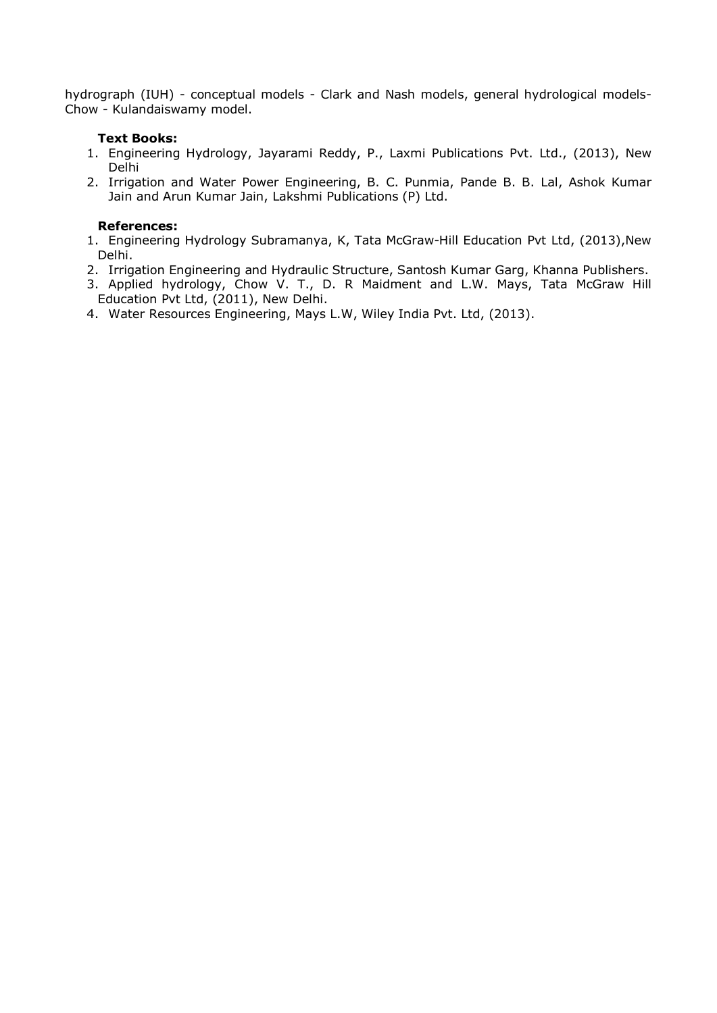hydrograph (IUH) - conceptual models - Clark and Nash models, general hydrological models-Chow - Kulandaiswamy model.

### **Text Books:**

- 1. Engineering Hydrology, Jayarami Reddy, P., Laxmi Publications Pvt. Ltd., (2013), New Delhi
- 2. Irrigation and Water Power Engineering, B. C. Punmia, Pande B. B. Lal, Ashok Kumar Jain and Arun Kumar Jain, Lakshmi Publications (P) Ltd.

### **References:**

- 1. Engineering Hydrology Subramanya, K, Tata McGraw-Hill Education Pvt Ltd, (2013),New Delhi.
- 2. Irrigation Engineering and Hydraulic Structure, Santosh Kumar Garg, Khanna Publishers.
- 3. Applied hydrology, Chow V. T., D. R Maidment and L.W. Mays, Tata McGraw Hill Education Pvt Ltd, (2011), New Delhi.
- 4. Water Resources Engineering, Mays L.W, Wiley India Pvt. Ltd, (2013).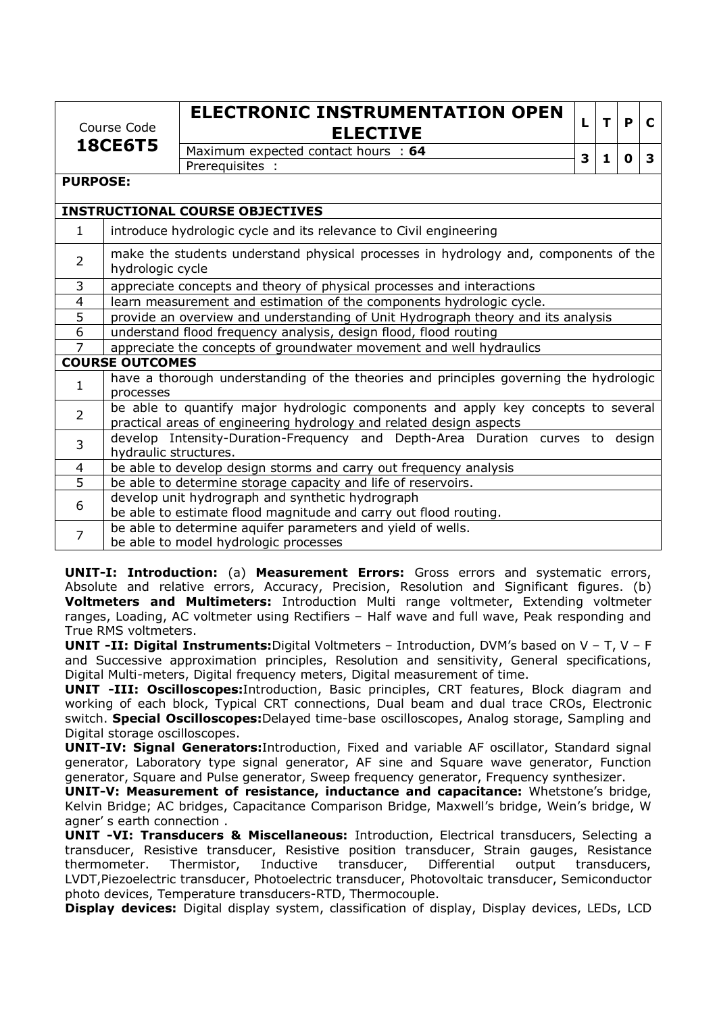| Course Code     |                                                                       | <b>ELECTRONIC INSTRUMENTATION OPEN</b><br><b>ELECTIVE</b>                                                                                                | L | T | P | C |
|-----------------|-----------------------------------------------------------------------|----------------------------------------------------------------------------------------------------------------------------------------------------------|---|---|---|---|
|                 | <b>18CE6T5</b>                                                        | Maximum expected contact hours : 64                                                                                                                      |   |   |   |   |
|                 |                                                                       | Prerequisites :                                                                                                                                          | 3 | 1 | 0 | 3 |
| <b>PURPOSE:</b> |                                                                       |                                                                                                                                                          |   |   |   |   |
|                 |                                                                       | <b>INSTRUCTIONAL COURSE OBJECTIVES</b>                                                                                                                   |   |   |   |   |
| $\mathbf{1}$    |                                                                       | introduce hydrologic cycle and its relevance to Civil engineering                                                                                        |   |   |   |   |
| $\overline{2}$  | hydrologic cycle                                                      | make the students understand physical processes in hydrology and, components of the                                                                      |   |   |   |   |
| 3               | appreciate concepts and theory of physical processes and interactions |                                                                                                                                                          |   |   |   |   |
| $\overline{4}$  | learn measurement and estimation of the components hydrologic cycle.  |                                                                                                                                                          |   |   |   |   |
| $\overline{5}$  |                                                                       | provide an overview and understanding of Unit Hydrograph theory and its analysis                                                                         |   |   |   |   |
| $\overline{6}$  |                                                                       | understand flood frequency analysis, design flood, flood routing                                                                                         |   |   |   |   |
| $\overline{7}$  |                                                                       | appreciate the concepts of groundwater movement and well hydraulics                                                                                      |   |   |   |   |
|                 | <b>COURSE OUTCOMES</b>                                                |                                                                                                                                                          |   |   |   |   |
| $\mathbf{1}$    | processes                                                             | have a thorough understanding of the theories and principles governing the hydrologic                                                                    |   |   |   |   |
| $\overline{2}$  |                                                                       | be able to quantify major hydrologic components and apply key concepts to several<br>practical areas of engineering hydrology and related design aspects |   |   |   |   |
| $\overline{3}$  | hydraulic structures.                                                 | develop Intensity-Duration-Frequency and Depth-Area Duration curves to design                                                                            |   |   |   |   |
| 4               |                                                                       | be able to develop design storms and carry out frequency analysis                                                                                        |   |   |   |   |
| $\overline{5}$  |                                                                       | be able to determine storage capacity and life of reservoirs.                                                                                            |   |   |   |   |
| 6               |                                                                       | develop unit hydrograph and synthetic hydrograph                                                                                                         |   |   |   |   |
|                 |                                                                       | be able to estimate flood magnitude and carry out flood routing.                                                                                         |   |   |   |   |
| 7               |                                                                       | be able to determine aquifer parameters and yield of wells.                                                                                              |   |   |   |   |
|                 |                                                                       | be able to model hydrologic processes                                                                                                                    |   |   |   |   |

**UNIT-I: Introduction:** (a) **Measurement Errors:** Gross errors and systematic errors, Absolute and relative errors, Accuracy, Precision, Resolution and Significant figures. (b) **Voltmeters and Multimeters:** Introduction Multi range voltmeter, Extending voltmeter ranges, Loading, AC voltmeter using Rectifiers – Half wave and full wave, Peak responding and True RMS voltmeters.

**UNIT -II: Digital Instruments:**Digital Voltmeters – Introduction, DVM's based on V – T, V – F and Successive approximation principles, Resolution and sensitivity, General specifications, Digital Multi-meters, Digital frequency meters, Digital measurement of time.

**UNIT -III: Oscilloscopes:**Introduction, Basic principles, CRT features, Block diagram and working of each block, Typical CRT connections, Dual beam and dual trace CROs, Electronic switch. **Special Oscilloscopes:**Delayed time-base oscilloscopes, Analog storage, Sampling and Digital storage oscilloscopes.

**UNIT-IV: Signal Generators:**Introduction, Fixed and variable AF oscillator, Standard signal generator, Laboratory type signal generator, AF sine and Square wave generator, Function generator, Square and Pulse generator, Sweep frequency generator, Frequency synthesizer.

**UNIT-V: Measurement of resistance, inductance and capacitance:** Whetstone's bridge, Kelvin Bridge; AC bridges, Capacitance Comparison Bridge, Maxwell's bridge, Wein's bridge, W agner' s earth connection .

**UNIT -VI: Transducers & Miscellaneous:** Introduction, Electrical transducers, Selecting a transducer, Resistive transducer, Resistive position transducer, Strain gauges, Resistance thermometer. Thermistor, Inductive transducer, Differential output transducers, LVDT,Piezoelectric transducer, Photoelectric transducer, Photovoltaic transducer, Semiconductor photo devices, Temperature transducers-RTD, Thermocouple.

**Display devices:** Digital display system, classification of display, Display devices, LEDs, LCD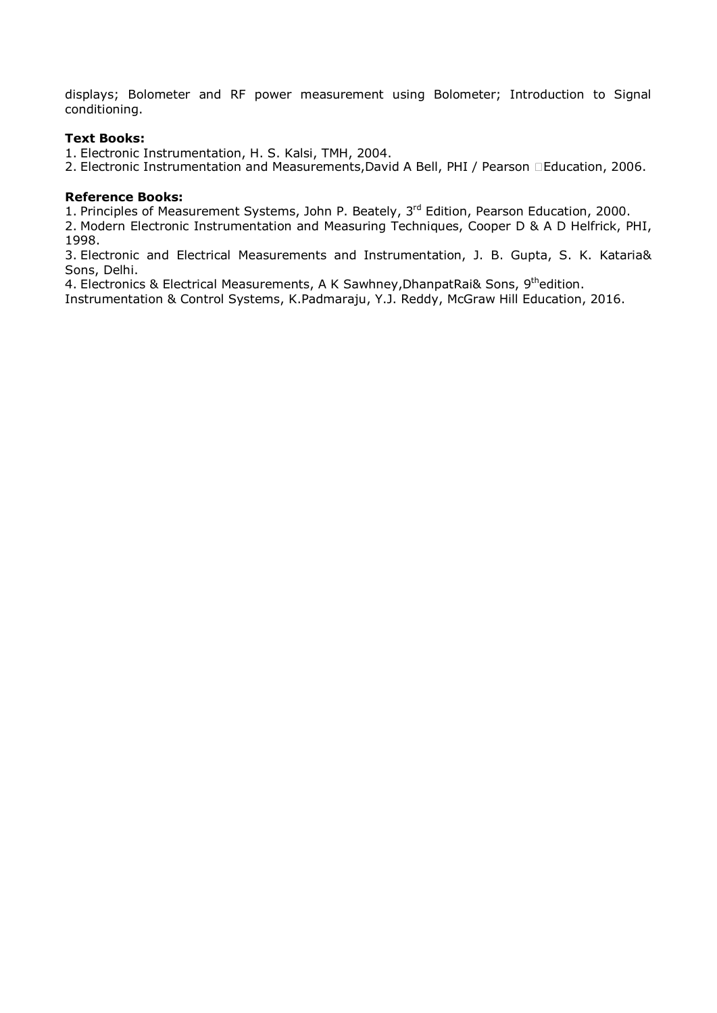displays; Bolometer and RF power measurement using Bolometer; Introduction to Signal conditioning.

### **Text Books:**

1. Electronic Instrumentation, H. S. Kalsi, TMH, 2004.

2. Electronic Instrumentation and Measurements,David A Bell, PHI / Pearson Education, 2006.

### **Reference Books:**

1. Principles of Measurement Systems, John P. Beately, 3<sup>rd</sup> Edition, Pearson Education, 2000.

2. Modern Electronic Instrumentation and Measuring Techniques, Cooper D & A D Helfrick, PHI, 1998.

3. Electronic and Electrical Measurements and Instrumentation, J. B. Gupta, S. K. Kataria& Sons, Delhi.

4. Electronics & Electrical Measurements, A K Sawhney, DhanpatRai& Sons, 9<sup>th</sup>edition.

Instrumentation & Control Systems, K.Padmaraju, Y.J. Reddy, McGraw Hill Education, 2016.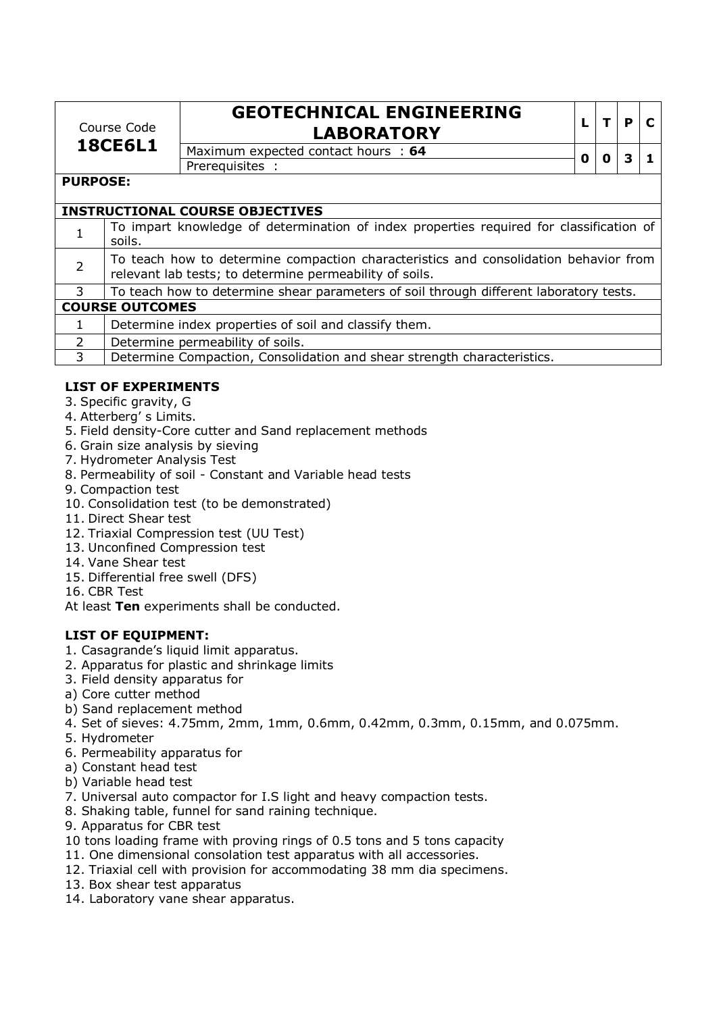| Course Code    |  |
|----------------|--|
| <b>18CE6L1</b> |  |

# **GEOTECHNICAL ENGINEERING LABORATORY**  $\vert \cdot \vert \cdot \vert \cdot \vert e \vert$ **C**

Maximum expected contact hours : **64 0 0 3 1** Prerequisites :

### **PURPOSE:**

|              | <b>INSTRUCTIONAL COURSE OBJECTIVES</b>                                                                                                          |
|--------------|-------------------------------------------------------------------------------------------------------------------------------------------------|
|              | To impart knowledge of determination of index properties required for classification of<br>soils.                                               |
|              | To teach how to determine compaction characteristics and consolidation behavior from<br>relevant lab tests; to determine permeability of soils. |
| 3            | To teach how to determine shear parameters of soil through different laboratory tests.                                                          |
|              | <b>COURSE OUTCOMES</b>                                                                                                                          |
| $\mathbf{1}$ | Determine index properties of soil and classify them.                                                                                           |
| $\mathbf{2}$ | Determine permeability of soils.                                                                                                                |
| 3            | Determine Compaction, Consolidation and shear strength characteristics.                                                                         |

# **LIST OF EXPERIMENTS**

- 3. Specific gravity, G
- 4. Atterberg' s Limits.
- 5. Field density-Core cutter and Sand replacement methods
- 6. Grain size analysis by sieving
- 7. Hydrometer Analysis Test
- 8. Permeability of soil Constant and Variable head tests
- 9. Compaction test
- 10. Consolidation test (to be demonstrated)
- 11. Direct Shear test
- 12. Triaxial Compression test (UU Test)
- 13. Unconfined Compression test
- 14. Vane Shear test
- 15. Differential free swell (DFS)
- 16. CBR Test

At least **Ten** experiments shall be conducted.

# **LIST OF EQUIPMENT:**

- 1. Casagrande's liquid limit apparatus.
- 2. Apparatus for plastic and shrinkage limits
- 3. Field density apparatus for
- a) Core cutter method
- b) Sand replacement method
- 4. Set of sieves: 4.75mm, 2mm, 1mm, 0.6mm, 0.42mm, 0.3mm, 0.15mm, and 0.075mm.
- 5. Hydrometer
- 6. Permeability apparatus for
- a) Constant head test
- b) Variable head test
- 7. Universal auto compactor for I.S light and heavy compaction tests.
- 8. Shaking table, funnel for sand raining technique.
- 9. Apparatus for CBR test
- 10 tons loading frame with proving rings of 0.5 tons and 5 tons capacity
- 11. One dimensional consolation test apparatus with all accessories.
- 12. Triaxial cell with provision for accommodating 38 mm dia specimens.
- 13. Box shear test apparatus
- 14. Laboratory vane shear apparatus.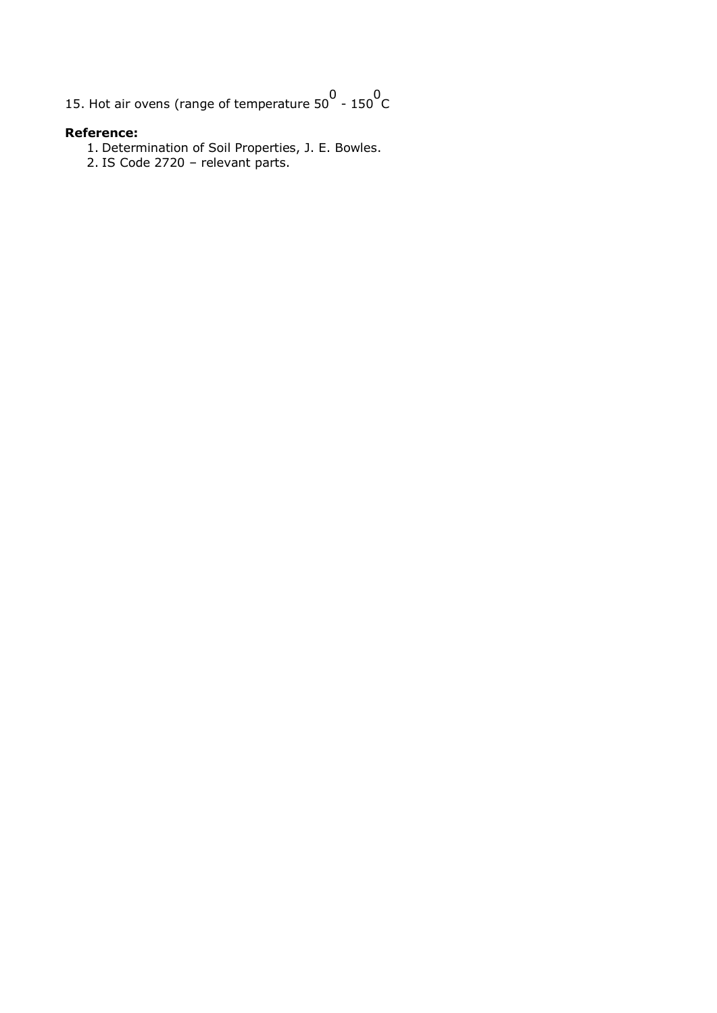15. Hot air ovens (range of temperature  $50^0$  - 150  $^0$ C

### **Reference:**

- 1. Determination of Soil Properties, J. E. Bowles.
- 2. IS Code 2720 relevant parts.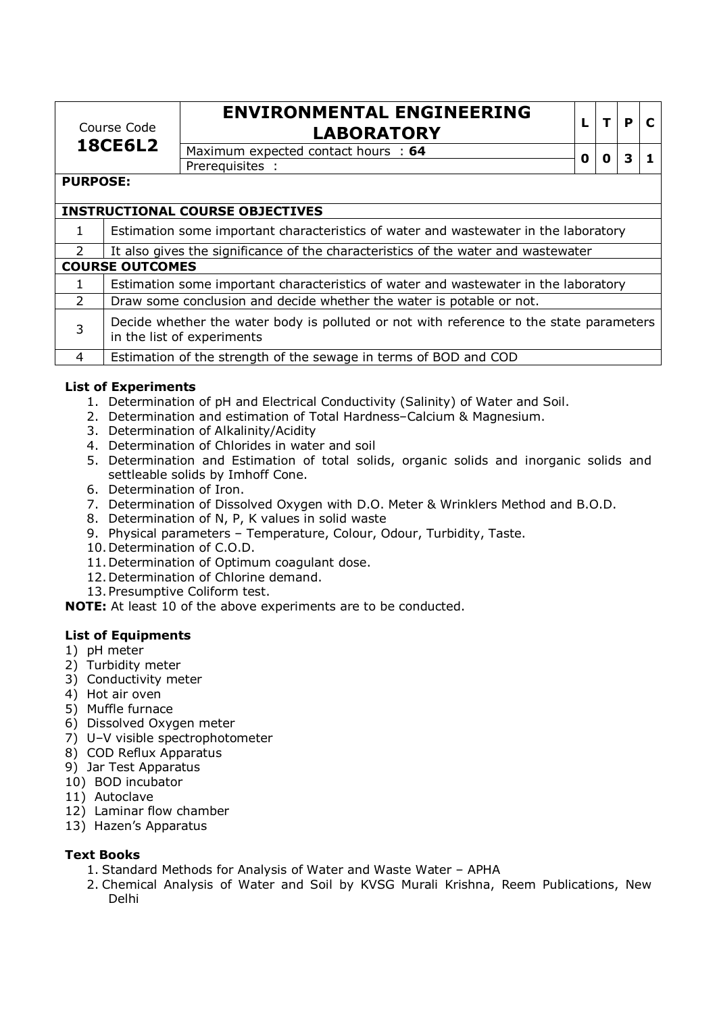Course Code **18CE6L2**

# **ENVIRONMENTAL ENGINEERING LABORATORY <sup>L</sup> <sup>T</sup> <sup>P</sup> <sup>C</sup>**

Maximum expected contact hours : **64 0 0 3 1** Prerequisites :

## **PURPOSE:**

|               | <b>INSTRUCTIONAL COURSE OBJECTIVES</b>                                              |  |  |  |  |  |  |
|---------------|-------------------------------------------------------------------------------------|--|--|--|--|--|--|
|               | Estimation some important characteristics of water and wastewater in the laboratory |  |  |  |  |  |  |
| 2             | It also gives the significance of the characteristics of the water and wastewater   |  |  |  |  |  |  |
|               | <b>COURSE OUTCOMES</b>                                                              |  |  |  |  |  |  |
|               | Estimation some important characteristics of water and wastewater in the laboratory |  |  |  |  |  |  |
| $\mathcal{P}$ | Draw some conclusion and decide whether the water is potable or not.                |  |  |  |  |  |  |

Decide whether the water body is polluted or not with reference to the state parameters in the list of experiments

4 Estimation of the strength of the sewage in terms of BOD and COD

# **List of Experiments**

- 1. Determination of pH and Electrical Conductivity (Salinity) of Water and Soil.
- 2. Determination and estimation of Total Hardness–Calcium & Magnesium.
- 3. Determination of Alkalinity/Acidity
- 4. Determination of Chlorides in water and soil
- 5. Determination and Estimation of total solids, organic solids and inorganic solids and settleable solids by Imhoff Cone.
- 6. Determination of Iron.
- 7. Determination of Dissolved Oxygen with D.O. Meter & Wrinklers Method and B.O.D.
- 8. Determination of N, P, K values in solid waste
- 9. Physical parameters Temperature, Colour, Odour, Turbidity, Taste.
- 10.Determination of C.O.D.
- 11.Determination of Optimum coagulant dose.
- 12.Determination of Chlorine demand.
- 13.Presumptive Coliform test.

**NOTE:** At least 10 of the above experiments are to be conducted.

### **List of Equipments**

- 1) pH meter
- 2) Turbidity meter
- 3) Conductivity meter
- 4) Hot air oven
- 5) Muffle furnace
- 6) Dissolved Oxygen meter
- 7) U–V visible spectrophotometer
- 8) COD Reflux Apparatus
- 9) Jar Test Apparatus
- 10) BOD incubator
- 11) Autoclave
- 12) Laminar flow chamber
- 13) Hazen's Apparatus

# **Text Books**

- 1. Standard Methods for Analysis of Water and Waste Water APHA
- 2. Chemical Analysis of Water and Soil by KVSG Murali Krishna, Reem Publications, New Delhi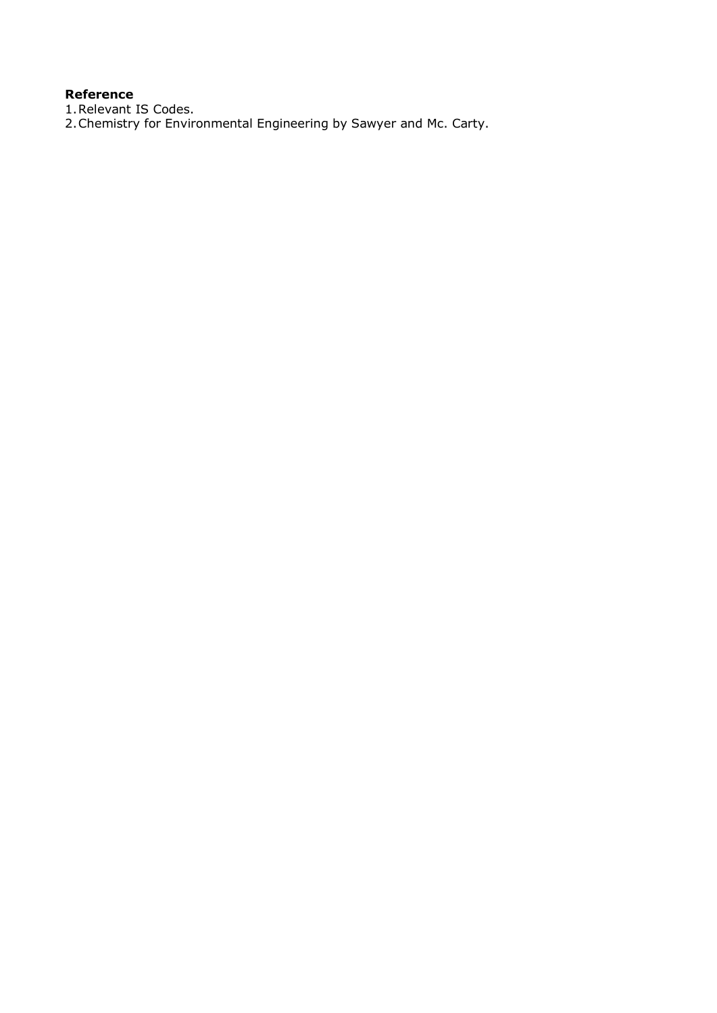# **Reference**

1.Relevant IS Codes.

2.Chemistry for Environmental Engineering by Sawyer and Mc. Carty.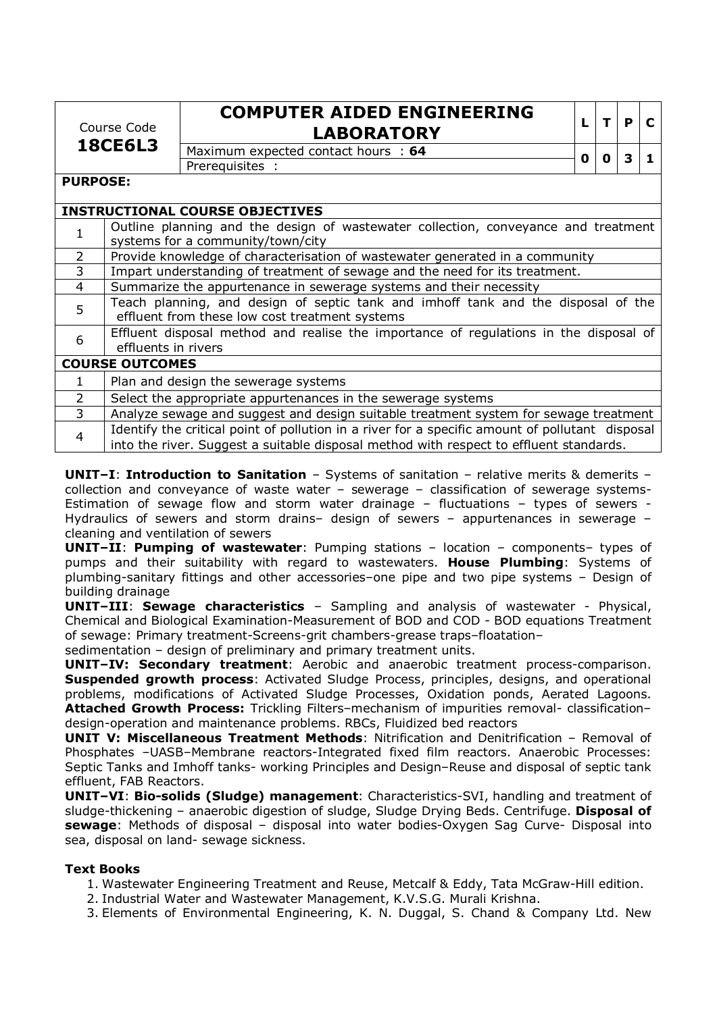Course Code **18CE6L3**

# **COMPUTER AIDED ENGINEERING LABORATORY**

| ٠ | Р | С |
|---|---|---|
|   |   |   |

Maximum expected contact hours : **<sup>64</sup> <sup>0</sup> <sup>0</sup> <sup>3</sup> <sup>1</sup>** Prerequisites :

**PURPOSE:** 

|                | <b>INSTRUCTIONAL COURSE OBJECTIVES</b>                                                          |
|----------------|-------------------------------------------------------------------------------------------------|
|                | Outline planning and the design of wastewater collection, conveyance and treatment              |
|                | systems for a community/town/city                                                               |
| $\overline{2}$ | Provide knowledge of characterisation of wastewater generated in a community                    |
| $\overline{3}$ | Impart understanding of treatment of sewage and the need for its treatment.                     |
| $\overline{4}$ | Summarize the appurtenance in sewerage systems and their necessity                              |
| 5              | Teach planning, and design of septic tank and imhoff tank and the disposal of the               |
|                | effluent from these low cost treatment systems                                                  |
|                | Effluent disposal method and realise the importance of regulations in the disposal of           |
| 6              | effluents in rivers                                                                             |
|                | <b>COURSE OUTCOMES</b>                                                                          |
| 1.             | Plan and design the sewerage systems                                                            |
| $\overline{2}$ | Select the appropriate appurtenances in the sewerage systems                                    |
| 3              | Analyze sewage and suggest and design suitable treatment system for sewage treatment            |
| $\overline{4}$ | Identify the critical point of pollution in a river for a specific amount of pollutant disposal |
|                | into the river. Suggest a suitable disposal method with respect to effluent standards.          |

**UNIT–I**: **Introduction to Sanitation** – Systems of sanitation – relative merits & demerits – collection and conveyance of waste water – sewerage – classification of sewerage systems-Estimation of sewage flow and storm water drainage – fluctuations – types of sewers - Hydraulics of sewers and storm drains– design of sewers – appurtenances in sewerage – cleaning and ventilation of sewers

**UNIT–II**: **Pumping of wastewater**: Pumping stations – location – components– types of pumps and their suitability with regard to wastewaters. **House Plumbing**: Systems of plumbing-sanitary fittings and other accessories–one pipe and two pipe systems – Design of building drainage

**UNIT–III**: **Sewage characteristics** – Sampling and analysis of wastewater - Physical, Chemical and Biological Examination-Measurement of BOD and COD - BOD equations Treatment of sewage: Primary treatment-Screens-grit chambers-grease traps–floatation–

sedimentation – design of preliminary and primary treatment units.

**UNIT–IV: Secondary treatment**: Aerobic and anaerobic treatment process-comparison. **Suspended growth process**: Activated Sludge Process, principles, designs, and operational problems, modifications of Activated Sludge Processes, Oxidation ponds, Aerated Lagoons. **Attached Growth Process:** Trickling Filters–mechanism of impurities removal- classification– design-operation and maintenance problems. RBCs, Fluidized bed reactors

**UNIT V: Miscellaneous Treatment Methods**: Nitrification and Denitrification – Removal of Phosphates –UASB–Membrane reactors-Integrated fixed film reactors. Anaerobic Processes: Septic Tanks and Imhoff tanks- working Principles and Design–Reuse and disposal of septic tank effluent, FAB Reactors.

**UNIT–VI**: **Bio-solids (Sludge) management**: Characteristics-SVI, handling and treatment of sludge-thickening – anaerobic digestion of sludge, Sludge Drying Beds. Centrifuge. **Disposal of sewage**: Methods of disposal – disposal into water bodies-Oxygen Sag Curve- Disposal into sea, disposal on land- sewage sickness.

# **Text Books**

- 1. Wastewater Engineering Treatment and Reuse, Metcalf & Eddy, Tata McGraw-Hill edition.
- 2. Industrial Water and Wastewater Management, K.V.S.G. Murali Krishna.
- 3. Elements of Environmental Engineering, K. N. Duggal, S. Chand & Company Ltd. New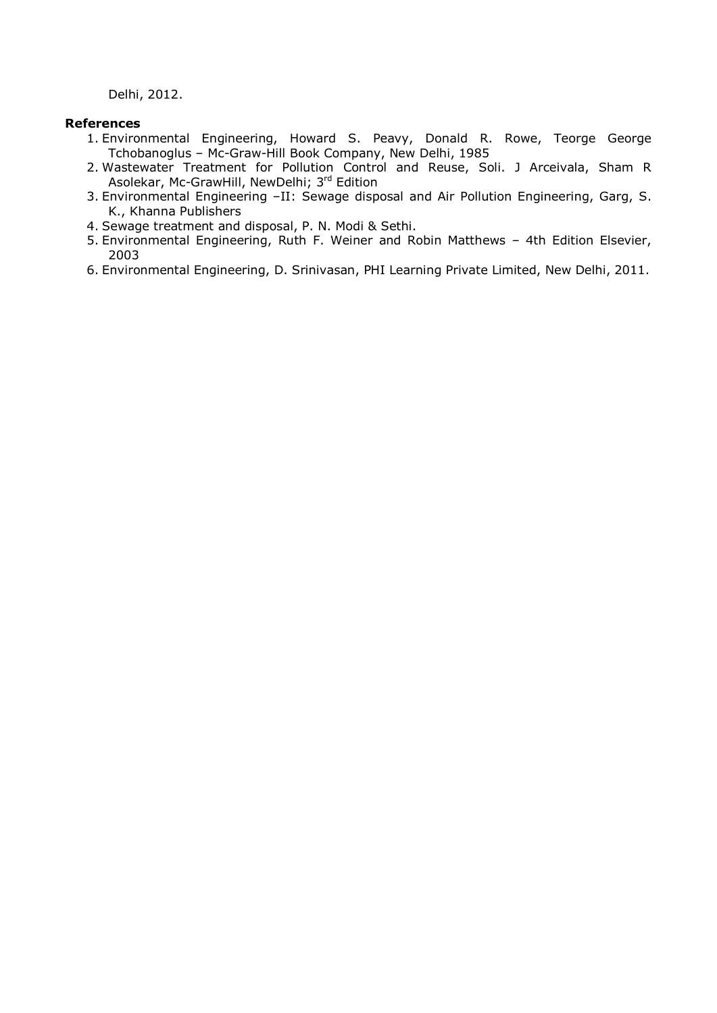Delhi, 2012.

### **References**

- 1. Environmental Engineering, Howard S. Peavy, Donald R. Rowe, Teorge George Tchobanoglus – Mc-Graw-Hill Book Company, New Delhi, 1985
- 2. Wastewater Treatment for Pollution Control and Reuse, Soli. J Arceivala, Sham R Asolekar, Mc-GrawHill, NewDelhi; 3rd Edition
- 3. Environmental Engineering –II: Sewage disposal and Air Pollution Engineering, Garg, S. K., Khanna Publishers
- 4. Sewage treatment and disposal, P. N. Modi & Sethi.
- 5. Environmental Engineering, Ruth F. Weiner and Robin Matthews 4th Edition Elsevier, 2003
- 6. Environmental Engineering, D. Srinivasan, PHI Learning Private Limited, New Delhi, 2011.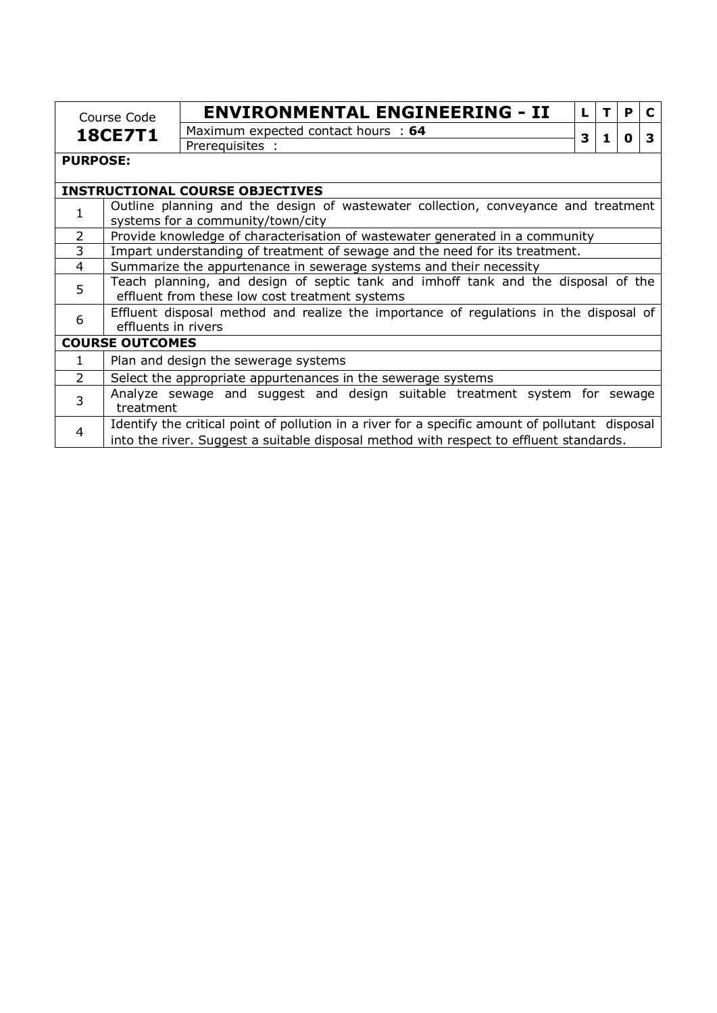| Course Code<br><b>18CE7T1</b> |                        | <b>ENVIRONMENTAL ENGINEERING - II</b>                                                                                                                                                     | L |   | P |   |  |  |
|-------------------------------|------------------------|-------------------------------------------------------------------------------------------------------------------------------------------------------------------------------------------|---|---|---|---|--|--|
|                               |                        | Maximum expected contact hours : 64                                                                                                                                                       | 3 | 1 | O | 3 |  |  |
|                               |                        | Prerequisites :                                                                                                                                                                           |   |   |   |   |  |  |
| <b>PURPOSE:</b>               |                        |                                                                                                                                                                                           |   |   |   |   |  |  |
|                               |                        | <b>INSTRUCTIONAL COURSE OBJECTIVES</b>                                                                                                                                                    |   |   |   |   |  |  |
| 1                             |                        | Outline planning and the design of wastewater collection, conveyance and treatment                                                                                                        |   |   |   |   |  |  |
|                               |                        | systems for a community/town/city                                                                                                                                                         |   |   |   |   |  |  |
| $\overline{2}$                |                        | Provide knowledge of characterisation of wastewater generated in a community                                                                                                              |   |   |   |   |  |  |
| $\overline{3}$                |                        | Impart understanding of treatment of sewage and the need for its treatment.                                                                                                               |   |   |   |   |  |  |
| $\overline{4}$                |                        | Summarize the appurtenance in sewerage systems and their necessity                                                                                                                        |   |   |   |   |  |  |
| 5                             |                        | Teach planning, and design of septic tank and imhoff tank and the disposal of the<br>effluent from these low cost treatment systems                                                       |   |   |   |   |  |  |
| 6                             | effluents in rivers    | Effluent disposal method and realize the importance of regulations in the disposal of                                                                                                     |   |   |   |   |  |  |
|                               | <b>COURSE OUTCOMES</b> |                                                                                                                                                                                           |   |   |   |   |  |  |
| $\mathbf{1}$                  |                        | Plan and design the sewerage systems                                                                                                                                                      |   |   |   |   |  |  |
| $\mathcal{P}$                 |                        | Select the appropriate appurtenances in the sewerage systems                                                                                                                              |   |   |   |   |  |  |
| $\overline{3}$                | treatment              | Analyze sewage and suggest and design suitable treatment system for sewage                                                                                                                |   |   |   |   |  |  |
| 4                             |                        | Identify the critical point of pollution in a river for a specific amount of pollutant disposal<br>into the river. Suggest a suitable disposal method with respect to effluent standards. |   |   |   |   |  |  |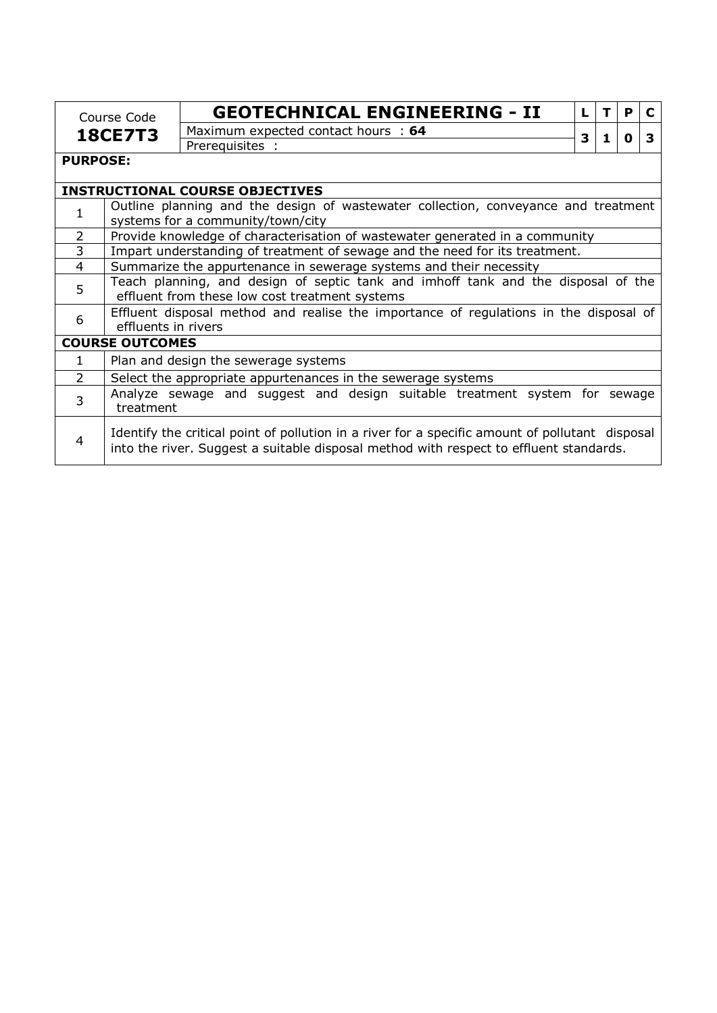| Course Code<br><b>18CE7T3</b>          |                                                                                                                         | <b>GEOTECHNICAL ENGINEERING - II</b>                                                                                                                                                      | L |   | P |   |  |  |
|----------------------------------------|-------------------------------------------------------------------------------------------------------------------------|-------------------------------------------------------------------------------------------------------------------------------------------------------------------------------------------|---|---|---|---|--|--|
|                                        |                                                                                                                         | Maximum expected contact hours : 64                                                                                                                                                       | 3 | 1 | 0 | 3 |  |  |
|                                        |                                                                                                                         | Prerequisites :                                                                                                                                                                           |   |   |   |   |  |  |
| <b>PURPOSE:</b>                        |                                                                                                                         |                                                                                                                                                                                           |   |   |   |   |  |  |
| <b>INSTRUCTIONAL COURSE OBJECTIVES</b> |                                                                                                                         |                                                                                                                                                                                           |   |   |   |   |  |  |
| 1                                      | Outline planning and the design of wastewater collection, conveyance and treatment<br>systems for a community/town/city |                                                                                                                                                                                           |   |   |   |   |  |  |
| $\overline{2}$                         |                                                                                                                         | Provide knowledge of characterisation of wastewater generated in a community                                                                                                              |   |   |   |   |  |  |
| $\overline{3}$                         |                                                                                                                         | Impart understanding of treatment of sewage and the need for its treatment.                                                                                                               |   |   |   |   |  |  |
| $\overline{4}$                         |                                                                                                                         | Summarize the appurtenance in sewerage systems and their necessity                                                                                                                        |   |   |   |   |  |  |
| 5                                      |                                                                                                                         | Teach planning, and design of septic tank and imhoff tank and the disposal of the<br>effluent from these low cost treatment systems                                                       |   |   |   |   |  |  |
| 6                                      | effluents in rivers                                                                                                     | Effluent disposal method and realise the importance of regulations in the disposal of                                                                                                     |   |   |   |   |  |  |
|                                        | <b>COURSE OUTCOMES</b>                                                                                                  |                                                                                                                                                                                           |   |   |   |   |  |  |
| $\mathbf{1}$                           |                                                                                                                         | Plan and design the sewerage systems                                                                                                                                                      |   |   |   |   |  |  |
| $\overline{2}$                         |                                                                                                                         | Select the appropriate appurtenances in the sewerage systems                                                                                                                              |   |   |   |   |  |  |
| 3                                      | Analyze sewage and suggest and design suitable treatment system for sewage<br>treatment                                 |                                                                                                                                                                                           |   |   |   |   |  |  |
| 4                                      |                                                                                                                         | Identify the critical point of pollution in a river for a specific amount of pollutant disposal<br>into the river. Suggest a suitable disposal method with respect to effluent standards. |   |   |   |   |  |  |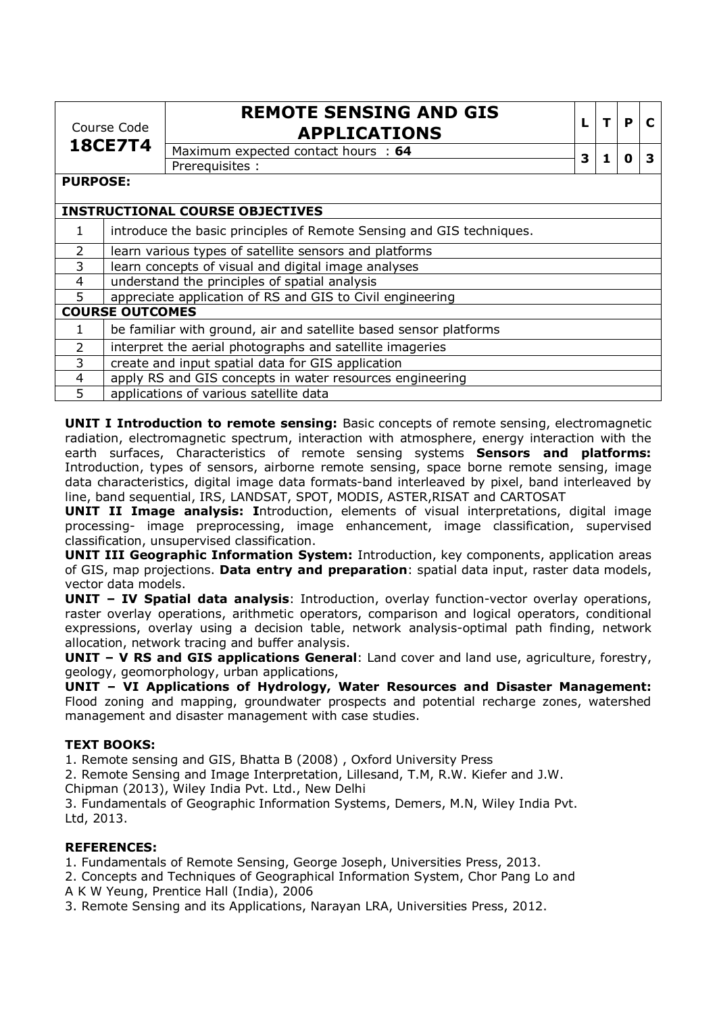| Course Code<br><b>18CE7T4</b> |                                                                      | <b>REMOTE SENSING AND GIS</b><br><b>APPLICATIONS</b>              | L | $\mathbf T$ | P |   |
|-------------------------------|----------------------------------------------------------------------|-------------------------------------------------------------------|---|-------------|---|---|
|                               |                                                                      | Maximum expected contact hours : 64                               | 3 |             | O | З |
|                               |                                                                      | Prerequisites :                                                   |   |             |   |   |
| <b>PURPOSE:</b>               |                                                                      |                                                                   |   |             |   |   |
|                               |                                                                      | <b>INSTRUCTIONAL COURSE OBJECTIVES</b>                            |   |             |   |   |
| 1                             | introduce the basic principles of Remote Sensing and GIS techniques. |                                                                   |   |             |   |   |
| $\overline{2}$                |                                                                      | learn various types of satellite sensors and platforms            |   |             |   |   |
| 3                             |                                                                      | learn concepts of visual and digital image analyses               |   |             |   |   |
| 4                             |                                                                      | understand the principles of spatial analysis                     |   |             |   |   |
| 5                             |                                                                      | appreciate application of RS and GIS to Civil engineering         |   |             |   |   |
|                               | <b>COURSE OUTCOMES</b>                                               |                                                                   |   |             |   |   |
| $\mathbf{1}$                  |                                                                      | be familiar with ground, air and satellite based sensor platforms |   |             |   |   |
| $\overline{2}$                |                                                                      | interpret the aerial photographs and satellite imageries          |   |             |   |   |
| 3                             |                                                                      | create and input spatial data for GIS application                 |   |             |   |   |
| 4                             |                                                                      | apply RS and GIS concepts in water resources engineering          |   |             |   |   |
| 5                             |                                                                      | applications of various satellite data                            |   |             |   |   |

**UNIT I Introduction to remote sensing:** Basic concepts of remote sensing, electromagnetic radiation, electromagnetic spectrum, interaction with atmosphere, energy interaction with the earth surfaces, Characteristics of remote sensing systems **Sensors and platforms:**  Introduction, types of sensors, airborne remote sensing, space borne remote sensing, image data characteristics, digital image data formats-band interleaved by pixel, band interleaved by line, band sequential, IRS, LANDSAT, SPOT, MODIS, ASTER,RISAT and CARTOSAT

**UNIT II Image analysis: I**ntroduction, elements of visual interpretations, digital image processing- image preprocessing, image enhancement, image classification, supervised classification, unsupervised classification.

**UNIT III Geographic Information System:** Introduction, key components, application areas of GIS, map projections. **Data entry and preparation**: spatial data input, raster data models, vector data models.

**UNIT – IV Spatial data analysis**: Introduction, overlay function-vector overlay operations, raster overlay operations, arithmetic operators, comparison and logical operators, conditional expressions, overlay using a decision table, network analysis-optimal path finding, network allocation, network tracing and buffer analysis.

**UNIT – V RS and GIS applications General**: Land cover and land use, agriculture, forestry, geology, geomorphology, urban applications,

**UNIT – VI Applications of Hydrology, Water Resources and Disaster Management:**  Flood zoning and mapping, groundwater prospects and potential recharge zones, watershed management and disaster management with case studies.

# **TEXT BOOKS:**

1. Remote sensing and GIS, Bhatta B (2008) , Oxford University Press

2. Remote Sensing and Image Interpretation, Lillesand, T.M, R.W. Kiefer and J.W.

Chipman (2013), Wiley India Pvt. Ltd., New Delhi

3. Fundamentals of Geographic Information Systems, Demers, M.N, Wiley India Pvt. Ltd, 2013.

# **REFERENCES:**

1. Fundamentals of Remote Sensing, George Joseph, Universities Press, 2013.

- 2. Concepts and Techniques of Geographical Information System, Chor Pang Lo and A K W Yeung, Prentice Hall (India), 2006
- 3. Remote Sensing and its Applications, Narayan LRA, Universities Press, 2012.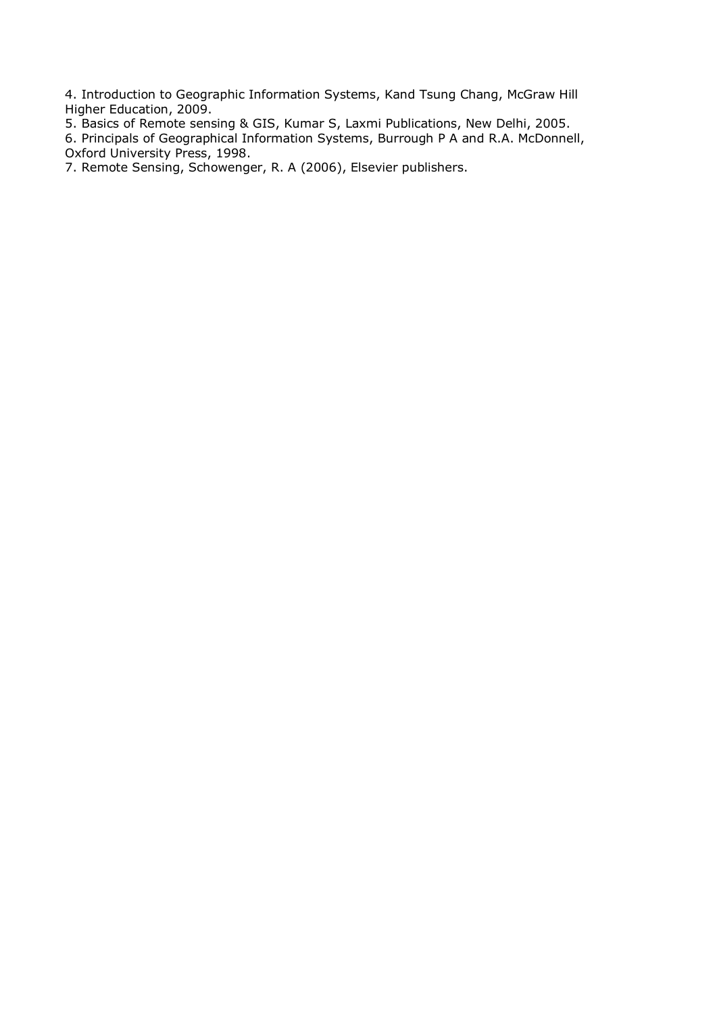4. Introduction to Geographic Information Systems, Kand Tsung Chang, McGraw Hill Higher Education, 2009.

- 5. Basics of Remote sensing & GIS, Kumar S, Laxmi Publications, New Delhi, 2005.
- 6. Principals of Geographical Information Systems, Burrough P A and R.A. McDonnell, Oxford University Press, 1998.

7. Remote Sensing, Schowenger, R. A (2006), Elsevier publishers.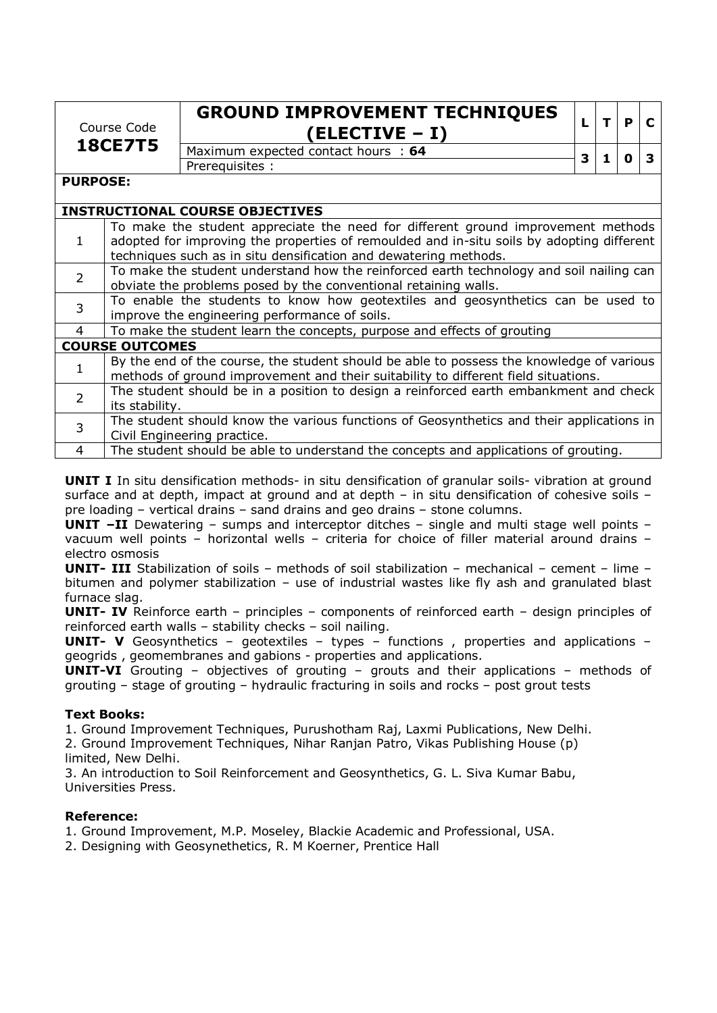| Course Code<br><b>18CE7T5</b> |                                                                                                                                                                                                                                                   | <b>GROUND IMPROVEMENT TECHNIQUES</b><br>(ELECTIVE - I)                                                                                                                         | L | T. | P | C |  |  |
|-------------------------------|---------------------------------------------------------------------------------------------------------------------------------------------------------------------------------------------------------------------------------------------------|--------------------------------------------------------------------------------------------------------------------------------------------------------------------------------|---|----|---|---|--|--|
|                               |                                                                                                                                                                                                                                                   | Maximum expected contact hours : 64                                                                                                                                            | 3 | 1  | 0 | 3 |  |  |
|                               |                                                                                                                                                                                                                                                   | Prerequisites :                                                                                                                                                                |   |    |   |   |  |  |
| <b>PURPOSE:</b>               |                                                                                                                                                                                                                                                   |                                                                                                                                                                                |   |    |   |   |  |  |
|                               |                                                                                                                                                                                                                                                   | <b>INSTRUCTIONAL COURSE OBJECTIVES</b>                                                                                                                                         |   |    |   |   |  |  |
| $\mathbf{1}$                  | To make the student appreciate the need for different ground improvement methods<br>adopted for improving the properties of remoulded and in-situ soils by adopting different<br>techniques such as in situ densification and dewatering methods. |                                                                                                                                                                                |   |    |   |   |  |  |
| $\overline{2}$                | To make the student understand how the reinforced earth technology and soil nailing can<br>obviate the problems posed by the conventional retaining walls.                                                                                        |                                                                                                                                                                                |   |    |   |   |  |  |
| 3                             |                                                                                                                                                                                                                                                   | To enable the students to know how geotextiles and geosynthetics can be used to<br>improve the engineering performance of soils.                                               |   |    |   |   |  |  |
| $\overline{4}$                |                                                                                                                                                                                                                                                   | To make the student learn the concepts, purpose and effects of grouting                                                                                                        |   |    |   |   |  |  |
|                               | <b>COURSE OUTCOMES</b>                                                                                                                                                                                                                            |                                                                                                                                                                                |   |    |   |   |  |  |
| 1                             |                                                                                                                                                                                                                                                   | By the end of the course, the student should be able to possess the knowledge of various<br>methods of ground improvement and their suitability to different field situations. |   |    |   |   |  |  |
| $\overline{2}$                |                                                                                                                                                                                                                                                   | The student should be in a position to design a reinforced earth embankment and check<br>its stability.                                                                        |   |    |   |   |  |  |
| 3                             | The student should know the various functions of Geosynthetics and their applications in<br>Civil Engineering practice.                                                                                                                           |                                                                                                                                                                                |   |    |   |   |  |  |
| $\overline{4}$                | The student should be able to understand the concepts and applications of grouting.                                                                                                                                                               |                                                                                                                                                                                |   |    |   |   |  |  |

**UNIT I** In situ densification methods- in situ densification of granular soils- vibration at ground surface and at depth, impact at ground and at depth – in situ densification of cohesive soils – pre loading – vertical drains – sand drains and geo drains – stone columns.

**UNIT –II** Dewatering – sumps and interceptor ditches – single and multi stage well points – vacuum well points – horizontal wells – criteria for choice of filler material around drains – electro osmosis

**UNIT- III** Stabilization of soils – methods of soil stabilization – mechanical – cement – lime – bitumen and polymer stabilization – use of industrial wastes like fly ash and granulated blast furnace slag.

**UNIT- IV** Reinforce earth – principles – components of reinforced earth – design principles of reinforced earth walls – stability checks – soil nailing.

**UNIT- V** Geosynthetics – geotextiles – types – functions , properties and applications – geogrids , geomembranes and gabions - properties and applications.

**UNIT-VI** Grouting – objectives of grouting – grouts and their applications – methods of grouting – stage of grouting – hydraulic fracturing in soils and rocks – post grout tests

# **Text Books:**

1. Ground Improvement Techniques, Purushotham Raj, Laxmi Publications, New Delhi.

2. Ground Improvement Techniques, Nihar Ranjan Patro, Vikas Publishing House (p) limited, New Delhi.

3. An introduction to Soil Reinforcement and Geosynthetics, G. L. Siva Kumar Babu, Universities Press.

# **Reference:**

1. Ground Improvement, M.P. Moseley, Blackie Academic and Professional, USA.

2. Designing with Geosynethetics, R. M Koerner, Prentice Hall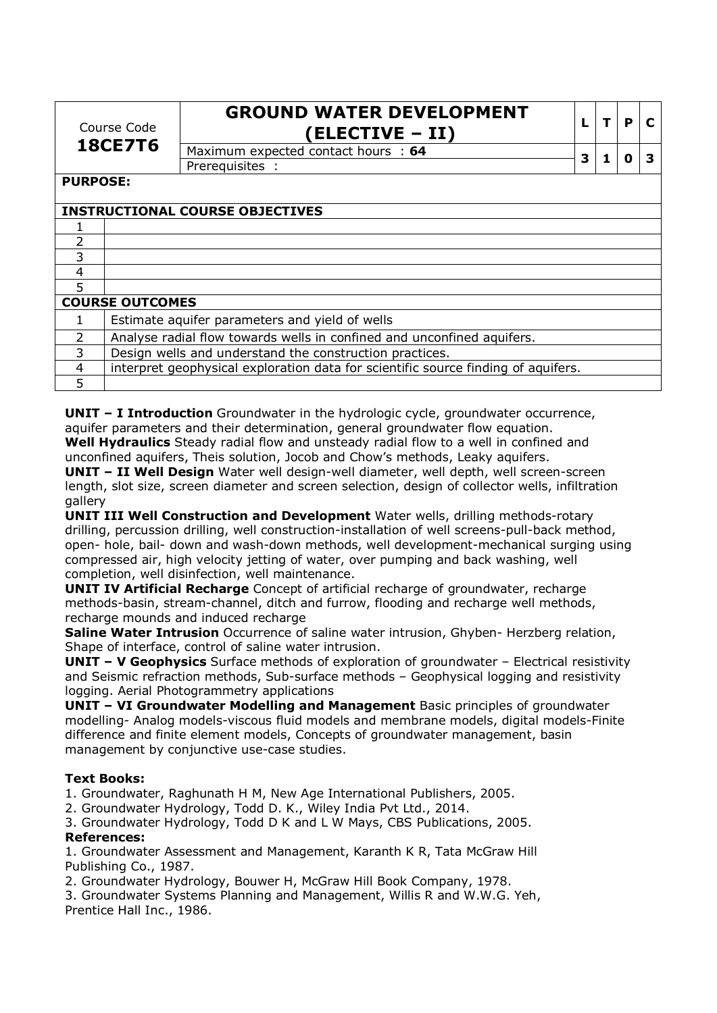| Course Code<br><b>18CE7T6</b> |                        | <b>GROUND WATER DEVELOPMENT</b><br>(ELECTIVE – II)                                |   | т | P | C |
|-------------------------------|------------------------|-----------------------------------------------------------------------------------|---|---|---|---|
|                               |                        | Maximum expected contact hours : 64                                               | 3 | 1 | 0 | З |
|                               |                        | Prerequisites :                                                                   |   |   |   |   |
| <b>PURPOSE:</b>               |                        |                                                                                   |   |   |   |   |
|                               |                        | <b>INSTRUCTIONAL COURSE OBJECTIVES</b>                                            |   |   |   |   |
|                               |                        |                                                                                   |   |   |   |   |
| $\overline{2}$                |                        |                                                                                   |   |   |   |   |
| 3                             |                        |                                                                                   |   |   |   |   |
| 4                             |                        |                                                                                   |   |   |   |   |
| 5                             |                        |                                                                                   |   |   |   |   |
|                               | <b>COURSE OUTCOMES</b> |                                                                                   |   |   |   |   |
|                               |                        | Estimate aquifer parameters and yield of wells                                    |   |   |   |   |
|                               |                        | Analyse radial flow towards wells in confined and unconfined aquifers.            |   |   |   |   |
| 3                             |                        | Design wells and understand the construction practices.                           |   |   |   |   |
| 4                             |                        | interpret geophysical exploration data for scientific source finding of aquifers. |   |   |   |   |
| 5                             |                        |                                                                                   |   |   |   |   |

**UNIT – I Introduction** Groundwater in the hydrologic cycle, groundwater occurrence, aquifer parameters and their determination, general groundwater flow equation.

**Well Hydraulics** Steady radial flow and unsteady radial flow to a well in confined and unconfined aquifers, Theis solution, Jocob and Chow's methods, Leaky aquifers.

**UNIT – II Well Design** Water well design-well diameter, well depth, well screen-screen length, slot size, screen diameter and screen selection, design of collector wells, infiltration gallery

**UNIT III Well Construction and Development** Water wells, drilling methods-rotary drilling, percussion drilling, well construction-installation of well screens-pull-back method, open- hole, bail- down and wash-down methods, well development-mechanical surging using compressed air, high velocity jetting of water, over pumping and back washing, well completion, well disinfection, well maintenance.

**UNIT IV Artificial Recharge** Concept of artificial recharge of groundwater, recharge methods-basin, stream-channel, ditch and furrow, flooding and recharge well methods, recharge mounds and induced recharge

**Saline Water Intrusion** Occurrence of saline water intrusion, Ghyben- Herzberg relation, Shape of interface, control of saline water intrusion.

**UNIT – V Geophysics** Surface methods of exploration of groundwater – Electrical resistivity and Seismic refraction methods, Sub-surface methods – Geophysical logging and resistivity logging. Aerial Photogrammetry applications

**UNIT – VI Groundwater Modelling and Management** Basic principles of groundwater modelling- Analog models-viscous fluid models and membrane models, digital models-Finite difference and finite element models, Concepts of groundwater management, basin management by conjunctive use-case studies.

# **Text Books:**

1. Groundwater, Raghunath H M, New Age International Publishers, 2005.

2. Groundwater Hydrology, Todd D. K., Wiley India Pvt Ltd., 2014.

3. Groundwater Hydrology, Todd D K and L W Mays, CBS Publications, 2005.

### **References:**

1. Groundwater Assessment and Management, Karanth K R, Tata McGraw Hill Publishing Co., 1987.

2. Groundwater Hydrology, Bouwer H, McGraw Hill Book Company, 1978.

3. Groundwater Systems Planning and Management, Willis R and W.W.G. Yeh, Prentice Hall Inc., 1986.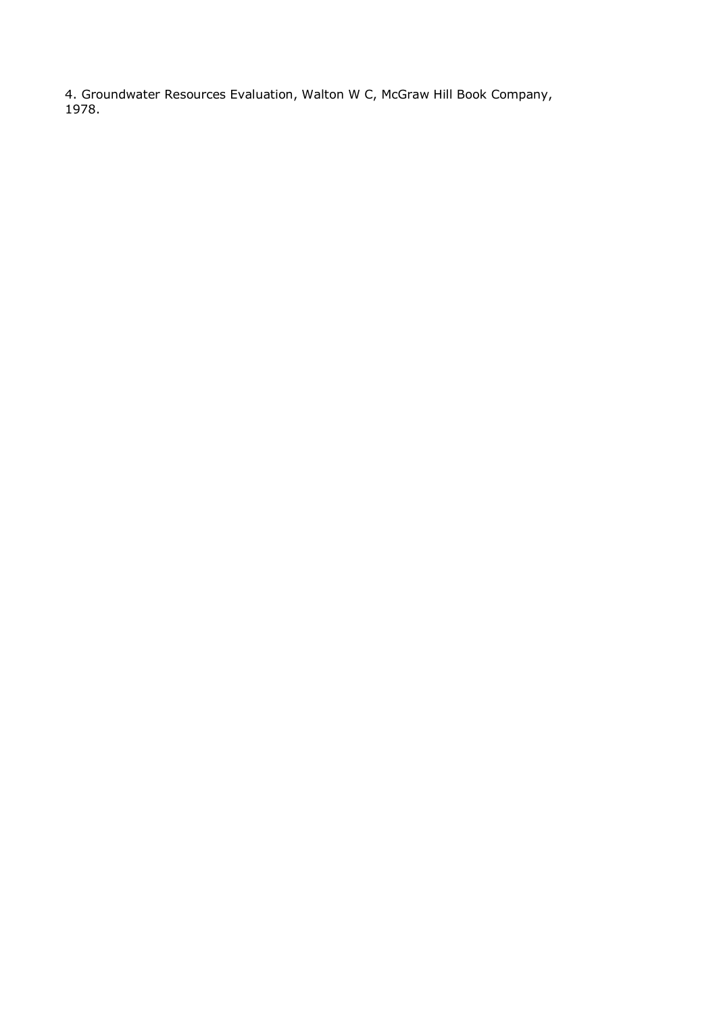4. Groundwater Resources Evaluation, Walton W C, McGraw Hill Book Company, 1978.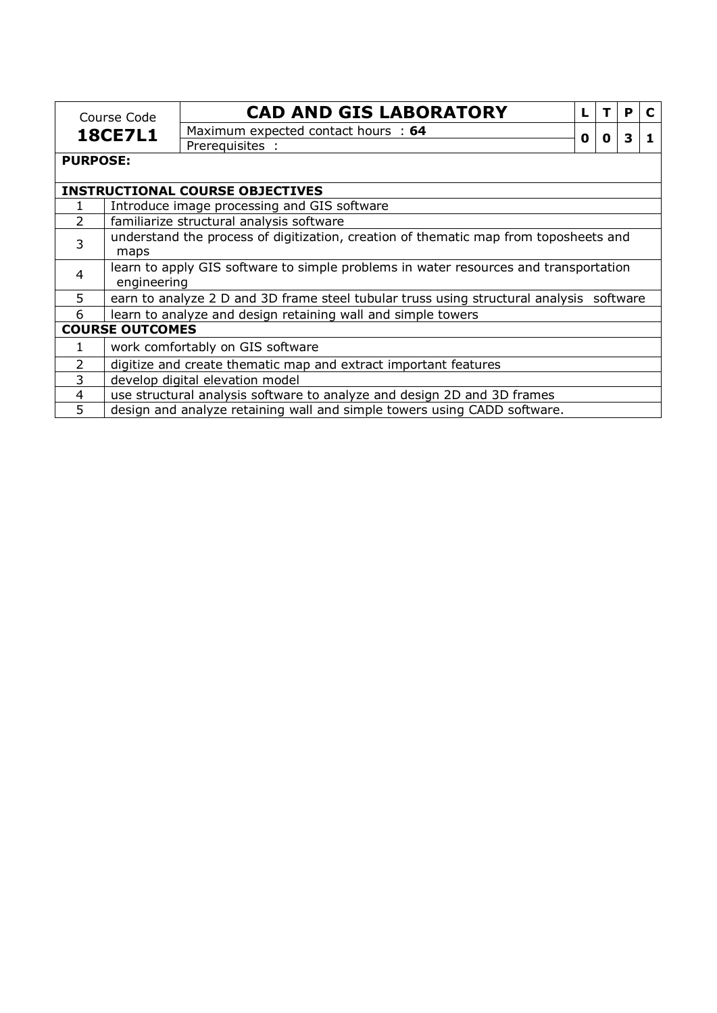| Course Code<br><b>18CE7L1</b>                                                             |                                          | <b>CAD AND GIS LABORATORY</b>                                                           |   |   | P |  |  |  |
|-------------------------------------------------------------------------------------------|------------------------------------------|-----------------------------------------------------------------------------------------|---|---|---|--|--|--|
|                                                                                           |                                          | Maximum expected contact hours : 64                                                     |   |   | 3 |  |  |  |
|                                                                                           |                                          | Prerequisites :                                                                         | 0 | 0 |   |  |  |  |
| <b>PURPOSE:</b>                                                                           |                                          |                                                                                         |   |   |   |  |  |  |
|                                                                                           |                                          |                                                                                         |   |   |   |  |  |  |
|                                                                                           |                                          | <b>INSTRUCTIONAL COURSE OBJECTIVES</b>                                                  |   |   |   |  |  |  |
|                                                                                           |                                          | Introduce image processing and GIS software                                             |   |   |   |  |  |  |
| $\overline{2}$                                                                            | familiarize structural analysis software |                                                                                         |   |   |   |  |  |  |
| 3                                                                                         |                                          | understand the process of digitization, creation of thematic map from toposheets and    |   |   |   |  |  |  |
| maps                                                                                      |                                          |                                                                                         |   |   |   |  |  |  |
| learn to apply GIS software to simple problems in water resources and transportation<br>4 |                                          |                                                                                         |   |   |   |  |  |  |
|                                                                                           | engineering                              |                                                                                         |   |   |   |  |  |  |
| 5                                                                                         |                                          | earn to analyze 2 D and 3D frame steel tubular truss using structural analysis software |   |   |   |  |  |  |
| 6                                                                                         |                                          | learn to analyze and design retaining wall and simple towers                            |   |   |   |  |  |  |
|                                                                                           | <b>COURSE OUTCOMES</b>                   |                                                                                         |   |   |   |  |  |  |
| 1                                                                                         |                                          | work comfortably on GIS software                                                        |   |   |   |  |  |  |
| $\overline{2}$                                                                            |                                          | digitize and create thematic map and extract important features                         |   |   |   |  |  |  |
| 3                                                                                         |                                          | develop digital elevation model                                                         |   |   |   |  |  |  |
| 4                                                                                         |                                          | use structural analysis software to analyze and design 2D and 3D frames                 |   |   |   |  |  |  |
| 5                                                                                         |                                          | design and analyze retaining wall and simple towers using CADD software.                |   |   |   |  |  |  |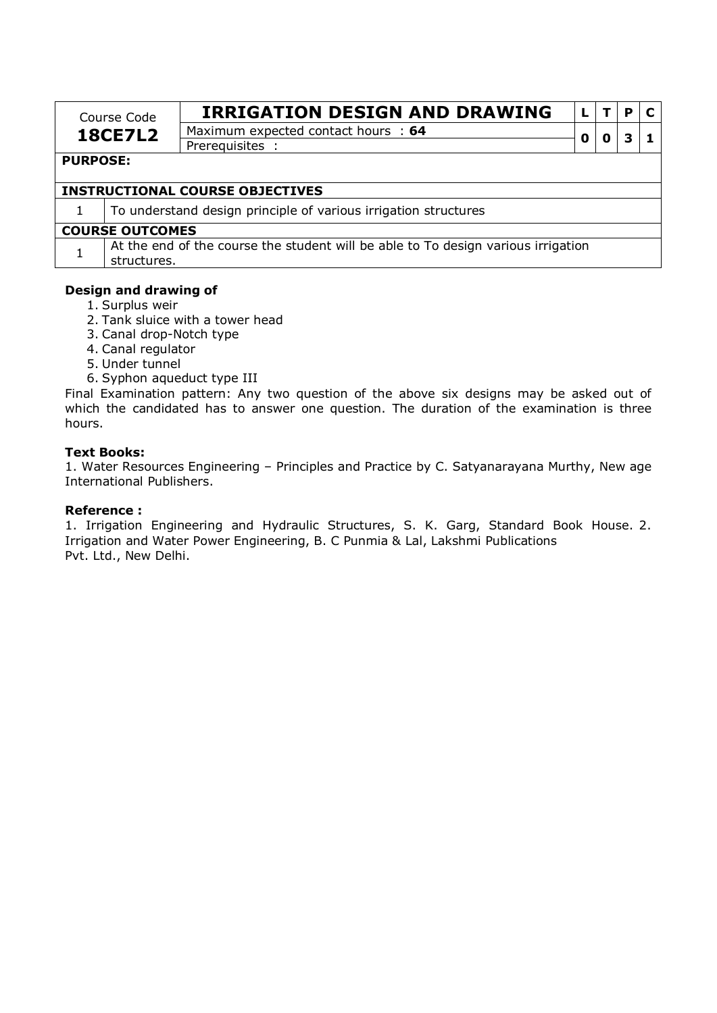| Course Code    | <b>IRRIGATION DESIGN AND DRAWING</b> |   |  |
|----------------|--------------------------------------|---|--|
| <b>18CE7L2</b> | Maximum expected contact hours : 64  |   |  |
|                | Prereguisites                        | O |  |

### **PURPOSE:**

## **INSTRUCTIONAL COURSE OBJECTIVES**

1 To understand design principle of various irrigation structures

#### **COURSE OUTCOMES**

 $1$  At the end of the course the student will be able to To design various irrigation structures.

#### **Design and drawing of**

- 1. Surplus weir
- 2. Tank sluice with a tower head
- 3. Canal drop-Notch type
- 4. Canal regulator
- 5. Under tunnel
- 6. Syphon aqueduct type III

Final Examination pattern: Any two question of the above six designs may be asked out of which the candidated has to answer one question. The duration of the examination is three hours.

### **Text Books:**

1. Water Resources Engineering – Principles and Practice by C. Satyanarayana Murthy, New age International Publishers.

### **Reference :**

1. Irrigation Engineering and Hydraulic Structures, S. K. Garg, Standard Book House. 2. Irrigation and Water Power Engineering, B. C Punmia & Lal, Lakshmi Publications Pvt. Ltd., New Delhi.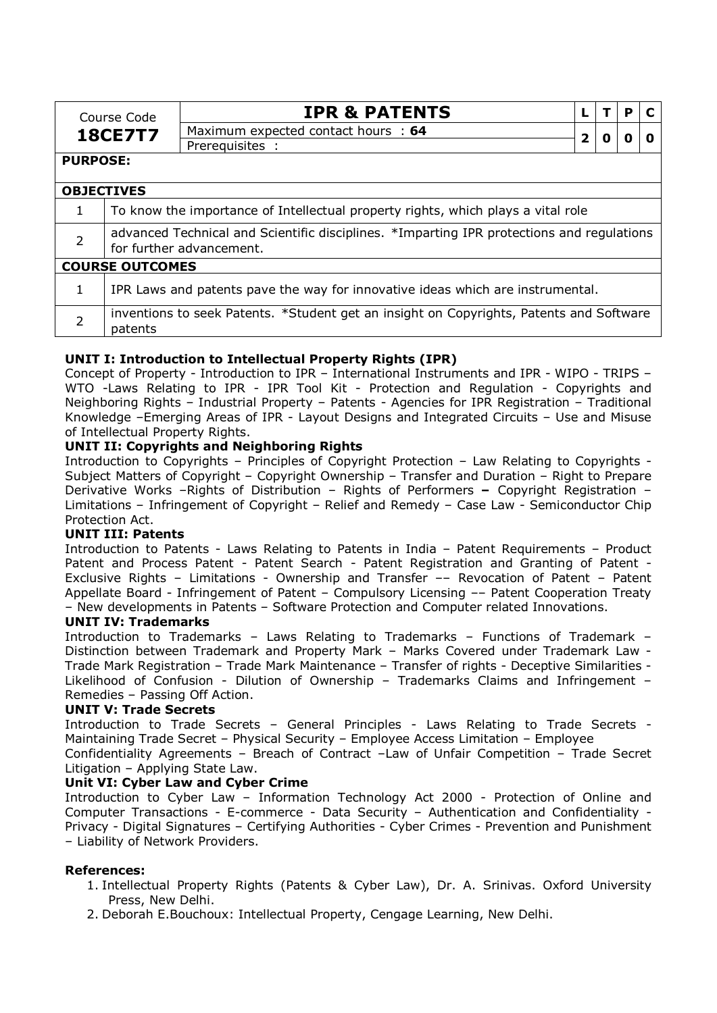|                   |                                                                                           | <b>IPR &amp; PATENTS</b>                                                                |              |   | P |  |  |  |  |
|-------------------|-------------------------------------------------------------------------------------------|-----------------------------------------------------------------------------------------|--------------|---|---|--|--|--|--|
|                   | Course Code                                                                               |                                                                                         |              |   |   |  |  |  |  |
|                   | <b>18CE7T7</b>                                                                            | Maximum expected contact hours : 64                                                     | $\mathbf{2}$ | 0 | 0 |  |  |  |  |
|                   |                                                                                           | Prerequisites :                                                                         |              |   |   |  |  |  |  |
| <b>PURPOSE:</b>   |                                                                                           |                                                                                         |              |   |   |  |  |  |  |
| <b>OBJECTIVES</b> |                                                                                           |                                                                                         |              |   |   |  |  |  |  |
| $\mathbf{1}$      | To know the importance of Intellectual property rights, which plays a vital role          |                                                                                         |              |   |   |  |  |  |  |
| $\overline{2}$    | advanced Technical and Scientific disciplines. *Imparting IPR protections and regulations |                                                                                         |              |   |   |  |  |  |  |
|                   | for further advancement.                                                                  |                                                                                         |              |   |   |  |  |  |  |
|                   | <b>COURSE OUTCOMES</b>                                                                    |                                                                                         |              |   |   |  |  |  |  |
| 1                 |                                                                                           | IPR Laws and patents pave the way for innovative ideas which are instrumental.          |              |   |   |  |  |  |  |
|                   |                                                                                           |                                                                                         |              |   |   |  |  |  |  |
| $\overline{2}$    |                                                                                           | inventions to seek Patents. *Student get an insight on Copyrights, Patents and Software |              |   |   |  |  |  |  |
|                   | patents                                                                                   |                                                                                         |              |   |   |  |  |  |  |

# **UNIT I: Introduction to Intellectual Property Rights (IPR)**

Concept of Property - Introduction to IPR – International Instruments and IPR - WIPO - TRIPS – WTO -Laws Relating to IPR - IPR Tool Kit - Protection and Regulation - Copyrights and Neighboring Rights – Industrial Property – Patents - Agencies for IPR Registration – Traditional Knowledge –Emerging Areas of IPR - Layout Designs and Integrated Circuits – Use and Misuse of Intellectual Property Rights.

# **UNIT II: Copyrights and Neighboring Rights**

Introduction to Copyrights – Principles of Copyright Protection – Law Relating to Copyrights - Subject Matters of Copyright – Copyright Ownership – Transfer and Duration – Right to Prepare Derivative Works –Rights of Distribution – Rights of Performers **–** Copyright Registration – Limitations – Infringement of Copyright – Relief and Remedy – Case Law - Semiconductor Chip Protection Act.

### **UNIT III: Patents**

Introduction to Patents - Laws Relating to Patents in India – Patent Requirements – Product Patent and Process Patent - Patent Search - Patent Registration and Granting of Patent - Exclusive Rights – Limitations - Ownership and Transfer –– Revocation of Patent – Patent Appellate Board - Infringement of Patent – Compulsory Licensing –– Patent Cooperation Treaty – New developments in Patents – Software Protection and Computer related Innovations.

### **UNIT IV: Trademarks**

Introduction to Trademarks – Laws Relating to Trademarks – Functions of Trademark – Distinction between Trademark and Property Mark – Marks Covered under Trademark Law - Trade Mark Registration – Trade Mark Maintenance – Transfer of rights - Deceptive Similarities - Likelihood of Confusion - Dilution of Ownership – Trademarks Claims and Infringement – Remedies – Passing Off Action.

### **UNIT V: Trade Secrets**

Introduction to Trade Secrets – General Principles - Laws Relating to Trade Secrets - Maintaining Trade Secret – Physical Security – Employee Access Limitation – Employee

Confidentiality Agreements – Breach of Contract –Law of Unfair Competition – Trade Secret Litigation – Applying State Law.

### **Unit VI: Cyber Law and Cyber Crime**

Introduction to Cyber Law – Information Technology Act 2000 - Protection of Online and Computer Transactions - E-commerce - Data Security – Authentication and Confidentiality - Privacy - Digital Signatures – Certifying Authorities - Cyber Crimes - Prevention and Punishment – Liability of Network Providers.

### **References:**

- 1. Intellectual Property Rights (Patents & Cyber Law), Dr. A. Srinivas. Oxford University Press, New Delhi.
- 2. Deborah E.Bouchoux: Intellectual Property, Cengage Learning, New Delhi.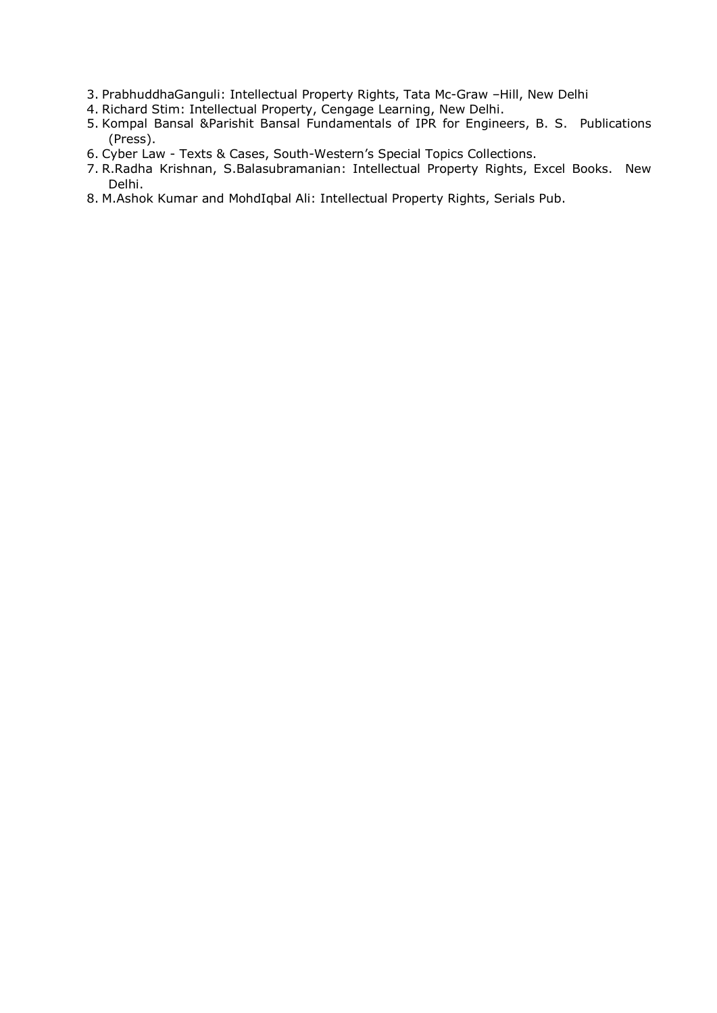- 3. PrabhuddhaGanguli: Intellectual Property Rights, Tata Mc-Graw –Hill, New Delhi
- 4. Richard Stim: Intellectual Property, Cengage Learning, New Delhi.
- 5. Kompal Bansal &Parishit Bansal Fundamentals of IPR for Engineers, B. S. Publications (Press).
- 6. Cyber Law Texts & Cases, South-Western's Special Topics Collections.
- 7. R.Radha Krishnan, S.Balasubramanian: Intellectual Property Rights, Excel Books. New Delhi.
- 8. M.Ashok Kumar and MohdIqbal Ali: Intellectual Property Rights, Serials Pub.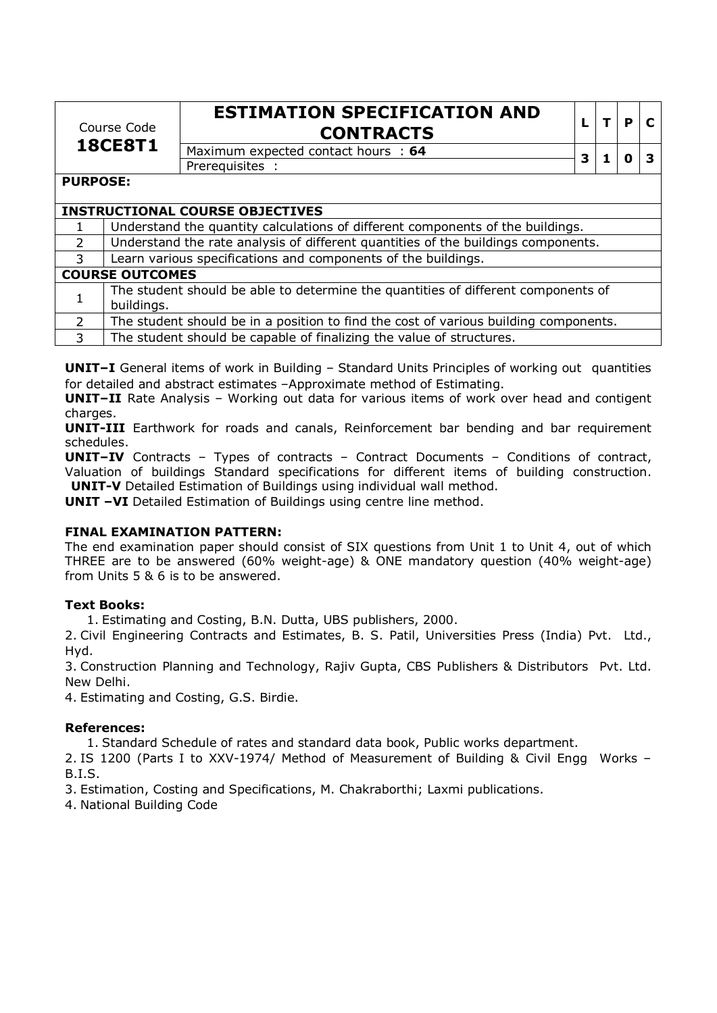| Course Code    |  |
|----------------|--|
| <b>18CE8T1</b> |  |

# **ESTIMATION SPECIFICATION AND CONTRACTS <sup>L</sup> <sup>T</sup> <sup>P</sup> <sup>C</sup>**

Maximum expected contact hours : **<sup>64</sup> <sup>3</sup> <sup>1</sup> <sup>0</sup> <sup>3</sup>** Prerequisites :

# **PURPOSE:**

# **INSTRUCTIONAL COURSE OBJECTIVES**

|                | Understand the quantity calculations of different components of the buildings.                  |  |  |  |  |
|----------------|-------------------------------------------------------------------------------------------------|--|--|--|--|
| 2              | Understand the rate analysis of different quantities of the buildings components.               |  |  |  |  |
| 3              | Learn various specifications and components of the buildings.                                   |  |  |  |  |
|                | <b>COURSE OUTCOMES</b>                                                                          |  |  |  |  |
|                | The student should be able to determine the quantities of different components of<br>buildings. |  |  |  |  |
| $\overline{2}$ | The student should be in a position to find the cost of various building components.            |  |  |  |  |
| 3              | The student should be capable of finalizing the value of structures.                            |  |  |  |  |

**UNIT–I** General items of work in Building – Standard Units Principles of working out quantities for detailed and abstract estimates –Approximate method of Estimating.

**UNIT–II** Rate Analysis – Working out data for various items of work over head and contigent charges.

**UNIT-III** Earthwork for roads and canals, Reinforcement bar bending and bar requirement schedules.

**UNIT–IV** Contracts – Types of contracts – Contract Documents – Conditions of contract, Valuation of buildings Standard specifications for different items of building construction. **UNIT-V** Detailed Estimation of Buildings using individual wall method.

**UNIT -VI** Detailed Estimation of Buildings using centre line method.

# **FINAL EXAMINATION PATTERN:**

The end examination paper should consist of SIX questions from Unit 1 to Unit 4, out of which THREE are to be answered (60% weight-age) & ONE mandatory question (40% weight-age) from Units 5 & 6 is to be answered.

# **Text Books:**

1. Estimating and Costing, B.N. Dutta, UBS publishers, 2000.

2. Civil Engineering Contracts and Estimates, B. S. Patil, Universities Press (India) Pvt. Ltd., Hyd.

3. Construction Planning and Technology, Rajiv Gupta, CBS Publishers & Distributors Pvt. Ltd. New Delhi.

4. Estimating and Costing, G.S. Birdie.

### **References:**

1. Standard Schedule of rates and standard data book, Public works department.

2. IS 1200 (Parts I to XXV-1974/ Method of Measurement of Building & Civil Engg Works – B.I.S.

3. Estimation, Costing and Specifications, M. Chakraborthi; Laxmi publications.

4. National Building Code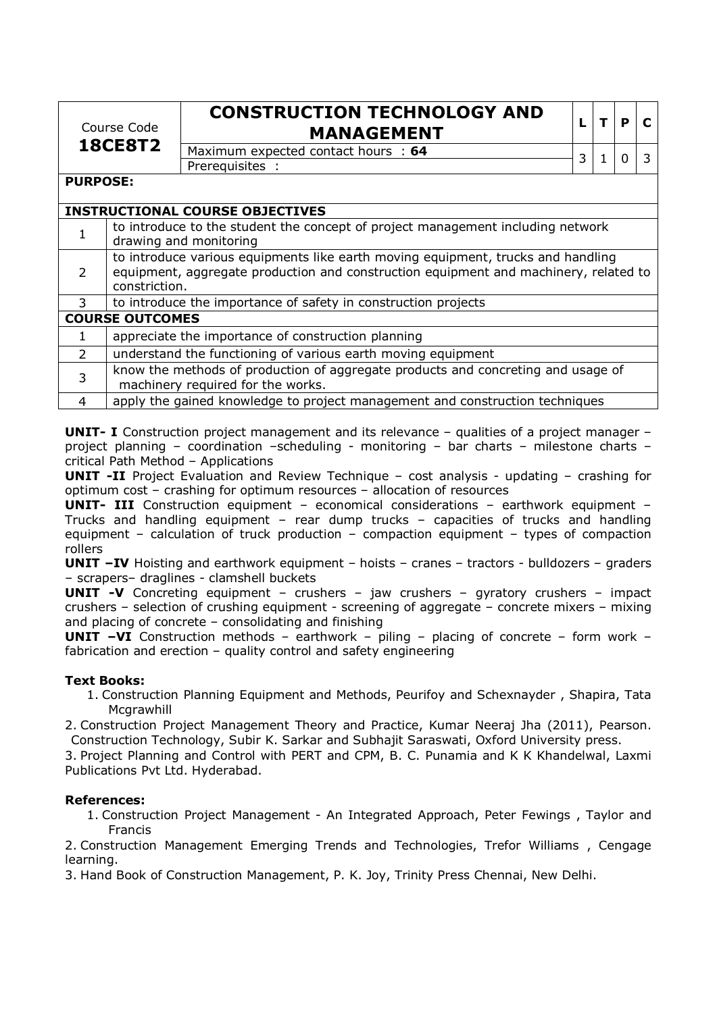| Course Code    |  |
|----------------|--|
| <b>18CE8T2</b> |  |

# **CONSTRUCTION TECHNOLOGY AND MANAGEMENT <sup>L</sup> <sup>T</sup> <sup>P</sup> <sup>C</sup>**

| Maximum expected contact hours: 64 |  |  |  |
|------------------------------------|--|--|--|
| Prerequisites                      |  |  |  |

| г | P | Г. |
|---|---|----|
|   |   |    |

**PURPOSE:** 

|                | <b>INSTRUCTIONAL COURSE OBJECTIVES</b>                                                                                                                                                    |  |  |  |  |  |
|----------------|-------------------------------------------------------------------------------------------------------------------------------------------------------------------------------------------|--|--|--|--|--|
| 1              | to introduce to the student the concept of project management including network<br>drawing and monitoring                                                                                 |  |  |  |  |  |
| $\overline{2}$ | to introduce various equipments like earth moving equipment, trucks and handling<br>equipment, aggregate production and construction equipment and machinery, related to<br>constriction. |  |  |  |  |  |
| 3              | to introduce the importance of safety in construction projects                                                                                                                            |  |  |  |  |  |
|                | <b>COURSE OUTCOMES</b>                                                                                                                                                                    |  |  |  |  |  |
| 1              | appreciate the importance of construction planning                                                                                                                                        |  |  |  |  |  |
| 2              | understand the functioning of various earth moving equipment                                                                                                                              |  |  |  |  |  |
| 3              | know the methods of production of aggregate products and concreting and usage of<br>machinery required for the works.                                                                     |  |  |  |  |  |
| 4              | apply the gained knowledge to project management and construction techniques                                                                                                              |  |  |  |  |  |

**UNIT- I** Construction project management and its relevance – qualities of a project manager – project planning – coordination –scheduling - monitoring – bar charts – milestone charts – critical Path Method – Applications

**UNIT -II** Project Evaluation and Review Technique – cost analysis - updating – crashing for optimum cost – crashing for optimum resources – allocation of resources

**UNIT- III** Construction equipment – economical considerations – earthwork equipment – Trucks and handling equipment – rear dump trucks – capacities of trucks and handling equipment – calculation of truck production – compaction equipment – types of compaction rollers

**UNIT –IV** Hoisting and earthwork equipment – hoists – cranes – tractors - bulldozers – graders – scrapers– draglines - clamshell buckets

**UNIT -V** Concreting equipment – crushers – jaw crushers – gyratory crushers – impact crushers – selection of crushing equipment - screening of aggregate – concrete mixers – mixing and placing of concrete – consolidating and finishing

**UNIT –VI** Construction methods – earthwork – piling – placing of concrete – form work – fabrication and erection – quality control and safety engineering

# **Text Books:**

1. Construction Planning Equipment and Methods, Peurifoy and Schexnayder , Shapira, Tata **Mcgrawhill** 

2. Construction Project Management Theory and Practice, Kumar Neeraj Jha (2011), Pearson. Construction Technology, Subir K. Sarkar and Subhajit Saraswati, Oxford University press.

3. Project Planning and Control with PERT and CPM, B. C. Punamia and K K Khandelwal, Laxmi Publications Pvt Ltd. Hyderabad.

# **References:**

1. Construction Project Management - An Integrated Approach, Peter Fewings , Taylor and Francis

2. Construction Management Emerging Trends and Technologies, Trefor Williams , Cengage learning.

3. Hand Book of Construction Management, P. K. Joy, Trinity Press Chennai, New Delhi.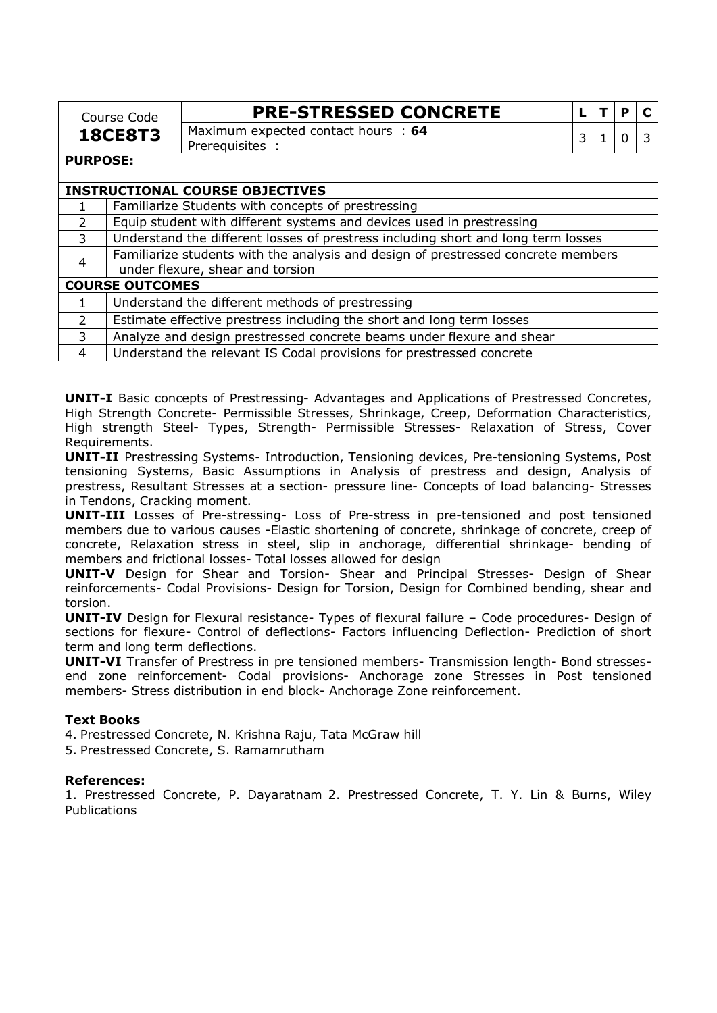|                                  | Course Code                                                                       | <b>PRE-STRESSED CONCRETE</b>                                                      |   |  | Р        |  |
|----------------------------------|-----------------------------------------------------------------------------------|-----------------------------------------------------------------------------------|---|--|----------|--|
|                                  | <b>18CE8T3</b>                                                                    | Maximum expected contact hours : 64                                               | 3 |  | $\Omega$ |  |
|                                  |                                                                                   | Prerequisites :                                                                   |   |  |          |  |
| <b>PURPOSE:</b>                  |                                                                                   |                                                                                   |   |  |          |  |
|                                  |                                                                                   |                                                                                   |   |  |          |  |
|                                  |                                                                                   | <b>INSTRUCTIONAL COURSE OBJECTIVES</b>                                            |   |  |          |  |
|                                  | Familiarize Students with concepts of prestressing                                |                                                                                   |   |  |          |  |
| $\mathcal{L}$                    | Equip student with different systems and devices used in prestressing             |                                                                                   |   |  |          |  |
| 3                                | Understand the different losses of prestress including short and long term losses |                                                                                   |   |  |          |  |
| $\overline{4}$                   |                                                                                   | Familiarize students with the analysis and design of prestressed concrete members |   |  |          |  |
| under flexure, shear and torsion |                                                                                   |                                                                                   |   |  |          |  |
|                                  | <b>COURSE OUTCOMES</b>                                                            |                                                                                   |   |  |          |  |
|                                  |                                                                                   | Understand the different methods of prestressing                                  |   |  |          |  |
| $\mathcal{P}$                    |                                                                                   | Estimate effective prestress including the short and long term losses             |   |  |          |  |
| 3                                |                                                                                   | Analyze and design prestressed concrete beams under flexure and shear             |   |  |          |  |

4 Understand the relevant IS Codal provisions for prestressed concrete

**UNIT-I** Basic concepts of Prestressing- Advantages and Applications of Prestressed Concretes, High Strength Concrete- Permissible Stresses, Shrinkage, Creep, Deformation Characteristics, High strength Steel- Types, Strength- Permissible Stresses- Relaxation of Stress, Cover Requirements.

**UNIT-II** Prestressing Systems- Introduction, Tensioning devices, Pre-tensioning Systems, Post tensioning Systems, Basic Assumptions in Analysis of prestress and design, Analysis of prestress, Resultant Stresses at a section- pressure line- Concepts of load balancing- Stresses in Tendons, Cracking moment.

**UNIT-III** Losses of Pre-stressing- Loss of Pre-stress in pre-tensioned and post tensioned members due to various causes -Elastic shortening of concrete, shrinkage of concrete, creep of concrete, Relaxation stress in steel, slip in anchorage, differential shrinkage- bending of members and frictional losses- Total losses allowed for design

**UNIT-V** Design for Shear and Torsion- Shear and Principal Stresses- Design of Shear reinforcements- Codal Provisions- Design for Torsion, Design for Combined bending, shear and torsion.

**UNIT-IV** Design for Flexural resistance- Types of flexural failure – Code procedures- Design of sections for flexure- Control of deflections- Factors influencing Deflection- Prediction of short term and long term deflections.

**UNIT-VI** Transfer of Prestress in pre tensioned members- Transmission length- Bond stressesend zone reinforcement- Codal provisions- Anchorage zone Stresses in Post tensioned members- Stress distribution in end block- Anchorage Zone reinforcement.

# **Text Books**

4. Prestressed Concrete, N. Krishna Raju, Tata McGraw hill

5. Prestressed Concrete, S. Ramamrutham

### **References:**

1. Prestressed Concrete, P. Dayaratnam 2. Prestressed Concrete, T. Y. Lin & Burns, Wiley Publications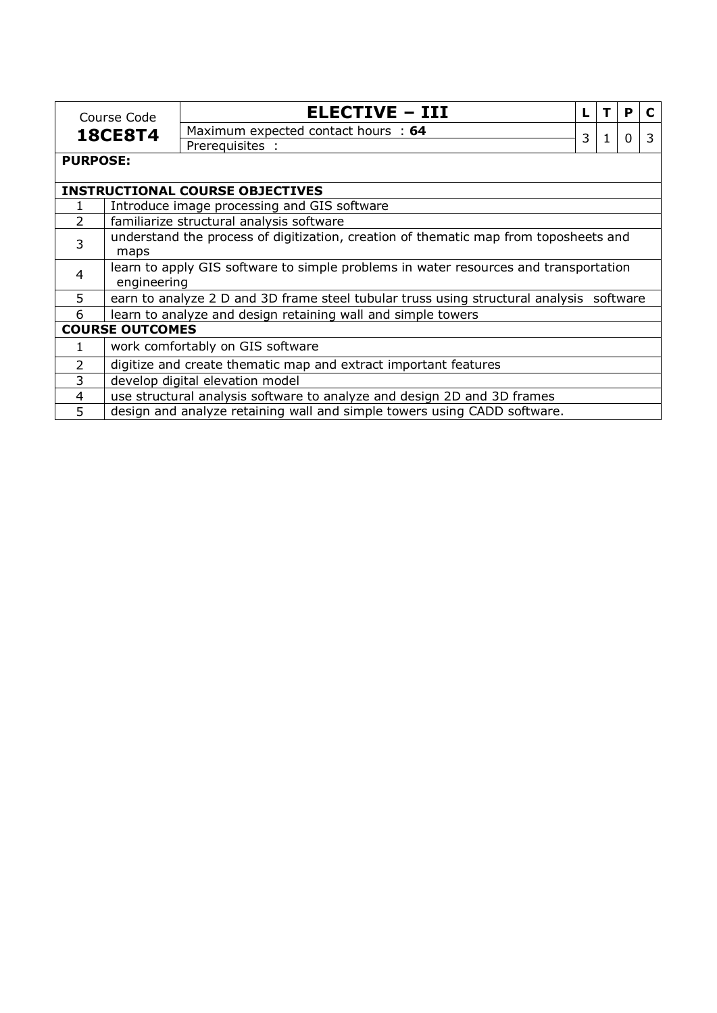|                 | Course Code                                                                                         | <b>ELECTIVE - III</b>                                                                   |   |  | P        |   |
|-----------------|-----------------------------------------------------------------------------------------------------|-----------------------------------------------------------------------------------------|---|--|----------|---|
| <b>18CE8T4</b>  |                                                                                                     | Maximum expected contact hours : 64                                                     | 3 |  | $\Omega$ | 3 |
|                 |                                                                                                     | Prerequisites :                                                                         |   |  |          |   |
| <b>PURPOSE:</b> |                                                                                                     |                                                                                         |   |  |          |   |
|                 |                                                                                                     | <b>INSTRUCTIONAL COURSE OBJECTIVES</b>                                                  |   |  |          |   |
|                 |                                                                                                     | Introduce image processing and GIS software                                             |   |  |          |   |
| $\overline{2}$  |                                                                                                     | familiarize structural analysis software                                                |   |  |          |   |
| 3               | understand the process of digitization, creation of thematic map from toposheets and<br>maps        |                                                                                         |   |  |          |   |
| $\overline{4}$  | learn to apply GIS software to simple problems in water resources and transportation<br>engineering |                                                                                         |   |  |          |   |
| 5               |                                                                                                     | earn to analyze 2 D and 3D frame steel tubular truss using structural analysis software |   |  |          |   |
| 6               |                                                                                                     | learn to analyze and design retaining wall and simple towers                            |   |  |          |   |
|                 | <b>COURSE OUTCOMES</b>                                                                              |                                                                                         |   |  |          |   |
| 1.              |                                                                                                     | work comfortably on GIS software                                                        |   |  |          |   |
| $\overline{2}$  |                                                                                                     | digitize and create thematic map and extract important features                         |   |  |          |   |
| 3               |                                                                                                     | develop digital elevation model                                                         |   |  |          |   |
| 4               |                                                                                                     | use structural analysis software to analyze and design 2D and 3D frames                 |   |  |          |   |
| 5               |                                                                                                     | design and analyze retaining wall and simple towers using CADD software.                |   |  |          |   |